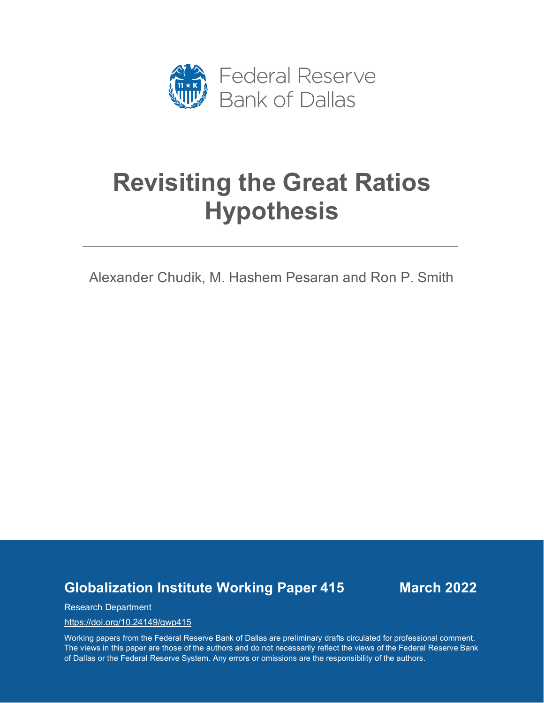

# **Revisiting the Great Ratios Hypothesis**

Alexander Chudik, M. Hashem Pesaran and Ron P. Smith

**Globalization Institute Working Paper 415 March 2022**

Research Department

<https://doi.org/10.24149/gwp415>

Working papers from the Federal Reserve Bank of Dallas are preliminary drafts circulated for professional comment. The views in this paper are those of the authors and do not necessarily reflect the views of the Federal Reserve Bank of Dallas or the Federal Reserve System. Any errors or omissions are the responsibility of the authors.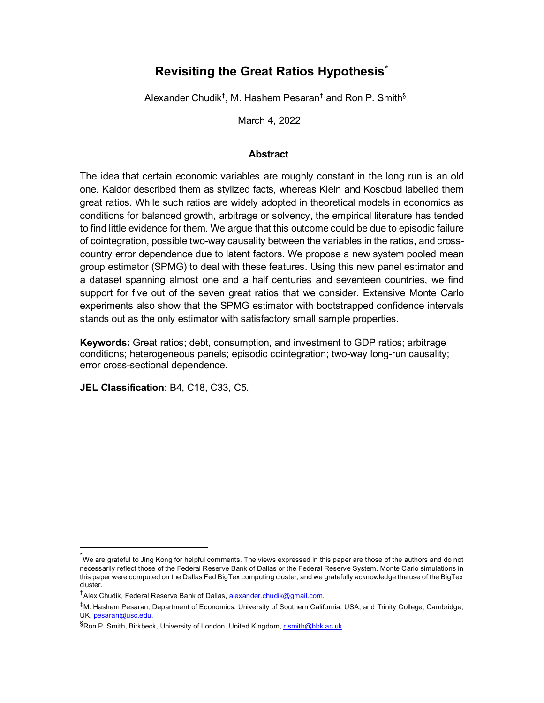## **Revisiting the Great Ratios Hypothesis[\\*](#page-1-0)**

Alexander Chudik† , M. Hashem Pesaran‡ and Ron P. Smith§

March 4, 2022

## **Abstract**

The idea that certain economic variables are roughly constant in the long run is an old one. Kaldor described them as stylized facts, whereas Klein and Kosobud labelled them great ratios. While such ratios are widely adopted in theoretical models in economics as conditions for balanced growth, arbitrage or solvency, the empirical literature has tended to find little evidence for them. We argue that this outcome could be due to episodic failure of cointegration, possible two-way causality between the variables in the ratios, and crosscountry error dependence due to latent factors. We propose a new system pooled mean group estimator (SPMG) to deal with these features. Using this new panel estimator and a dataset spanning almost one and a half centuries and seventeen countries, we find support for five out of the seven great ratios that we consider. Extensive Monte Carlo experiments also show that the SPMG estimator with bootstrapped confidence intervals stands out as the only estimator with satisfactory small sample properties.

**Keywords:** Great ratios; debt, consumption, and investment to GDP ratios; arbitrage conditions; heterogeneous panels; episodic cointegration; two-way long-run causality; error cross-sectional dependence.

**JEL Classification**: B4, C18, C33, C5.

<span id="page-1-0"></span><sup>\*</sup> We are grateful to Jing Kong for helpful comments. The views expressed in this paper are those of the authors and do not necessarily reflect those of the Federal Reserve Bank of Dallas or the Federal Reserve System. Monte Carlo simulations in this paper were computed on the Dallas Fed BigTex computing cluster, and we gratefully acknowledge the use of the BigTex cluster.

<sup>&</sup>lt;sup>†</sup>Alex Chudik, Federal Reserve Bank of Dallas, <u>alexander.chudik@gmail.com</u>.

<sup>‡</sup>M. Hashem Pesaran, Department of Economics, University of Southern California, USA, and Trinity College, Cambridge, UK[, pesaran@usc.edu.](mailto:pesaran@usc.edu)

<sup>&</sup>lt;sup>§</sup>Ron P. Smith, Birkbeck, University of London, United Kingdom, <u>r.smith@bbk.ac.uk</u>.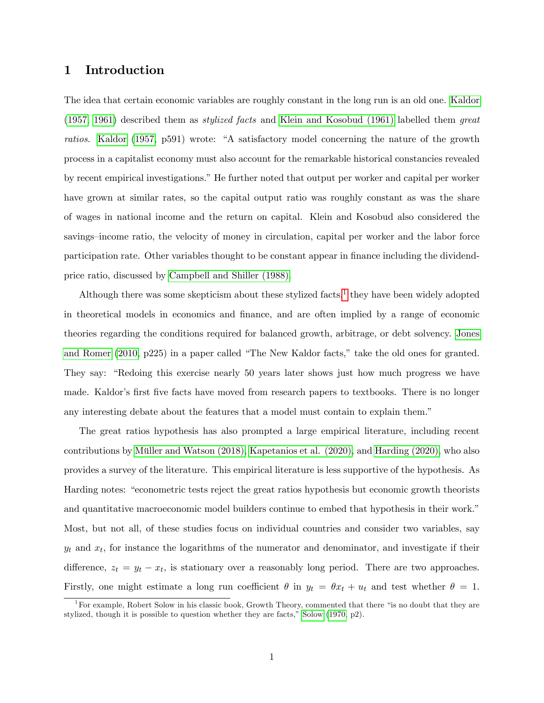## 1 Introduction

The idea that certain economic variables are roughly constant in the long run is an old one. [Kaldor](#page-34-0) [\(1957,](#page-34-0) [1961\)](#page-34-1) described them as stylized facts and [Klein and Kosobud \(1961\)](#page-34-2) labelled them great ratios. [Kaldor](#page-34-0) [\(1957,](#page-34-0) p591) wrote: "A satisfactory model concerning the nature of the growth process in a capitalist economy must also account for the remarkable historical constancies revealed by recent empirical investigations." He further noted that output per worker and capital per worker have grown at similar rates, so the capital output ratio was roughly constant as was the share of wages in national income and the return on capital. Klein and Kosobud also considered the savings—income ratio, the velocity of money in circulation, capital per worker and the labor force participation rate. Other variables thought to be constant appear in finance including the dividendprice ratio, discussed by [Campbell and Shiller \(1988\).](#page-33-0)

Although there was some skepticism about these stylized facts,<sup>[1](#page-2-0)</sup> they have been widely adopted in theoretical models in economics and finance, and are often implied by a range of economic theories regarding the conditions required for balanced growth, arbitrage, or debt solvency. [Jones](#page-34-3) [and Romer](#page-34-3) [\(2010,](#page-34-3) p225) in a paper called "The New Kaldor facts," take the old ones for granted. They say: "Redoing this exercise nearly 50 years later shows just how much progress we have made. Kaldor's first five facts have moved from research papers to textbooks. There is no longer any interesting debate about the features that a model must contain to explain them.<sup>n</sup>

The great ratios hypothesis has also prompted a large empirical literature, including recent contributions by Müller and Watson  $(2018)$ , Kapetanios et al.  $(2020)$ , and Harding  $(2020)$ , who also provides a survey of the literature. This empirical literature is less supportive of the hypothesis. As Harding notes: "econometric tests reject the great ratios hypothesis but economic growth theorists and quantitative macroeconomic model builders continue to embed that hypothesis in their work." Most, but not all, of these studies focus on individual countries and consider two variables, say  $y_t$  and  $x_t$ , for instance the logarithms of the numerator and denominator, and investigate if their difference,  $z_t = y_t - x_t$ , is stationary over a reasonably long period. There are two approaches. Firstly, one might estimate a long run coefficient  $\theta$  in  $y_t = \theta x_t + u_t$  and test whether  $\theta = 1$ .

<span id="page-2-0"></span><sup>&</sup>lt;sup>1</sup>For example, Robert Solow in his classic book, Growth Theory, commented that there "is no doubt that they are stylized, though it is possible to question whether they are facts," [Solow](#page-36-0)  $(1970, p2)$  $(1970, p2)$ .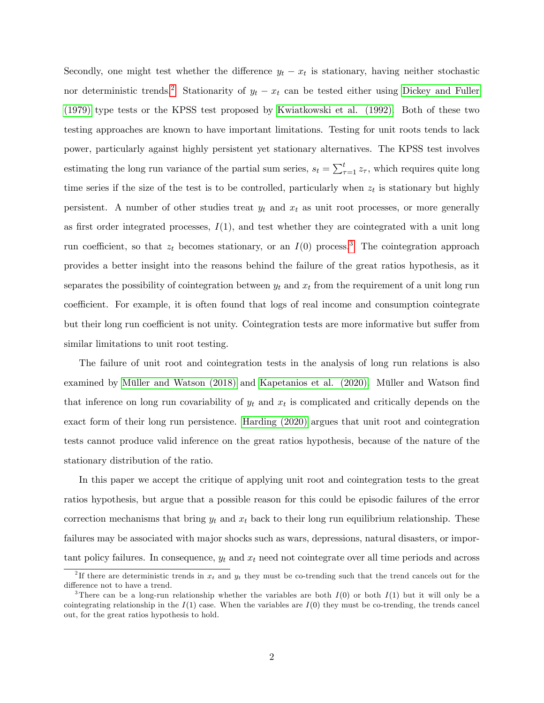Secondly, one might test whether the difference  $y_t - x_t$  is stationary, having neither stochastic nor deterministic trends.<sup>[2](#page-3-0)</sup> Stationarity of  $y_t - x_t$  can be tested either using [Dickey and Fuller](#page-33-1) [\(1979\)](#page-33-1) type tests or the KPSS test proposed by [Kwiatkowski et al. \(1992\).](#page-35-1) Both of these two testing approaches are known to have important limitations. Testing for unit roots tends to lack power, particularly against highly persistent yet stationary alternatives. The KPSS test involves estimating the long run variance of the partial sum series,  $s_t = \sum_{\tau=1}^t z_{\tau}$ , which requires quite long time series if the size of the test is to be controlled, particularly when  $z_t$  is stationary but highly persistent. A number of other studies treat  $y_t$  and  $x_t$  as unit root processes, or more generally as first order integrated processes,  $I(1)$ , and test whether they are cointegrated with a unit long run coefficient, so that  $z_t$  becomes stationary, or an  $I(0)$  process.<sup>[3](#page-3-1)</sup> The cointegration approach provides a better insight into the reasons behind the failure of the great ratios hypothesis, as it separates the possibility of cointegration between  $y_t$  and  $x_t$  from the requirement of a unit long run coefficient. For example, it is often found that logs of real income and consumption cointegrate but their long run coefficient is not unity. Cointegration tests are more informative but suffer from similar limitations to unit root testing.

The failure of unit root and cointegration tests in the analysis of long run relations is also examined by Müller and Watson (2018) and [Kapetanios et al. \(2020\).](#page-34-4) Müller and Watson find that inference on long run covariability of  $y_t$  and  $x_t$  is complicated and critically depends on the exact form of their long run persistence. [Harding \(2020\)](#page-34-5) argues that unit root and cointegration tests cannot produce valid inference on the great ratios hypothesis, because of the nature of the stationary distribution of the ratio.

In this paper we accept the critique of applying unit root and cointegration tests to the great ratios hypothesis, but argue that a possible reason for this could be episodic failures of the error correction mechanisms that bring  $y_t$  and  $x_t$  back to their long run equilibrium relationship. These failures may be associated with major shocks such as wars, depressions, natural disasters, or important policy failures. In consequence,  $y_t$  and  $x_t$  need not cointegrate over all time periods and across

<span id="page-3-0"></span><sup>&</sup>lt;sup>2</sup>If there are deterministic trends in  $x_t$  and  $y_t$  they must be co-trending such that the trend cancels out for the difference not to have a trend.

<span id="page-3-1"></span><sup>&</sup>lt;sup>3</sup>There can be a long-run relationship whether the variables are both  $I(0)$  or both  $I(1)$  but it will only be a cointegrating relationship in the  $I(1)$  case. When the variables are  $I(0)$  they must be co-trending, the trends cancel out, for the great ratios hypothesis to hold.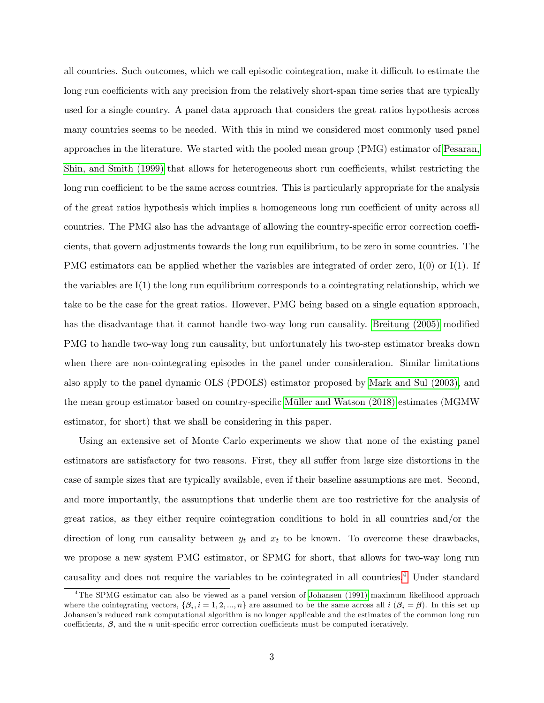all countries. Such outcomes, which we call episodic cointegration, make it difficult to estimate the long run coefficients with any precision from the relatively short-span time series that are typically used for a single country. A panel data approach that considers the great ratios hypothesis across many countries seems to be needed. With this in mind we considered most commonly used panel approaches in the literature. We started with the pooled mean group (PMG) estimator of [Pesaran,](#page-35-2) [Shin, and Smith \(1999\)](#page-35-2) that allows for heterogeneous short run coefficients, whilst restricting the long run coefficient to be the same across countries. This is particularly appropriate for the analysis of the great ratios hypothesis which implies a homogeneous long run coefficient of unity across all countries. The PMG also has the advantage of allowing the country-specific error correction coefficients, that govern adjustments towards the long run equilibrium, to be zero in some countries. The PMG estimators can be applied whether the variables are integrated of order zero,  $I(0)$  or  $I(1)$ . If the variables are  $I(1)$  the long run equilibrium corresponds to a cointegrating relationship, which we take to be the case for the great ratios. However, PMG being based on a single equation approach, has the disadvantage that it cannot handle two-way long run causality. [Breitung \(2005\)](#page-33-2) modified PMG to handle two-way long run causality, but unfortunately his two-step estimator breaks down when there are non-cointegrating episodes in the panel under consideration. Similar limitations also apply to the panel dynamic OLS (PDOLS) estimator proposed by [Mark and Sul \(2003\),](#page-35-3) and the mean group estimator based on country-specific Müller and Watson (2018) estimates (MGMW estimator, for short) that we shall be considering in this paper.

Using an extensive set of Monte Carlo experiments we show that none of the existing panel estimators are satisfactory for two reasons. First, they all suffer from large size distortions in the case of sample sizes that are typically available, even if their baseline assumptions are met. Second, and more importantly, the assumptions that underlie them are too restrictive for the analysis of great ratios, as they either require cointegration conditions to hold in all countries and/or the direction of long run causality between  $y_t$  and  $x_t$  to be known. To overcome these drawbacks, we propose a new system PMG estimator, or SPMG for short, that allows for two-way long run causality and does not require the variables to be cointegrated in all countries.[4](#page-4-0) Under standard

<span id="page-4-0"></span><sup>4</sup>The SPMG estimator can also be viewed as a panel version of [Johansen \(1991\)](#page-34-6) maximum likelihood approach where the cointegrating vectors,  $\{\beta_i, i = 1, 2, ..., n\}$  are assumed to be the same across all  $i$   $(\beta_i = \beta)$ . In this set up Johansenís reduced rank computational algorithm is no longer applicable and the estimates of the common long run coefficients,  $\beta$ , and the *n* unit-specific error correction coefficients must be computed iteratively.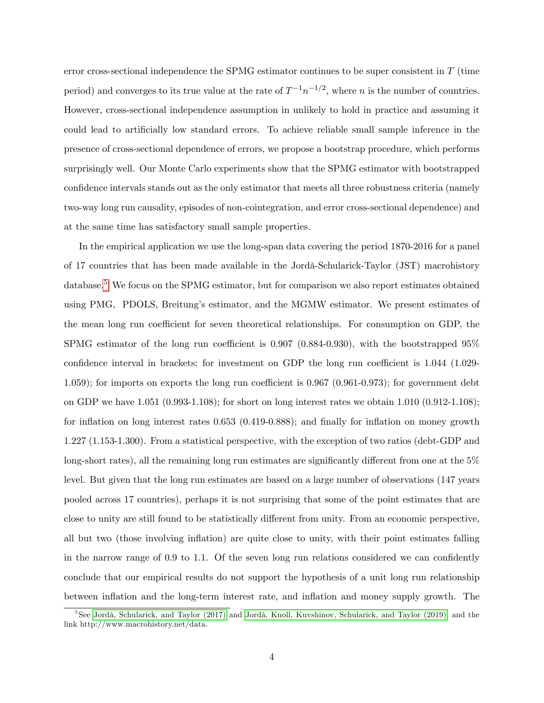error cross-sectional independence the SPMG estimator continues to be super consistent in T (time period) and converges to its true value at the rate of  $T^{-1}n^{-1/2}$ , where n is the number of countries. However, cross-sectional independence assumption in unlikely to hold in practice and assuming it could lead to artificially low standard errors. To achieve reliable small sample inference in the presence of cross-sectional dependence of errors, we propose a bootstrap procedure, which performs surprisingly well. Our Monte Carlo experiments show that the SPMG estimator with bootstrapped confidence intervals stands out as the only estimator that meets all three robustness criteria (namely two-way long run causality, episodes of non-cointegration, and error cross-sectional dependence) and at the same time has satisfactory small sample properties.

In the empirical application we use the long-span data covering the period 1870-2016 for a panel of 17 countries that has been made available in the Jord‡-Schularick-Taylor (JST) macrohistory database.<sup>[5](#page-5-0)</sup> We focus on the SPMG estimator, but for comparison we also report estimates obtained using PMG, PDOLS, Breitung's estimator, and the MGMW estimator. We present estimates of the mean long run coefficient for seven theoretical relationships. For consumption on GDP, the SPMG estimator of the long run coefficient is  $0.907$   $(0.884-0.930)$ , with the bootstrapped  $95\%$ confidence interval in brackets; for investment on GDP the long run coefficient is  $1.044$  (1.029-1.059); for imports on exports the long run coefficient is  $0.967$  (0.961-0.973); for government debt on GDP we have 1.051 (0.993-1.108); for short on long interest rates we obtain 1.010 (0.912-1.108); for inflation on long interest rates  $0.653$  (0.419-0.888); and finally for inflation on money growth 1.227 (1.153-1.300). From a statistical perspective, with the exception of two ratios (debt-GDP and long-short rates), all the remaining long run estimates are significantly different from one at the  $5\%$ level. But given that the long run estimates are based on a large number of observations (147 years pooled across 17 countries), perhaps it is not surprising that some of the point estimates that are close to unity are still found to be statistically different from unity. From an economic perspective, all but two (those involving inflation) are quite close to unity, with their point estimates falling in the narrow range of  $0.9$  to 1.1. Of the seven long run relations considered we can confidently conclude that our empirical results do not support the hypothesis of a unit long run relationship between inflation and the long-term interest rate, and inflation and money supply growth. The

<span id="page-5-0"></span><sup>&</sup>lt;sup>5</sup>See Jordà, Schularick, and Taylor (2017) and Jordà, Knoll, Kuvshinov, Schularick, and Taylor (2019), and the link http://www.macrohistory.net/data.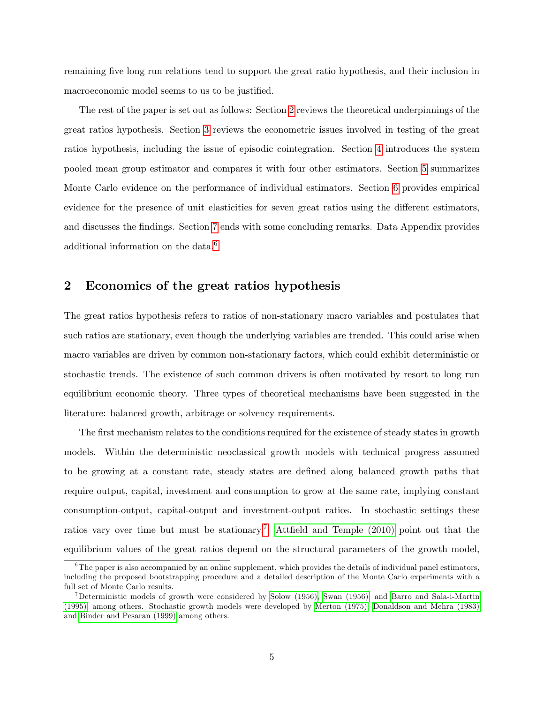remaining five long run relations tend to support the great ratio hypothesis, and their inclusion in macroeconomic model seems to us to be justified.

The rest of the paper is set out as follows: Section [2](#page-6-0) reviews the theoretical underpinnings of the great ratios hypothesis. Section [3](#page-8-0) reviews the econometric issues involved in testing of the great ratios hypothesis, including the issue of episodic cointegration. Section [4](#page-11-0) introduces the system pooled mean group estimator and compares it with four other estimators. Section [5](#page-17-0) summarizes Monte Carlo evidence on the performance of individual estimators. Section [6](#page-22-0) provides empirical evidence for the presence of unit elasticities for seven great ratios using the different estimators, and discusses the findings. Section [7](#page-25-0) ends with some concluding remarks. Data Appendix provides additional information on the data.<sup>[6](#page-6-1)</sup>

## <span id="page-6-0"></span>2 Economics of the great ratios hypothesis

The great ratios hypothesis refers to ratios of non-stationary macro variables and postulates that such ratios are stationary, even though the underlying variables are trended. This could arise when macro variables are driven by common non-stationary factors, which could exhibit deterministic or stochastic trends. The existence of such common drivers is often motivated by resort to long run equilibrium economic theory. Three types of theoretical mechanisms have been suggested in the literature: balanced growth, arbitrage or solvency requirements.

The first mechanism relates to the conditions required for the existence of steady states in growth models. Within the deterministic neoclassical growth models with technical progress assumed to be growing at a constant rate, steady states are defined along balanced growth paths that require output, capital, investment and consumption to grow at the same rate, implying constant consumption-output, capital-output and investment-output ratios. In stochastic settings these ratios vary over time but must be stationary.<sup>[7](#page-6-2)</sup> Attfield and Temple (2010) point out that the equilibrium values of the great ratios depend on the structural parameters of the growth model,

<span id="page-6-1"></span> $6$ The paper is also accompanied by an online supplement, which provides the details of individual panel estimators, including the proposed bootstrapping procedure and a detailed description of the Monte Carlo experiments with a full set of Monte Carlo results.

<span id="page-6-2"></span><sup>7</sup>Deterministic models of growth were considered by [Solow \(1956\),](#page-36-1) [Swan \(1956\),](#page-36-2) and [Barro and Sala-i-Martin](#page-33-4) [\(1995\),](#page-33-4) among others. Stochastic growth models were developed by [Merton \(1975\),](#page-35-4) [Donaldson and Mehra \(1983\)](#page-33-5) and [Binder and Pesaran \(1999\)](#page-33-6) among others.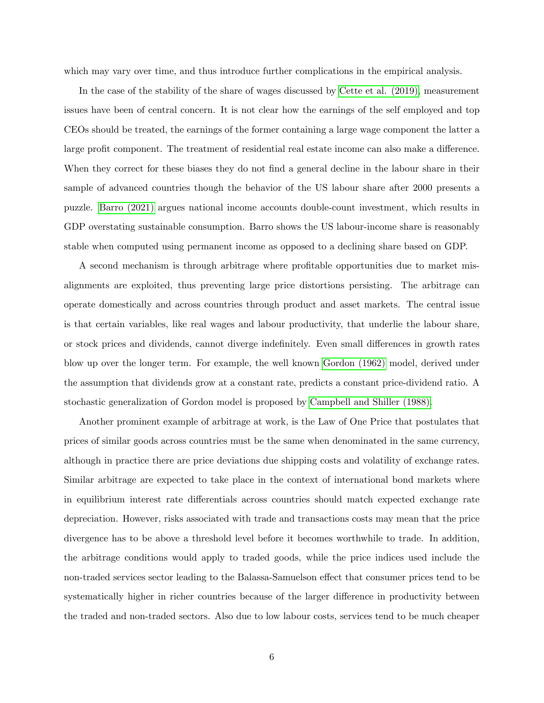which may vary over time, and thus introduce further complications in the empirical analysis.

In the case of the stability of the share of wages discussed by [Cette et al. \(2019\),](#page-33-7) measurement issues have been of central concern. It is not clear how the earnings of the self employed and top CEOs should be treated, the earnings of the former containing a large wage component the latter a large profit component. The treatment of residential real estate income can also make a difference. When they correct for these biases they do not find a general decline in the labour share in their sample of advanced countries though the behavior of the US labour share after 2000 presents a puzzle. [Barro \(2021\)](#page-33-8) argues national income accounts double-count investment, which results in GDP overstating sustainable consumption. Barro shows the US labour-income share is reasonably stable when computed using permanent income as opposed to a declining share based on GDP.

A second mechanism is through arbitrage where profitable opportunities due to market misalignments are exploited, thus preventing large price distortions persisting. The arbitrage can operate domestically and across countries through product and asset markets. The central issue is that certain variables, like real wages and labour productivity, that underlie the labour share, or stock prices and dividends, cannot diverge indefinitely. Even small differences in growth rates blow up over the longer term. For example, the well known [Gordon \(1962\)](#page-34-9) model, derived under the assumption that dividends grow at a constant rate, predicts a constant price-dividend ratio. A stochastic generalization of Gordon model is proposed by [Campbell and Shiller \(1988\).](#page-33-0)

Another prominent example of arbitrage at work, is the Law of One Price that postulates that prices of similar goods across countries must be the same when denominated in the same currency, although in practice there are price deviations due shipping costs and volatility of exchange rates. Similar arbitrage are expected to take place in the context of international bond markets where in equilibrium interest rate differentials across countries should match expected exchange rate depreciation. However, risks associated with trade and transactions costs may mean that the price divergence has to be above a threshold level before it becomes worthwhile to trade. In addition, the arbitrage conditions would apply to traded goods, while the price indices used include the non-traded services sector leading to the Balassa-Samuelson effect that consumer prices tend to be systematically higher in richer countries because of the larger difference in productivity between the traded and non-traded sectors. Also due to low labour costs, services tend to be much cheaper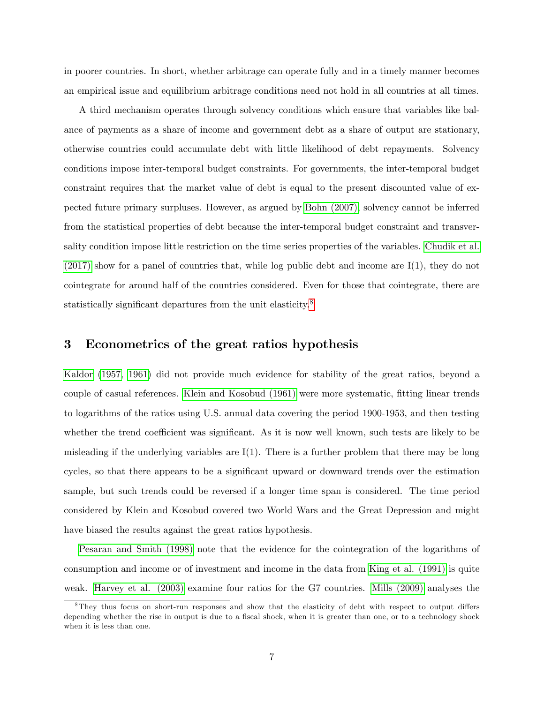in poorer countries. In short, whether arbitrage can operate fully and in a timely manner becomes an empirical issue and equilibrium arbitrage conditions need not hold in all countries at all times.

A third mechanism operates through solvency conditions which ensure that variables like balance of payments as a share of income and government debt as a share of output are stationary, otherwise countries could accumulate debt with little likelihood of debt repayments. Solvency conditions impose inter-temporal budget constraints. For governments, the inter-temporal budget constraint requires that the market value of debt is equal to the present discounted value of expected future primary surpluses. However, as argued by [Bohn \(2007\),](#page-33-9) solvency cannot be inferred from the statistical properties of debt because the inter-temporal budget constraint and transversality condition impose little restriction on the time series properties of the variables. [Chudik et al.](#page-33-10) [\(2017\)](#page-33-10) show for a panel of countries that, while log public debt and income are I(1), they do not cointegrate for around half of the countries considered. Even for those that cointegrate, there are statistically significant departures from the unit elasticity. $8$ 

## <span id="page-8-0"></span>3 Econometrics of the great ratios hypothesis

[Kaldor](#page-34-0) [\(1957,](#page-34-0) [1961\)](#page-34-1) did not provide much evidence for stability of the great ratios, beyond a couple of casual references. [Klein and Kosobud \(1961\)](#page-34-2) were more systematic, Ötting linear trends to logarithms of the ratios using U.S. annual data covering the period 1900-1953, and then testing whether the trend coefficient was significant. As it is now well known, such tests are likely to be misleading if the underlying variables are  $I(1)$ . There is a further problem that there may be long cycles, so that there appears to be a significant upward or downward trends over the estimation sample, but such trends could be reversed if a longer time span is considered. The time period considered by Klein and Kosobud covered two World Wars and the Great Depression and might have biased the results against the great ratios hypothesis.

[Pesaran and Smith \(1998\)](#page-35-5) note that the evidence for the cointegration of the logarithms of consumption and income or of investment and income in the data from [King et al. \(1991\)](#page-34-10) is quite weak. [Harvey et al. \(2003\)](#page-34-11) examine four ratios for the G7 countries. [Mills \(2009\)](#page-35-6) analyses the

<span id="page-8-1"></span> $8$ They thus focus on short-run responses and show that the elasticity of debt with respect to output differs depending whether the rise in output is due to a fiscal shock, when it is greater than one, or to a technology shock when it is less than one.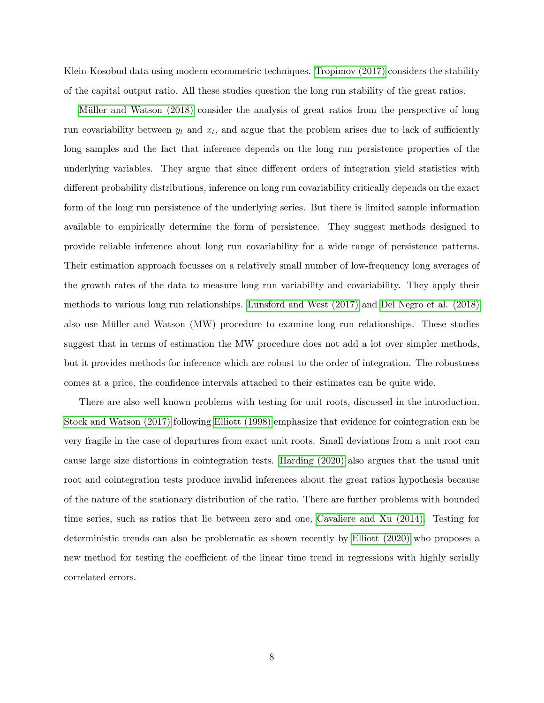Klein-Kosobud data using modern econometric techniques. [Tropimov \(2017\)](#page-36-3) considers the stability of the capital output ratio. All these studies question the long run stability of the great ratios.

Müller and Watson (2018) consider the analysis of great ratios from the perspective of long run covariability between  $y_t$  and  $x_t$ , and argue that the problem arises due to lack of sufficiently long samples and the fact that inference depends on the long run persistence properties of the underlying variables. They argue that since different orders of integration yield statistics with different probability distributions, inference on long run covariability critically depends on the exact form of the long run persistence of the underlying series. But there is limited sample information available to empirically determine the form of persistence. They suggest methods designed to provide reliable inference about long run covariability for a wide range of persistence patterns. Their estimation approach focusses on a relatively small number of low-frequency long averages of the growth rates of the data to measure long run variability and covariability. They apply their methods to various long run relationships. [Lunsford and West \(2017\)](#page-35-7) and [Del Negro et al. \(2018\)](#page-33-11) also use Müller and Watson (MW) procedure to examine long run relationships. These studies suggest that in terms of estimation the MW procedure does not add a lot over simpler methods, but it provides methods for inference which are robust to the order of integration. The robustness comes at a price, the confidence intervals attached to their estimates can be quite wide.

There are also well known problems with testing for unit roots, discussed in the introduction. [Stock and Watson \(2017\)](#page-36-4) following [Elliott \(1998\)](#page-33-12) emphasize that evidence for cointegration can be very fragile in the case of departures from exact unit roots. Small deviations from a unit root can cause large size distortions in cointegration tests. [Harding \(2020\)](#page-34-5) also argues that the usual unit root and cointegration tests produce invalid inferences about the great ratios hypothesis because of the nature of the stationary distribution of the ratio. There are further problems with bounded time series, such as ratios that lie between zero and one, [Cavaliere and Xu \(2014\).](#page-33-13) Testing for deterministic trends can also be problematic as shown recently by [Elliott \(2020\)](#page-34-12) who proposes a new method for testing the coefficient of the linear time trend in regressions with highly serially correlated errors.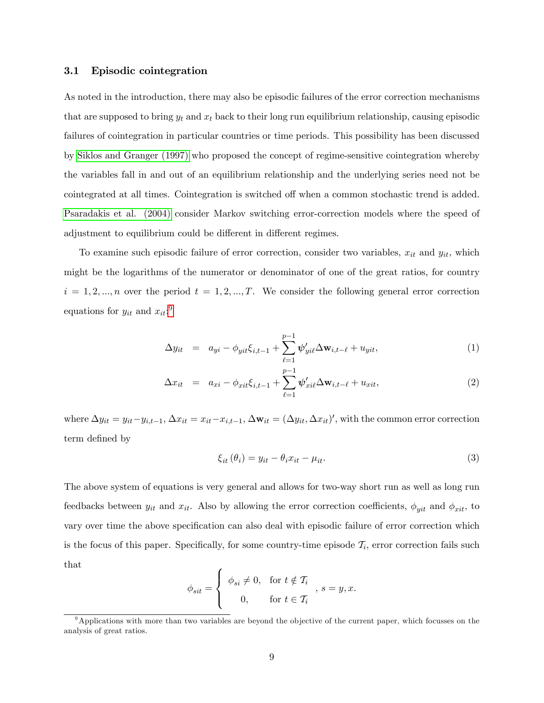#### <span id="page-10-3"></span>3.1 Episodic cointegration

As noted in the introduction, there may also be episodic failures of the error correction mechanisms that are supposed to bring  $y_t$  and  $x_t$  back to their long run equilibrium relationship, causing episodic failures of cointegration in particular countries or time periods. This possibility has been discussed by [Siklos and Granger \(1997\)](#page-36-5) who proposed the concept of regime-sensitive cointegration whereby the variables fall in and out of an equilibrium relationship and the underlying series need not be cointegrated at all times. Cointegration is switched off when a common stochastic trend is added. [Psaradakis et al. \(2004\)](#page-36-6) consider Markov switching error-correction models where the speed of adjustment to equilibrium could be different in different regimes.

To examine such episodic failure of error correction, consider two variables,  $x_{it}$  and  $y_{it}$ , which might be the logarithms of the numerator or denominator of one of the great ratios, for country  $i = 1, 2, ..., n$  over the period  $t = 1, 2, ..., T$ . We consider the following general error correction equations for  $y_{it}$  and  $x_{it}$ <sup>[9](#page-10-0)</sup>

<span id="page-10-1"></span>
$$
\Delta y_{it} = a_{yi} - \phi_{yit} \xi_{i,t-1} + \sum_{\ell=1}^{p-1} \psi'_{yi\ell} \Delta \mathbf{w}_{i,t-\ell} + u_{yit}, \qquad (1)
$$

$$
\Delta x_{it} = a_{xi} - \phi_{xit} \xi_{i,t-1} + \sum_{\ell=1}^{p-1} \psi'_{xi} \Delta \mathbf{w}_{i,t-\ell} + u_{xit}, \qquad (2)
$$

where  $\Delta y_{it} = y_{it} - y_{i,t-1}, \Delta x_{it} = x_{it} - x_{i,t-1}, \Delta \mathbf{w}_{it} = (\Delta y_{it}, \Delta x_{it})'$ , with the common error correction term defined by

<span id="page-10-2"></span>
$$
\xi_{it}(\theta_i) = y_{it} - \theta_i x_{it} - \mu_{it}.
$$
\n(3)

The above system of equations is very general and allows for two-way short run as well as long run feedbacks between  $y_{it}$  and  $x_{it}$ . Also by allowing the error correction coefficients,  $\phi_{yit}$  and  $\phi_{xit}$ , to vary over time the above specification can also deal with episodic failure of error correction which is the focus of this paper. Specifically, for some country-time episode  $\mathcal{T}_i$ , error correction fails such that

$$
\phi_{sit} = \begin{cases} \phi_{si} \neq 0, & \text{for } t \notin \mathcal{T}_i \\ 0, & \text{for } t \in \mathcal{T}_i \end{cases}, s = y, x.
$$

<span id="page-10-0"></span><sup>&</sup>lt;sup>9</sup>Applications with more than two variables are beyond the objective of the current paper, which focusses on the analysis of great ratios.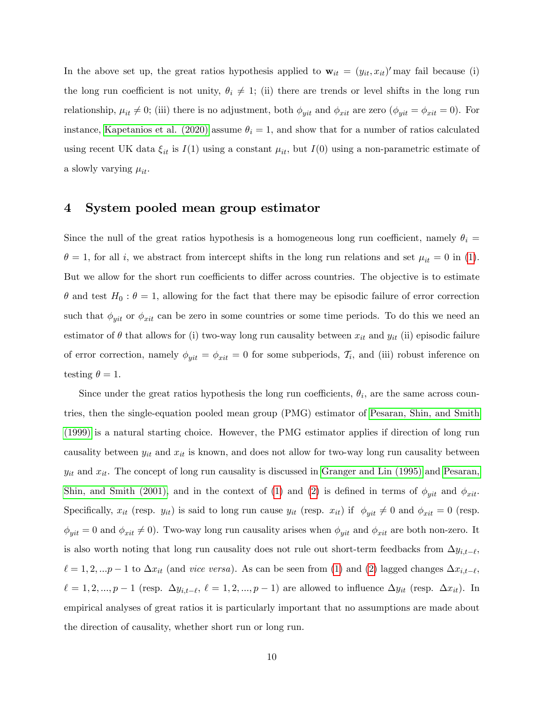In the above set up, the great ratios hypothesis applied to  $\mathbf{w}_{it} = (y_{it}, x_{it})'$  may fail because (i) the long run coefficient is not unity,  $\theta_i \neq 1$ ; (ii) there are trends or level shifts in the long run relationship,  $\mu_{it} \neq 0$ ; (iii) there is no adjustment, both  $\phi_{yit}$  and  $\phi_{xit}$  are zero ( $\phi_{yit} = \phi_{xit} = 0$ ). For instance, [Kapetanios et al. \(2020\)](#page-34-4) assume  $\theta_i = 1$ , and show that for a number of ratios calculated using recent UK data  $\xi_{it}$  is  $I(1)$  using a constant  $\mu_{it}$ , but  $I(0)$  using a non-parametric estimate of a slowly varying  $\mu_{it}$ .

### <span id="page-11-0"></span>4 System pooled mean group estimator

Since the null of the great ratios hypothesis is a homogeneous long run coefficient, namely  $\theta_i =$  $\theta = 1$ , for all i, we abstract from intercept shifts in the long run relations and set  $\mu_{it} = 0$  in [\(1\)](#page-10-1). But we allow for the short run coefficients to differ across countries. The objective is to estimate  $\theta$  and test  $H_0: \theta = 1$ , allowing for the fact that there may be episodic failure of error correction such that  $\phi_{yit}$  or  $\phi_{xit}$  can be zero in some countries or some time periods. To do this we need an estimator of  $\theta$  that allows for (i) two-way long run causality between  $x_{it}$  and  $y_{it}$  (ii) episodic failure of error correction, namely  $\phi_{yit} = \phi_{xit} = 0$  for some subperiods,  $\mathcal{T}_i$ , and (iii) robust inference on testing  $\theta = 1$ .

Since under the great ratios hypothesis the long run coefficients,  $\theta_i$ , are the same across countries, then the single-equation pooled mean group (PMG) estimator of [Pesaran, Shin, and Smith](#page-35-2) [\(1999\)](#page-35-2) is a natural starting choice. However, the PMG estimator applies if direction of long run causality between  $y_{it}$  and  $x_{it}$  is known, and does not allow for two-way long run causality between  $y_{it}$  and  $x_{it}$ . The concept of long run causality is discussed in [Granger and Lin \(1995\)](#page-34-13) and [Pesaran,](#page-35-8) [Shin, and Smith \(2001\),](#page-35-8) and in the context of [\(1\)](#page-10-1) and [\(2\)](#page-10-1) is defined in terms of  $\phi_{yit}$  and  $\phi_{xit}$ . Specifically,  $x_{it}$  (resp.  $y_{it}$ ) is said to long run cause  $y_{it}$  (resp.  $x_{it}$ ) if  $\phi_{yit} \neq 0$  and  $\phi_{xit} = 0$  (resp.  $\phi_{yit} = 0$  and  $\phi_{xit} \neq 0$ . Two-way long run causality arises when  $\phi_{yit}$  and  $\phi_{xit}$  are both non-zero. It is also worth noting that long run causality does not rule out short-term feedbacks from  $\Delta y_{i,t-\ell}$ ,  $\ell = 1, 2, \ldots p-1$  to  $\Delta x_{it}$  (and *vice versa*). As can be seen from [\(1\)](#page-10-1) and [\(2\)](#page-10-1) lagged changes  $\Delta x_{i,t-\ell}$ ,  $\ell = 1, 2, ..., p - 1$  (resp.  $\Delta y_{i,t-\ell}, \ell = 1, 2, ..., p - 1$ ) are allowed to influence  $\Delta y_{it}$  (resp.  $\Delta x_{it}$ ). In empirical analyses of great ratios it is particularly important that no assumptions are made about the direction of causality, whether short run or long run.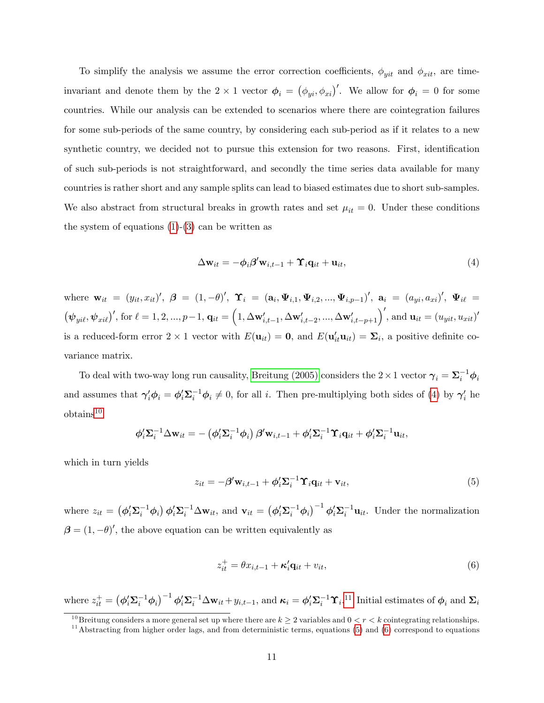To simplify the analysis we assume the error correction coefficients,  $\phi_{yit}$  and  $\phi_{xit}$ , are timeinvariant and denote them by the  $2 \times 1$  vector  $\phi_i = (\phi_{yi}, \phi_{xi})'$ . We allow for  $\phi_i = 0$  for some countries. While our analysis can be extended to scenarios where there are cointegration failures for some sub-periods of the same country, by considering each sub-period as if it relates to a new synthetic country, we decided not to pursue this extension for two reasons. First, identification of such sub-periods is not straightforward, and secondly the time series data available for many countries is rather short and any sample splits can lead to biased estimates due to short sub-samples. We also abstract from structural breaks in growth rates and set  $\mu_{it} = 0$ . Under these conditions the system of equations  $(1)-(3)$  $(1)-(3)$  $(1)-(3)$  can be written as

<span id="page-12-0"></span>
$$
\Delta \mathbf{w}_{it} = -\phi_i \beta' \mathbf{w}_{i,t-1} + \Upsilon_i \mathbf{q}_{it} + \mathbf{u}_{it},\tag{4}
$$

where  $\mathbf{w}_{it} = (y_{it}, x_{it})', \; \boldsymbol{\beta} = (1, -\theta)', \; \boldsymbol{\Upsilon}_i = (\mathbf{a}_i, \boldsymbol{\Psi}_{i,1}, \boldsymbol{\Psi}_{i,2}, ..., \boldsymbol{\Psi}_{i,p-1})', \; \mathbf{a}_i = (a_{yi}, a_{xi})', \; \boldsymbol{\Psi}_{i\ell} =$  $(\psi_{yil}, \psi_{xil})'$ , for  $\ell = 1, 2, ..., p-1$ ,  $\mathbf{q}_{it} = \left(1, \Delta \mathbf{w}'_{i,t-1}, \Delta \mathbf{w}'_{i,t-2}, ..., \Delta \mathbf{w}'_{i,t-p+1}\right)'$ , and  $\mathbf{u}_{it} = (u_{yit}, u_{xit})'$ is a reduced-form error  $2 \times 1$  vector with  $E(\mathbf{u}_{it}) = \mathbf{0}$ , and  $E(\mathbf{u}_{it}^{\prime} \mathbf{u}_{it}) = \mathbf{\Sigma}_i$ , a positive definite covariance matrix.

To deal with two-way long run causality, [Breitung \(2005\)](#page-33-2) considers the  $2 \times 1$  vector  $\gamma_i = \Sigma_i^{-1} \phi_i$ and assumes that  $\gamma'_i \phi_i = \phi'_i \Sigma_i^{-1} \phi_i \neq 0$ , for all i. Then pre-multiplying both sides of [\(4\)](#page-12-0) by  $\gamma'_i$  he obtains[10](#page-12-1)

$$
\phi_i' \Sigma_i^{-1} \Delta \mathbf{w}_{it} = - (\phi_i' \Sigma_i^{-1} \phi_i) \beta' \mathbf{w}_{i,t-1} + \phi_i' \Sigma_i^{-1} \Upsilon_i \mathbf{q}_{it} + \phi_i' \Sigma_i^{-1} \mathbf{u}_{it},
$$

which in turn yields

<span id="page-12-3"></span>
$$
z_{it} = -\beta' \mathbf{w}_{i,t-1} + \phi_i' \Sigma_i^{-1} \mathbf{\hat{Y}}_i \mathbf{q}_{it} + \mathbf{v}_{it},
$$
\n(5)

where  $z_{it} = (\phi_i' \Sigma_i^{-1} \phi_i) \phi_i' \Sigma_i^{-1} \Delta \mathbf{w}_{it}$ , and  $\mathbf{v}_{it} = (\phi_i' \Sigma_i^{-1} \phi_i)^{-1} \phi_i' \Sigma_i^{-1} \mathbf{u}_{it}$ . Under the normalization  $\beta = (1, -\theta)'$ , the above equation can be written equivalently as

<span id="page-12-4"></span>
$$
z_{it}^{+} = \theta x_{i,t-1} + \kappa_i^{\prime} \mathbf{q}_{it} + v_{it}, \tag{6}
$$

where  $z_{it}^+ = (\phi_i' \Sigma_i^{-1} \phi_i)^{-1} \phi_i' \Sigma_i^{-1} \Delta \mathbf{w}_{it} + y_{i,t-1}$ , and  $\kappa_i = \phi_i' \Sigma_i^{-1} \Upsilon_i$ .<sup>[11](#page-12-2)</sup> Initial estimates of  $\phi_i$  and  $\Sigma_i$ 

<span id="page-12-1"></span><sup>&</sup>lt;sup>10</sup>Breitung considers a more general set up where there are  $k \geq 2$  variables and  $0 < r < k$  cointegrating relationships.

<span id="page-12-2"></span> $11$ Abstracting from higher order lags, and from deterministic terms, equations [\(5\)](#page-12-3) and [\(6\)](#page-12-4) correspond to equations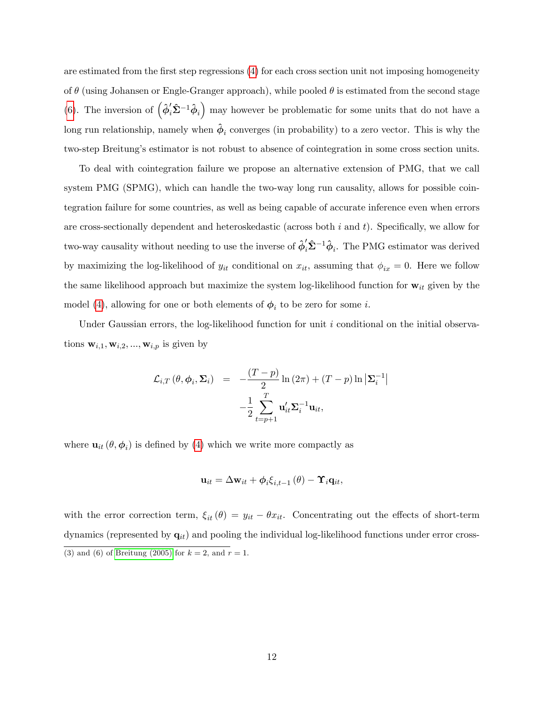are estimated from the first step regressions [\(4\)](#page-12-0) for each cross section unit not imposing homogeneity of  $\theta$  (using Johansen or Engle-Granger approach), while pooled  $\theta$  is estimated from the second stage [\(6\)](#page-12-4). The inversion of  $(\hat{\phi}'_i \hat{\Sigma}^{-1} \hat{\phi}_i)$  may however be problematic for some units that do not have a long run relationship, namely when  $\hat{\phi}_i$  converges (in probability) to a zero vector. This is why the two-step Breitungís estimator is not robust to absence of cointegration in some cross section units.

To deal with cointegration failure we propose an alternative extension of PMG, that we call system PMG (SPMG), which can handle the two-way long run causality, allows for possible cointegration failure for some countries, as well as being capable of accurate inference even when errors are cross-sectionally dependent and heteroskedastic (across both  $i$  and  $t$ ). Specifically, we allow for two-way causality without needing to use the inverse of  $\hat{\phi}'_i \hat{\Sigma}^{-1} \hat{\phi}_i$ . The PMG estimator was derived by maximizing the log-likelihood of  $y_{it}$  conditional on  $x_{it}$ , assuming that  $\phi_{ix} = 0$ . Here we follow the same likelihood approach but maximize the system log-likelihood function for  $w_{it}$  given by the model [\(4\)](#page-12-0), allowing for one or both elements of  $\phi_i$  to be zero for some *i*.

Under Gaussian errors, the log-likelihood function for unit  $i$  conditional on the initial observations  $\mathbf{w}_{i,1}, \mathbf{w}_{i,2}, ..., \mathbf{w}_{i,p}$  is given by

$$
\mathcal{L}_{i,T}(\theta, \phi_i, \Sigma_i) = -\frac{(T-p)}{2} \ln(2\pi) + (T-p) \ln \left| \Sigma_i^{-1} \right|
$$

$$
-\frac{1}{2} \sum_{t=p+1}^T \mathbf{u}_{it}' \Sigma_i^{-1} \mathbf{u}_{it},
$$

where  $\mathbf{u}_{it}(\theta, \phi_i)$  is defined by [\(4\)](#page-12-0) which we write more compactly as

$$
\mathbf{u}_{it} = \Delta \mathbf{w}_{it} + \phi_i \xi_{i,t-1}(\theta) - \mathbf{\Upsilon}_i \mathbf{q}_{it},
$$

with the error correction term,  $\xi_{it} (\theta) = y_{it} - \theta x_{it}$ . Concentrating out the effects of short-term dynamics (represented by  $q_{it}$ ) and pooling the individual log-likelihood functions under error cross-(3) and (6) of [Breitung \(2005\)](#page-33-2) for  $k = 2$ , and  $r = 1$ .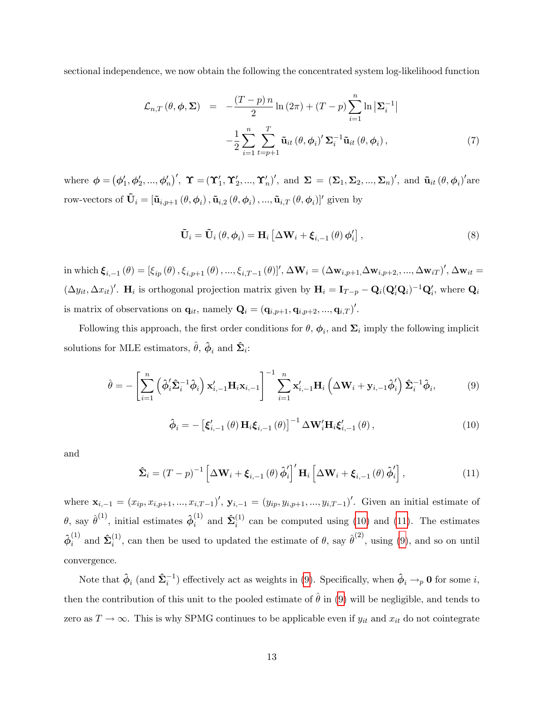sectional independence, we now obtain the following the concentrated system log-likelihood function

$$
\mathcal{L}_{n,T}(\theta,\phi,\Sigma) = -\frac{(T-p)n}{2}\ln(2\pi) + (T-p)\sum_{i=1}^{n}\ln|\Sigma_{i}^{-1}|
$$

$$
-\frac{1}{2}\sum_{i=1}^{n}\sum_{t=p+1}^{T}\tilde{\mathbf{u}}_{it}(\theta,\phi_{i})'\Sigma_{i}^{-1}\tilde{\mathbf{u}}_{it}(\theta,\phi_{i}), \qquad (7)
$$

where  $\boldsymbol{\phi} = (\phi'_1, \phi'_2, ..., \phi'_n)'$ ,  $\boldsymbol{\Upsilon} = (\boldsymbol{\Upsilon}'_1, \boldsymbol{\Upsilon}'_2, ..., \boldsymbol{\Upsilon}'_n)'$ , and  $\boldsymbol{\Sigma} = (\boldsymbol{\Sigma}_1, \boldsymbol{\Sigma}_2, ..., \boldsymbol{\Sigma}_n)'$ , and  $\tilde{\mathbf{u}}_{it}(\theta, \phi_i)'$  are row-vectors of  $\tilde{\mathbf{U}}_i = [\tilde{\mathbf{u}}_{i,p+1}(\theta,\phi_i), \tilde{\mathbf{u}}_{i,2}(\theta,\phi_i), ..., \tilde{\mathbf{u}}_{i,T}(\theta,\phi_i)]'$  given by

$$
\tilde{\mathbf{U}}_{i} = \tilde{\mathbf{U}}_{i} \left( \theta, \phi_{i} \right) = \mathbf{H}_{i} \left[ \Delta \mathbf{W}_{i} + \boldsymbol{\xi}_{i,-1} \left( \theta \right) \phi_{i}' \right], \tag{8}
$$

in which  $\xi_{i,-1}(\theta) = [\xi_{ip}(\theta), \xi_{i,p+1}(\theta), ..., \xi_{i,T-1}(\theta)]'$ ,  $\Delta \mathbf{W}_i = (\Delta \mathbf{w}_{i,p+1}, \Delta \mathbf{w}_{i,p+2}, ..., \Delta \mathbf{w}_{iT})'$ ,  $\Delta \mathbf{w}_{it} =$  $(\Delta y_{it}, \Delta x_{it})'$ . H<sub>i</sub> is orthogonal projection matrix given by  $H_i = I_{T-p} - Q_i(Q_i'Q_i)^{-1}Q_i'$ , where  $Q_i$ is matrix of observations on  $\mathbf{q}_{it}$ , namely  $\mathbf{Q}_i = (\mathbf{q}_{i,p+1}, \mathbf{q}_{i,p+2}, ..., \mathbf{q}_{i,T})'$ .

Following this approach, the first order conditions for  $\theta$ ,  $\phi_i$ , and  $\Sigma_i$  imply the following implicit solutions for MLE estimators,  $\hat{\theta}$ ,  $\hat{\phi}_i$  and  $\hat{\Sigma}_i$ :

<span id="page-14-2"></span>
$$
\hat{\theta} = -\left[\sum_{i=1}^{n} \left(\hat{\phi}_{i}^{\prime} \hat{\mathbf{\Sigma}}_{i}^{-1} \hat{\phi}_{i}\right) \mathbf{x}_{i,-1}^{\prime} \mathbf{H}_{i} \mathbf{x}_{i,-1}\right]^{-1} \sum_{i=1}^{n} \mathbf{x}_{i,-1}^{\prime} \mathbf{H}_{i} \left(\Delta \mathbf{W}_{i} + \mathbf{y}_{i,-1} \hat{\phi}_{i}^{\prime}\right) \hat{\mathbf{\Sigma}}_{i}^{-1} \hat{\phi}_{i},\tag{9}
$$

<span id="page-14-0"></span>
$$
\hat{\boldsymbol{\phi}}_{i} = -\left[\boldsymbol{\xi}_{i,-1}'\left(\theta\right)\mathbf{H}_{i}\boldsymbol{\xi}_{i,-1}\left(\theta\right)\right]^{-1}\Delta\mathbf{W}_{i}'\mathbf{H}_{i}\boldsymbol{\xi}_{i,-1}'\left(\theta\right),\tag{10}
$$

and

<span id="page-14-1"></span>
$$
\hat{\mathbf{\Sigma}}_{i} = (T - p)^{-1} \left[ \Delta \mathbf{W}_{i} + \boldsymbol{\xi}_{i,-1} \left( \boldsymbol{\theta} \right) \hat{\boldsymbol{\phi}}'_{i} \right]' \mathbf{H}_{i} \left[ \Delta \mathbf{W}_{i} + \boldsymbol{\xi}_{i,-1} \left( \boldsymbol{\theta} \right) \hat{\boldsymbol{\phi}}'_{i} \right], \tag{11}
$$

where  $\mathbf{x}_{i,-1} = (x_{ip}, x_{i,p+1}, ..., x_{i,T-1})'$ ,  $\mathbf{y}_{i,-1} = (y_{ip}, y_{i,p+1}, ..., y_{i,T-1})'$ . Given an initial estimate of  $\theta$ , say  $\hat{\theta}^{(1)}$ , initial estimates  $\hat{\phi}^{(1)}_i$  and  $\hat{\Sigma}^{(1)}_i$  can be computed using [\(10\)](#page-14-0) and [\(11\)](#page-14-1). The estimates  $\hat{\phi}_i^{(1)}$  and  $\hat{\Sigma}_i^{(1)}$ , can then be used to updated the estimate of  $\theta$ , say  $\hat{\theta}^{(2)}$ , using [\(9\)](#page-14-2), and so on until convergence.

Note that  $\hat{\phi}_i$  (and  $\hat{\Sigma}_i^{-1}$ ) effectively act as weights in [\(9\)](#page-14-2). Specifically, when  $\hat{\phi}_i \to_p 0$  for some i, then the contribution of this unit to the pooled estimate of  $\hat{\theta}$  in [\(9\)](#page-14-2) will be negligible, and tends to zero as  $T \to \infty$ . This is why SPMG continues to be applicable even if  $y_{it}$  and  $x_{it}$  do not cointegrate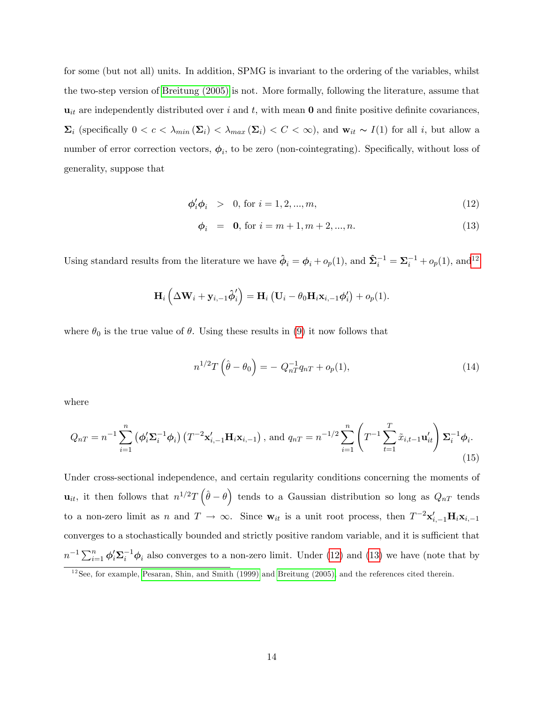for some (but not all) units. In addition, SPMG is invariant to the ordering of the variables, whilst the two-step version of [Breitung \(2005\)](#page-33-2) is not. More formally, following the literature, assume that  $u_{it}$  are independently distributed over i and t, with mean 0 and finite positive definite covariances,  $\Sigma_i$  (specifically  $0 < c < \lambda_{min}(\Sigma_i) < \lambda_{max}(\Sigma_i) < C < \infty$ ), and  $\mathbf{w}_{it} \sim I(1)$  for all i, but allow a number of error correction vectors,  $\phi_i$ , to be zero (non-cointegrating). Specifically, without loss of generality, suppose that

<span id="page-15-1"></span>
$$
\phi_i' \phi_i > 0, \text{ for } i = 1, 2, ..., m,
$$
\n(12)

$$
\phi_i = \mathbf{0}, \text{ for } i = m+1, m+2, ..., n. \tag{13}
$$

Using standard results from the literature we have  $\hat{\phi}_i = \phi_i + o_p(1)$ , and  $\hat{\Sigma}_i^{-1} = \Sigma_i^{-1} + o_p(1)$ , and<sup>[12](#page-15-0)</sup>

$$
\mathbf{H}_{i}\left(\Delta\mathbf{W}_{i}+\mathbf{y}_{i,-1}\hat{\boldsymbol{\phi}}_{i}^{\prime}\right)=\mathbf{H}_{i}\left(\mathbf{U}_{i}-\theta_{0}\mathbf{H}_{i}\mathbf{x}_{i,-1}\boldsymbol{\phi}_{i}^{\prime}\right)+o_{p}(1).
$$

where  $\theta_0$  is the true value of  $\theta$ . Using these results in [\(9\)](#page-14-2) it now follows that

$$
n^{1/2}T(\hat{\theta} - \theta_0) = -Q_{nT}^{-1}q_{nT} + o_p(1),
$$
\n(14)

where

$$
Q_{nT} = n^{-1} \sum_{i=1}^{n} \left( \phi_i' \Sigma_i^{-1} \phi_i \right) \left( T^{-2} \mathbf{x}_{i,-1}' \mathbf{H}_i \mathbf{x}_{i,-1} \right), \text{ and } q_{nT} = n^{-1/2} \sum_{i=1}^{n} \left( T^{-1} \sum_{t=1}^{T} \tilde{x}_{i,t-1} \mathbf{u}_{it}' \right) \Sigma_i^{-1} \phi_i.
$$
\n(15)

Under cross-sectional independence, and certain regularity conditions concerning the moments of  $\mathbf{u}_{it}$ , it then follows that  $n^{1/2}T(\hat{\theta}-\theta)$  tends to a Gaussian distribution so long as  $Q_{nT}$  tends to a non-zero limit as n and  $T \to \infty$ . Since  $\mathbf{w}_{it}$  is a unit root process, then  $T^{-2}\mathbf{x}'_{i,-1}\mathbf{H}_i\mathbf{x}_{i,-1}$ converges to a stochastically bounded and strictly positive random variable, and it is sufficient that  $n^{-1}\sum_{i=1}^n \phi_i' \Sigma_i^{-1} \phi_i$  also converges to a non-zero limit. Under [\(12\)](#page-15-1) and [\(13\)](#page-15-1) we have (note that by

<span id="page-15-0"></span> $12$ See, for example, [Pesaran, Shin, and Smith \(1999\)](#page-35-2) and [Breitung \(2005\),](#page-33-2) and the references cited therein.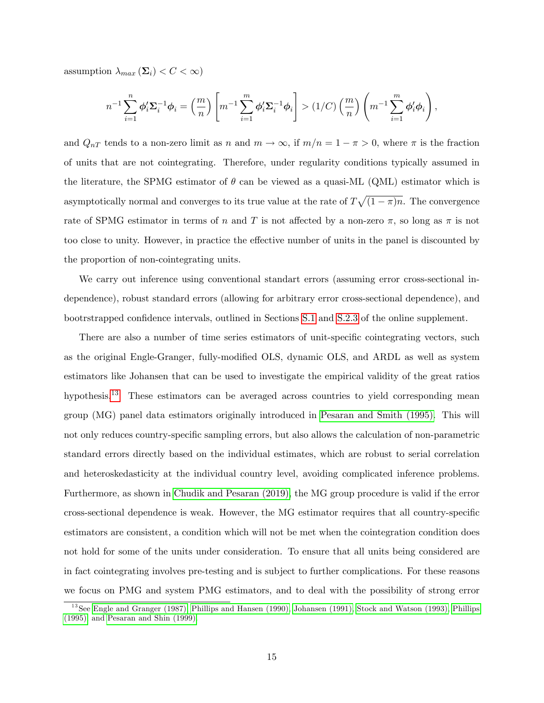assumption  $\lambda_{max}(\Sigma_i) < C < \infty$ )

$$
n^{-1} \sum_{i=1}^{n} \phi_i' \Sigma_i^{-1} \phi_i = \left(\frac{m}{n}\right) \left[ m^{-1} \sum_{i=1}^{m} \phi_i' \Sigma_i^{-1} \phi_i \right] > (1/C) \left(\frac{m}{n}\right) \left( m^{-1} \sum_{i=1}^{m} \phi_i' \phi_i \right),
$$

and  $Q_{nT}$  tends to a non-zero limit as n and  $m \to \infty$ , if  $m/n = 1 - \pi > 0$ , where  $\pi$  is the fraction of units that are not cointegrating. Therefore, under regularity conditions typically assumed in the literature, the SPMG estimator of  $\theta$  can be viewed as a quasi-ML (QML) estimator which is asymptotically normal and converges to its true value at the rate of  $T\sqrt{(1-\pi)n}$ . The convergence rate of SPMG estimator in terms of n and T is not affected by a non-zero  $\pi$ , so long as  $\pi$  is not too close to unity. However, in practice the effective number of units in the panel is discounted by the proportion of non-cointegrating units.

We carry out inference using conventional standart errors (assuming error cross-sectional independence), robust standard errors (allowing for arbitrary error cross-sectional dependence), and bootrstrapped confidence intervals, outlined in Sections [S.1](#page-31-0) and [S.2.3](#page-44-0) of the online supplement.

There are also a number of time series estimators of unit-specific cointegrating vectors, such as the original Engle-Granger, fully-modified OLS, dynamic OLS, and ARDL as well as system estimators like Johansen that can be used to investigate the empirical validity of the great ratios hypothesis.<sup>[13](#page-16-0)</sup> These estimators can be averaged across countries to yield corresponding mean group (MG) panel data estimators originally introduced in [Pesaran and Smith \(1995\).](#page-35-9) This will not only reduces country-specific sampling errors, but also allows the calculation of non-parametric standard errors directly based on the individual estimates, which are robust to serial correlation and heteroskedasticity at the individual country level, avoiding complicated inference problems. Furthermore, as shown in [Chudik and Pesaran \(2019\),](#page-33-14) the MG group procedure is valid if the error cross-sectional dependence is weak. However, the MG estimator requires that all country-specific estimators are consistent, a condition which will not be met when the cointegration condition does not hold for some of the units under consideration. To ensure that all units being considered are in fact cointegrating involves pre-testing and is subject to further complications. For these reasons we focus on PMG and system PMG estimators, and to deal with the possibility of strong error

<span id="page-16-0"></span><sup>&</sup>lt;sup>13</sup>See [Engle and Granger \(1987\),](#page-34-14) [Phillips and Hansen \(1990\),](#page-36-7) [Johansen \(1991\),](#page-34-6) [Stock and Watson \(1993\),](#page-36-8) [Phillips](#page-35-10) [\(1995\),](#page-35-10) and [Pesaran and Shin \(1999\).](#page-35-11)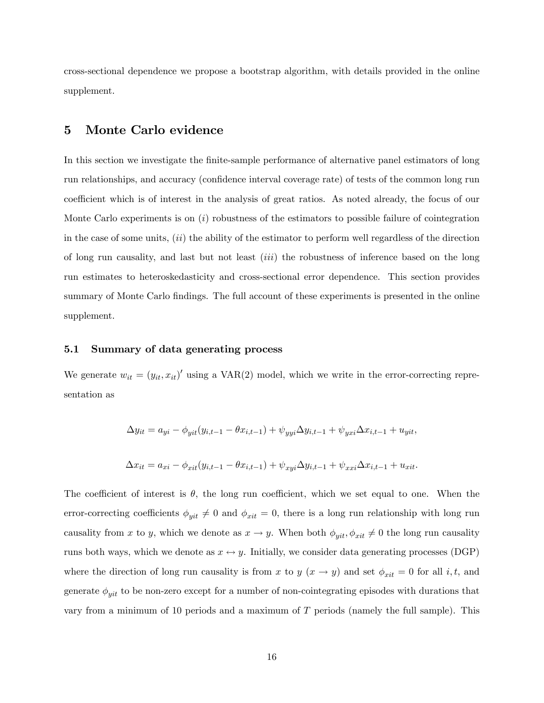cross-sectional dependence we propose a bootstrap algorithm, with details provided in the online supplement.

## <span id="page-17-0"></span>5 Monte Carlo evidence

In this section we investigate the finite-sample performance of alternative panel estimators of long run relationships, and accuracy (confidence interval coverage rate) of tests of the common long run coefficient which is of interest in the analysis of great ratios. As noted already, the focus of our Monte Carlo experiments is on  $(i)$  robustness of the estimators to possible failure of cointegration in the case of some units,  $(ii)$  the ability of the estimator to perform well regardless of the direction of long run causality, and last but not least  $(iii)$  the robustness of inference based on the long run estimates to heteroskedasticity and cross-sectional error dependence. This section provides summary of Monte Carlo findings. The full account of these experiments is presented in the online supplement.

#### 5.1 Summary of data generating process

We generate  $w_{it} = (y_{it}, x_{it})'$  using a VAR(2) model, which we write in the error-correcting representation as

$$
\Delta y_{it} = a_{yi} - \phi_{yit}(y_{i,t-1} - \theta x_{i,t-1}) + \psi_{yyi}\Delta y_{i,t-1} + \psi_{yxi}\Delta x_{i,t-1} + u_{yit},
$$
  

$$
\Delta x_{it} = a_{xi} - \phi_{xit}(y_{i,t-1} - \theta x_{i,t-1}) + \psi_{xyi}\Delta y_{i,t-1} + \psi_{xxi}\Delta x_{i,t-1} + u_{xit}.
$$

The coefficient of interest is  $\theta$ , the long run coefficient, which we set equal to one. When the error-correcting coefficients  $\phi_{yit} \neq 0$  and  $\phi_{xit} = 0$ , there is a long run relationship with long run causality from x to y, which we denote as  $x \to y$ . When both  $\phi_{yit}, \phi_{xit} \neq 0$  the long run causality runs both ways, which we denote as  $x \leftrightarrow y$ . Initially, we consider data generating processes (DGP) where the direction of long run causality is from x to y  $(x \rightarrow y)$  and set  $\phi_{xit} = 0$  for all i, t, and generate  $\phi_{yit}$  to be non-zero except for a number of non-cointegrating episodes with durations that vary from a minimum of 10 periods and a maximum of  $T$  periods (namely the full sample). This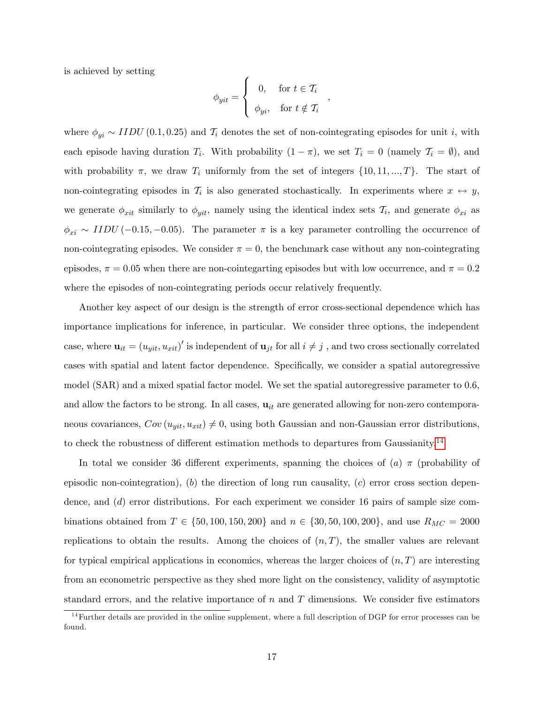is achieved by setting

$$
\phi_{yit} = \left\{ \begin{array}{cl} 0, & \textrm{for } t \in \mathcal{T}_i \\[2mm] \phi_{yi}, & \textrm{for } t \notin \mathcal{T}_i \end{array} \right.
$$

,

where  $\phi_{yi} \sim IIDU(0.1, 0.25)$  and  $\mathcal{T}_i$  denotes the set of non-cointegrating episodes for unit i, with each episode having duration  $T_i$ . With probability  $(1 - \pi)$ , we set  $T_i = 0$  (namely  $\mathcal{T}_i = \emptyset$ ), and with probability  $\pi$ , we draw  $T_i$  uniformly from the set of integers  $\{10, 11, ..., T\}$ . The start of non-cointegrating episodes in  $\mathcal{T}_i$  is also generated stochastically. In experiments where  $x \leftrightarrow y$ , we generate  $\phi_{xit}$  similarly to  $\phi_{yit}$ , namely using the identical index sets  $\mathcal{T}_i$ , and generate  $\phi_{xi}$  as  $\phi_{xi} \sim IIDU (-0.15, -0.05)$ . The parameter  $\pi$  is a key parameter controlling the occurrence of non-cointegrating episodes. We consider  $\pi = 0$ , the benchmark case without any non-cointegrating episodes,  $\pi = 0.05$  when there are non-cointegarting episodes but with low occurrence, and  $\pi = 0.2$ where the episodes of non-cointegrating periods occur relatively frequently.

Another key aspect of our design is the strength of error cross-sectional dependence which has importance implications for inference, in particular. We consider three options, the independent case, where  $\mathbf{u}_{it} = (u_{yit}, u_{xit})'$  is independent of  $\mathbf{u}_{jt}$  for all  $i \neq j$ , and two cross sectionally correlated cases with spatial and latent factor dependence. Specifically, we consider a spatial autoregressive model (SAR) and a mixed spatial factor model. We set the spatial autoregressive parameter to 0.6, and allow the factors to be strong. In all cases,  $\mathbf{u}_{it}$  are generated allowing for non-zero contemporaneous covariances,  $Cov(u_{yit}, u_{xit}) \neq 0$ , using both Gaussian and non-Gaussian error distributions, to check the robustness of different estimation methods to departures from Gaussianity.<sup>[14](#page-18-0)</sup>

In total we consider 36 different experiments, spanning the choices of  $(a)$   $\pi$  (probability of episodic non-cointegration), (b) the direction of long run causality,  $(c)$  error cross section dependence, and (d) error distributions. For each experiment we consider 16 pairs of sample size combinations obtained from  $T \in \{50, 100, 150, 200\}$  and  $n \in \{30, 50, 100, 200\}$ , and use  $R_{MC} = 2000$ replications to obtain the results. Among the choices of  $(n, T)$ , the smaller values are relevant for typical empirical applications in economics, whereas the larger choices of  $(n, T)$  are interesting from an econometric perspective as they shed more light on the consistency, validity of asymptotic standard errors, and the relative importance of  $n$  and  $T$  dimensions. We consider five estimators

<span id="page-18-0"></span><sup>&</sup>lt;sup>14</sup> Further details are provided in the online supplement, where a full description of DGP for error processes can be found.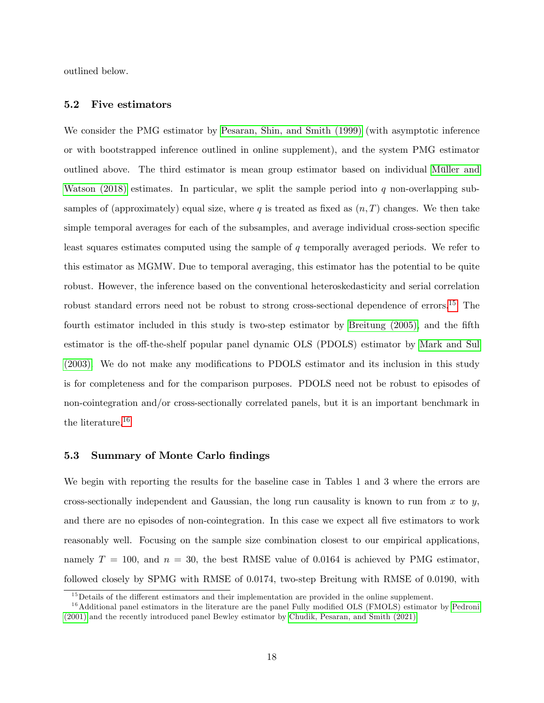outlined below.

#### 5.2 Five estimators

We consider the PMG estimator by [Pesaran, Shin, and Smith \(1999\)](#page-35-2) (with asymptotic inference or with bootstrapped inference outlined in online supplement), and the system PMG estimator outlined above. The third estimator is mean group estimator based on individual Müller and Watson  $(2018)$  estimates. In particular, we split the sample period into q non-overlapping subsamples of (approximately) equal size, where q is treated as fixed as  $(n, T)$  changes. We then take simple temporal averages for each of the subsamples, and average individual cross-section specific least squares estimates computed using the sample of q temporally averaged periods. We refer to this estimator as MGMW. Due to temporal averaging, this estimator has the potential to be quite robust. However, the inference based on the conventional heteroskedasticity and serial correlation robust standard errors need not be robust to strong cross-sectional dependence of errors.<sup>[15](#page-19-0)</sup> The fourth estimator included in this study is two-step estimator by [Breitung \(2005\),](#page-33-2) and the fifth estimator is the off-the-shelf popular panel dynamic OLS (PDOLS) estimator by [Mark and Sul](#page-35-3)  $(2003)$ . We do not make any modifications to PDOLS estimator and its inclusion in this study is for completeness and for the comparison purposes. PDOLS need not be robust to episodes of non-cointegration and/or cross-sectionally correlated panels, but it is an important benchmark in the literature.[16](#page-19-1)

#### 5.3 Summary of Monte Carlo findings

We begin with reporting the results for the baseline case in Tables 1 and 3 where the errors are cross-sectionally independent and Gaussian, the long run causality is known to run from  $x$  to  $y$ , and there are no episodes of non-cointegration. In this case we expect all five estimators to work reasonably well. Focusing on the sample size combination closest to our empirical applications, namely  $T = 100$ , and  $n = 30$ , the best RMSE value of 0.0164 is achieved by PMG estimator, followed closely by SPMG with RMSE of 0.0174, two-step Breitung with RMSE of 0.0190, with

<span id="page-19-1"></span><span id="page-19-0"></span> $15$  Details of the different estimators and their implementation are provided in the online supplement.

 $16$ Additional panel estimators in the literature are the panel Fully modified OLS (FMOLS) estimator by [Pedroni](#page-35-12) [\(2001\)](#page-35-12) and the recently introduced panel Bewley estimator by [Chudik, Pesaran, and Smith \(2021\).](#page-33-15)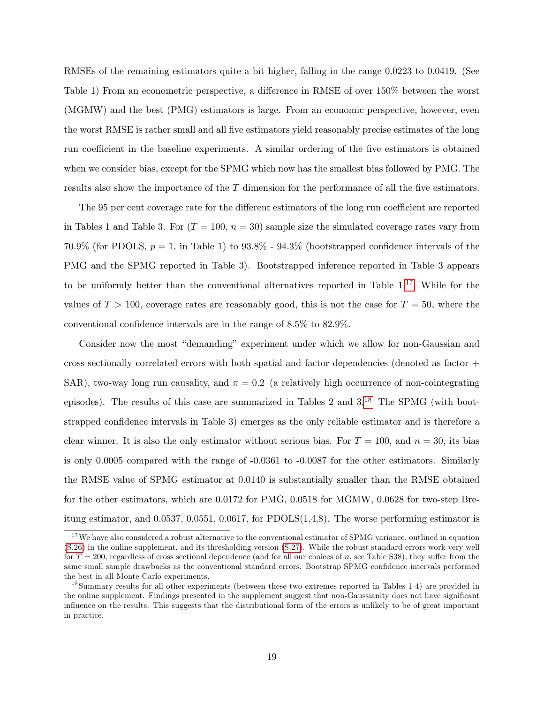RMSEs of the remaining estimators quite a bit higher, falling in the range 0.0223 to 0.0419. (See Table 1) From an econometric perspective, a difference in RMSE of over  $150\%$  between the worst (MGMW) and the best (PMG) estimators is large. From an economic perspective, however, even the worst RMSE is rather small and all Öve estimators yield reasonably precise estimates of the long run coefficient in the baseline experiments. A similar ordering of the five estimators is obtained when we consider bias, except for the SPMG which now has the smallest bias followed by PMG. The results also show the importance of the  $T$  dimension for the performance of all the five estimators.

The 95 per cent coverage rate for the different estimators of the long run coefficient are reported in Tables 1 and Table 3. For  $(T = 100, n = 30)$  sample size the simulated coverage rates vary from 70.9% (for PDOLS,  $p = 1$ , in Table 1) to 93.8% - 94.3% (bootstrapped confidence intervals of the PMG and the SPMG reported in Table 3). Bootstrapped inference reported in Table 3 appears to be uniformly better than the conventional alternatives reported in Table  $1<sup>17</sup>$  $1<sup>17</sup>$  $1<sup>17</sup>$  While for the values of  $T > 100$ , coverage rates are reasonably good, this is not the case for  $T = 50$ , where the conventional confidence intervals are in the range of  $8.5\%$  to  $82.9\%$ .

Consider now the most "demanding" experiment under which we allow for non-Gaussian and cross-sectionally correlated errors with both spatial and factor dependencies (denoted as factor + SAR), two-way long run causality, and  $\pi = 0.2$  (a relatively high occurrence of non-cointegrating episodes). The results of this case are summarized in Tables 2 and 3.[18](#page-20-1) The SPMG (with bootstrapped confidence intervals in Table 3) emerges as the only reliable estimator and is therefore a clear winner. It is also the only estimator without serious bias. For  $T = 100$ , and  $n = 30$ , its bias is only 0.0005 compared with the range of -0.0361 to -0.0087 for the other estimators. Similarly the RMSE value of SPMG estimator at 0.0140 is substantially smaller than the RMSE obtained for the other estimators, which are 0.0172 for PMG, 0.0518 for MGMW, 0.0628 for two-step Breitung estimator, and 0.0537, 0.0551, 0.0617, for PDOLS(1,4,8). The worse performing estimator is

<span id="page-20-0"></span><sup>&</sup>lt;sup>17</sup>We have also considered a robust alternative to the conventional estimator of SPMG variance, outlined in equation [\(S.26\)](#page-45-0) in the online supplement, and its thresholding version [\(S.27\)](#page-45-1). While the robust standard errors work very well for  $T = 200$ , regardless of cross sectional dependence (and for all our choices of n, see Table S38), they suffer from the same small sample drawbacks as the conventional standard errors. Bootstrap SPMG confidence intervals performed the best in all Monte Carlo experiments.

<span id="page-20-1"></span><sup>&</sup>lt;sup>18</sup>Summary results for all other experiments (between these two extremes reported in Tables 1-4) are provided in the online supplement. Findings presented in the supplement suggest that non-Gaussianity does not have significant influence on the results. This suggests that the distributional form of the errors is unlikely to be of great important in practice.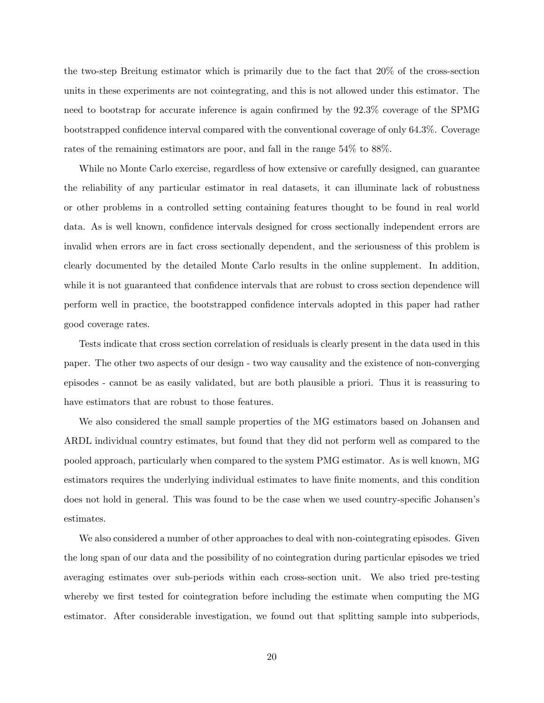the two-step Breitung estimator which is primarily due to the fact that 20% of the cross-section units in these experiments are not cointegrating, and this is not allowed under this estimator. The need to bootstrap for accurate inference is again confirmed by the  $92.3\%$  coverage of the SPMG bootstrapped confidence interval compared with the conventional coverage of only 64.3%. Coverage rates of the remaining estimators are poor, and fall in the range 54% to 88%.

While no Monte Carlo exercise, regardless of how extensive or carefully designed, can guarantee the reliability of any particular estimator in real datasets, it can illuminate lack of robustness or other problems in a controlled setting containing features thought to be found in real world data. As is well known, confidence intervals designed for cross sectionally independent errors are invalid when errors are in fact cross sectionally dependent, and the seriousness of this problem is clearly documented by the detailed Monte Carlo results in the online supplement. In addition, while it is not guaranteed that confidence intervals that are robust to cross section dependence will perform well in practice, the bootstrapped confidence intervals adopted in this paper had rather good coverage rates.

Tests indicate that cross section correlation of residuals is clearly present in the data used in this paper. The other two aspects of our design - two way causality and the existence of non-converging episodes - cannot be as easily validated, but are both plausible a priori. Thus it is reassuring to have estimators that are robust to those features.

We also considered the small sample properties of the MG estimators based on Johansen and ARDL individual country estimates, but found that they did not perform well as compared to the pooled approach, particularly when compared to the system PMG estimator. As is well known, MG estimators requires the underlying individual estimates to have finite moments, and this condition does not hold in general. This was found to be the case when we used country-specific Johansen's estimates.

We also considered a number of other approaches to deal with non-cointegrating episodes. Given the long span of our data and the possibility of no cointegration during particular episodes we tried averaging estimates over sub-periods within each cross-section unit. We also tried pre-testing whereby we first tested for cointegration before including the estimate when computing the MG estimator. After considerable investigation, we found out that splitting sample into subperiods,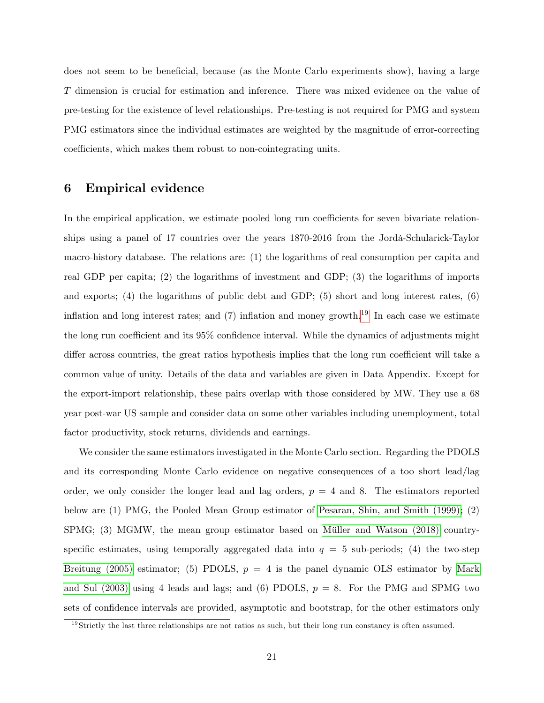does not seem to be beneficial, because (as the Monte Carlo experiments show), having a large T dimension is crucial for estimation and inference. There was mixed evidence on the value of pre-testing for the existence of level relationships. Pre-testing is not required for PMG and system PMG estimators since the individual estimates are weighted by the magnitude of error-correcting coefficients, which makes them robust to non-cointegrating units.

## <span id="page-22-0"></span>6 Empirical evidence

In the empirical application, we estimate pooled long run coefficients for seven bivariate relationships using a panel of 17 countries over the years 1870-2016 from the Jordà-Schularick-Taylor macro-history database. The relations are: (1) the logarithms of real consumption per capita and real GDP per capita; (2) the logarithms of investment and GDP; (3) the logarithms of imports and exports; (4) the logarithms of public debt and GDP; (5) short and long interest rates, (6) inflation and long interest rates; and  $(7)$  inflation and money growth.<sup>[19](#page-22-1)</sup> In each case we estimate the long run coefficient and its  $95\%$  confidence interval. While the dynamics of adjustments might differ across countries, the great ratios hypothesis implies that the long run coefficient will take a common value of unity. Details of the data and variables are given in Data Appendix. Except for the export-import relationship, these pairs overlap with those considered by MW. They use a 68 year post-war US sample and consider data on some other variables including unemployment, total factor productivity, stock returns, dividends and earnings.

We consider the same estimators investigated in the Monte Carlo section. Regarding the PDOLS and its corresponding Monte Carlo evidence on negative consequences of a too short lead/lag order, we only consider the longer lead and lag orders,  $p = 4$  and 8. The estimators reported below are (1) PMG, the Pooled Mean Group estimator of [Pesaran, Shin, and Smith \(1999\)](#page-35-2); (2)  $SPMG$ ; (3) MGMW, the mean group estimator based on Müller and Watson (2018) countryspecific estimates, using temporally aggregated data into  $q = 5$  sub-periods; (4) the two-step [Breitung \(2005\)](#page-33-2) estimator; (5) PDOLS,  $p = 4$  is the panel dynamic OLS estimator by [Mark](#page-35-3) [and Sul \(2003\)](#page-35-3) using 4 leads and lags; and (6) PDOLS,  $p = 8$ . For the PMG and SPMG two sets of confidence intervals are provided, asymptotic and bootstrap, for the other estimators only

<span id="page-22-1"></span><sup>&</sup>lt;sup>19</sup>Strictly the last three relationships are not ratios as such, but their long run constancy is often assumed.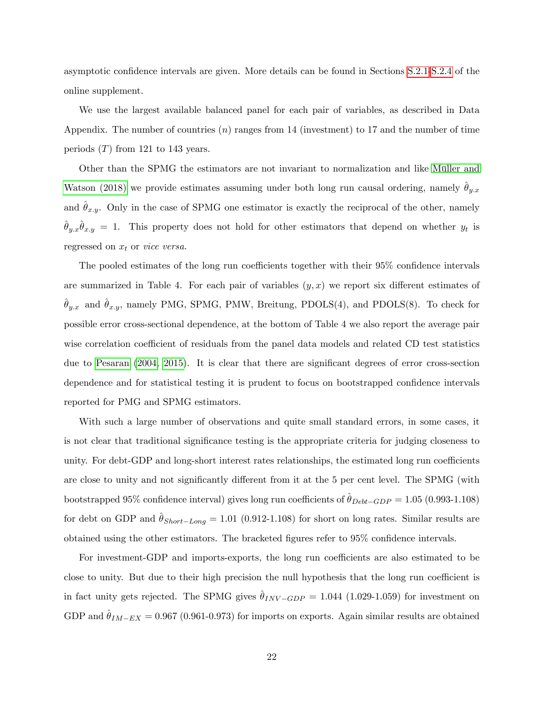asymptotic confidence intervals are given. More details can be found in Sections [S.2.1-](#page-39-0)[S.2.4](#page-47-0) of the online supplement.

We use the largest available balanced panel for each pair of variables, as described in Data Appendix. The number of countries  $(n)$  ranges from 14 (investment) to 17 and the number of time periods  $(T)$  from 121 to 143 years.

Other than the SPMG the estimators are not invariant to normalization and like Müller and [Watson \(2018\)](#page-35-0) we provide estimates assuming under both long run causal ordering, namely  $\theta_{y.x}$ and  $\theta_{x,y}$ . Only in the case of SPMG one estimator is exactly the reciprocal of the other, namely  $\hat{\theta}_{y,x}\hat{\theta}_{x,y} = 1$ . This property does not hold for other estimators that depend on whether  $y_t$  is regressed on  $x_t$  or *vice versa*.

The pooled estimates of the long run coefficients together with their  $95\%$  confidence intervals are summarized in Table 4. For each pair of variables  $(y, x)$  we report six different estimates of  $\hat{\theta}_{y.x}$  and  $\hat{\theta}_{x.y}$ , namely PMG, SPMG, PMW, Breitung, PDOLS(4), and PDOLS(8). To check for possible error cross-sectional dependence, at the bottom of Table 4 we also report the average pair wise correlation coefficient of residuals from the panel data models and related CD test statistics due to [Pesaran](#page-35-13) [\(2004,](#page-35-13) [2015\)](#page-35-14). It is clear that there are significant degrees of error cross-section dependence and for statistical testing it is prudent to focus on bootstrapped confidence intervals reported for PMG and SPMG estimators.

With such a large number of observations and quite small standard errors, in some cases, it is not clear that traditional significance testing is the appropriate criteria for judging closeness to unity. For debt-GDP and long-short interest rates relationships, the estimated long run coefficients are close to unity and not significantly different from it at the 5 per cent level. The SPMG (with bootstrapped 95% confidence interval) gives long run coefficients of  $\hat{\theta}_{Debt-GDP} = 1.05 (0.993-1.108)$ for debt on GDP and  $\hat{\theta}_{Short-Long} = 1.01$  (0.912-1.108) for short on long rates. Similar results are obtained using the other estimators. The bracketed figures refer to  $95\%$  confidence intervals.

For investment-GDP and imports-exports, the long run coefficients are also estimated to be close to unity. But due to their high precision the null hypothesis that the long run coefficient is in fact unity gets rejected. The SPMG gives  $\theta_{INV-GDP} = 1.044$  (1.029-1.059) for investment on GDP and  $\hat{\theta}_{IM-EX} = 0.967$  (0.961-0.973) for imports on exports. Again similar results are obtained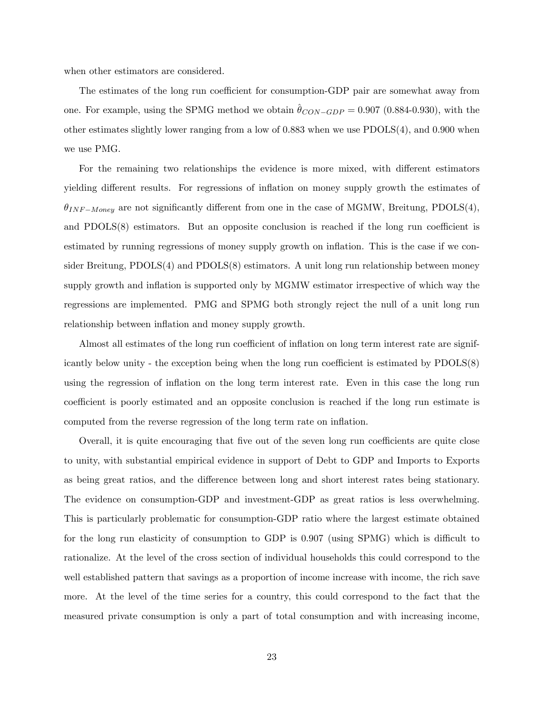when other estimators are considered.

The estimates of the long run coefficient for consumption-GDP pair are somewhat away from one. For example, using the SPMG method we obtain  $\theta_{CON-GDP} = 0.907$  (0.884-0.930), with the other estimates slightly lower ranging from a low of 0.883 when we use PDOLS(4), and 0.900 when we use PMG.

For the remaining two relationships the evidence is more mixed, with different estimators yielding different results. For regressions of inflation on money supply growth the estimates of  $\theta_{INF-Money}$  are not significantly different from one in the case of MGMW, Breitung, PDOLS(4), and  $PDOLS(8)$  estimators. But an opposite conclusion is reached if the long run coefficient is estimated by running regressions of money supply growth on inflation. This is the case if we consider Breitung, PDOLS(4) and PDOLS(8) estimators. A unit long run relationship between money supply growth and inflation is supported only by MGMW estimator irrespective of which way the regressions are implemented. PMG and SPMG both strongly reject the null of a unit long run relationship between inflation and money supply growth.

Almost all estimates of the long run coefficient of inflation on long term interest rate are significantly below unity - the exception being when the long run coefficient is estimated by  $PDOLS(8)$ using the regression of inflation on the long term interest rate. Even in this case the long run coefficient is poorly estimated and an opposite conclusion is reached if the long run estimate is computed from the reverse regression of the long term rate on inflation.

Overall, it is quite encouraging that five out of the seven long run coefficients are quite close to unity, with substantial empirical evidence in support of Debt to GDP and Imports to Exports as being great ratios, and the difference between long and short interest rates being stationary. The evidence on consumption-GDP and investment-GDP as great ratios is less overwhelming. This is particularly problematic for consumption-GDP ratio where the largest estimate obtained for the long run elasticity of consumption to GDP is  $0.907$  (using SPMG) which is difficult to rationalize. At the level of the cross section of individual households this could correspond to the well established pattern that savings as a proportion of income increase with income, the rich save more. At the level of the time series for a country, this could correspond to the fact that the measured private consumption is only a part of total consumption and with increasing income,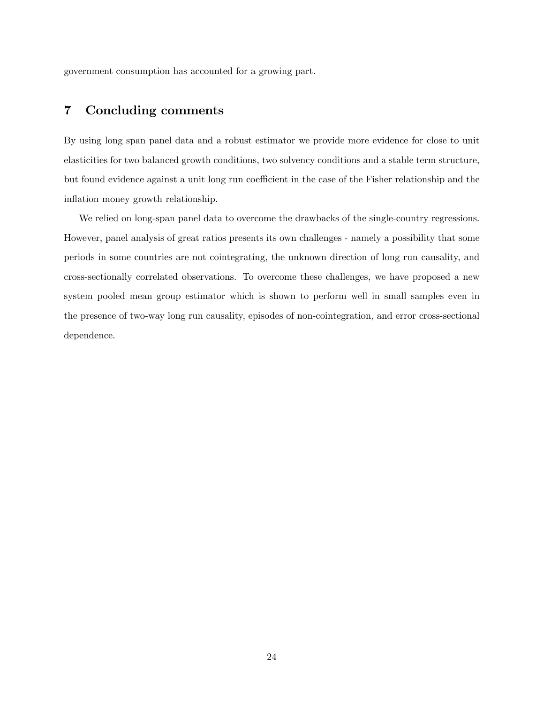government consumption has accounted for a growing part.

## <span id="page-25-0"></span>7 Concluding comments

By using long span panel data and a robust estimator we provide more evidence for close to unit elasticities for two balanced growth conditions, two solvency conditions and a stable term structure, but found evidence against a unit long run coefficient in the case of the Fisher relationship and the inflation money growth relationship.

We relied on long-span panel data to overcome the drawbacks of the single-country regressions. However, panel analysis of great ratios presents its own challenges - namely a possibility that some periods in some countries are not cointegrating, the unknown direction of long run causality, and cross-sectionally correlated observations. To overcome these challenges, we have proposed a new system pooled mean group estimator which is shown to perform well in small samples even in the presence of two-way long run causality, episodes of non-cointegration, and error cross-sectional dependence.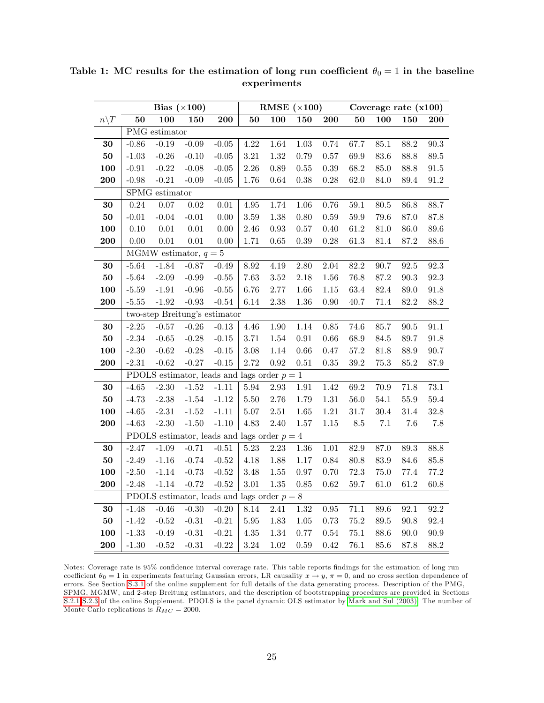|                 |          | Bias $(\times 100)$                           |                  |                  |            | RMSE $(\times 100)$ |          |             |                 |          | Coverage rate $(x100)$ |          |
|-----------------|----------|-----------------------------------------------|------------------|------------------|------------|---------------------|----------|-------------|-----------------|----------|------------------------|----------|
| $n\backslash T$ | 50       | 100                                           | 150              | ${\bf 200}$      | ${\bf 50}$ | 100                 | 150      | ${\bf 200}$ | 50              | 100      | 150                    | 200      |
|                 |          | PMG estimator                                 |                  |                  |            |                     |          |             |                 |          |                        |          |
| 30              | $-0.86$  | $-0.19$                                       | $-0.09$          | $-0.05$          | 4.22       | $1.64\,$            | $1.03\,$ | $0.74\,$    | 67.7            | $85.1\,$ | $88.2\,$               | $90.3\,$ |
| ${\bf 50}$      | $-1.03$  | $-0.26$                                       | $-0.10$          | $-0.05$          | $3.21\,$   | $1.32\,$            | 0.79     | $0.57\,$    | $69.9\,$        | $83.6\,$ | $88.8\,$               | $89.5\,$ |
| 100             | $-0.91$  | $-0.22$                                       | $-0.08$          | $-0.05$          | $2.26\,$   | $0.89\,$            | $0.55\,$ | $0.39\,$    | $68.2\,$        | $85.0\,$ | $88.8\,$               | $91.5\,$ |
| 200             | $-0.98$  | $-0.21$                                       | $-0.09$          | $-0.05$          | 1.76       | $0.64\,$            | $0.38\,$ | $0.28\,$    | $62.0\,$        | $84.0\,$ | $89.4\,$               | $91.2\,$ |
|                 |          | SPMG estimator                                |                  |                  |            |                     |          |             |                 |          |                        |          |
| $30\,$          | $0.24\,$ | $0.07\,$                                      | $0.02\,$         | $0.01\,$         | $4.95\,$   | 1.74                | $1.06\,$ | 0.76        | $59.1\,$        | $80.5\,$ | $86.8\,$               | 88.7     |
| ${\bf 50}$      | $-0.01$  | $-0.04$                                       | $-0.01$          | 0.00             | $3.59\,$   | 1.38                | $0.80\,$ | 0.59        | $59.9\,$        | 79.6     | $87.0\,$               | 87.8     |
| 100             | 0.10     | $0.01\,$                                      | $0.01\,$         | $0.00\,$         | 2.46       | $\rm 0.93$          | $0.57\,$ | 0.40        | $61.2\,$        | $81.0\,$ | $86.0\,$               | $89.6\,$ |
| 200             | 0.00     | $0.01\,$                                      | $0.01\,$         | $0.00\,$         | 1.71       | $0.65\,$            | $0.39\,$ | 0.28        | $61.3\,$        | $81.4\,$ | $87.2\,$               | $88.6\,$ |
|                 |          | MGMW estimator, $q = 5$                       |                  |                  |            |                     |          |             |                 |          |                        |          |
| $30\,$          | $-5.64$  | $-1.84$                                       | $-0.87$          | $-0.49$          | $8.92\,$   | $4.19\,$            | $2.80\,$ | $2.04\,$    | 82.2            | 90.7     | $92.5\,$               | $92.3\,$ |
| ${\bf 50}$      | $-5.64$  | $-2.09$                                       | $-0.99$          | $\textbf{-0.55}$ | 7.63       | $3.52\,$            | $2.18\,$ | 1.56        | 76.8            | $87.2\,$ | $90.3\,$               | $92.3\,$ |
| 100             | $-5.59$  | $-1.91$                                       | $-0.96$          | $-0.55$          | 6.76       | $2.77\,$            | 1.66     | $1.15\,$    | $63.4\,$        | $82.4\,$ | $89.0\,$               | $91.8\,$ |
| 200             | $-5.55$  | $-1.92$                                       | $-0.93$          | $-0.54$          | 6.14       | $2.38\,$            | $1.36\,$ | 0.90        | 40.7            | $71.4\,$ | $82.2\,$               | $88.2\,$ |
|                 |          | two-step Breitung's estimator                 |                  |                  |            |                     |          |             |                 |          |                        |          |
| $30\,$          | $-2.25$  | $-0.57$                                       | $-0.26$          | $-0.13$          | $4.46\,$   | $1.90\,$            | $1.14\,$ | $0.85\,$    | 74.6            | 85.7     | $90.5\,$               | $91.1\,$ |
| ${\bf 50}$      | $-2.34$  | $-0.65$                                       | $-0.28$          | $-0.15$          | 3.71       | $1.54\,$            | $0.91\,$ | 0.66        | 68.9            | $84.5\,$ | 89.7                   | $91.8\,$ |
| 100             | $-2.30$  | $-0.62$                                       | $-0.28$          | $-0.15$          | $3.08\,$   | $1.14\,$            | $0.66\,$ | 0.47        | $57.2\,$        | $81.8\,$ | $88.9\,$               | $90.7\,$ |
| 200             | $-2.31$  | $-0.62$                                       | $-0.27$          | $-0.15$          | 2.72       | $\rm 0.92$          | $0.51\,$ | $0.35\,$    | $39.2\,$        | $75.3\,$ | $85.2\,$               | 87.9     |
|                 |          | PDOLS estimator, leads and lags order $p = 1$ |                  |                  |            |                     |          |             |                 |          |                        |          |
| $30\,$          | $-4.65$  | $-2.30$                                       | $\textbf{-1.52}$ | $-1.11$          | 5.94       | $2.93\,$            | $1.91\,$ | 1.42        | $69.2\,$        | $70.9\,$ | $71.8\,$               | $73.1\,$ |
| 50              | $-4.73$  | $-2.38$                                       | $-1.54$          | $-1.12$          | $5.50\,$   | $2.76\,$            | 1.79     | $1.31\,$    | $56.0\,$        | $54.1\,$ | $55.9\,$               | $59.4\,$ |
| 100             | $-4.65$  | $-2.31$                                       | $-1.52$          | $-1.11$          | $5.07\,$   | $2.51\,$            | $1.65\,$ | $1.21\,$    | $31.7\,$        | $30.4\,$ | $31.4\,$               | $32.8\,$ |
| 200             | $-4.63$  | $-2.30$                                       | $-1.50$          | $-1.10$          | 4.83       | 2.40                | $1.57\,$ | $1.15\,$    | $\!\!\!\!\!8.5$ | $7.1\,$  | 7.6                    | $7.8\,$  |
|                 |          | PDOLS estimator, leads and lags order $p = 4$ |                  |                  |            |                     |          |             |                 |          |                        |          |
| $30\,$          | $-2.47$  | $-1.09$                                       | $-0.71$          | $-0.51$          | $5.23\,$   | $2.23\,$            | $1.36\,$ | $1.01\,$    | 82.9            | $87.0\,$ | $89.3\,$               | 88.8     |
| 50              | $-2.49$  | $-1.16$                                       | $-0.74$          | $-0.52$          | 4.18       | 1.88                | $1.17\,$ | $0.84\,$    | $80.8\,$        | $83.9\,$ | $84.6\,$               | $85.8\,$ |
| 100             | $-2.50$  | $-1.14$                                       | $-0.73$          | $-0.52$          | $3.48\,$   | $1.55\,$            | 0.97     | 0.70        | $72.3\,$        | $75.0\,$ | $77.4\,$               | $77.2\,$ |
| 200             | $-2.48$  | $-1.14$                                       | $-0.72$          | $-0.52$          | $3.01\,$   | $1.35\,$            | 0.85     | 0.62        | 59.7            | $61.0\,$ | $61.2\,$               | 60.8     |
|                 |          | PDOLS estimator, leads and lags order $p = 8$ |                  |                  |            |                     |          |             |                 |          |                        |          |
| 30              | $-1.48$  | $-0.46$                                       | $-0.30$          | $-0.20$          | $8.14\,$   | 2.41                | $1.32\,$ | 0.95        | 71.1            | $89.6\,$ | 92.1                   | $92.2\,$ |
| ${\bf 50}$      | $-1.42$  | $-0.52$                                       | $-0.31$          | $-0.21$          | $5.95\,$   | 1.83                | $1.05\,$ | $0.73\,$    | $75.2\,$        | $89.5\,$ | $90.8\,$               | $92.4\,$ |
| 100             | $-1.33$  | $-0.49$                                       | $-0.31$          | $-0.21$          | $4.35\,$   | $1.34\,$            | $0.77\,$ | $0.54\,$    | $75.1\,$        | $88.6\,$ | $90.0\,$               | $90.9\,$ |
| 200             | $-1.30$  | $-0.52$                                       | $-0.31$          | $-0.22$          | 3.24       | 1.02                | $0.59\,$ | 0.42        | 76.1            | 85.6     | 87.8                   | 88.2     |

Table 1: MC results for the estimation of long run coefficient  $\theta_0 = 1$  in the baseline experiments

Notes: Coverage rate is 95% confidence interval coverage rate. This table reports findings for the estimation of long run coefficient  $\theta_0 = 1$  in experiments featuring Gaussian errors, LR causality  $x \to y$ ,  $\pi = 0$ , and no cross section dependence of errors. See Section [S.3.1](#page-10-3) of the online supplement for full details of the data generating process. Description of the PMG, SPMG, MGMW, and 2-step Breitung estimators, and the description of bootstrapping procedures are provided in Sections [S.2.1-](#page-39-0)[S.2.3](#page-44-0) of the online Supplement. PDOLS is the panel dynamic OLS estimator by [Mark and Sul \(2003\).](#page-35-3) The number of Monte Carlo replications is  $R_{MC} = 2000$ .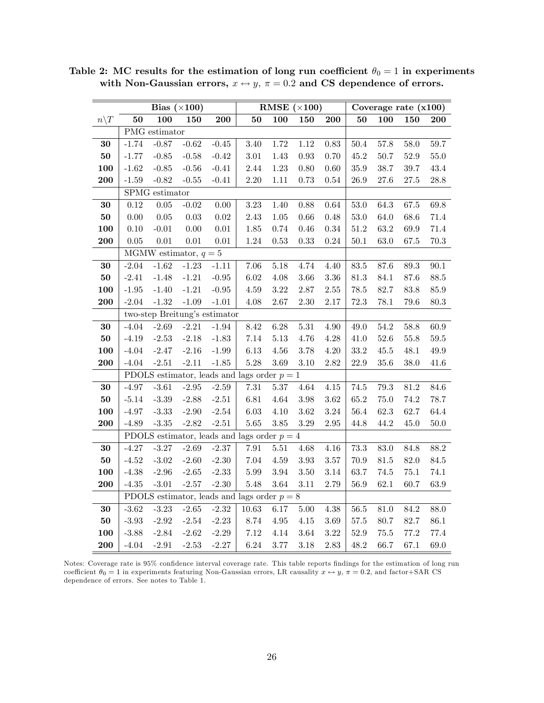|                  |                 |                         | Bias $(\times 100)$ |                               |                                               |          | RMSE $(\times 100)$ |          |          |          | Coverage rate $(x100)$ |          |
|------------------|-----------------|-------------------------|---------------------|-------------------------------|-----------------------------------------------|----------|---------------------|----------|----------|----------|------------------------|----------|
| $n \backslash T$ | $\overline{50}$ | 100                     | 150                 | 200                           | ${\bf 50}$                                    | 100      | 150                 | 200      | 50       | 100      | 150                    | 200      |
|                  |                 | PMG estimator           |                     |                               |                                               |          |                     |          |          |          |                        |          |
| $30\,$           | $-1.74$         | $-0.87$                 | $-0.62$             | $-0.45$                       | 3.40                                          | 1.72     | $1.12\,$            | $0.83\,$ | $50.4\,$ | 57.8     | $58.0\,$               | 59.7     |
| 50               | $-1.77$         | $-0.85$                 | $-0.58$             | $-0.42$                       | $3.01\,$                                      | 1.43     | $\rm 0.93$          | 0.70     | 45.2     | 50.7     | $52.9\,$               | $55.0\,$ |
| 100              | $-1.62$         | $\text{-}0.85$          | $-0.56$             | $-0.41$                       | $2.44\,$                                      | $1.23\,$ | $0.80\,$            | 0.60     | $35.9\,$ | 38.7     | $39.7\,$               | $43.4\,$ |
| 200              | $-1.59$         | $-0.82$                 | $-0.55$             | $-0.41$                       | $2.20\,$                                      | $1.11\,$ | 0.73                | 0.54     | $26.9\,$ | $27.6\,$ | 27.5                   | $28.8\,$ |
|                  |                 | ${\rm SPMG}$ estimator  |                     |                               |                                               |          |                     |          |          |          |                        |          |
| 30               | $0.12\,$        | $0.05\,$                | $-0.02$             | 0.00                          | $3.23\,$                                      | 1.40     | 0.88                | 0.64     | $53.0\,$ | 64.3     | $67.5\,$               | $69.8\,$ |
| 50               | $0.00\,$        | 0.05                    | $0.03\,$            | $0.02\,$                      | $2.43\,$                                      | $1.05\,$ | $0.66\,$            | 0.48     | $53.0\,$ | $64.0\,$ | $68.6\,$               | $71.4\,$ |
| 100              | $0.10\,$        | $\text{-}0.01$          | $0.00\,$            | $0.01\,$                      | $1.85\,$                                      | 0.74     | $0.46\,$            | $0.34\,$ | $51.2\,$ | 63.2     | 69.9                   | $71.4\,$ |
| 200              | 0.05            | $0.01\,$                | $0.01\,$            | $0.01\,$                      | $1.24\,$                                      | 0.53     | 0.33                | 0.24     | $50.1\,$ | $63.0\,$ | 67.5                   | $70.3\,$ |
|                  |                 | MGMW estimator, $q = 5$ |                     |                               |                                               |          |                     |          |          |          |                        |          |
| 30               | $-2.04$         | $-1.62$                 | $-1.23$             | $-1.11$                       | $7.06\,$                                      | 5.18     | 4.74                | 4.40     | 83.5     | 87.6     | $89.3\,$               | 90.1     |
| 50               | $-2.41$         | $-1.48$                 | $-1.21$             | $\textbf{-0.95}$              | $6.02\,$                                      | 4.08     | $3.66\,$            | $3.36\,$ | $81.3\,$ | 84.1     | $87.6\,$               | $88.5\,$ |
| 100              | $-1.95$         | $-1.40$                 | $-1.21$             | $-0.95$                       | $4.59\,$                                      | $3.22\,$ | $2.87\,$            | $2.55\,$ | $78.5\,$ | 82.7     | $83.8\,$               | $85.9\,$ |
| 200              | $-2.04$         | $-1.32$                 | $-1.09$             | $-1.01$                       | 4.08                                          | 2.67     | $2.30\,$            | 2.17     | 72.3     | 78.1     | 79.6                   | $80.3\,$ |
|                  |                 |                         |                     | two-step Breitung's estimator |                                               |          |                     |          |          |          |                        |          |
| 30               | $-4.04$         | $-2.69$                 | $-2.21$             | $-1.94$                       | 8.42                                          | 6.28     | $5.31\,$            | 4.90     | 49.0     | 54.2     | $58.8\,$               | 60.9     |
| 50               | $-4.19$         | $-2.53$                 | $-2.18$             | $-1.83$                       | 7.14                                          | $5.13\,$ | 4.76                | 4.28     | $41.0\,$ | $52.6\,$ | $55.8\,$               | $59.5\,$ |
| 100              | $-4.04$         | $-2.47$                 | $-2.16$             | $-1.99$                       | $6.13\,$                                      | $4.56\,$ | $3.78\,$            | $4.20\,$ | $33.2\,$ | $45.5\,$ | 48.1                   | $49.9\,$ |
| 200              | $-4.04$         | $-2.51$                 | $-2.11$             | $-1.85$                       | $5.28\,$                                      | $3.69\,$ | $3.10\,$            | 2.82     | $22.9\,$ | $35.6\,$ | $38.0\,$               | 41.6     |
|                  |                 |                         |                     |                               | PDOLS estimator, leads and lags order $p = 1$ |          |                     |          |          |          |                        |          |
| 30               | $-4.97$         | $-3.61$                 | $-2.95$             | $-2.59$                       | 7.31                                          | $5.37\,$ | $4.64\,$            | $4.15\,$ | 74.5     | 79.3     | $81.2\,$               | 84.6     |
| 50               | $-5.14$         | $-3.39$                 | $-2.88$             | $-2.51$                       | $6.81\,$                                      | $4.64\,$ | $3.98\,$            | $3.62\,$ | $65.2\,$ | $75.0\,$ | $74.2\,$               | 78.7     |
| 100              | $-4.97$         | $-3.33$                 | $-2.90$             | $\textbf{-2.54}$              | $6.03\,$                                      | $4.10\,$ | $3.62\,$            | $3.24\,$ | $56.4\,$ | 62.3     | 62.7                   | $64.4\,$ |
| 200              | $-4.89$         | $-3.35$                 | $-2.82$             | $\textbf{-2.51}$              | $5.65\,$                                      | $3.85\,$ | $3.29\,$            | $2.95\,$ | 44.8     | 44.2     | $45.0\,$               | $50.0\,$ |
|                  |                 |                         |                     |                               | PDOLS estimator, leads and lags order $p = 4$ |          |                     |          |          |          |                        |          |
| 30               | $-4.27$         | $-3.27$                 | $-2.69$             | $-2.37$                       | 7.91                                          | $5.51\,$ | $4.68\,$            | $4.16\,$ | $73.3\,$ | $83.0\,$ | 84.8                   | $88.2\,$ |
| 50               | $-4.52$         | $-3.02$                 | $-2.60$             | $-2.30$                       | $7.04\,$                                      | $4.59\,$ | $3.93\,$            | $3.57\,$ | $70.9\,$ | $81.5\,$ | $82.0\,$               | $84.5\,$ |
| 100              | $-4.38$         | $-2.96$                 | $-2.65$             | $-2.33$                       | $5.99\,$                                      | $3.94\,$ | $3.50\,$            | $3.14\,$ | 63.7     | $74.5\,$ | 75.1                   | 74.1     |
| 200              | $-4.35$         | $-3.01$                 | $-2.57$             | $-2.30$                       | $5.48\,$                                      | $3.64\,$ | $3.11\,$            | 2.79     | $56.9\,$ | 62.1     | 60.7                   | $63.9\,$ |
|                  |                 |                         |                     |                               | PDOLS estimator, leads and lags order $p = 8$ |          |                     |          |          |          |                        |          |
| ${\bf 30}$       | $-3.62$         | $-3.23$                 | $-2.65$             | $-2.32$                       | 10.63                                         | $6.17\,$ | $5.00\,$            | 4.38     | $56.5\,$ | $81.0\,$ | $84.2\,$               | $88.0\,$ |
| 50               | $-3.93$         | $-2.92$                 | $-2.54$             | $-2.23$                       | 8.74                                          | $4.95\,$ | $4.15\,$            | $3.69\,$ | $57.5\,$ | 80.7     | 82.7                   | $86.1\,$ |
| 100              | $-3.88$         | $-2.84$                 | $-2.62$             | $-2.29$                       | 7.12                                          | 4.14     | $3.64\,$            | $3.22\,$ | $52.9\,$ | $75.5\,$ | $77.2\,$               | 77.4     |
| 200              | $-4.04$         | $-2.91$                 | $-2.53$             | $-2.27$                       | $6.24\,$                                      | 3.77     | 3.18                | $2.83\,$ | 48.2     | 66.7     | 67.1                   | 69.0     |

Table 2: MC results for the estimation of long run coefficient  $\theta_0 = 1$  in experiments with Non-Gaussian errors,  $x \leftrightarrow y$ ,  $\pi = 0.2$  and CS dependence of errors.

Notes: Coverage rate is 95% confidence interval coverage rate. This table reports findings for the estimation of long run coefficient  $\theta_0 = 1$  in experiments featuring Non-Gaussian errors, LR causality  $x \leftrightarrow y$ ,  $\pi = 0.2$ , and factor+SAR CS dependence of errors. See notes to Table 1.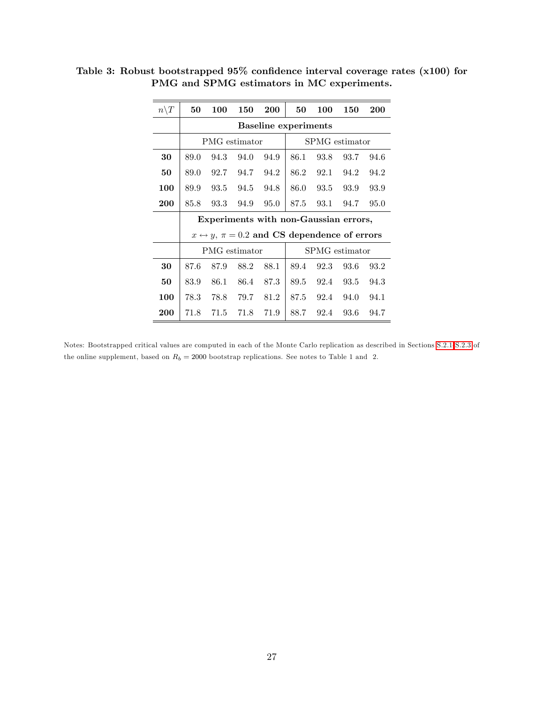| $n\backslash T$ | 50                                                              | 100                                   | 150           | 200                         | 50   | 100            | 150            | 200  |  |
|-----------------|-----------------------------------------------------------------|---------------------------------------|---------------|-----------------------------|------|----------------|----------------|------|--|
|                 |                                                                 |                                       |               | <b>Baseline experiments</b> |      |                |                |      |  |
|                 |                                                                 |                                       | PMG estimator |                             |      | SPMG estimator |                |      |  |
| 30              | 89.0                                                            | 94.3                                  | 94.0          | 94.9                        | 86.1 | 93.8           | 93.7           | 94.6 |  |
| 50              | 89.0                                                            | 92.7                                  | 94.7          | 94.2                        | 86.2 | 92.1           | 94.2           | 94.2 |  |
| 100             | 89.9                                                            | 93.5                                  | 94.5          | 94.8                        | 86.0 | 93.5           | 93.9           | 93.9 |  |
| 200             | 85.8                                                            | 93.3                                  | 94.9          | 95.0                        | 87.5 | 93.1           | 94.7           | 95.0 |  |
|                 |                                                                 | Experiments with non-Gaussian errors, |               |                             |      |                |                |      |  |
|                 | $x \leftrightarrow y$ , $\pi = 0.2$ and CS dependence of errors |                                       |               |                             |      |                |                |      |  |
|                 | PMG estimator                                                   |                                       |               |                             |      |                | SPMG estimator |      |  |
| 30              | 87.6                                                            | 87.9                                  | 88.2          | 88.1                        | 89.4 | 92.3           | 93.6           | 93.2 |  |
| 50              | 83.9                                                            | 86.1                                  | 86.4          | 87.3                        | 89.5 | 92.4           | 93.5           | 94.3 |  |
| 100             | 78.3                                                            | 78.8                                  | 79.7          | 81.2                        | 87.5 | 92.4           | 94.0           | 94.1 |  |
| 200             | 71.8                                                            | 71.5                                  | 71.8          | 71.9                        | 88.7 | 92.4           | 93.6           | 94.7 |  |

Table 3: Robust bootstrapped  $95\%$  confidence interval coverage rates (x100) for PMG and SPMG estimators in MC experiments.

Notes: Bootstrapped critical values are computed in each of the Monte Carlo replication as described in Sections [S.2.1-](#page-39-0)[S.2.3](#page-44-0) of the online supplement, based on  $R_b = 2000$  bootstrap replications. See notes to Table 1 and 2.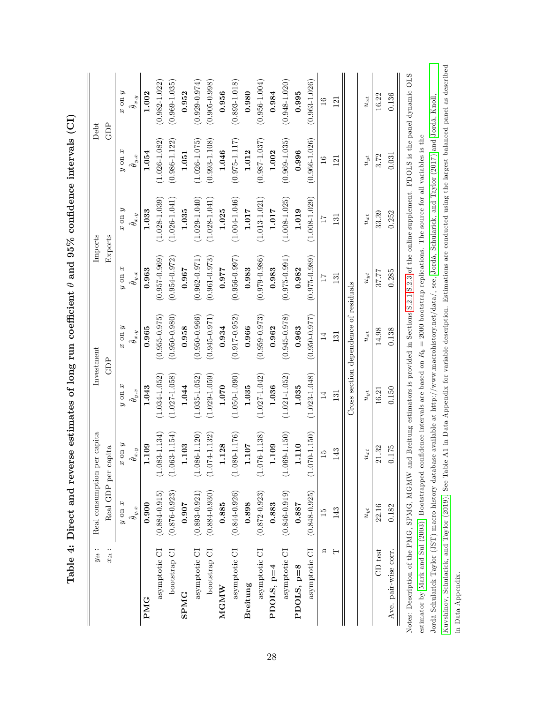| $y_{it}$             | Real consumption     | per capita           | Investment            |                                       |                      | Imports              | Debt                  |                      |
|----------------------|----------------------|----------------------|-----------------------|---------------------------------------|----------------------|----------------------|-----------------------|----------------------|
| $x_{it}$ :           | Real GDP per         | capita               |                       | GDP                                   |                      | Exports              |                       | GDP                  |
|                      | $y$ on $x$           | $x \text{ on } y$    | $y$ on $x$            | $x \text{ on } y$                     | $x$ ao $\theta$      | $x \text{ on } y$    | $y$ on $x$            | $x \text{ on } y$    |
|                      | $\hat{\theta}_{y.x}$ | $\hat{\theta}_{x,y}$ | $\ddot{\theta}_{y.x}$ | $\hat{\theta}_{x.y}$                  | $\hat{\theta}_{y.x}$ | $\hat{\theta}_{x.y}$ | $\hat{\theta}_{y.x}$  | $\hat{\theta}_{x.y}$ |
| PMG                  | 0.900                | 1.109                | 1.043                 | 0.965                                 | 0.963                | 1.033                | 1.054                 | 1.002                |
| asymptotic CI        | $(0.884 - 0.915)$    | $.083 - 1.134$       | $(1.034 - 1.052)$     | $(0.955 - 0.975)$                     | $(0.957 - 0.969)$    | $(1.028 - 1.039)$    | $(1.026 - 1.082)$     | $(0.982 - 1.022)$    |
| bootstrap CI         | $(0.876 - 0.923)$    | $(1.063 - 1.154)$    | $(1.027 - 1.058)$     | $(0.950 - 0.980)$                     | $(0.954 - 0.972)$    | $(1.026 - 1.041)$    | $(0.986 - 1.122)$     | $(0.969 - 1.035)$    |
| <b>SPMG</b>          | 0.907                | 1.103                | 1.044                 | 0.958                                 | 0.967                | 1.035                | 1.051                 | 0.952                |
| asymptotic CI        | $(0.893 - 0.921)$    | $.086 - 1.120$<br>ミ  | $(1.035 - 1.052)$     | $(0.950 - 0.966)$                     | $(0.962 - 0.971)$    | $(1.029 - 1.040)$    | $(1.026 - 1.075)$     | $(0.929 - 0.974)$    |
| bootstrap CI         | $(0.884 - 0.930)$    | $(1.074 - 1.132)$    | $(1.029 - 1.059)$     | $(0.945 - 0.971)$                     | $(0.961 - 0.973)$    | $(1.028 - 1.041)$    | $(0.993 - 1.108)$     | $(0.905 - 0.998)$    |
| MGMW                 | 0.885                | 1.128                | 1.070                 | 0.934                                 | 0.977                | 1.025                | 1.046                 | 0.956                |
| asymptotic CI        | $(0.844 - 0.926)$    | $(1.080 - 1.176)$    | $(1.050 - 1.090)$     | $(0.917 - 0.952)$                     | $(0.956 - 0.997)$    | $(1.004 - 1.046)$    | $(0.975 - 1.117)$     | $(0.893 - 1.018)$    |
| <b>Breitung</b>      | 0.898                | 1.107                | 1.035                 | 0.966                                 | 0.983                | 1.017                | 1.012                 | 0.980                |
| asymptotic CI        | $(0.872 - 0.923)$    | $.076 - 1.138$<br>ミ  | $(1.027 - 1.042)$     | $(0.959 - 0.973)$                     | $(0.979 - 0.986)$    | $(1.013 - 1.021)$    | $(0.987 - 1.037)$     | $(0.956 - 1.004)$    |
| PDOLS, $p=4$         | 0.883                | 1.109                | 1.036                 | 0.962                                 | 0.983                | 1.017                | 1.002                 | 0.984                |
| asymptotic CI        | $(0.846 - 0.919)$    | $.069 - 1.150$<br>E  | $(1.021 - 1.052)$     | $(0.945 - 0.978)$                     | $(0.975 - 0.991)$    | $(1.008 - 1.025)$    | $(0.969 - 1.035)$     | $(0.948 - 1.020)$    |
| PDOLS, $p=8$         | 0.887                | 1.110                | 1.035                 | 0.963                                 | 0.982                | 1.019                | 0.996                 | 0.995                |
| asymptotic CI        | $(0.848 - 0.925)$    | $070 - 1.150$        | $(1.023 - 1.048)$     | $(0.950 - 0.977)$                     | $(0.975 - 0.989)$    | $(1.008 - 1.029)$    | $(0.966 - 1.026)$     | $(0.963 - 1.026)$    |
| $\mathbf{a}$         | $\frac{5}{2}$        | $\overline{15}$      | $\overline{14}$       | $\overline{1}$                        | $\overline{17}$      | $\overline{17}$      | $\frac{6}{1}$         | $\frac{6}{1}$        |
| н                    | 143                  | 143                  | 131                   | 131                                   | $\overline{131}$     | $\overline{131}$     | 121                   | 121                  |
|                      |                      |                      |                       | Cross section dependence of residuals |                      |                      |                       |                      |
|                      | $u_{yt}$             | $u_{xt}$             | $u_{yt}$              | $u_{xt}$                              | $u_{yt}$             | $u_{xt}$             | $\boldsymbol{u}_{yt}$ | $u_{xt}$             |
| CD test              | 22.16                | 21.32                | 16.21                 | 14.98                                 | 37.77                | 33.39                | 3.72                  | 16.22                |
| Ave. pair-wise corr. | 0.182                | 0.175                | 0.150                 | 0.138                                 | 0.285                | 0.252                | 0.031                 | 0.136                |

Jord‡-Schularick-Taylor (JST) macro-history database available at http://www.macrohistory.net/data/, see, Jord‡, [Schularick,](#page-34-7) and Taylor (2017) and [Jord‡,](#page-34-8) Knoll,

Jordà-Schularick-Taylor (JST) macro-history database available at http://www.macrohistory.net/data/, see, Jordà, Schularick, and Taylor (2017) and Jordà, Knoll,

[Kuvshinov,](#page-34-8) Schularick, and Taylor (2019). See Table A1 in Data Appendix for variable description. Estimations are conducted using the largest balanced panel as described

Kuvshinov, Schularick, and Taylor (2019). See Table A1 in Data Appendix for variable description. Estimations are conducted using the largest balanced panel as described

in Data Appendix.

in Data Appendix.

Table 4: Direct and reverse estimates of long run coefficient  $\theta$  and  $95\%$  confidence intervals (CI) Table 4: Direct and reverse estimates of long run coefficient  $\theta$  and  $95\%$  confidence intervals (CI)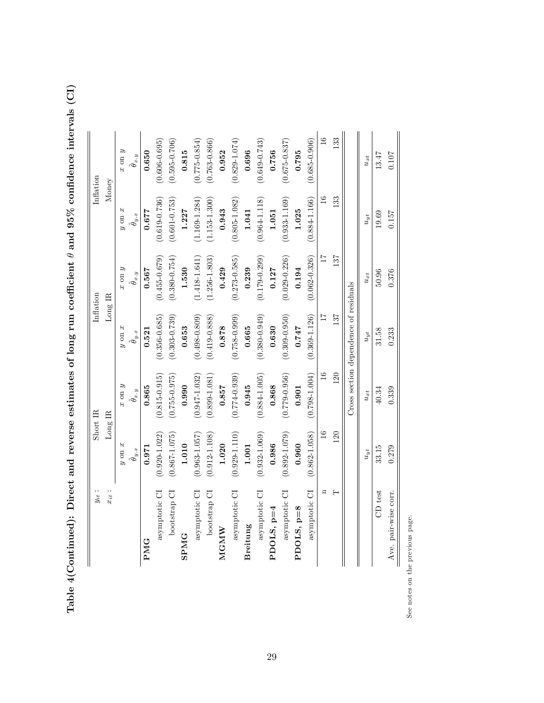Table 4(Continued): Direct and reverse estimates of long run coefficient Table 4(Continued): Direct and reverse estimates of long run coefficient  $\theta$  and 95% confidence intervals (CI)  $\theta$  and  $95\%$  confidence intervals (CI)

| $x_{it}$ :              | Long IR               |                      | Long IR                               |                      | Money                |                      |
|-------------------------|-----------------------|----------------------|---------------------------------------|----------------------|----------------------|----------------------|
|                         | $x$ ao $\theta$       | $x \text{ on } y$    | $y$ on $x$                            | $x \text{ on } y$    | $y$ on $x$           | $x \text{ on } y$    |
|                         | $\hat{\theta}_{y.x}$  | $\hat{\theta}_{x.y}$ | $\hat{\theta}_{y.x}$                  | $\hat{\theta}_{x.y}$ | $\hat{\theta}_{y.x}$ | $\hat{\theta}_{x,y}$ |
|                         | 0.971                 | 0.865                | 0.521                                 | 0.567                | 0.677                | 0.650                |
| asymptotic CI           | $(0.920 - 1.022)$     | $(0.815 - 0.915)$    | $(0.356 - 0.685)$                     | $(0.455 - 0.679)$    | $(0.619 - 0.736)$    | $(0.606 - 0.695)$    |
| bootstrap CI            | $(0.867 - 1.075)$     | $(0.755 - 0.975)$    | $(0.303 - 0.739)$                     | $(0.380 - 0.754)$    | $(0.601 - 0.753)$    | $(0.595 - 0.706)$    |
| <b>SPMG</b>             | 1.010                 | 0.990                | 0.653                                 | 1.530                | 1.227                | 0.815                |
| asymptotic CI           | $(0.963 - 1.057)$     | $(0.947 - 1.032)$    | $(0.498 - 0.809)$                     | $(1.418 - 1.641)$    | $(1.169 - 1.284)$    | $(0.775 - 0.854)$    |
| bootstrap CI            | $(0.912 - 1.108)$     | $(0.899 - 1.081)$    | $(0.419 - 0.888)$                     | $(1.256 - 1.803)$    | $(1.153 - 1.300)$    | $(0.763 - 0.866)$    |
| MGMW                    | 1.020                 | 0.857                | 0.878                                 | 0.429                | 0.943                | 0.952                |
| asymptotic CI           | $(0.929 - 1.110)$     | $(0.774 - 0.939)$    | $(0.758 - 0.999)$                     | $(0.273 - 0.585)$    | $(0.805 - 1.082)$    | $(0.829 - 1.074)$    |
| Breitung                | 1.001                 | 0.945                | 0.665                                 | 0.239                | 1.041                | 0.696                |
| asymptotic CI           | $(0.932 - 1.069)$     | $(0.884 - 1.005)$    | $(0.380 - 0.949)$                     | $(0.179 - 0.299)$    | $(0.964 - 1.118)$    | $(0.649 - 0.743)$    |
| PDOLS, $p=4$            | 0.986                 | 0.868                | 0.630                                 | 0.127                | 1.051                | 0.756                |
| asymptotic CI           | $(0.892 - 1.079)$     | $(0.779 - 0.956)$    | $(0.309 - 0.950)$                     | $(0.029 - 0.226)$    | $(0.933 - 1.169)$    | $(0.675 - 0.837)$    |
| $PDOLS, p=8$            | 0.960                 | 0.901                | 7477                                  | 0.194                | 1.025                | 0.795                |
| asymptotic CI           | $(0.862 - 1.058)$     | $(0.798 - 1.004)$    | $(0.369 - 1.126)$                     | $(0.062 - 0.326)$    | $(0.884 - 1.166)$    | $(0.685 - 0.906)$    |
| $\overline{\mathbf{u}}$ | $\frac{6}{1}$         | $\frac{6}{1}$        | $\overline{11}$                       | $\overline{11}$      | $\frac{6}{1}$        | $\frac{6}{1}$        |
| ⊢                       | 120                   | 120                  | 137                                   | 137                  | 133                  | 133                  |
|                         |                       |                      | Cross section dependence of residuals |                      |                      |                      |
|                         | $\boldsymbol{u}_{yt}$ | $u_{xt}$             | $u_{yt}$                              | $u_{xt}$             | $u_{yt}$             | $u_{xt}$             |
| CD test                 | 33.15                 | 40.34                | 31.58                                 | 50.96                | 19.69                | 13.47                |
| Ave. pair-wise corr.    | 0.279                 | 0.339                | 0.233                                 | 0.376                | 0.157                | 0.107                |

See notes on the previous page. See notes on the previous page.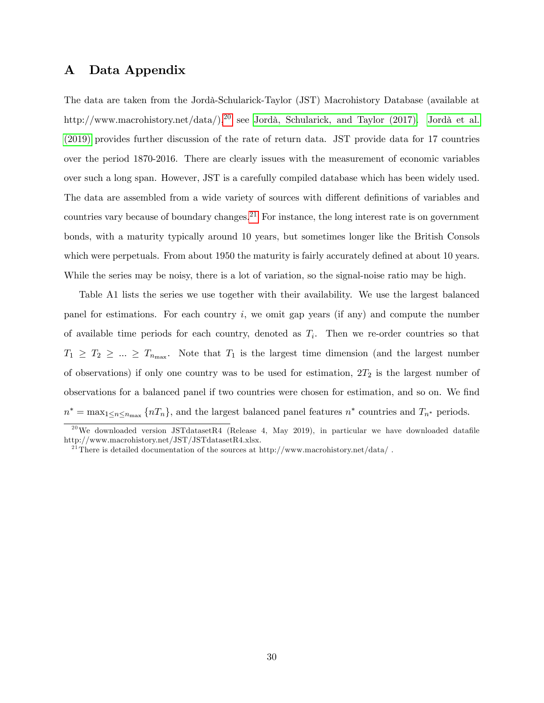## <span id="page-31-0"></span>A Data Appendix

The data are taken from the Jordà-Schularick-Taylor (JST) Macrohistory Database (available at http://www.macrohistory.net/data/),<sup>[20](#page-31-1)</sup> see Jordà, Schularick, and Taylor (2017). Jordà et al. [\(2019\)](#page-34-8) provides further discussion of the rate of return data. JST provide data for 17 countries over the period 1870-2016. There are clearly issues with the measurement of economic variables over such a long span. However, JST is a carefully compiled database which has been widely used. The data are assembled from a wide variety of sources with different definitions of variables and countries vary because of boundary changes.<sup>[21](#page-31-2)</sup> For instance, the long interest rate is on government bonds, with a maturity typically around 10 years, but sometimes longer like the British Consols which were perpetuals. From about 1950 the maturity is fairly accurately defined at about 10 years. While the series may be noisy, there is a lot of variation, so the signal-noise ratio may be high.

Table A1 lists the series we use together with their availability. We use the largest balanced panel for estimations. For each country  $i$ , we omit gap years (if any) and compute the number of available time periods for each country, denoted as  $T_i$ . Then we re-order countries so that  $T_1 \geq T_2 \geq ... \geq T_{n_{\text{max}}}$ . Note that  $T_1$  is the largest time dimension (and the largest number of observations) if only one country was to be used for estimation,  $2T_2$  is the largest number of observations for a balanced panel if two countries were chosen for estimation, and so on. We find  $n^* = \max_{1 \le n \le n_{\text{max}}} \{nT_n\}$ , and the largest balanced panel features  $n^*$  countries and  $T_{n^*}$  periods.

<span id="page-31-1"></span><sup>&</sup>lt;sup>20</sup>We downloaded version JSTdatasetR4 (Release 4, May 2019), in particular we have downloaded datafile http://www.macrohistory.net/JST/JSTdatasetR4.xlsx.

<span id="page-31-2"></span><sup>&</sup>lt;sup>21</sup>There is detailed documentation of the sources at http://www.macrohistory.net/data/.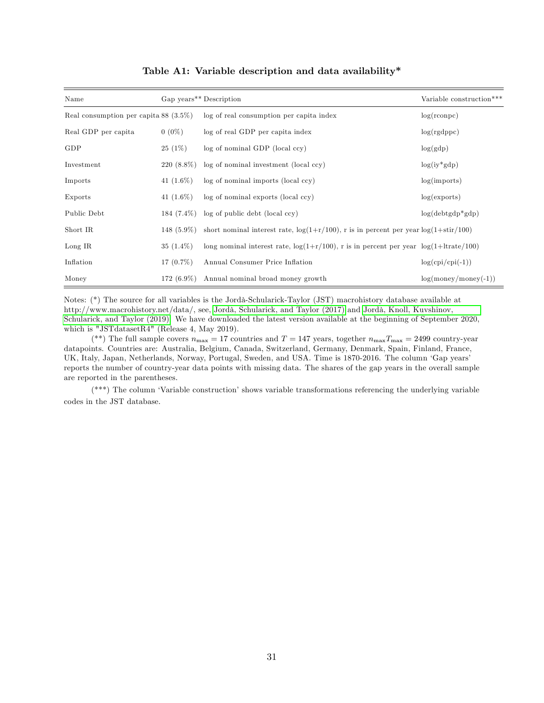| Name                                     |              | Gap years** Description                                                                            | Variable construction*** |
|------------------------------------------|--------------|----------------------------------------------------------------------------------------------------|--------------------------|
| Real consumption per capita 88 $(3.5\%)$ |              | log of real consumption per capita index                                                           | $log($ rconpc $)$        |
| Real GDP per capita                      | $0(0\%)$     | log of real GDP per capita index                                                                   | log(rgdppc)              |
| GDP                                      | $25(1\%)$    | log of nominal GDP (local ccy)                                                                     | log(gdp)                 |
| Investment                               | $220(8.8\%)$ | log of nominal investment (local ccy)                                                              | $log(iy * gdp)$          |
| Imports                                  | 41 $(1.6\%)$ | log of nominal imports (local ccy)                                                                 | log(imports)             |
| Exports                                  | 41 $(1.6\%)$ | log of nominal exports (local ccy)                                                                 | log(exports)             |
| Public Debt                              | 184 (7.4%)   | log of public debt (local ccy)                                                                     | $log(debtgdp*gdp)$       |
| Short IR                                 | 148 (5.9%)   | short nominal interest rate, $log(1+r/100)$ , r is in percent per year $log(1+stir/100)$           |                          |
| Long IR                                  | $35(1.4\%)$  | long nominal interest rate, $\log(1+r/100)$ , r is in percent per year $\log(1+1\text{trate}/100)$ |                          |
| Inflation                                | $17(0.7\%)$  | Annual Consumer Price Inflation                                                                    | $log(cpi/cpi(-1))$       |
| Money                                    | $172(6.9\%)$ | Annual nominal broad money growth                                                                  | $log(money/money(-1))$   |

#### Table A1: Variable description and data availability\*

Notes: (\*) The source for all variables is the Jordà-Schularick-Taylor (JST) macrohistory database available at http://www.macrohistory.net/data/, see, Jordà, Schularick, and Taylor (2017) and Jordà, Knoll, Kuvshinov, [Schularick, and Taylor \(2019\).](#page-34-8) We have downloaded the latest version available at the beginning of September 2020, which is "JSTdatasetR4" (Release 4, May 2019).

(\*\*) The full sample covers  $n_{\text{max}} = 17$  countries and  $T = 147$  years, together  $n_{\text{max}}T_{\text{max}} = 2499$  country-year datapoints. Countries are: Australia, Belgium, Canada, Switzerland, Germany, Denmark, Spain, Finland, France, UK, Italy, Japan, Netherlands, Norway, Portugal, Sweden, and USA. Time is 1870-2016. The column 'Gap years' reports the number of country-year data points with missing data. The shares of the gap years in the overall sample are reported in the parentheses.

 $(**)$  The column 'Variable construction' shows variable transformations referencing the underlying variable codes in the JST database.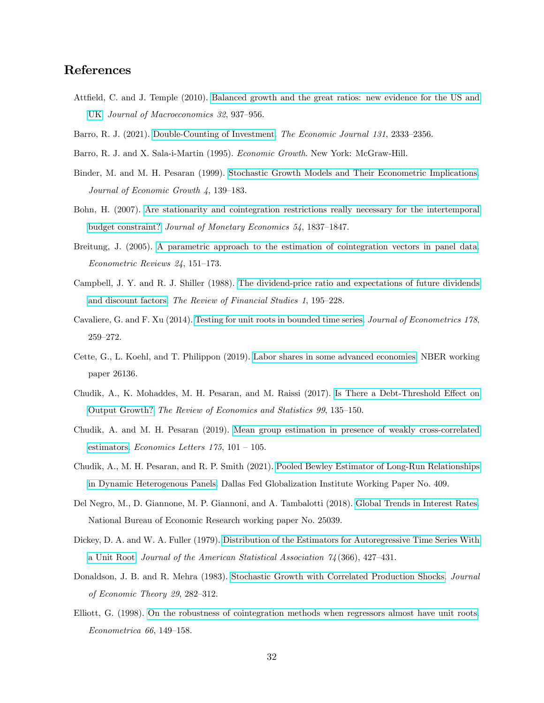## References

- <span id="page-33-3"></span>Attfield, C. and J. Temple (2010). [Balanced growth and the great ratios: new evidence for the US and](https://doi.org/10.1016/j.jmacro.2010.07.001) [UK.](https://doi.org/10.1016/j.jmacro.2010.07.001) Journal of Macroeconomics 32, 937-956.
- <span id="page-33-8"></span><span id="page-33-4"></span>Barro, R. J. (2021). [Double-Counting of Investment.](https://doi.org/10.1093/ej/ueab005) The Economic Journal 131, 2333–2356.
- <span id="page-33-6"></span>Barro, R. J. and X. Sala-i-Martin (1995). Economic Growth. New York: McGraw-Hill.
- Binder, M. and M. H. Pesaran (1999). [Stochastic Growth Models and Their Econometric Implications.](https://doi.org/10.1023/A:1009802421114) Journal of Economic Growth  $4, 139-183$ .
- <span id="page-33-9"></span>Bohn, H. (2007). [Are stationarity and cointegration restrictions really necessary for the intertemporal](https://doi.org/10.1016/j.jmoneco.2006.12.012) [budget constraint?](https://doi.org/10.1016/j.jmoneco.2006.12.012) Journal of Monetary Economics 54, 1837-1847.
- <span id="page-33-2"></span>Breitung, J. (2005). [A parametric approach to the estimation of cointegration vectors in panel data.](https://doi.org/10.1081/ETC-200067895) Econometric Reviews  $24$ , 151-173.
- <span id="page-33-0"></span>Campbell, J. Y. and R. J. Shiller (1988). [The dividend-price ratio and expectations of future dividends](https://doi.org/10.1093/rfs/1.3.195 ) [and discount factors.](https://doi.org/10.1093/rfs/1.3.195 ) The Review of Financial Studies 1, 195–228.
- <span id="page-33-13"></span>Cavaliere, G. and F. Xu (2014). [Testing for unit roots in bounded time series.](https://doi.org/10.1016/j.jeconom.2013.08.026) Journal of Econometrics 178, 259-272.
- <span id="page-33-7"></span>Cette, G., L. Koehl, and T. Philippon (2019). [Labor shares in some advanced economies.](https://doi.org/10.3386/w26136) NBER working paper 26136.
- <span id="page-33-10"></span>Chudik, A., K. Mohaddes, M. H. Pesaran, and M. Raissi (2017). Is There a Debt-Threshold Effect on [Output Growth?](https://doi.org/10.1162/REST_a_00593) The Review of Economics and Statistics 99, 135–150.
- <span id="page-33-14"></span>Chudik, A. and M. H. Pesaran (2019). [Mean group estimation in presence of weakly cross-correlated](https://doi.org/10.1016/j.econlet.2018.12.036) [estimators.](https://doi.org/10.1016/j.econlet.2018.12.036) Economics Letters  $175$ ,  $101 - 105$ .
- <span id="page-33-15"></span>Chudik, A., M. H. Pesaran, and R. P. Smith (2021). [Pooled Bewley Estimator of Long-Run Relationships](https://doi.org/10.24149/gwp409) [in Dynamic Heterogenous Panels.](https://doi.org/10.24149/gwp409) Dallas Fed Globalization Institute Working Paper No. 409.
- <span id="page-33-11"></span>Del Negro, M., D. Giannone, M. P. Giannoni, and A. Tambalotti (2018). [Global Trends in Interest Rates.](https://doi.org/10.3386/w25039) National Bureau of Economic Research working paper No. 25039.
- <span id="page-33-1"></span>Dickey, D. A. and W. A. Fuller (1979). [Distribution of the Estimators for Autoregressive Time Series With](https://doi.org/10.2307/2286348) [a Unit Root.](https://doi.org/10.2307/2286348) Journal of the American Statistical Association  $74(366)$ , 427-431.
- <span id="page-33-5"></span>Donaldson, J. B. and R. Mehra (1983). [Stochastic Growth with Correlated Production Shocks.](https://doi.org/10.1016/0022-0531(83)90049-2) Journal of Economic Theory 29, 282-312.
- <span id="page-33-12"></span>Elliott, G. (1998). [On the robustness of cointegration methods when regressors almost have unit roots.](https://doi.org/10.2307/2998544)  $Econometrica 66, 149-158.$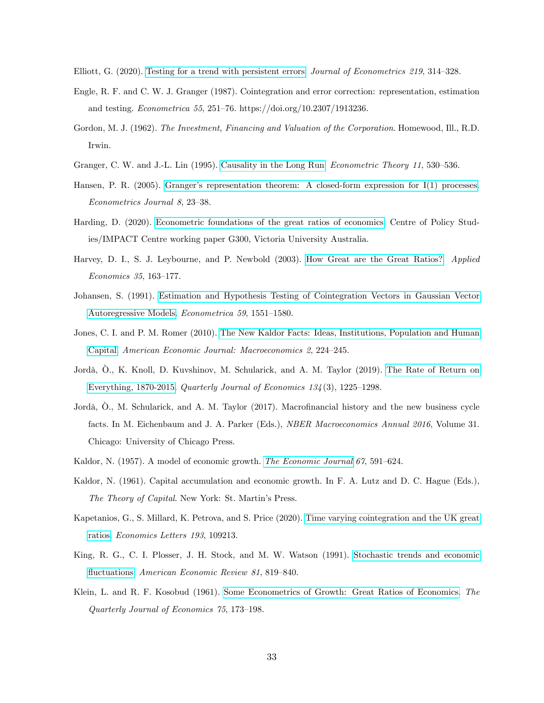<span id="page-34-14"></span><span id="page-34-12"></span>Elliott, G. (2020). [Testing for a trend with persistent errors.](https://doi.org/10.1016/j.jeconom.2020.03.006) Journal of Econometrics 219, 314–328.

- Engle, R. F. and C. W. J. Granger (1987). Cointegration and error correction: representation, estimation and testing. *Econometrica* 55, 251–76. https://doi.org/10.2307/1913236.
- <span id="page-34-9"></span>Gordon, M. J. (1962). The Investment, Financing and Valuation of the Corporation. Homewood, Ill., R.D. Irwin.
- <span id="page-34-13"></span>Granger, C. W. and J.-L. Lin (1995). [Causality in the Long Run.](https://www.jstor.org/stable/3532945) Econometric Theory 11, 530–536.
- Hansen, P. R. (2005). Granger's representation theorem: A closed-form expression for I(1) processes. Econometrics Journal 8, 23-38.
- <span id="page-34-5"></span>Harding, D. (2020). [Econometric foundations of the great ratios of economics.](https://ideas.repec.org/p/cop/wpaper/g-300.html) Centre of Policy Studies/IMPACT Centre working paper G300, Victoria University Australia.
- <span id="page-34-11"></span>Harvey, D. I., S. J. Leybourne, and P. Newbold (2003). [How Great are the Great Ratios?](https://doi.org/10.1080/0003684022000015865) Applied  $Economics 35, 163–177.$
- <span id="page-34-6"></span>Johansen, S. (1991). [Estimation and Hypothesis Testing of Cointegration Vectors in Gaussian Vector](https://doi.org/10.2307/2938278) [Autoregressive Models.](https://doi.org/10.2307/2938278) *Econometrica* 59, 1551–1580.
- <span id="page-34-3"></span>Jones, C. I. and P. M. Romer (2010). [The New Kaldor Facts: Ideas, Institutions, Population and Human](https://doi.org/10.1257/mac.2.1.224) [Capital.](https://doi.org/10.1257/mac.2.1.224) American Economic Journal: Macroeconomics 2, 224-245.
- <span id="page-34-8"></span>Jordà, Ò., K. Knoll, D. Kuvshinov, M. Schularick, and A. M. Taylor (2019). [The Rate of Return on](https://doi.org/10.1093/qje/qjz012) [Everything, 1870-2015.](https://doi.org/10.1093/qje/qjz012) Quarterly Journal of Economics  $134(3)$ , 1225–1298.
- <span id="page-34-7"></span>Jordà, O., M. Schularick, and A. M. Taylor (2017). Macrofinancial history and the new business cycle facts. In M. Eichenbaum and J. A. Parker (Eds.), *NBER Macroeconomics Annual 2016*, Volume 31. Chicago: University of Chicago Press.
- <span id="page-34-1"></span><span id="page-34-0"></span>Kaldor, N. (1957). A model of economic growth. [The Economic Journal](https://doi.org/10.2307/2227704)  $67$ , 591–624.
- Kaldor, N. (1961). Capital accumulation and economic growth. In F. A. Lutz and D. C. Hague (Eds.), The Theory of Capital. New York: St. Martin's Press.
- <span id="page-34-4"></span>Kapetanios, G., S. Millard, K. Petrova, and S. Price (2020). [Time varying cointegration and the UK great](https://doi.org/10.1016/j.econlet.2020.109213) [ratios.](https://doi.org/10.1016/j.econlet.2020.109213) Economics Letters 193, 109213.
- <span id="page-34-10"></span>King, R. G., C. I. Plosser, J. H. Stock, and M. W. Watson (1991). [Stochastic trends and economic](https://www.jstor.org/stable/2006644) fluctuations. American Economic Review 81, 819-840.
- <span id="page-34-2"></span>Klein, L. and R. F. Kosobud (1961). [Some Econometrics of Growth: Great Ratios of Economics.](https://doi.org/10.2307/1884198) The Quarterly Journal of Economics  $75, 173-198$ .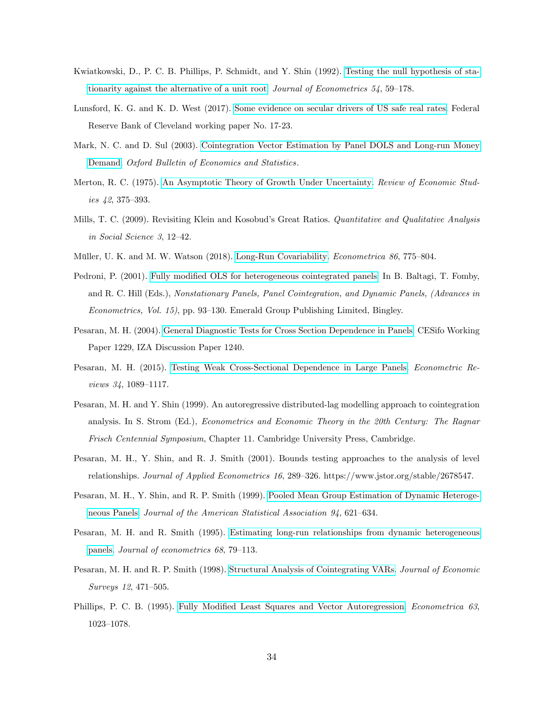- <span id="page-35-1"></span>Kwiatkowski, D., P. C. B. Phillips, P. Schmidt, and Y. Shin (1992). [Testing the null hypothesis of sta](https://doi.org/10.1016/0304-4076(92)90104-Y)[tionarity against the alternative of a unit root.](https://doi.org/10.1016/0304-4076(92)90104-Y) Journal of Econometrics  $54$ ,  $59-178$ .
- <span id="page-35-7"></span>Lunsford, K. G. and K. D. West (2017). [Some evidence on secular drivers of US safe real rates.](https://doi.org/10.26509/frbc-wp-201723) Federal Reserve Bank of Cleveland working paper No. 17-23.
- <span id="page-35-3"></span>Mark, N. C. and D. Sul (2003). [Cointegration Vector Estimation by Panel DOLS and Long-run Money](https://doi.org/10.3386/t0287) [Demand.](https://doi.org/10.3386/t0287) Oxford Bulletin of Economics and Statistics.
- <span id="page-35-4"></span>Merton, R. C. (1975). [An Asymptotic Theory of Growth Under Uncertainty.](https://doi.org/10.2307/2296851) Review of Economic Stud $ies$  42, 375-393.
- <span id="page-35-6"></span>Mills, T. C. (2009). Revisiting Klein and Kosobud's Great Ratios. Quantitative and Qualitative Analysis in Social Science  $3, 12-42$ .
- <span id="page-35-12"></span><span id="page-35-0"></span>Müller, U. K. and M. W. Watson (2018). [Long-Run Covariability.](https://doi.org/10.3982/ECTA15047) *Econometrica 86*, 775–804.
- Pedroni, P. (2001). Fully modified OLS for heterogeneous cointegrated panels. In B. Baltagi, T. Fomby, and R. C. Hill (Eds.), Nonstationary Panels, Panel Cointegration, and Dynamic Panels, (Advances in Econometrics, Vol. 15), pp. 93–130. Emerald Group Publishing Limited, Bingley.
- <span id="page-35-13"></span>Pesaran, M. H. (2004). [General Diagnostic Tests for Cross Section Dependence in Panels.](http://ifo.de/w/XdQFZH6G) CESifo Working Paper 1229, IZA Discussion Paper 1240.
- <span id="page-35-14"></span>Pesaran, M. H. (2015). [Testing Weak Cross-Sectional Dependence in Large Panels.](https://doi.org/10.1080/07474938.2014.956623) Econometric Reviews  $34, 1089 - 1117$ .
- <span id="page-35-11"></span>Pesaran, M. H. and Y. Shin (1999). An autoregressive distributed-lag modelling approach to cointegration analysis. In S. Strom (Ed.), *Econometrics and Economic Theory in the 20th Century: The Ragnar* Frisch Centennial Symposium, Chapter 11. Cambridge University Press, Cambridge.
- <span id="page-35-8"></span>Pesaran, M. H., Y. Shin, and R. J. Smith (2001). Bounds testing approaches to the analysis of level relationships. Journal of Applied Econometrics 16, 289–326. https://www.jstor.org/stable/2678547.
- <span id="page-35-2"></span>Pesaran, M. H., Y. Shin, and R. P. Smith (1999). [Pooled Mean Group Estimation of Dynamic Heteroge](https://doi.org/10.1080/01621459.1999.10474156 )[neous Panels.](https://doi.org/10.1080/01621459.1999.10474156 ) Journal of the American Statistical Association 94, 621-634.
- <span id="page-35-9"></span>Pesaran, M. H. and R. Smith (1995). [Estimating long-run relationships from dynamic heterogeneous](https://doi.org/10.1016/0304-4076(94)01644-F) [panels.](https://doi.org/10.1016/0304-4076(94)01644-F) Journal of econometrics 68, 79–113.
- <span id="page-35-5"></span>Pesaran, M. H. and R. P. Smith (1998). [Structural Analysis of Cointegrating VARs.](https://doi.org/10.1111/1467-6419.00065) Journal of Economic  $Surveys$  12, 471-505.
- <span id="page-35-10"></span>Phillips, P. C. B. (1995). Fully Modified Least Squares and Vector Autoregression. Econometrica 63, 1023-1078.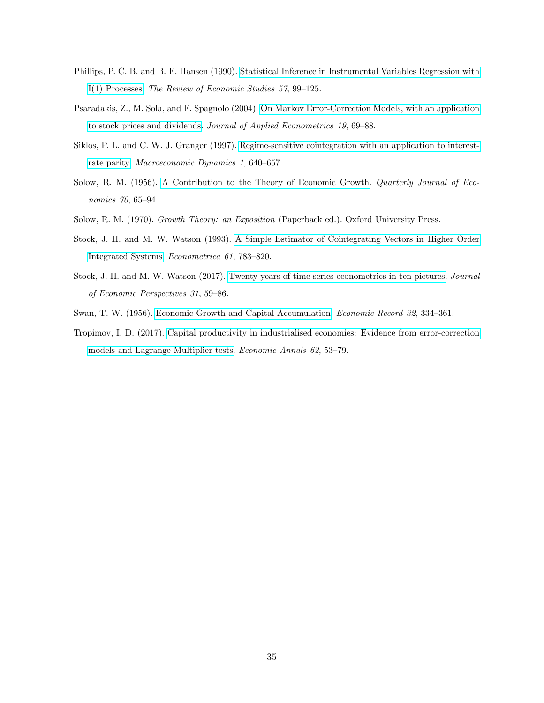- Phillips, P. C. B. and B. E. Hansen (1990). [Statistical Inference in Instrumental Variables Regression with](https://doi.org/10.2307/2297545) [I\(1\) Processes.](https://doi.org/10.2307/2297545) The Review of Economic Studies 57, 99–125.
- Psaradakis, Z., M. Sola, and F. Spagnolo (2004). [On Markov Error-Correction Models, with an application](https://doi.org/10.1002/jae.729) [to stock prices and dividends.](https://doi.org/10.1002/jae.729) Journal of Applied Econometrics 19, 69–88.
- Siklos, P. L. and C. W. J. Granger (1997). [Regime-sensitive cointegration with an application to interest](https://doi.org/10.1017/S1365100597004057)[rate parity.](https://doi.org/10.1017/S1365100597004057) Macroeconomic Dynamics 1, 640-657.
- Solow, R. M. (1956). [A Contribution to the Theory of Economic Growth.](https://doi.org/10.2307/1884513) *Quarterly Journal of Eco*nomics 70, 65-94.
- Solow, R. M. (1970). Growth Theory: an Exposition (Paperback ed.). Oxford University Press.
- Stock, J. H. and M. W. Watson (1993). [A Simple Estimator of Cointegrating Vectors in Higher Order](https://doi.org/10.2307/2951763) [Integrated Systems.](https://doi.org/10.2307/2951763) Econometrica 61, 783–820.
- Stock, J. H. and M. W. Watson (2017). [Twenty years of time series econometrics in ten pictures.](https://doi.org/10.1257/jep.31.2.59) Journal of Economic Perspectives 31, 59-86.
- Swan, T. W. (1956). [Economic Growth and Capital Accumulation.](https://doi.org/10.1111/j.1475-4932.1956.tb00434.x) Economic Record 32, 334–361.
- Tropimov, I. D. (2017). [Capital productivity in industrialised economies: Evidence from error-correction](https://doi.org/10.2298/eka1715053t) [models and Lagrange Multiplier tests.](https://doi.org/10.2298/eka1715053t) *Economic Annals 62*, 53-79.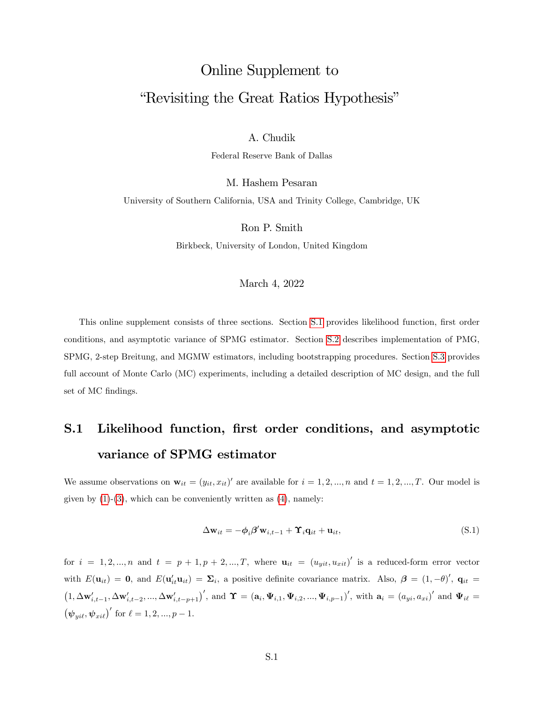# Online Supplement to "Revisiting the Great Ratios Hypothesis"

A. Chudik

Federal Reserve Bank of Dallas

M. Hashem Pesaran

University of Southern California, USA and Trinity College, Cambridge, UK

Ron P. Smith

Birkbeck, University of London, United Kingdom

#### March 4, 2022

This online supplement consists of three sections. Section [S.1](#page-31-0) provides likelihood function, first order conditions, and asymptotic variance of SPMG estimator. Section [S.2](#page-39-0) describes implementation of PMG, SPMG, 2-step Breitung, and MGMW estimators, including bootstrapping procedures. Section [S.3](#page-48-0) provides full account of Monte Carlo (MC) experiments, including a detailed description of MC design, and the full set of MC findings.

# S.1 Likelihood function, first order conditions, and asymptotic variance of SPMG estimator

We assume observations on  $\mathbf{w}_{it} = (y_{it}, x_{it})'$  are available for  $i = 1, 2, ..., n$  and  $t = 1, 2, ..., T$ . Our model is given by  $(1)-(3)$  $(1)-(3)$  $(1)-(3)$ , which can be conveniently written as  $(4)$ , namely:

$$
\Delta \mathbf{w}_{it} = -\phi_i \beta' \mathbf{w}_{i,t-1} + \mathbf{\hat{r}}_i \mathbf{q}_{it} + \mathbf{u}_{it},
$$
\n(S.1)

for  $i = 1, 2, ..., n$  and  $t = p + 1, p + 2, ..., T$ , where  $\mathbf{u}_{it} = (u_{yit}, u_{xit})'$  is a reduced-form error vector with  $E(\mathbf{u}_{it}) = \mathbf{0}$ , and  $E(\mathbf{u}_{it}^{\prime} \mathbf{u}_{it}) = \mathbf{\Sigma}_{i}$ , a positive definite covariance matrix. Also,  $\boldsymbol{\beta} = (1, -\theta)^{\prime}$ ,  $\mathbf{q}_{it} =$  $(1, \Delta \mathbf{w}'_{i,t-1}, \Delta \mathbf{w}'_{i,t-2}, ..., \Delta \mathbf{w}'_{i,t-p+1})'$ , and  $\Upsilon = (\mathbf{a}_i, \Psi_{i,1}, \Psi_{i,2}, ..., \Psi_{i,p-1})'$ , with  $\mathbf{a}_i = (a_{yi}, a_{xi})'$  and  $\Psi_{i\ell} =$  $(\psi_{y i\ell}, \psi_{x i\ell})'$  for  $\ell = 1, 2, ..., p - 1$ .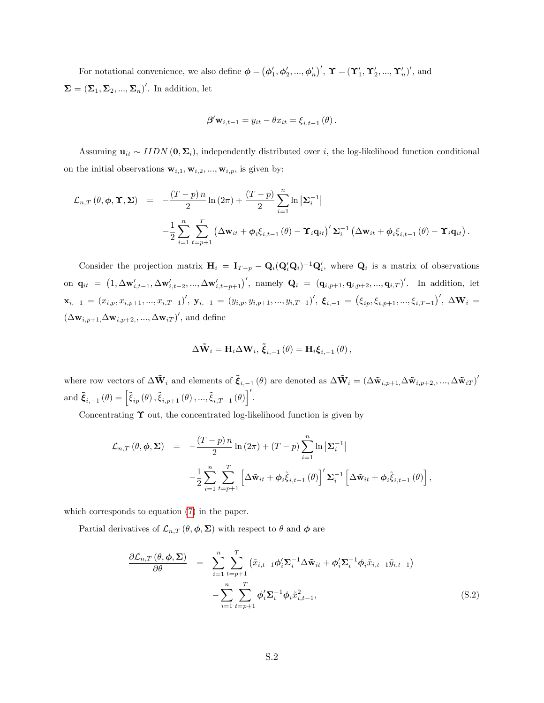For notational convenience, we also define  $\boldsymbol{\phi} = (\phi'_1, \phi'_2, ..., \phi'_n)'$ ,  $\boldsymbol{\Upsilon} = (\boldsymbol{\Upsilon}'_1, \boldsymbol{\Upsilon}'_2, ..., \boldsymbol{\Upsilon}'_n)'$ , and  $\Sigma = (\Sigma_1, \Sigma_2, ..., \Sigma_n)'$ . In addition, let

$$
\boldsymbol{\beta}' \mathbf{w}_{i,t-1} = y_{it} - \theta x_{it} = \xi_{i,t-1}(\theta).
$$

Assuming  $\mathbf{u}_{it} \sim IIDN(\mathbf{0}, \mathbf{\Sigma}_i)$ , independently distributed over i, the log-likelihood function conditional on the initial observations  $\mathbf{w}_{i,1}, \mathbf{w}_{i,2}, ..., \mathbf{w}_{i,p}$ , is given by:

$$
\mathcal{L}_{n,T}(\theta,\phi,\Upsilon,\Sigma) = -\frac{(T-p)\,n}{2}\ln(2\pi) + \frac{(T-p)}{2}\sum_{i=1}^{n}\ln|\Sigma_i^{-1}|
$$

$$
-\frac{1}{2}\sum_{i=1}^{n}\sum_{t=p+1}^{T}\left(\Delta\mathbf{w}_{it} + \phi_i\xi_{i,t-1}(\theta) - \Upsilon_i\mathbf{q}_{it}\right)' \Sigma_i^{-1}\left(\Delta\mathbf{w}_{it} + \phi_i\xi_{i,t-1}(\theta) - \Upsilon_i\mathbf{q}_{it}\right).
$$

Consider the projection matrix  $H_i = I_{T-p} - Q_i(Q_i'Q_i)^{-1}Q_i'$ , where  $Q_i$  is a matrix of observations on  $\mathbf{q}_{it} = (1, \Delta \mathbf{w}'_{i,t-1}, \Delta \mathbf{w}'_{i,t-2}, ..., \Delta \mathbf{w}'_{i,t-p+1})'$ , namely  $\mathbf{Q}_i = (\mathbf{q}_{i,p+1}, \mathbf{q}_{i,p+2}, ..., \mathbf{q}_{i,T})'$ . In addition, let  $\mathbf{x}_{i,-1} = (x_{i,p}, x_{i,p+1}, ..., x_{i,T-1})'$ ,  $\mathbf{y}_{i,-1} = (y_{i,p}, y_{i,p+1}, ..., y_{i,T-1})'$ ,  $\boldsymbol{\xi}_{i,-1} = (\xi_{ip}, \xi_{i,p+1}, ..., \xi_{i,T-1})'$ ,  $\Delta \mathbf{W}_i =$  $(\Delta \mathbf{w}_{i,p+1}, \Delta \mathbf{w}_{i,p+2}, ..., \Delta \mathbf{w}_{iT})'$ , and define

$$
\Delta \tilde{\mathbf{W}}_i = \mathbf{H}_i \Delta \mathbf{W}_i, \, \tilde{\boldsymbol{\xi}}_{i,-1} \left( \theta \right) = \mathbf{H}_i \boldsymbol{\xi}_{i,-1} \left( \theta \right),
$$

where row vectors of  $\Delta \tilde{\mathbf{W}}_i$  and elements of  $\tilde{\boldsymbol{\xi}}_{i,-1}(\theta)$  are denoted as  $\Delta \tilde{\mathbf{W}}_i = (\Delta \tilde{\mathbf{w}}_{i,p+1}, \Delta \tilde{\mathbf{w}}_{i,p+2}, ..., \Delta \tilde{\mathbf{w}}_{iT})'$  $\text{and } \tilde{\boldsymbol{\xi}}_{i,-1}\left(\theta\right)=\left[\widetilde{\xi}_{ip}\left(\theta\right),\widetilde{\xi}_{i,p+1}\left(\theta\right),...,\widetilde{\xi}_{i,T-1}\left(\theta\right)\right]'.$ 

Concentrating  $\Upsilon$  out, the concentrated log-likelihood function is given by

$$
\mathcal{L}_{n,T}(\theta,\phi,\Sigma) = -\frac{(T-p)n}{2}\ln(2\pi) + (T-p)\sum_{i=1}^{n}\ln|\Sigma_{i}^{-1}|
$$

$$
-\frac{1}{2}\sum_{i=1}^{n}\sum_{t=p+1}^{T}\left[\Delta\tilde{\mathbf{w}}_{it} + \phi_{i}\tilde{\xi}_{i,t-1}(\theta)\right]'\Sigma_{i}^{-1}\left[\Delta\tilde{\mathbf{w}}_{it} + \phi_{i}\tilde{\xi}_{i,t-1}(\theta)\right],
$$

which corresponds to equation [\(7\)](#page-14-0) in the paper.

Partial derivatives of  $\mathcal{L}_{n,T}(\theta,\phi,\Sigma)$  with respect to  $\theta$  and  $\phi$  are

<span id="page-38-0"></span>
$$
\frac{\partial \mathcal{L}_{n,T}(\theta, \phi, \Sigma)}{\partial \theta} = \sum_{i=1}^{n} \sum_{t=p+1}^{T} (\tilde{x}_{i,t-1} \phi_i' \Sigma_i^{-1} \Delta \tilde{\mathbf{w}}_{it} + \phi_i' \Sigma_i^{-1} \phi_i \tilde{x}_{i,t-1} \tilde{y}_{i,t-1}) - \sum_{i=1}^{n} \sum_{t=p+1}^{T} \phi_i' \Sigma_i^{-1} \phi_i \tilde{x}_{i,t-1}^2,
$$
\n(S.2)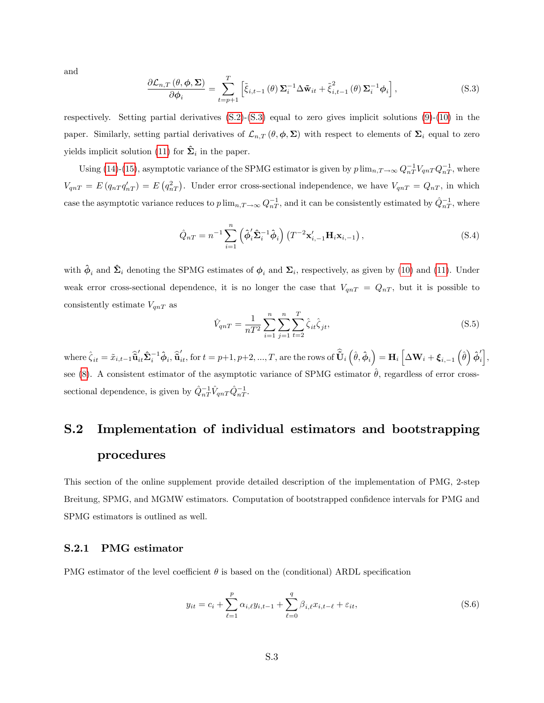and

<span id="page-39-1"></span>
$$
\frac{\partial \mathcal{L}_{n,T}(\theta,\phi,\Sigma)}{\partial \phi_i} = \sum_{t=p+1}^T \left[ \tilde{\xi}_{i,t-1}(\theta) \Sigma_i^{-1} \Delta \tilde{\mathbf{w}}_{it} + \tilde{\xi}_{i,t-1}^2(\theta) \Sigma_i^{-1} \phi_i \right],
$$
\n(S.3)

respectively. Setting partial derivatives  $(S.2)$ - $(S.3)$  equal to zero gives implicit solutions  $(9)$  $(9)$ - $(10)$  in the paper. Similarly, setting partial derivatives of  $\mathcal{L}_{n,T}(\theta,\phi,\Sigma)$  with respect to elements of  $\Sigma_i$  equal to zero yields implicit solution [\(11\)](#page-14-3) for  $\hat{\Sigma}_i$  in the paper.

Using [\(14\)](#page-15-0)-[\(15\)](#page-15-1), asymptotic variance of the SPMG estimator is given by  $p \lim_{n,T \to \infty} Q_{nT}^{-1} V_{qnT} Q_{nT}^{-1}$ , where  $V_{qnT} = E(q_{nT}q'_{nT}) = E(q_{nT}^2)$ . Under error cross-sectional independence, we have  $V_{qnT} = Q_{nT}$ , in which case the asymptotic variance reduces to  $p \lim_{n,T \to \infty} Q^{-1}_{nT}$ , and it can be consistently estimated by  $\hat{Q}^{-1}_{nT}$ , where

<span id="page-39-3"></span>
$$
\hat{Q}_{nT} = n^{-1} \sum_{i=1}^{n} \left( \hat{\phi}'_i \hat{\Sigma}_i^{-1} \hat{\phi}_i \right) \left( T^{-2} \mathbf{x}'_{i,-1} \mathbf{H}_i \mathbf{x}_{i,-1} \right), \tag{S.4}
$$

with  $\hat{\phi}_i$  and  $\hat{\Sigma}_i$  denoting the SPMG estimates of  $\phi_i$  and  $\Sigma_i$ , respectively, as given by [\(10\)](#page-14-2) and [\(11\)](#page-14-3). Under weak error cross-sectional dependence, it is no longer the case that  $V_{qnT} = Q_{nT}$ , but it is possible to consistently estimate  $V_{qnT}$  as

<span id="page-39-4"></span>
$$
\hat{V}_{qnT} = \frac{1}{nT^2} \sum_{i=1}^{n} \sum_{j=1}^{n} \sum_{t=2}^{T} \hat{\zeta}_{it} \hat{\zeta}_{jt},
$$
\n(S.5)

where  $\hat{\zeta}_{it} = \tilde{x}_{i,t-1} \hat{\overline{\mathbf{u}}}'_{it} \hat{\boldsymbol{\Sigma}}^{-1}_i \hat{\boldsymbol{\phi}}_i$ ,  $\hat{\overline{\mathbf{u}}}'_{it}$ , for  $t = p+1, p+2, ..., T$ , are the rows of  $\hat{\overline{\mathbf{U}}}_{i} \left( \hat{\theta}, \hat{\boldsymbol{\phi}}_{i} \right) = \mathbf{H}_{i} \left[ \Delta \mathbf{W}_{i} + \boldsymbol{\xi}_{i,-1} \left( \hat{\theta} \right) \hat{\boldsymbol{\phi}}'_{i} \right],$ see [\(8\)](#page-14-4). A consistent estimator of the asymptotic variance of SPMG estimator  $\theta$ , regardless of error crosssectional dependence, is given by  $\hat{Q}^{-1}_{nT} \hat{V}_{qnT} \hat{Q}^{-1}_{nT}$ .

# <span id="page-39-0"></span>S.2 Implementation of individual estimators and bootstrapping procedures

This section of the online supplement provide detailed description of the implementation of PMG, 2-step Breitung, SPMG, and MGMW estimators. Computation of bootstrapped confidence intervals for PMG and SPMG estimators is outlined as well.

#### <span id="page-39-5"></span>S.2.1 PMG estimator

PMG estimator of the level coefficient  $\theta$  is based on the (conditional) ARDL specification

<span id="page-39-2"></span>
$$
y_{it} = c_i + \sum_{\ell=1}^{p} \alpha_{i,\ell} y_{i,t-1} + \sum_{\ell=0}^{q} \beta_{i,\ell} x_{i,t-\ell} + \varepsilon_{it},
$$
 (S.6)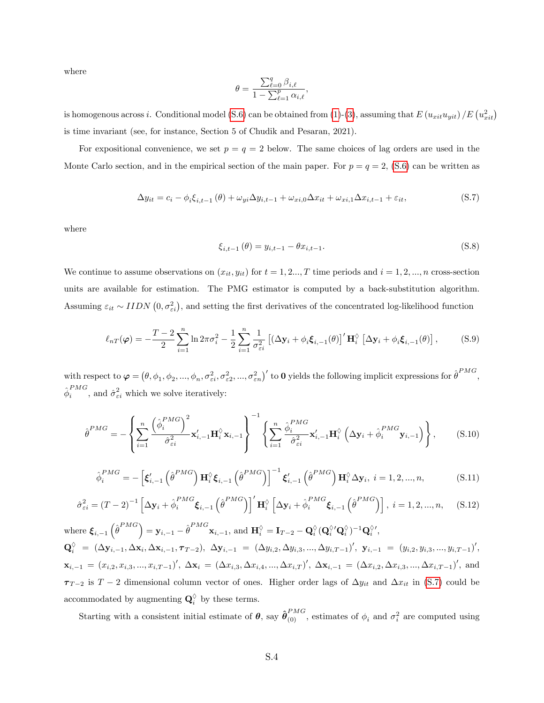where

$$
\theta = \frac{\sum_{\ell=0}^q \beta_{i,\ell}}{1 - \sum_{\ell=1}^p \alpha_{i,\ell}},
$$

is homogenous across *i*. Conditional model [\(S.6\)](#page-39-2) can be obtained from [\(1\)](#page-10-0)-[\(3\)](#page-10-1), assuming that  $E(u_{xit}u_{yit})/E(u_{xit}^2)$ is time invariant (see, for instance, Section 5 of Chudik and Pesaran, 2021).

For expositional convenience, we set  $p = q = 2$  below. The same choices of lag orders are used in the Monte Carlo section, and in the empirical section of the main paper. For  $p = q = 2$ , [\(S.6\)](#page-39-2) can be written as

<span id="page-40-0"></span>
$$
\Delta y_{it} = c_i - \phi_i \xi_{i,t-1}(\theta) + \omega_{yi} \Delta y_{i,t-1} + \omega_{xi,0} \Delta x_{it} + \omega_{xi,1} \Delta x_{i,t-1} + \varepsilon_{it},
$$
\n(S.7)

where

$$
\xi_{i,t-1}(\theta) = y_{i,t-1} - \theta x_{i,t-1}.
$$
\n(S.8)

We continue to assume observations on  $(x_{it}, y_{it})$  for  $t = 1, 2, ..., T$  time periods and  $i = 1, 2, ..., n$  cross-section units are available for estimation. The PMG estimator is computed by a back-substitution algorithm. Assuming  $\varepsilon_{it} \sim IIDN(0, \sigma_{\varepsilon i}^2)$ , and setting the first derivatives of the concentrated log-likelihood function

$$
\ell_{nT}(\varphi) = -\frac{T-2}{2} \sum_{i=1}^{n} \ln 2\pi \sigma_i^2 - \frac{1}{2} \sum_{i=1}^{n} \frac{1}{\sigma_{\varepsilon i}^2} \left[ \left( \Delta \mathbf{y}_i + \phi_i \boldsymbol{\xi}_{i,-1}(\theta) \right)' \mathbf{H}_i^{\Diamond} \left[ \Delta \mathbf{y}_i + \phi_i \boldsymbol{\xi}_{i,-1}(\theta) \right], \tag{S.9}
$$

with respect to  $\boldsymbol{\varphi} = (\theta, \phi_1, \phi_2, ..., \phi_n, \sigma_{\varepsilon i}^2, \sigma_{\varepsilon 2}^2, ..., \sigma_{\varepsilon n}^2)'$  to **0** yields the following implicit expressions for  $\hat{\theta}^{PMG}$ ,  $\hat{\phi}^{PMG}_i$  $\hat{i}^{FMG}$ , and  $\hat{\sigma}_{\varepsilon i}^2$  which we solve iteratively:

<span id="page-40-3"></span>
$$
\hat{\theta}^{PMG} = -\left\{\sum_{i=1}^{n} \frac{\left(\hat{\phi}_{i}^{PMG}\right)^{2}}{\hat{\sigma}_{ei}^{2}} \mathbf{x}_{i,-1}^{\prime} \mathbf{H}_{i}^{\lozenge} \mathbf{x}_{i,-1}\right\}^{-1} \left\{\sum_{i=1}^{n} \frac{\hat{\phi}_{i}^{PMG}}{\hat{\sigma}_{ei}^{2}} \mathbf{x}_{i,-1}^{\prime} \mathbf{H}_{i}^{\lozenge} \left(\Delta \mathbf{y}_{i} + \hat{\phi}_{i}^{PMG} \mathbf{y}_{i,-1}\right)\right\},\tag{S.10}
$$

<span id="page-40-1"></span>
$$
\hat{\phi}_i^{PMG} = -\left[\xi'_{i,-1}\left(\hat{\theta}^{PMG}\right)\mathbf{H}_i^{\lozenge}\xi_{i,-1}\left(\hat{\theta}^{PMG}\right)\right]^{-1}\xi'_{i,-1}\left(\hat{\theta}^{PMG}\right)\mathbf{H}_i^{\lozenge}\Delta\mathbf{y}_i, i = 1, 2, ..., n,
$$
\n(S.11)

<span id="page-40-2"></span>
$$
\hat{\sigma}_{\varepsilon i}^{2} = (T - 2)^{-1} \left[ \Delta \mathbf{y}_{i} + \hat{\phi}_{i}^{PMG} \boldsymbol{\xi}_{i,-1} \left( \hat{\boldsymbol{\theta}}^{PMG} \right) \right]^{\prime} \mathbf{H}_{i}^{\lozenge} \left[ \Delta \mathbf{y}_{i} + \hat{\phi}_{i}^{PMG} \boldsymbol{\xi}_{i,-1} \left( \hat{\boldsymbol{\theta}}^{PMG} \right) \right], \ i = 1, 2, ..., n, \quad (S.12)
$$

 $\text{where }\bm{\xi}_{i,-1}\left(\hat{\theta}^{PMG}\right)=\mathbf{y}_{i,-1}-\hat{\theta}^{PMG}\mathbf{x}_{i,-1}\text{, and }\mathbf{H}_{i}^{\lozenge}=\mathbf{I}_{T-2}-\mathbf{Q}_{i}^{\lozenge}(\mathbf{Q}_{i}^{\lozenge\prime}\mathbf{Q}_{i}^{\lozenge})^{-1}\mathbf{Q}_{i}^{\lozenge\prime}\text{,}$  $\mathbf{Q}_i^\Diamond \; = \; (\Delta \mathbf{y}_{i,-1}, \Delta \mathbf{x}_i, \Delta \mathbf{x}_{i,-1}, \boldsymbol{\tau}_{T-2}), \; \Delta \mathbf{y}_{i,-1} \; = \; (\Delta y_{i,2}, \Delta y_{i,3}, ..., \Delta y_{i,T-1})', \; \mathbf{y}_{i,-1} \; = \; (y_{i,2}, y_{i,3}, ..., y_{i,T-1})',$  $\mathbf{x}_{i,-1} = (x_{i,2}, x_{i,3}, ..., x_{i,T-1})', \ \Delta \mathbf{x}_i = (\Delta x_{i,3}, \Delta x_{i,4}, ..., \Delta x_{i,T})', \ \Delta \mathbf{x}_{i,-1} = (\Delta x_{i,2}, \Delta x_{i,3}, ..., \Delta x_{i,T-1})',$  and  $\tau_{T-2}$  is  $T-2$  dimensional column vector of ones. Higher order lags of  $\Delta y_{it}$  and  $\Delta x_{it}$  in [\(S.7\)](#page-40-0) could be accommodated by augmenting  $\mathbf{Q}_i^{\lozenge}$  by these terms.

Starting with a consistent initial estimate of  $\theta$ , say  $\hat{\theta}_{(0)}^{PMG}$ , estimates of  $\phi_i$  and  $\sigma_i^2$  are computed using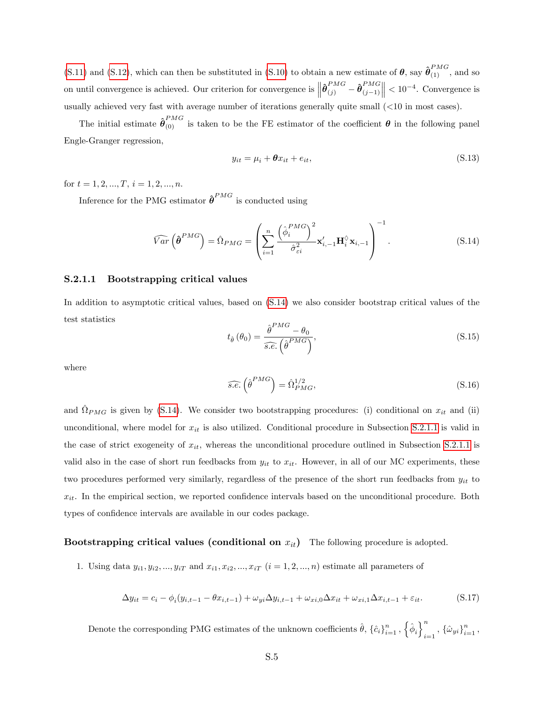[\(S.11\)](#page-40-1) and [\(S.12\)](#page-40-2), which can then be substituted in [\(S.10\)](#page-40-3) to obtain a new estimate of  $\theta$ , say  $\hat{\theta}_{(1)}^{PMG}$ , and so on until convergence is achieved. Our criterion for convergence is  $\left\|\hat{\theta}_{(j)}^{PMG} - \hat{\theta}_{(j-1)}^{PMG}\right\|$  $(j-1)$  $\vert\vert < 10^{-4}$ . Convergence is usually achieved very fast with average number of iterations generally quite small (<10 in most cases).

The initial estimate  $\hat{\theta}^{PMG}_{(0)}$  is taken to be the FE estimator of the coefficient  $\theta$  in the following panel Engle-Granger regression,

$$
y_{it} = \mu_i + \theta x_{it} + e_{it},\tag{S.13}
$$

for  $t = 1, 2, ..., T, i = 1, 2, ..., n$ .

Inference for the PMG estimator  $\hat{\boldsymbol{\theta}}^{PMG}$  is conducted using

<span id="page-41-0"></span>
$$
\widehat{Var}\left(\widehat{\boldsymbol{\theta}}^{PMG}\right) = \widehat{\Omega}_{PMG} = \left(\sum_{i=1}^{n} \frac{\left(\widehat{\phi}_{i}^{PMG}\right)^{2}}{\widehat{\sigma}_{\varepsilon i}^{2}} \mathbf{x}_{i,-1}^{\prime} \mathbf{H}_{i}^{\lozenge} \mathbf{x}_{i,-1}\right)^{-1}.
$$
\n(S.14)

#### S.2.1.1 Bootstrapping critical values

In addition to asymptotic critical values, based on [\(S.14\)](#page-41-0) we also consider bootstrap critical values of the test statistics

$$
t_{\hat{\theta}}\left(\theta_{0}\right) = \frac{\hat{\theta}^{PMG} - \theta_{0}}{\widehat{s.e.}\left(\hat{\theta}^{PMG}\right)},\tag{S.15}
$$

where

$$
\widehat{s.e.} \left(\widehat{\boldsymbol{\theta}}^{PMG}\right) = \widehat{\Omega}_{PMG}^{1/2},\tag{S.16}
$$

and  $\hat{\Omega}_{PMG}$  is given by [\(S.14\)](#page-41-0). We consider two bootstrapping procedures: (i) conditional on  $x_{it}$  and (ii) unconditional, where model for  $x_{it}$  is also utilized. Conditional procedure in Subsection [S.2.1.1](#page-41-1) is valid in the case of strict exogeneity of  $x_{it}$ , whereas the unconditional procedure outlined in Subsection [S.2.1.1](#page-42-0) is valid also in the case of short run feedbacks from  $y_{it}$  to  $x_{it}$ . However, in all of our MC experiments, these two procedures performed very similarly, regardless of the presence of the short run feedbacks from  $y_{it}$  to  $x_{it}$ . In the empirical section, we reported confidence intervals based on the unconditional procedure. Both types of confidence intervals are available in our codes package.

#### <span id="page-41-1"></span>Bootstrapping critical values (conditional on  $x_{it}$ ) The following procedure is adopted.

1. Using data  $y_{i1}, y_{i2}, ..., y_{iT}$  and  $x_{i1}, x_{i2}, ..., x_{iT}$   $(i = 1, 2, ..., n)$  estimate all parameters of

$$
\Delta y_{it} = c_i - \phi_i(y_{i,t-1} - \theta x_{i,t-1}) + \omega_{yi} \Delta y_{i,t-1} + \omega_{xi,0} \Delta x_{it} + \omega_{xi,1} \Delta x_{i,t-1} + \varepsilon_{it}.
$$
\n(S.17)

Denote the corresponding PMG estimates of the unknown coefficients  $\hat{\theta}$ ,  $\{\hat{c}_i\}_{i=1}^n$ ,  $\left\{\hat{\phi}_i\right\}_{i=1}^n$  $\sum_{i=1}^n$ ,  $\{\hat{\omega}_{yi}\}_{i=1}^n$ ,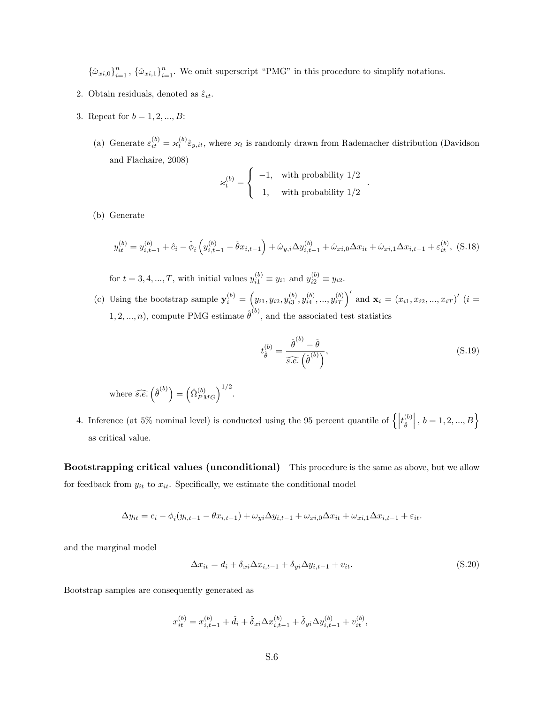${\lbrace \hat{\omega}_{xi,0} \rbrace}_{i=1}^n$ ,  ${\lbrace \hat{\omega}_{xi,1} \rbrace}_{i=1}^n$ . We omit superscript "PMG" in this procedure to simplify notations.

- 2. Obtain residuals, denoted as  $\hat{\varepsilon}_{it}$ .
- 3. Repeat for  $b = 1, 2, ..., B$ :
	- (a) Generate  $\varepsilon_{it}^{(b)} = \varkappa_t^{(b)} \hat{\varepsilon}_{y,it}$ , where  $\varkappa_t$  is randomly drawn from Rademacher distribution (Davidson and Flachaire, 2008)

$$
\varkappa_t^{(b)} = \left\{ \begin{array}{cl} -1, & \text{with probability} \ 1/2 \\ & 1, & \text{with probability} \ 1/2 \end{array} \right.
$$

(b) Generate

$$
y_{it}^{(b)} = y_{i,t-1}^{(b)} + \hat{c}_i - \hat{\phi}_i \left( y_{i,t-1}^{(b)} - \hat{\theta} x_{i,t-1} \right) + \hat{\omega}_{y,i} \Delta y_{i,t-1}^{(b)} + \hat{\omega}_{xi,0} \Delta x_{it} + \hat{\omega}_{xi,1} \Delta x_{i,t-1} + \varepsilon_{it}^{(b)},
$$
 (S.18)

for  $t = 3, 4, ..., T$ , with initial values  $y_{i1}^{(b)} \equiv y_{i1}$  and  $y_{i2}^{(b)} \equiv y_{i2}$ .

(c) Using the bootstrap sample  $\mathbf{y}_i^{(b)} = (y_{i1}, y_{i2}, y_{i3}^{(b)}, y_{i4}^{(b)}, ..., y_{iT}^{(b)})'$  and  $\mathbf{x}_i = (x_{i1}, x_{i2}, ..., x_{iT})'$   $(i =$ 1, 2, ..., n), compute PMG estimate  $\hat{\theta}^{(b)}$ , and the associated test statistics

$$
t_{\hat{\theta}}^{(b)} = \frac{\hat{\theta}^{(b)} - \hat{\theta}}{s.e. \left(\hat{\theta}^{(b)}\right)},
$$
\n(S.19)

.

where 
$$
\widehat{s.e.} \left(\widehat{\theta}^{(b)}\right) = \left(\widehat{\Omega}_{PMG}^{(b)}\right)^{1/2}.
$$

4. Inference (at 5% nominal level) is conducted using the 95 percent quantile of  $\left\{ \left| t_{\hat{\theta}}^{(b)} \right\rangle$  $\hat{\theta}$  $\Big\vert$  ,  $b=1,2,...,B\Big\}$ as critical value.

<span id="page-42-0"></span>Bootstrapping critical values (unconditional) This procedure is the same as above, but we allow for feedback from  $y_{it}$  to  $x_{it}$ . Specifically, we estimate the conditional model

$$
\Delta y_{it} = c_i - \phi_i(y_{i,t-1} - \theta x_{i,t-1}) + \omega_{yi} \Delta y_{i,t-1} + \omega_{xi,0} \Delta x_{it} + \omega_{xi,1} \Delta x_{i,t-1} + \varepsilon_{it}.
$$

and the marginal model

$$
\Delta x_{it} = d_i + \delta_{xi} \Delta x_{i,t-1} + \delta_{yi} \Delta y_{i,t-1} + v_{it}.
$$
\n(S.20)

Bootstrap samples are consequently generated as

$$
x_{it}^{(b)} = x_{i,t-1}^{(b)} + \hat{d}_i + \hat{\delta}_{xi} \Delta x_{i,t-1}^{(b)} + \hat{\delta}_{yi} \Delta y_{i,t-1}^{(b)} + v_{it}^{(b)},
$$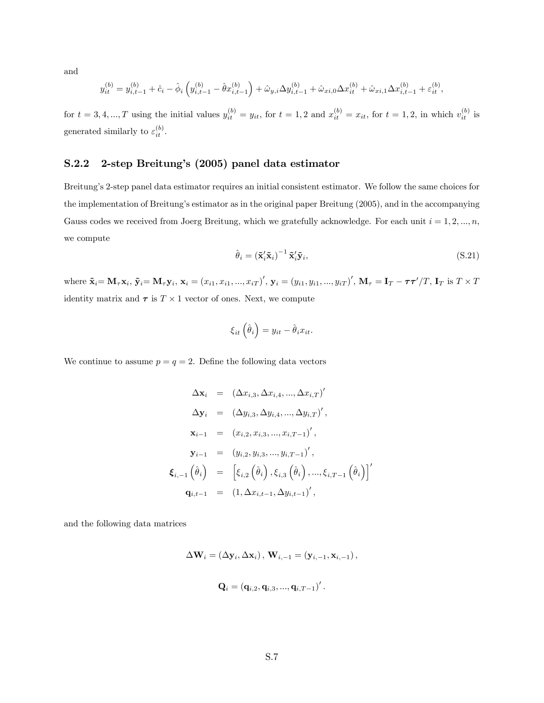and

$$
y_{it}^{(b)} = y_{i,t-1}^{(b)} + \hat{c}_i - \hat{\phi}_i \left( y_{i,t-1}^{(b)} - \hat{\theta} x_{i,t-1}^{(b)} \right) + \hat{\omega}_{y,i} \Delta y_{i,t-1}^{(b)} + \hat{\omega}_{xi,0} \Delta x_{it}^{(b)} + \hat{\omega}_{xi,1} \Delta x_{i,t-1}^{(b)} + \varepsilon_{it}^{(b)},
$$

for  $t = 3, 4, ..., T$  using the initial values  $y_{it}^{(b)} = y_{it}$ , for  $t = 1, 2$  and  $x_{it}^{(b)} = x_{it}$ , for  $t = 1, 2$ , in which  $v_{it}^{(b)}$  is generated similarly to  $\varepsilon_{it}^{(b)}$ .

#### S.2.2 2-step Breitungís (2005) panel data estimator

Breitung's 2-step panel data estimator requires an initial consistent estimator. We follow the same choices for the implementation of Breitung's estimator as in the original paper Breitung (2005), and in the accompanying Gauss codes we received from Joerg Breitung, which we gratefully acknowledge. For each unit  $i = 1, 2, ..., n$ , we compute

$$
\hat{\theta}_i = \left(\tilde{\mathbf{x}}_i'\tilde{\mathbf{x}}_i\right)^{-1}\tilde{\mathbf{x}}_i'\tilde{\mathbf{y}}_i,\tag{S.21}
$$

 $\prime$ 

where  $\tilde{\mathbf{x}}_i = \mathbf{M}_{\tau} \mathbf{x}_i$ ,  $\tilde{\mathbf{y}}_i = \mathbf{M}_{\tau} \mathbf{y}_i$ ,  $\mathbf{x}_i = (x_{i1}, x_{i1}, ..., x_{iT})'$ ,  $\mathbf{y}_i = (y_{i1}, y_{i1}, ..., y_{iT})'$ ,  $\mathbf{M}_{\tau} = \mathbf{I}_T - \tau \tau'/T$ ,  $\mathbf{I}_T$  is  $T \times T$ identity matrix and  $\tau$  is  $T \times 1$  vector of ones. Next, we compute

$$
\xi_{it}\left(\hat{\theta}_{i}\right) = y_{it} - \hat{\theta}_{i}x_{it}.
$$

We continue to assume  $p = q = 2$ . Define the following data vectors

$$
\Delta \mathbf{x}_{i} = (\Delta x_{i,3}, \Delta x_{i,4}, ..., \Delta x_{i,T})'
$$
  
\n
$$
\Delta \mathbf{y}_{i} = (\Delta y_{i,3}, \Delta y_{i,4}, ..., \Delta y_{i,T})',
$$
  
\n
$$
\mathbf{x}_{i-1} = (x_{i,2}, x_{i,3}, ..., x_{i,T-1})',
$$
  
\n
$$
\mathbf{y}_{i-1} = (y_{i,2}, y_{i,3}, ..., y_{i,T-1})',
$$
  
\n
$$
\boldsymbol{\xi}_{i,-1} (\hat{\theta}_{i}) = [\xi_{i,2} (\hat{\theta}_{i}), \xi_{i,3} (\hat{\theta}_{i}), ..., \xi_{i,T-1} (\hat{\theta}_{i})]
$$
  
\n
$$
\mathbf{q}_{i,t-1} = (1, \Delta x_{i,t-1}, \Delta y_{i,t-1})',
$$

and the following data matrices

$$
\Delta \mathbf{W}_i = \left(\Delta \mathbf{y}_i, \Delta \mathbf{x}_i\right), \, \mathbf{W}_{i,-1} = \left(\mathbf{y}_{i,-1}, \mathbf{x}_{i,-1}\right),
$$
  

$$
\mathbf{Q}_i = \left(\mathbf{q}_{i,2}, \mathbf{q}_{i,3}, ..., \mathbf{q}_{i,T-1}\right)^\prime.
$$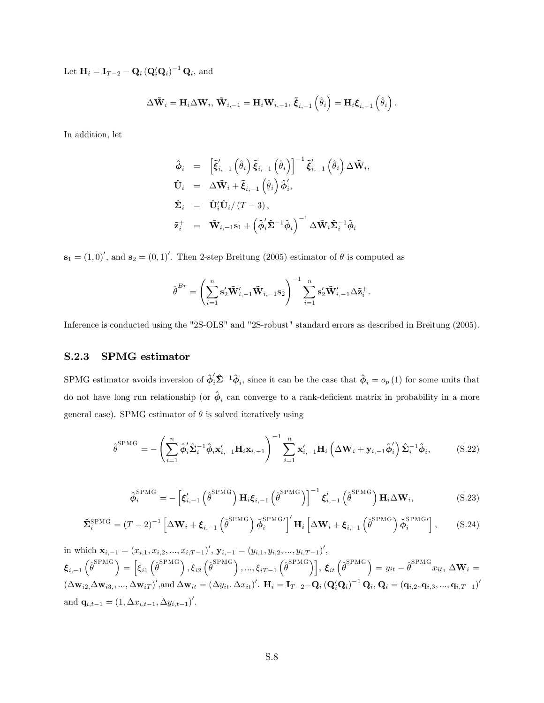Let  $\mathbf{H}_i = \mathbf{I}_{T-2} - \mathbf{Q}_i (\mathbf{Q}_i' \mathbf{Q}_i)^{-1} \mathbf{Q}_i$ , and

$$
\Delta\mathbf{\tilde{W}}_{i}=\mathbf{H}_{i}\Delta\mathbf{W}_{i},\,\mathbf{\tilde{W}}_{i,-1}=\mathbf{H}_{i}\mathbf{W}_{i,-1},\,\mathbf{\tilde{\xi}}_{i,-1}\left(\hat{\theta}_{i}\right)=\mathbf{H}_{i}\mathbf{\xi}_{i,-1}\left(\hat{\theta}_{i}\right).
$$

In addition, let

$$
\hat{\boldsymbol{\phi}}_{i} = \left[ \tilde{\boldsymbol{\xi}}'_{i,-1} \left( \hat{\theta}_{i} \right) \tilde{\boldsymbol{\xi}}_{i,-1} \left( \hat{\theta}_{i} \right) \right]^{-1} \tilde{\boldsymbol{\xi}}'_{i,-1} \left( \hat{\theta}_{i} \right) \Delta \tilde{\mathbf{W}}_{i},
$$
\n
$$
\hat{\mathbf{U}}_{i} = \Delta \tilde{\mathbf{W}}_{i} + \tilde{\boldsymbol{\xi}}_{i,-1} \left( \hat{\theta}_{i} \right) \hat{\boldsymbol{\phi}}'_{i},
$$
\n
$$
\hat{\boldsymbol{\Sigma}}_{i} = \hat{\mathbf{U}}'_{i} \hat{\mathbf{U}}_{i} / (T - 3),
$$
\n
$$
\tilde{\mathbf{z}}_{i}^{+} = \tilde{\mathbf{W}}_{i,-1} \mathbf{s}_{1} + \left( \hat{\boldsymbol{\phi}}'_{i} \hat{\boldsymbol{\Sigma}}^{-1} \hat{\boldsymbol{\phi}}_{i} \right)^{-1} \Delta \tilde{\mathbf{W}}_{i} \hat{\boldsymbol{\Sigma}}_{i}^{-1} \hat{\boldsymbol{\phi}}_{i}
$$

 $\mathbf{s}_1 = (1,0)^\prime$ , and  $\mathbf{s}_2 = (0,1)^\prime$ . Then 2-step Breitung (2005) estimator of  $\theta$  is computed as

$$
\hat{\boldsymbol{\theta}}^{Br} = \left(\sum_{i=1}^n \mathbf{s}'_2 \tilde{\mathbf{W}}'_{i,-1} \tilde{\mathbf{W}}_{i,-1} \mathbf{s}_2\right)^{-1} \sum_{i=1}^n \mathbf{s}'_2 \tilde{\mathbf{W}}'_{i,-1} \Delta \tilde{\mathbf{z}}_i^+.
$$

Inference is conducted using the "2S-OLS" and "2S-robust" standard errors as described in Breitung (2005).

#### <span id="page-44-0"></span>S.2.3 SPMG estimator

SPMG estimator avoids inversion of  $\hat{\phi}'_i \hat{\Sigma}^{-1} \hat{\phi}_i$ , since it can be the case that  $\hat{\phi}_i = o_p(1)$  for some units that do not have long run relationship (or  $\hat{\phi}_i$  can converge to a rank-deficient matrix in probability in a more general case). SPMG estimator of  $\theta$  is solved iteratively using

$$
\hat{\boldsymbol{\theta}}^{\text{SPMG}} = -\left(\sum_{i=1}^{n} \hat{\boldsymbol{\phi}}_{i}^{\prime} \hat{\boldsymbol{\Sigma}}_{i}^{-1} \hat{\boldsymbol{\phi}}_{i} \mathbf{x}_{i,-1}^{\prime} \mathbf{H}_{i} \mathbf{x}_{i,-1}\right)^{-1} \sum_{i=1}^{n} \mathbf{x}_{i,-1}^{\prime} \mathbf{H}_{i} \left(\Delta \mathbf{W}_{i} + \mathbf{y}_{i,-1} \hat{\boldsymbol{\phi}}_{i}^{\prime}\right) \hat{\boldsymbol{\Sigma}}_{i}^{-1} \hat{\boldsymbol{\phi}}_{i}, \tag{S.22}
$$

$$
\hat{\boldsymbol{\phi}}_i^{\text{SPMG}} = -\left[\boldsymbol{\xi}_{i,-1}'\left(\hat{\boldsymbol{\theta}}^{\text{SPMG}}\right)\mathbf{H}_i\boldsymbol{\xi}_{i,-1}\left(\hat{\boldsymbol{\theta}}^{\text{SPMG}}\right)\right]^{-1}\boldsymbol{\xi}_{i,-1}'\left(\hat{\boldsymbol{\theta}}^{\text{SPMG}}\right)\mathbf{H}_i\Delta\mathbf{W}_i, \tag{S.23}
$$

$$
\hat{\mathbf{\Sigma}}_{i}^{\text{SPMG}} = (T - 2)^{-1} \left[ \Delta \mathbf{W}_{i} + \boldsymbol{\xi}_{i,-1} \left( \hat{\boldsymbol{\theta}}^{\text{SPMG}} \right) \hat{\boldsymbol{\phi}}_{i}^{\text{SPMG}} \right]' \mathbf{H}_{i} \left[ \Delta \mathbf{W}_{i} + \boldsymbol{\xi}_{i,-1} \left( \hat{\boldsymbol{\theta}}^{\text{SPMG}} \right) \hat{\boldsymbol{\phi}}_{i}^{\text{SPMG}} \right], \tag{S.24}
$$

in which  $\mathbf{x}_{i,-1} = (x_{i,1}, x_{i,2}, ..., x_{i,T-1})'$ ,  $\mathbf{y}_{i,-1} = (y_{i,1}, y_{i,2}, ..., y_{i,T-1})'$ ,  $\mathbf{\xi}_{i,-1} \left(\hat{\theta}^{\text{SPMG}}\right) = \left[\xi_{i1} \left(\hat{\theta}^{\text{SPMG}}\right),\xi_{i2} \left(\hat{\theta}^{\text{SPMG}}\right),...,\xi_{iT-1} \left(\hat{\theta}^{\text{SPMG}}\right)\right], \, \mathbf{\xi}_{it} \left(\hat{\theta}^{\text{SPMG}}\right) = y_{it} - \hat{\theta}^{\text{SPMG}} x_{it}, \, \Delta \mathbf{W}_i = 0\,.$  $(\Delta \mathbf{w}_{i2}, \Delta \mathbf{w}_{i3}, ..., \Delta \mathbf{w}_{iT})'$ , and  $\Delta \mathbf{w}_{it} = (\Delta y_{it}, \Delta x_{it})'$ .  $\mathbf{H}_i = \mathbf{I}_{T-2} - \mathbf{Q}_i (\mathbf{Q}_i' \mathbf{Q}_i)^{-1} \mathbf{Q}_i$ ,  $\mathbf{Q}_i = (\mathbf{q}_{i,2}, \mathbf{q}_{i,3}, ..., \mathbf{q}_{i,T-1})'$ and  $\mathbf{q}_{i,t-1} = (1, \Delta x_{i,t-1}, \Delta y_{i,t-1})'$ .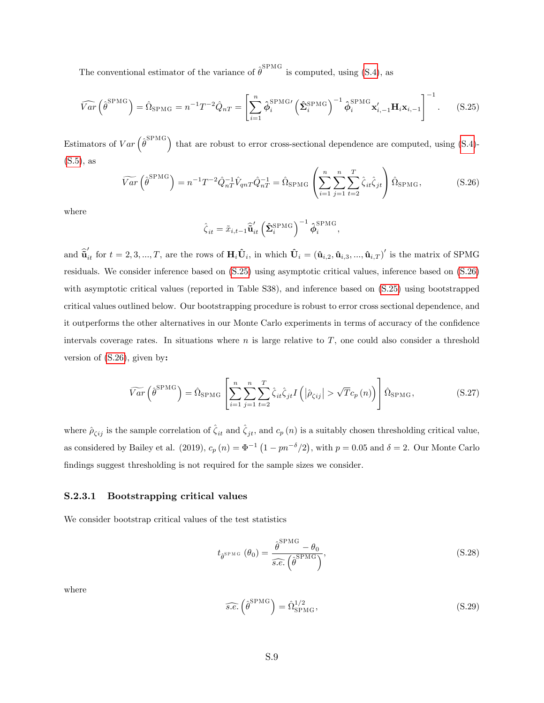The conventional estimator of the variance of  $\hat{\theta}^{\text{SPMG}}$  is computed, using [\(S.4\)](#page-39-3), as

<span id="page-45-0"></span>
$$
\widehat{Var}\left(\widehat{\boldsymbol{\theta}}^{\text{SPMG}}\right) = \widehat{\Omega}_{\text{SPMG}} = n^{-1}T^{-2}\widehat{Q}_{nT} = \left[\sum_{i=1}^{n} \widehat{\boldsymbol{\phi}}_{i}^{\text{SPMG}}\left(\widehat{\boldsymbol{\Sigma}}_{i}^{\text{SPMG}}\right)^{-1} \widehat{\boldsymbol{\phi}}_{i}^{\text{SPMG}} \mathbf{x}_{i,-1}^{\prime} \mathbf{H}_{i} \mathbf{x}_{i,-1}\right]^{-1}.
$$
 (S.25)

Estimators of  $Var\left(\hat{\theta}^{\text{SPMG}}\right)$  that are robust to error cross-sectional dependence are computed, using [\(S.4\)](#page-39-3)- $(S.5)$ , as

<span id="page-45-1"></span>
$$
\widetilde{Var}\left(\hat{\theta}^{\text{SPMG}}\right) = n^{-1}T^{-2}\hat{Q}_{nT}^{-1}\hat{V}_{qnT}\hat{Q}_{nT}^{-1} = \hat{\Omega}_{\text{SPMG}}\left(\sum_{i=1}^{n}\sum_{j=1}^{n}\sum_{t=2}^{T}\hat{\zeta}_{it}\hat{\zeta}_{jt}\right)\hat{\Omega}_{\text{SPMG}},\tag{S.26}
$$

where

$$
\hat{\zeta}_{it} = \tilde{x}_{i,t-1} \hat{\tilde{\mathbf{u}}}'_{it} \left( \hat{\boldsymbol{\Sigma}}_i^{\mathrm{SPMG}} \right)^{-1} \hat{\boldsymbol{\phi}}_i^{\mathrm{SPMG}},
$$

and  $\hat{\tilde{\mathbf{u}}}'_{it}$  for  $t = 2, 3, ..., T$ , are the rows of  $\mathbf{H}_i \hat{\mathbf{U}}_i$ , in which  $\hat{\mathbf{U}}_i = (\hat{\mathbf{u}}_{i,2}, \hat{\mathbf{u}}_{i,3}, ..., \hat{\mathbf{u}}_{i,T})'$  is the matrix of SPMG residuals. We consider inference based on [\(S.25\)](#page-45-0) using asymptotic critical values, inference based on [\(S.26\)](#page-45-1) with asymptotic critical values (reported in Table S38), and inference based on  $(S.25)$  using bootstrapped critical values outlined below. Our bootstrapping procedure is robust to error cross sectional dependence, and it outperforms the other alternatives in our Monte Carlo experiments in terms of accuracy of the confidence intervals coverage rates. In situations where  $n$  is large relative to  $T$ , one could also consider a threshold version of [\(S.26\)](#page-45-1), given by:

$$
\widetilde{Var}\left(\hat{\theta}^{\text{SPMG}}\right) = \hat{\Omega}_{\text{SPMG}}\left[\sum_{i=1}^{n} \sum_{j=1}^{n} \sum_{t=2}^{T} \hat{\zeta}_{it} \hat{\zeta}_{jt} I\left(|\hat{\rho}_{\zeta ij}| > \sqrt{T}c_p\left(n\right)\right)\right] \hat{\Omega}_{\text{SPMG}},\tag{S.27}
$$

where  $\hat{\rho}_{\zeta ij}$  is the sample correlation of  $\hat{\zeta}_{it}$  and  $\hat{\zeta}_{jt}$ , and  $c_p (n)$  is a suitably chosen thresholding critical value, as considered by Bailey et al. (2019),  $c_p(n) = \Phi^{-1}(1 - pn^{-\delta}/2)$ , with  $p = 0.05$  and  $\delta = 2$ . Our Monte Carlo findings suggest thresholding is not required for the sample sizes we consider.

#### S.2.3.1 Bootstrapping critical values

We consider bootstrap critical values of the test statistics

$$
t_{\hat{\theta}^{\text{SPMG}}}(\theta_0) = \frac{\hat{\theta}^{\text{SPMG}} - \theta_0}{\widehat{s.e.}(\hat{\theta}^{\text{SPMG}})},
$$
\n(S.28)

where

$$
\widehat{s.e.} \left(\widehat{\theta}^{\text{SPMG}}\right) = \widehat{\Omega}_{\text{SPMG}}^{1/2},\tag{S.29}
$$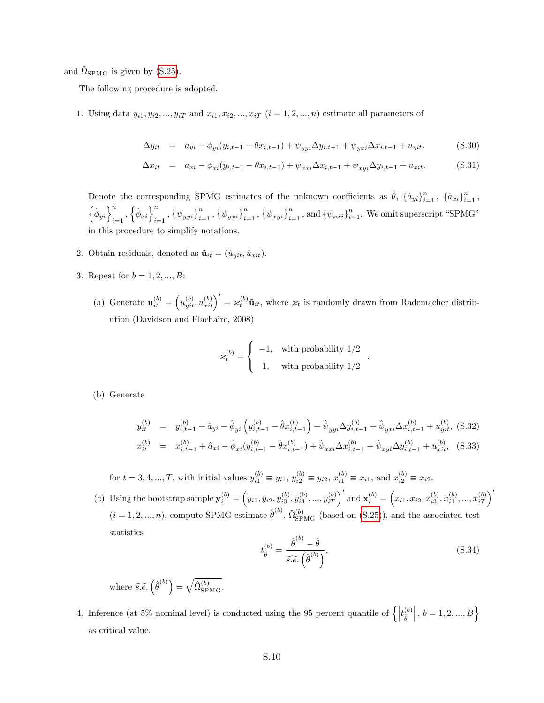and  $\hat{\Omega}_{\text{SPMG}}$  is given by [\(S.25\)](#page-45-0).

The following procedure is adopted.

1. Using data  $y_{i1}, y_{i2}, ..., y_{iT}$  and  $x_{i1}, x_{i2}, ..., x_{iT}$   $(i = 1, 2, ..., n)$  estimate all parameters of

$$
\Delta y_{it} = a_{yi} - \phi_{yi}(y_{i,t-1} - \theta x_{i,t-1}) + \psi_{yyi}\Delta y_{i,t-1} + \psi_{yxi}\Delta x_{i,t-1} + u_{yit}.
$$
 (S.30)

$$
\Delta x_{it} = a_{xi} - \phi_{xi}(y_{i,t-1} - \theta x_{i,t-1}) + \psi_{xxi} \Delta x_{i,t-1} + \psi_{xyi} \Delta y_{i,t-1} + u_{xit}.
$$
 (S.31)

Denote the corresponding SPMG estimates of the unknown coefficients as  $\hat{\theta}$ ,  $\{\hat{a}_{yi}\}_{i=1}^n$ ,  $\{\hat{a}_{xi}\}_{i=1}^n$ ,  $\left\{\hat{\boldsymbol{\phi}}_{yi}\right\}_{i=1}^n, \left\{\hat{\boldsymbol{\phi}}_{xi}\right\}_{i=1}^n, \left\{\psi_{yyi}\right\}_{i=1}^n, \left\{\psi_{xyi}\right\}_{i=1}^n, \left\{\psi_{xyi}\right\}_{i=1}^n, \text{and} \left\{\psi_{xxi}\right\}_{i=1}^n. \text{ We omit superscript "SPMG"}$ in this procedure to simplify notations.

- 2. Obtain residuals, denoted as  $\hat{\mathbf{u}}_{it} = (\hat{u}_{yit}, \hat{u}_{xit}).$
- 3. Repeat for  $b = 1, 2, ..., B$ :
	- (a) Generate  $\mathbf{u}_{it}^{(b)} = (u_{yit}^{(b)}, u_{xit}^{(b)})' = \varkappa_t^{(b)} \hat{\mathbf{u}}_{it}$ , where  $\varkappa_t$  is randomly drawn from Rademacher distribution (Davidson and Flachaire, 2008)

$$
\varkappa_t^{(b)} = \begin{cases} \begin{array}{c} -1, & \text{with probability } 1/2 \\ 1, & \text{with probability } 1/2 \end{array} \end{cases}
$$

(b) Generate

$$
y_{it}^{(b)} = y_{i,t-1}^{(b)} + \hat{a}_{yi} - \hat{\phi}_{yi} \left( y_{i,t-1}^{(b)} - \hat{\theta} x_{i,t-1}^{(b)} \right) + \hat{\psi}_{yyi} \Delta y_{i,t-1}^{(b)} + \hat{\psi}_{yxi} \Delta x_{i,t-1}^{(b)} + u_{yit}^{(b)},
$$
 (S.32)  

$$
x_{it}^{(b)} = x_{i,t-1}^{(b)} + \hat{a}_{xi} - \hat{\phi}_{xi} (y_{i,t-1}^{(b)} - \hat{\theta} x_{i,t-1}^{(b)}) + \hat{\psi}_{xxi} \Delta x_{i,t-1}^{(b)} + \hat{\psi}_{xyi} \Delta y_{i,t-1}^{(b)} + u_{xit}^{(b)},
$$
 (S.33)

for  $t = 3, 4, ..., T$ , with initial values  $y_{i1}^{(b)} \equiv y_{i1}, y_{i2}^{(b)} \equiv y_{i2}, x_{i1}^{(b)} \equiv x_{i1}$ , and  $x_{i2}^{(b)} \equiv x_{i2}$ .

(c) Using the bootstrap sample  $\mathbf{y}_i^{(b)} = (y_{i1}, y_{i2}, y_{i3}^{(b)}, y_{i4}^{(b)}, ..., y_{iT}^{(b)})'$  and  $\mathbf{x}_i^{(b)} = (x_{i1}, x_{i2}, x_{i3}^{(b)}, x_{i4}^{(b)}, ..., x_{iT}^{(b)})'$  $(i = 1, 2, ..., n)$ , compute SPMG estimate  $\hat{\theta}^{(b)}$ ,  $\hat{\Omega}_{\text{SPMG}}^{(b)}$  (based on [\(S.25\)](#page-45-0)), and the associated test statistics

$$
t_{\hat{\theta}}^{(b)} = \frac{\hat{\theta}^{(b)} - \hat{\theta}}{s.e. \left(\hat{\theta}^{(b)}\right)},
$$
\n(S.34)

.

where  $\widehat{s.e.}(\hat{\theta}^{(b)}) = \sqrt{\hat{\Omega}_{\mathrm{SPMG}}^{(b)}}$ .

4. Inference (at 5% nominal level) is conducted using the 95 percent quantile of  $\left\{ \left| t_{\hat{\theta}}^{(b)} \right\rangle$  $\hat{\theta}$  $\Big\vert\,,\, b=1,2,...,B\Big\}$ as critical value.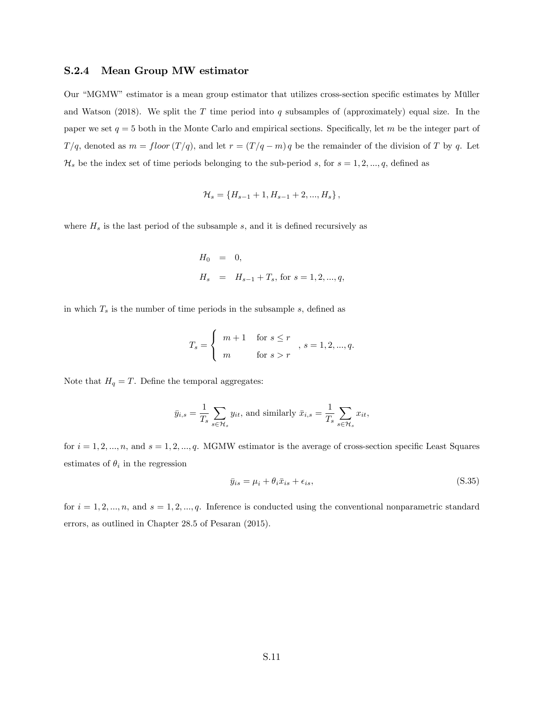#### S.2.4 Mean Group MW estimator

Our "MGMW" estimator is a mean group estimator that utilizes cross-section specific estimates by Müller and Watson (2018). We split the T time period into q subsamples of (approximately) equal size. In the paper we set  $q = 5$  both in the Monte Carlo and empirical sections. Specifically, let m be the integer part of  $T/q$ , denoted as  $m = floor (T/q)$ , and let  $r = (T/q - m) q$  be the remainder of the division of T by q. Let  $\mathcal{H}_s$  be the index set of time periods belonging to the sub-period s, for  $s = 1, 2, ..., q$ , defined as

$$
\mathcal{H}_s = \{H_{s-1}+1, H_{s-1}+2, ..., H_s\},\,
$$

where  $H_s$  is the last period of the subsample s, and it is defined recursively as

$$
\begin{array}{lcl} H_0 & = & 0, \\ & & \\ H_s & = & H_{s-1} + T_s, \, \mbox{for} \, \, s = 1,2,...,q, \end{array}
$$

in which  $T_s$  is the number of time periods in the subsample  $s$ , defined as

$$
T_s = \begin{cases} m+1 & \text{for } s \le r \\ m & \text{for } s > r \end{cases}, s = 1, 2, \dots, q.
$$

Note that  $H_q = T$ . Define the temporal aggregates:

$$
\bar{y}_{i,s} = \frac{1}{T_s} \sum_{s \in \mathcal{H}_s} y_{it}, \text{ and similarly } \bar{x}_{i,s} = \frac{1}{T_s} \sum_{s \in \mathcal{H}_s} x_{it},
$$

for  $i = 1, 2, ..., n$ , and  $s = 1, 2, ..., q$ . MGMW estimator is the average of cross-section specific Least Squares estimates of  $\theta_i$  in the regression

$$
\bar{y}_{is} = \mu_i + \theta_i \bar{x}_{is} + \epsilon_{is},\tag{S.35}
$$

for  $i = 1, 2, ..., n$ , and  $s = 1, 2, ..., q$ . Inference is conducted using the conventional nonparametric standard errors, as outlined in Chapter 28.5 of Pesaran (2015).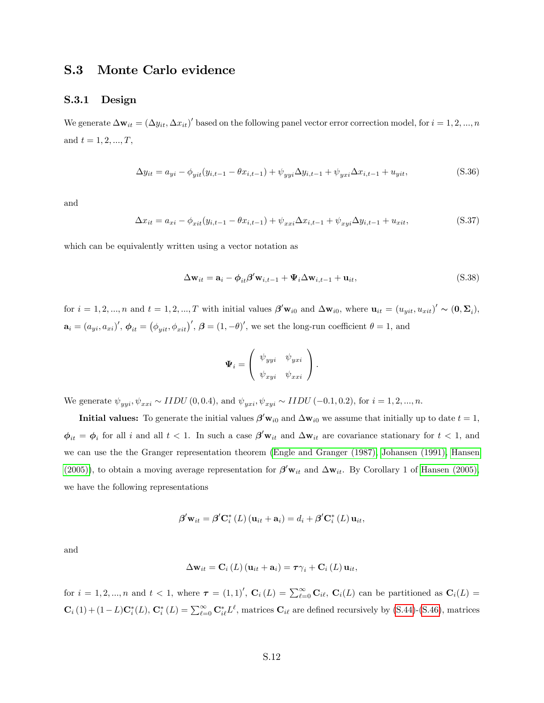# <span id="page-48-0"></span>S.3 Monte Carlo evidence

#### S.3.1 Design

We generate  $\Delta \mathbf{w}_{it} = (\Delta y_{it}, \Delta x_{it})'$  based on the following panel vector error correction model, for  $i = 1, 2, ..., n$ and  $t = 1, 2, ..., T$ ,

<span id="page-48-2"></span>
$$
\Delta y_{it} = a_{yi} - \phi_{yit}(y_{i,t-1} - \theta x_{i,t-1}) + \psi_{yyi}\Delta y_{i,t-1} + \psi_{yxi}\Delta x_{i,t-1} + u_{yit},
$$
\n(S.36)

and

<span id="page-48-3"></span>
$$
\Delta x_{it} = a_{xi} - \phi_{xit}(y_{i,t-1} - \theta x_{i,t-1}) + \psi_{xxi} \Delta x_{i,t-1} + \psi_{xyi} \Delta y_{i,t-1} + u_{xit},
$$
\n(S.37)

which can be equivalently written using a vector notation as

<span id="page-48-1"></span>
$$
\Delta \mathbf{w}_{it} = \mathbf{a}_i - \phi_{it} \boldsymbol{\beta}' \mathbf{w}_{i,t-1} + \boldsymbol{\Psi}_i \Delta \mathbf{w}_{i,t-1} + \mathbf{u}_{it},
$$
\n(S.38)

for  $i = 1, 2, ..., n$  and  $t = 1, 2, ..., T$  with initial values  $\beta' \mathbf{w}_{i0}$  and  $\Delta \mathbf{w}_{i0}$ , where  $\mathbf{u}_{it} = (u_{yit}, u_{xit})' \sim (\mathbf{0}, \mathbf{\Sigma}_i)$ ,  $\mathbf{a}_i = (a_{yi}, a_{xi})', \boldsymbol{\phi}_{it} = (\phi_{yit}, \phi_{xit})', \boldsymbol{\beta} = (1, -\theta)',$  we set the long-run coefficient  $\theta = 1$ , and

$$
\Psi_i = \left(\begin{array}{cc} \psi_{yyi} & \psi_{yxi} \\ \psi_{xyi} & \psi_{xxi} \end{array}\right).
$$

We generate  $\psi_{yyi}, \psi_{xxi} \sim IIDU(0, 0.4)$ , and  $\psi_{yxi}, \psi_{xyi} \sim IIDU(-0.1, 0.2)$ , for  $i = 1, 2, ..., n$ .

**Initial values:** To generate the initial values  $\beta' \mathbf{w}_{i0}$  and  $\Delta \mathbf{w}_{i0}$  we assume that initially up to date  $t = 1$ ,  $\phi_{it} = \phi_i$  for all i and all  $t < 1$ . In such a case  $\beta' \mathbf{w}_{it}$  and  $\Delta \mathbf{w}_{it}$  are covariance stationary for  $t < 1$ , and we can use the the Granger representation theorem [\(Engle and Granger \(1987\),](#page-34-0) [Johansen \(1991\),](#page-34-1) [Hansen](#page-34-2) [\(2005\)\)](#page-34-2), to obtain a moving average representation for  $\beta' \mathbf{w}_{it}$  and  $\Delta \mathbf{w}_{it}$ . By Corollary 1 of [Hansen \(2005\),](#page-34-2) we have the following representations

$$
\boldsymbol{\beta}' \mathbf{w}_{it} = \boldsymbol{\beta}' \mathbf{C}_i^* (L) (\mathbf{u}_{it} + \mathbf{a}_i) = d_i + \boldsymbol{\beta}' \mathbf{C}_i^* (L) \mathbf{u}_{it},
$$

and

$$
\Delta\mathbf{w}_{it} = \mathbf{C}_i \left( L \right) \left( \mathbf{u}_{it} + \mathbf{a}_i \right) = \boldsymbol{\tau} \gamma_i + \mathbf{C}_i \left( L \right) \mathbf{u}_{it},
$$

for  $i = 1, 2, ..., n$  and  $t < 1$ , where  $\tau = (1, 1)'$ ,  $\mathbf{C}_i(L) = \sum_{\ell=0}^{\infty} \mathbf{C}_{i\ell}$ ,  $\mathbf{C}_i(L)$  can be partitioned as  $\mathbf{C}_i(L)$  $\mathbf{C}_i(1) + (1-L)\mathbf{C}_i^*(L), \mathbf{C}_i^*(L) = \sum_{\ell=0}^{\infty} \mathbf{C}_{i\ell}^* L^{\ell}$ , matrices  $\mathbf{C}_{i\ell}$  are defined recursively by [\(S.44\)](#page-51-0)-[\(S.46\)](#page-51-0), matrices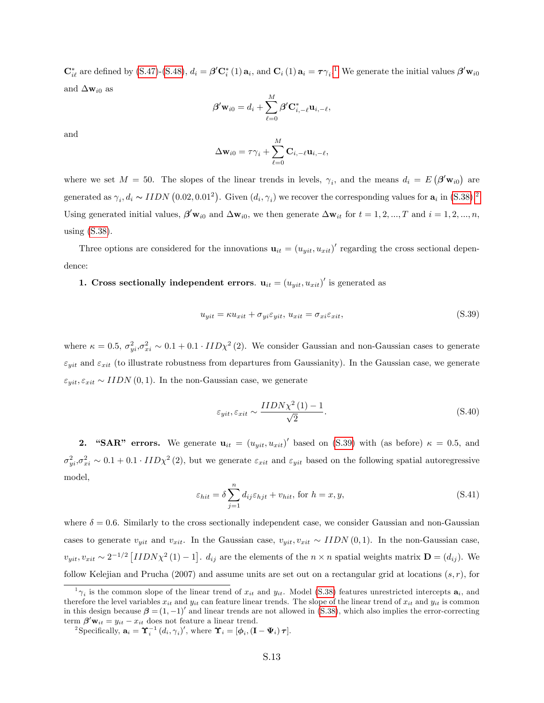$\mathbf{C}_{i\ell}^*$  are defined by [\(S.47\)](#page-51-1)-[\(S.48\)](#page-51-1),  $d_i = \boldsymbol{\beta}' \mathbf{C}_i^*$  ([1](#page-49-0))  $\mathbf{a}_i$ , and  $\mathbf{C}_i$  (1)  $\mathbf{a}_i = \boldsymbol{\tau} \gamma_i$ .<sup>1</sup> We generate the initial values  $\boldsymbol{\beta}' \mathbf{w}_{i0}$ and  $\Delta \mathbf{w}_{i0}$  as

$$
\boldsymbol{\beta}' \mathbf{w}_{i0} = d_i + \sum_{\ell=0}^M \boldsymbol{\beta}' \mathbf{C}_{i,-\ell}^* \mathbf{u}_{i,-\ell},
$$

and

$$
\Delta \mathbf{w}_{i0} = \tau \gamma_i + \sum_{\ell=0}^M \mathbf{C}_{i,-\ell} \mathbf{u}_{i,-\ell},
$$

where we set  $M = 50$ . The slopes of the linear trends in levels,  $\gamma_i$ , and the means  $d_i = E(\beta' \mathbf{w}_{i0})$  are generated as  $\gamma_i, d_i \sim IIDN(0.02, 0.01^2)$  $\gamma_i, d_i \sim IIDN(0.02, 0.01^2)$  $\gamma_i, d_i \sim IIDN(0.02, 0.01^2)$ . Given  $(d_i, \gamma_i)$  we recover the corresponding values for  $a_i$  in  $(S.38).$  $(S.38).$ <sup>2</sup> Using generated initial values,  $\beta' \mathbf{w}_{i0}$  and  $\Delta \mathbf{w}_{i0}$ , we then generate  $\Delta \mathbf{w}_{it}$  for  $t = 1, 2, ..., T$  and  $i = 1, 2, ..., n$ , using [\(S.38\)](#page-48-1).

Three options are considered for the innovations  $\mathbf{u}_{it} = (u_{yit}, u_{xit})'$  regarding the cross sectional dependence:

#### 1. Cross sectionally independent errors.  $\mathbf{u}_{it} = (u_{yit}, u_{xit})'$  is generated as

<span id="page-49-2"></span>
$$
u_{yit} = \kappa u_{xit} + \sigma_{yi}\varepsilon_{yit}, \ u_{xit} = \sigma_{xi}\varepsilon_{xit},\tag{S.39}
$$

where  $\kappa = 0.5$ ,  $\sigma_{yi}^2$ ,  $\sigma_{xi}^2 \sim 0.1 + 0.1 \cdot ID\chi^2$  (2). We consider Gaussian and non-Gaussian cases to generate  $\varepsilon_{yit}$  and  $\varepsilon_{xit}$  (to illustrate robustness from departures from Gaussianity). In the Gaussian case, we generate  $\varepsilon_{yit}, \varepsilon_{xit} \sim IIDN(0, 1)$ . In the non-Gaussian case, we generate

$$
\varepsilon_{yit}, \varepsilon_{xit} \sim \frac{IIDN\chi^2(1) - 1}{\sqrt{2}}.\tag{S.40}
$$

**2.** "SAR" errors. We generate  $\mathbf{u}_{it} = (u_{yit}, u_{xit})'$  based on [\(S.39\)](#page-49-2) with (as before)  $\kappa = 0.5$ , and  $\sigma_{yi}^2, \sigma_{xi}^2 \sim 0.1 + 0.1 \cdot ID\chi^2$  (2), but we generate  $\varepsilon_{xit}$  and  $\varepsilon_{yit}$  based on the following spatial autoregressive model,

$$
\varepsilon_{hit} = \delta \sum_{j=1}^{n} d_{ij} \varepsilon_{hjt} + v_{hit}, \text{ for } h = x, y,
$$
\n(S.41)

where  $\delta = 0.6$ . Similarly to the cross sectionally independent case, we consider Gaussian and non-Gaussian cases to generate  $v_{yit}$  and  $v_{xit}$ . In the Gaussian case,  $v_{yit}$ ,  $v_{xit} \sim IIDN(0, 1)$ . In the non-Gaussian case,  $v_{yit}$ ,  $v_{xit} \sim 2^{-1/2} [IIDN\chi^2(1) - 1]$ .  $d_{ij}$  are the elements of the  $n \times n$  spatial weights matrix  $\mathbf{D} = (d_{ij})$ . We follow Kelejian and Prucha (2007) and assume units are set out on a rectangular grid at locations  $(s, r)$ , for

<span id="page-49-0"></span> $\gamma_i$  is the common slope of the linear trend of  $x_{it}$  and  $y_{it}$ . Model [\(S.38\)](#page-48-1) features unrestricted intercepts  $a_i$ , and therefore the level variables  $x_{it}$  and  $y_{it}$  can feature linear trends. The slope of the linear trend of  $x_{it}$  and  $y_{it}$  is common in this design because  $\beta = (1, -1)^t$  and linear trends are not allowed in [\(S.38\)](#page-48-1), which also implies the error-correcting term  $\beta'$ **w**<sub>it</sub> =  $y_{it} - x_{it}$  does not feature a linear trend.

<span id="page-49-1"></span><sup>&</sup>lt;sup>2</sup>Specifically,  $\mathbf{a}_i = \Upsilon_i^{-1} (d_i, \gamma_i)'$ , where  $\Upsilon_i = [\phi_i, (\mathbf{I} - \Psi_i) \boldsymbol{\tau}]$ .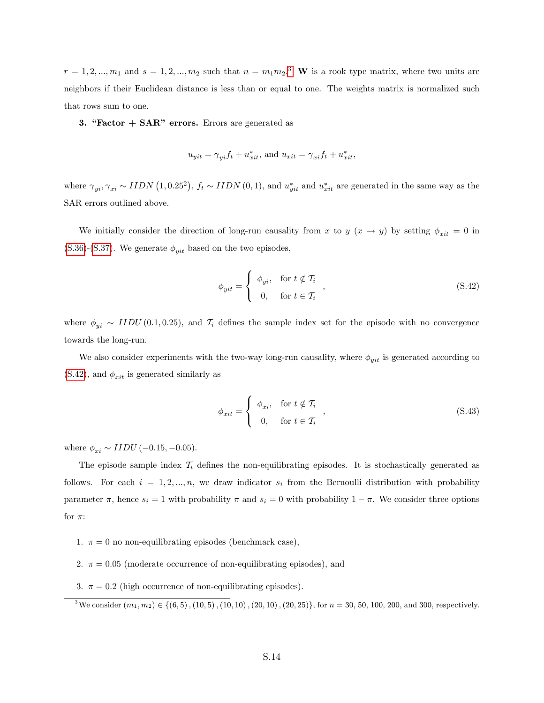$r = 1, 2, ..., m_1$  and  $s = 1, 2, ..., m_2$  such that  $n = m_1 m_2$ .<sup>[3](#page-50-0)</sup> W is a rook type matrix, where two units are neighbors if their Euclidean distance is less than or equal to one. The weights matrix is normalized such that rows sum to one.

3. "Factor  $+$  SAR" errors. Errors are generated as

$$
u_{yit} = \gamma_{yi} f_t + u_{xit}^*, \text{ and } u_{xit} = \gamma_{xi} f_t + u_{xit}^*,
$$

where  $\gamma_{yi}, \gamma_{xi} \sim IIDN(1, 0.25^2), f_t \sim IIDN(0, 1),$  and  $u_{yit}^*$  and  $u_{xit}^*$  are generated in the same way as the SAR errors outlined above.

We initially consider the direction of long-run causality from x to y  $(x \to y)$  by setting  $\phi_{xit} = 0$  in [\(S.36\)](#page-48-2)-[\(S.37\)](#page-48-3). We generate  $\phi_{uit}$  based on the two episodes,

<span id="page-50-1"></span>
$$
\phi_{yit} = \begin{cases} \phi_{yi}, & \text{for } t \notin \mathcal{T}_i \\ 0, & \text{for } t \in \mathcal{T}_i \end{cases},
$$
\n(S.42)

where  $\phi_{yi} \sim IIDU(0.1, 0.25)$ , and  $\mathcal{T}_i$  defines the sample index set for the episode with no convergence towards the long-run.

We also consider experiments with the two-way long-run causality, where  $\phi_{yit}$  is generated according to  $(S.42)$ , and  $\phi_{xit}$  is generated similarly as

$$
\phi_{xit} = \begin{cases} \phi_{xi}, & \text{for } t \notin \mathcal{T}_i \\ 0, & \text{for } t \in \mathcal{T}_i \end{cases},
$$
\n(S.43)

where  $\phi_{xi} \sim IIDU (-0.15, -0.05)$ .

The episode sample index  $T_i$  defines the non-equilibrating episodes. It is stochastically generated as follows. For each  $i = 1, 2, ..., n$ , we draw indicator  $s_i$  from the Bernoulli distribution with probability parameter  $\pi$ , hence  $s_i = 1$  with probability  $\pi$  and  $s_i = 0$  with probability  $1 - \pi$ . We consider three options for  $\pi$ :

- 1.  $\pi = 0$  no non-equilibrating episodes (benchmark case),
- 2.  $\pi = 0.05$  (moderate occurrence of non-equilibrating episodes), and
- 3.  $\pi = 0.2$  (high occurrence of non-equilibrating episodes).

<span id="page-50-0"></span><sup>3</sup>We consider  $(m_1, m_2) \in \{(6, 5), (10, 5), (10, 10), (20, 10), (20, 25)\}\,$  for  $n = 30, 50, 100, 200,$  and 300, respectively.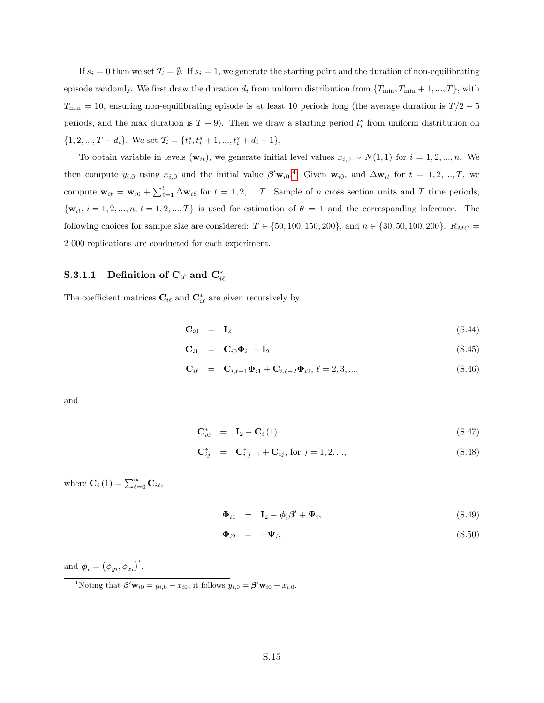If  $s_i = 0$  then we set  $\mathcal{T}_i = \emptyset$ . If  $s_i = 1$ , we generate the starting point and the duration of non-equilibrating episode randomly. We first draw the duration  $d_i$  from uniform distribution from  $\{T_{\min}, T_{\min} + 1, ..., T\}$ , with  $T_{\text{min}} = 10$ , ensuring non-equilibrating episode is at least 10 periods long (the average duration is  $T/2 - 5$ periods, and the max duration is  $T-9$ ). Then we draw a starting period  $t_i^s$  from uniform distribution on  $\{1, 2, ..., T - d_i\}$ . We set  $\mathcal{T}_i = \{t_i^s, t_i^s + 1, ..., t_i^s + d_i - 1\}$ .

To obtain variable in levels  $(\mathbf{w}_{it})$ , we generate initial level values  $x_{i,0} \sim N(1, 1)$  for  $i = 1, 2, ..., n$ . We then compute  $y_{i,0}$  using  $x_{i,0}$  and the initial value  $\beta' \mathbf{w}_{i0}$ .<sup>[4](#page-51-2)</sup> Given  $\mathbf{w}_{i0}$ , and  $\Delta \mathbf{w}_{it}$  for  $t = 1, 2, ..., T$ , we compute  $\mathbf{w}_{it} = \mathbf{w}_{i0} + \sum_{\ell=1}^{t} \Delta \mathbf{w}_{i\ell}$  for  $t = 1, 2, ..., T$ . Sample of n cross section units and T time periods,  $\{\mathbf{w}_{it}, i = 1, 2, ..., n, t = 1, 2, ..., T\}$  is used for estimation of  $\theta = 1$  and the corresponding inference. The following choices for sample size are considered:  $T \in \{50, 100, 150, 200\}$ , and  $n \in \{30, 50, 100, 200\}$ .  $R_{MC} =$ 2 000 replications are conducted for each experiment.

# $\textbf{S.3.1.1} \quad \textbf{Definition of } \textbf{C}_{i\ell} \textbf{ and } \textbf{C}_{i\ell}^*$

The coefficient matrices  $\mathbf{C}_{i\ell}$  and  $\mathbf{C}_{i\ell}^*$  are given recursively by

<span id="page-51-0"></span>
$$
\mathbf{C}_{i0} = \mathbf{I}_2 \tag{S.44}
$$

$$
\mathbf{C}_{i1} = \mathbf{C}_{i0} \mathbf{\Phi}_{i1} - \mathbf{I}_2 \tag{S.45}
$$

$$
\mathbf{C}_{i\ell} = \mathbf{C}_{i,\ell-1} \mathbf{\Phi}_{i1} + \mathbf{C}_{i,\ell-2} \mathbf{\Phi}_{i2}, \ell = 2, 3, .... \tag{S.46}
$$

and

<span id="page-51-1"></span>
$$
\mathbf{C}_{i0}^* = \mathbf{I}_2 - \mathbf{C}_i \left( 1 \right) \tag{S.47}
$$

$$
\mathbf{C}_{ij}^* = \mathbf{C}_{i,j-1}^* + \mathbf{C}_{ij}, \text{ for } j = 1, 2, ..., \tag{S.48}
$$

where  $\mathbf{C}_i(1) = \sum_{\ell=0}^{\infty} \mathbf{C}_{i\ell},$ 

$$
\mathbf{\Phi}_{i1} = \mathbf{I}_2 - \phi_i \boldsymbol{\beta}' + \boldsymbol{\Psi}_i, \tag{S.49}
$$

$$
\Phi_{i2} = -\Psi_i, \tag{S.50}
$$

and  $\boldsymbol{\phi}_i = (\phi_{yi}, \phi_{xi})'$ .

<span id="page-51-2"></span><sup>&</sup>lt;sup>4</sup>Noting that  $\beta' \mathbf{w}_{i0} = y_{i,0} - x_{i0}$ , it follows  $y_{i,0} = \beta' \mathbf{w}_{i0} + x_{i,0}$ .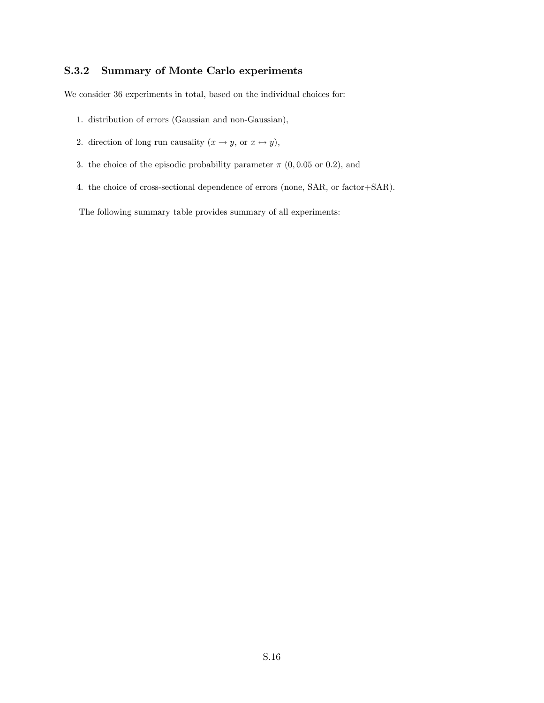# <span id="page-52-0"></span>S.3.2 Summary of Monte Carlo experiments

We consider 36 experiments in total, based on the individual choices for:

- 1. distribution of errors (Gaussian and non-Gaussian),
- 2. direction of long run causality  $(x \to y)$ , or  $x \leftrightarrow y$ ),
- 3. the choice of the episodic probability parameter  $\pi$  (0,0.05 or 0.2), and
- 4. the choice of cross-sectional dependence of errors (none, SAR, or factor+SAR).

The following summary table provides summary of all experiments: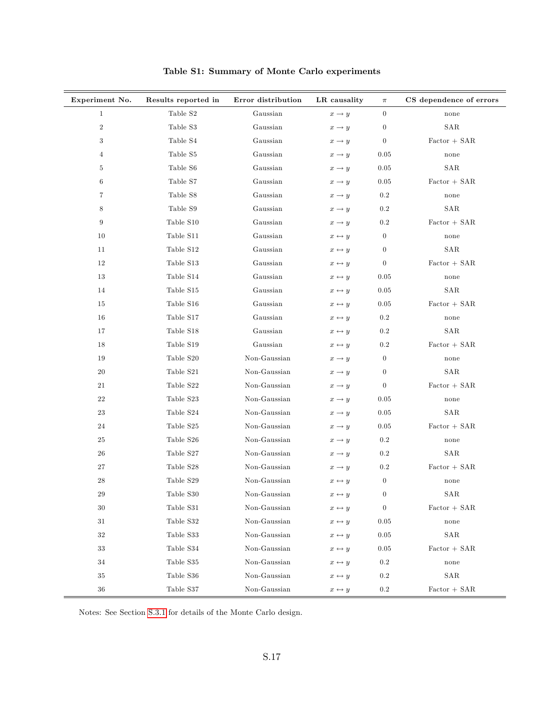| Experiment No.   | Results reported in | Error distribution | LR causality          | $\pi$            | CS dependence of errors |
|------------------|---------------------|--------------------|-----------------------|------------------|-------------------------|
| $\mathbf{1}$     | Table S2            | Gaussian           | $x \rightarrow y$     | $\boldsymbol{0}$ | none                    |
| $\,2$            | Table S3            | Gaussian           | $x \rightarrow y$     | $\boldsymbol{0}$ | <b>SAR</b>              |
| $\boldsymbol{3}$ | Table S4            | Gaussian           | $x \rightarrow y$     | $\theta$         | $Factor + SAR$          |
| $\overline{4}$   | Table S5            | Gaussian           | $x \rightarrow y$     | 0.05             | none                    |
| $\bf 5$          | Table S6            | Gaussian           | $x \rightarrow y$     | 0.05             | SAR                     |
| $\,6$            | Table S7            | Gaussian           | $x \rightarrow y$     | 0.05             | $Factor + SAR$          |
| 7                | Table S8            | Gaussian           | $x \rightarrow y$     | $0.2\,$          | none                    |
| 8                | Table $\rm S9$      | Gaussian           | $x \rightarrow y$     | $0.2\,$          | SAR                     |
| $9\phantom{.0}$  | Table S10           | Gaussian           | $x \rightarrow y$     | $0.2\,$          | $Factor + SAR$          |
| 10               | Table S11           | Gaussian           | $x \leftrightarrow y$ | $\theta$         | none                    |
| 11               | Table S12           | Gaussian           | $x \leftrightarrow y$ | $\boldsymbol{0}$ | SAR                     |
| 12               | Table S13           | Gaussian           | $x \leftrightarrow y$ | $\boldsymbol{0}$ | $Factor + SAR$          |
| 13               | Table S14           | Gaussian           | $x \leftrightarrow y$ | 0.05             | none                    |
| 14               | Table S15           | Gaussian           | $x \leftrightarrow y$ | 0.05             | SAR                     |
| 15               | Table S16           | Gaussian           | $x \leftrightarrow y$ | 0.05             | $Factor + SAR$          |
| 16               | Table S17           | Gaussian           | $x \leftrightarrow y$ | 0.2              | none                    |
| 17               | Table S18           | Gaussian           | $x \leftrightarrow y$ | $0.2\,$          | SAR                     |
| 18               | Table S19           | Gaussian           | $x \leftrightarrow y$ | $0.2\,$          | $Factor + SAR$          |
| 19               | Table S20           | Non-Gaussian       | $x \rightarrow y$     | $\boldsymbol{0}$ | none                    |
| 20               | Table S21           | Non-Gaussian       | $x \rightarrow y$     | $\overline{0}$   | <b>SAR</b>              |
| $21\,$           | Table S22           | Non-Gaussian       | $x \rightarrow y$     | $\theta$         | $Factor + SAR$          |
| 22               | Table S23           | Non-Gaussian       | $x \rightarrow y$     | 0.05             | none                    |
| $\bf 23$         | Table S24           | Non-Gaussian       | $x \rightarrow y$     | 0.05             | SAR                     |
| 24               | Table S25           | Non-Gaussian       | $x \rightarrow y$     | 0.05             | $Factor + SAR$          |
| 25               | Table S26           | Non-Gaussian       | $x \rightarrow y$     | $0.2\,$          | none                    |
| 26               | Table S27           | Non-Gaussian       | $x \rightarrow y$     | $0.2\,$          | SAR                     |
| 27               | Table S28           | Non-Gaussian       | $x \rightarrow y$     | $0.2\,$          | $Factor + SAR$          |
| 28               | Table S29           | Non-Gaussian       | $x \leftrightarrow y$ | $\boldsymbol{0}$ | none                    |
| 29               | Table ${\rm S}30$   | Non-Gaussian       | $x \leftrightarrow y$ | $\boldsymbol{0}$ | SAR                     |
| $30\,$           | Table $\rm S31$     | Non-Gaussian       | $x \leftrightarrow y$ | $\boldsymbol{0}$ | Factor + SAR            |
| $31\,$           | Table S32           | Non-Gaussian       | $x \leftrightarrow y$ | $0.05\,$         | none                    |
| $32\,$           | Table S33           | Non-Gaussian       | $x \leftrightarrow y$ | 0.05             | SAR                     |
| 33               | Table S34           | Non-Gaussian       | $x \leftrightarrow y$ | $\rm 0.05$       | $Factor + SAR$          |
| 34               | Table S35           | Non-Gaussian       | $x \leftrightarrow y$ | $0.2\,$          | none                    |
| 35               | Table S36           | Non-Gaussian       | $x \leftrightarrow y$ | 0.2              | SAR                     |
| $36\,$           | Table S37           | Non-Gaussian       | $x \leftrightarrow y$ | $\rm 0.2$        | $Factor + SAR$          |

Table S1: Summary of Monte Carlo experiments

Notes: See Section [S.3.1](#page-10-2) for details of the Monte Carlo design.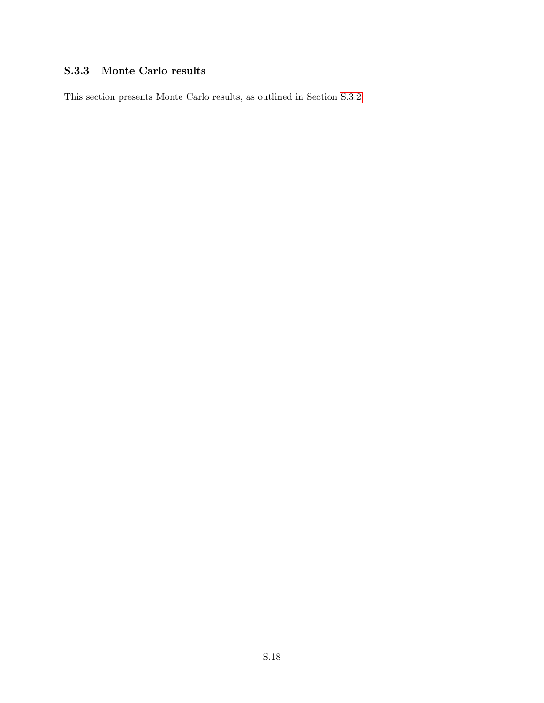# S.3.3 Monte Carlo results

This section presents Monte Carlo results, as outlined in Section [S.3.2.](#page-52-0)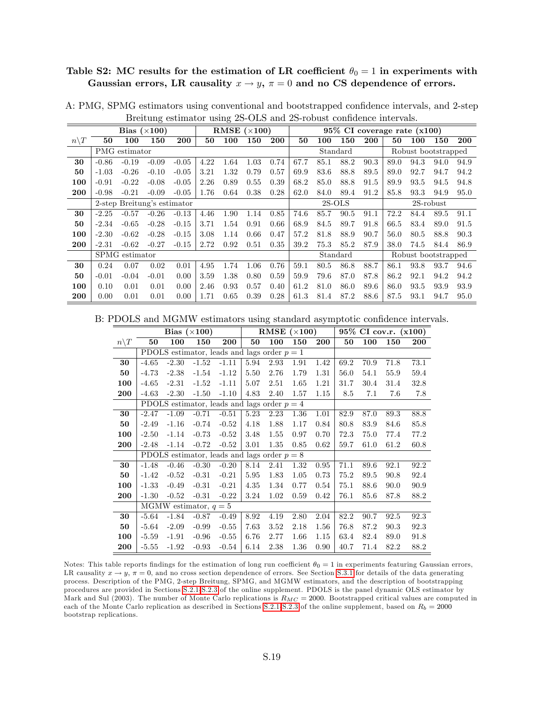#### Table S2: MC results for the estimation of LR coefficient  $\theta_0 = 1$  in experiments with Gaussian errors, LR causality  $x \to y$ ,  $\pi = 0$  and no CS dependence of errors.

|                 |         |                | Bias $(\times 100)$         |         |      |      | RMSE $(\times 100)$ |      |      |          |          |      |      | $95\%$ CI coverage rate $(x100)$ |              |      |
|-----------------|---------|----------------|-----------------------------|---------|------|------|---------------------|------|------|----------|----------|------|------|----------------------------------|--------------|------|
| $n\backslash T$ | 50      | 100            | 150                         | 200     | 50   | 100  | 150                 | 200  | 50   | 100      | 150      | 200  | 50   | 100                              | 150          | 200  |
|                 |         | PMG estimator  |                             |         |      |      |                     |      |      |          | Standard |      |      | Robust bootstrapped              |              |      |
| 30              | $-0.86$ | $-0.19$        | $-0.09$                     | $-0.05$ | 4.22 | 1.64 | 1.03                | 0.74 | 67.7 | 85.1     | 88.2     | 90.3 | 89.0 | 94.3                             | 94.0         | 94.9 |
| 50              | $-1.03$ | $-0.26$        | $-0.10$                     | $-0.05$ | 3.21 | 1.32 | 0.79                | 0.57 | 69.9 | 83.6     | 88.8     | 89.5 | 89.0 | 92.7                             | 94.7         | 94.2 |
| 100             | $-0.91$ | $-0.22$        | $-0.08$                     | $-0.05$ | 2.26 | 0.89 | 0.55                | 0.39 | 68.2 | 85.0     | 88.8     | 91.5 | 89.9 | 93.5                             | 94.5         | 94.8 |
| 200             | $-0.98$ | $-0.21$        | $-0.09$                     | $-0.05$ | 1.76 | 0.64 | 0.38                | 0.28 | 62.0 | 84.0     | 89.4     | 91.2 | 85.8 | 93.3                             | 94.9         | 95.0 |
|                 |         |                | 2-step Breitung's estimator |         |      |      |                     |      |      | $2S-OLS$ |          |      |      |                                  | $2S$ -robust |      |
| 30              | $-2.25$ | $-0.57$        | $-0.26$                     | $-0.13$ | 4.46 | 1.90 | 1.14                | 0.85 | 74.6 | 85.7     | 90.5     | 91.1 | 72.2 | 84.4                             | 89.5         | 91.1 |
| 50              | $-2.34$ | $-0.65$        | $-0.28$                     | $-0.15$ | 3.71 | 1.54 | 0.91                | 0.66 | 68.9 | 84.5     | 89.7     | 91.8 | 66.5 | 83.4                             | 89.0         | 91.5 |
| 100             | $-2.30$ | $-0.62$        | $-0.28$                     | $-0.15$ | 3.08 | 1.14 | 0.66                | 0.47 | 57.2 | 81.8     | 88.9     | 90.7 | 56.0 | 80.5                             | 88.8         | 90.3 |
| 200             | $-2.31$ | $-0.62$        | $-0.27$                     | $-0.15$ | 2.72 | 0.92 | 0.51                | 0.35 | 39.2 | 75.3     | 85.2     | 87.9 | 38.0 | 74.5                             | 84.4         | 86.9 |
|                 |         | SPMG estimator |                             |         |      |      |                     |      |      |          | Standard |      |      | Robust bootstrapped              |              |      |
| 30              | 0.24    | 0.07           | 0.02                        | 0.01    | 4.95 | 1.74 | 1.06                | 0.76 | 59.1 | 80.5     | 86.8     | 88.7 | 86.1 | 93.8                             | 93.7         | 94.6 |
| 50              | $-0.01$ | $-0.04$        | $-0.01$                     | 0.00    | 3.59 | 1.38 | 0.80                | 0.59 | 59.9 | 79.6     | 87.0     | 87.8 | 86.2 | 92.1                             | 94.2         | 94.2 |
| 100             | 0.10    | 0.01           | 0.01                        | 0.00    | 2.46 | 0.93 | 0.57                | 0.40 | 61.2 | 81.0     | 86.0     | 89.6 | 86.0 | 93.5                             | 93.9         | 93.9 |
| 200             | 0.00    | 0.01           | 0.01                        | 0.00    | 1.71 | 0.65 | 0.39                | 0.28 | 61.3 | 81.4     | 87.2     | 88.6 | 87.5 | 93.1                             | 94.7         | 95.0 |

A: PMG, SPMG estimators using conventional and bootstrapped confidence intervals, and 2-step Breitung estimator using 2S-OLS and 2S-robust confidence intervals.

B: PDOLS and MGMW estimators using standard asymptotic confidence intervals.

|                  |         |         | Bias $(\times 100)$     |                                               |      | RMSE | $(\times 100)$ |      |      |      | 95% CI cov.r. (x100) |            |
|------------------|---------|---------|-------------------------|-----------------------------------------------|------|------|----------------|------|------|------|----------------------|------------|
| $n \backslash T$ | 50      | 100     | 150                     | 200                                           | 50   | 100  | 150            | 200  | 50   | 100  | 150                  | <b>200</b> |
|                  |         |         |                         | PDOLS estimator, leads and lags order $p = 1$ |      |      |                |      |      |      |                      |            |
| 30               | $-4.65$ | $-2.30$ | $-1.52$                 | $-1.11$                                       | 5.94 | 2.93 | 1.91           | 1.42 | 69.2 | 70.9 | 71.8                 | 73.1       |
| 50               | $-4.73$ | $-2.38$ | $-1.54$                 | $-1.12$                                       | 5.50 | 2.76 | 1.79           | 1.31 | 56.0 | 54.1 | 55.9                 | 59.4       |
| 100              | $-4.65$ | $-2.31$ | $-1.52$                 | $-1.11$                                       | 5.07 | 2.51 | 1.65           | 1.21 | 31.7 | 30.4 | 31.4                 | 32.8       |
| 200              | $-4.63$ | $-2.30$ | $-1.50$                 | $-1.10$                                       | 4.83 | 2.40 | 1.57           | 1.15 | 8.5  | 7.1  | 7.6                  | 7.8        |
|                  |         |         |                         | PDOLS estimator, leads and lags order $p = 4$ |      |      |                |      |      |      |                      |            |
| 30               | $-2.47$ | $-1.09$ | $-0.71$                 | $-0.51$                                       | 5.23 | 2.23 | 1.36           | 1.01 | 82.9 | 87.0 | 89.3                 | 88.8       |
| 50               | $-2.49$ | $-1.16$ | $-0.74$                 | $-0.52$                                       | 4.18 | 1.88 | 1.17           | 0.84 | 80.8 | 83.9 | 84.6                 | 85.8       |
| 100              | $-2.50$ | $-1.14$ | $-0.73$                 | $-0.52$                                       | 3.48 | 1.55 | 0.97           | 0.70 | 72.3 | 75.0 | 77.4                 | 77.2       |
| 200              | $-2.48$ | $-1.14$ | $-0.72$                 | $-0.52$                                       | 3.01 | 1.35 | 0.85           | 0.62 | 59.7 | 61.0 | 61.2                 | 60.8       |
|                  |         |         |                         | PDOLS estimator, leads and lags order $p = 8$ |      |      |                |      |      |      |                      |            |
| 30               | $-1.48$ | $-0.46$ | $-0.30$                 | $-0.20$                                       | 8.14 | 2.41 | 1.32           | 0.95 | 71.1 | 89.6 | 92.1                 | 92.2       |
| 50               | $-1.42$ | $-0.52$ | $-0.31$                 | $-0.21$                                       | 5.95 | 1.83 | 1.05           | 0.73 | 75.2 | 89.5 | 90.8                 | 92.4       |
| 100              | $-1.33$ | $-0.49$ | $-0.31$                 | $-0.21$                                       | 4.35 | 1.34 | 0.77           | 0.54 | 75.1 | 88.6 | 90.0                 | 90.9       |
| 200              | $-1.30$ | $-0.52$ | $-0.31$                 | $-0.22$                                       | 3.24 | 1.02 | 0.59           | 0.42 | 76.1 | 85.6 | 87.8                 | 88.2       |
|                  |         |         | MGMW estimator, $q = 5$ |                                               |      |      |                |      |      |      |                      |            |
| 30               | $-5.64$ | $-1.84$ | $-0.87$                 | $-0.49$                                       | 8.92 | 4.19 | 2.80           | 2.04 | 82.2 | 90.7 | 92.5                 | 92.3       |
| 50               | $-5.64$ | $-2.09$ | $-0.99$                 | $-0.55$                                       | 7.63 | 3.52 | 2.18           | 1.56 | 76.8 | 87.2 | 90.3                 | 92.3       |
| 100              | $-5.59$ | $-1.91$ | $-0.96$                 | $-0.55$                                       | 6.76 | 2.77 | 1.66           | 1.15 | 63.4 | 82.4 | 89.0                 | 91.8       |
| 200              | $-5.55$ | $-1.92$ | $-0.93$                 | $-0.54$                                       | 6.14 | 2.38 | 1.36           | 0.90 | 40.7 | 71.4 | 82.2                 | 88.2       |

Notes: This table reports findings for the estimation of long run coefficient  $\theta_0 = 1$  in experiments featuring Gaussian errors, LR causality  $x \to y$ ,  $\pi = 0$ , and no cross section dependence of errors. See Section [S.3.1](#page-10-2) for details of the data generating process. Description of the PMG, 2-step Breitung, SPMG, and MGMW estimators, and the description of bootstrapping procedures are provided in Sections [S.2.1-](#page-39-5)[S.2.3](#page-44-0) of the online supplement. PDOLS is the panel dynamic OLS estimator by Mark and Sul (2003). The number of Monte Carlo replications is  $R_{MC} = 2000$ . Bootstrapped critical values are computed in each of the Monte Carlo replication as described in Sections [S.2.1-](#page-39-5)[S.2.3](#page-44-0) of the online supplement, based on  $R_b = 2000$ bootstrap replications.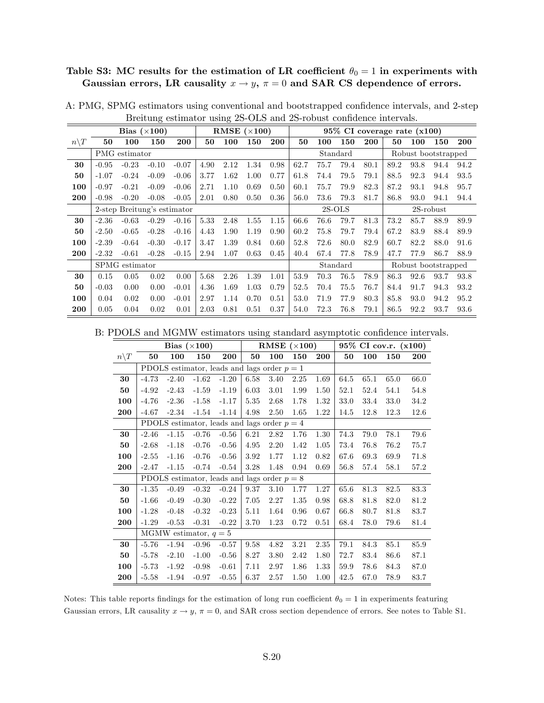## Table S3: MC results for the estimation of LR coefficient  $\theta_0 = 1$  in experiments with Gaussian errors, LR causality  $x \to y$ ,  $\pi = 0$  and SAR CS dependence of errors.

|                  |         |                | Bias $(\times 100)$         |            |      |      | RMSE $(\times 100)$ |            |      |      |          |      | $95\%$ CI coverage rate $(x100)$ |      |                     |            |
|------------------|---------|----------------|-----------------------------|------------|------|------|---------------------|------------|------|------|----------|------|----------------------------------|------|---------------------|------------|
| $n \backslash T$ | 50      | 100            | 150                         | <b>200</b> | 50   | 100  | 150                 | <b>200</b> | 50   | 100  | 150      | 200  | 50                               | 100  | 150                 | <b>200</b> |
|                  |         | PMG estimator  |                             |            |      |      |                     |            |      |      | Standard |      |                                  |      | Robust bootstrapped |            |
| 30               | $-0.95$ | $-0.23$        | $-0.10$                     | $-0.07$    | 4.90 | 2.12 | 1.34                | 0.98       | 62.7 | 75.7 | 79.4     | 80.1 | 89.2                             | 93.8 | 94.4                | 94.2       |
| 50               | $-1.07$ | $-0.24$        | $-0.09$                     | $-0.06$    | 3.77 | 1.62 | 1.00                | 0.77       | 61.8 | 74.4 | 79.5     | 79.1 | 88.5                             | 92.3 | 94.4                | 93.5       |
| 100              | $-0.97$ | $-0.21$        | $-0.09$                     | $-0.06$    | 2.71 | 1.10 | 0.69                | 0.50       | 60.1 | 75.7 | 79.9     | 82.3 | 87.2                             | 93.1 | 94.8                | 95.7       |
| 200              | $-0.98$ | $-0.20$        | $-0.08$                     | $-0.05$    | 2.01 | 0.80 | 0.50                | 0.36       | 56.0 | 73.6 | 79.3     | 81.7 | 86.8                             | 93.0 | 94.1                | 94.4       |
|                  |         |                | 2-step Breitung's estimator |            |      |      |                     |            |      |      | $2S-OLS$ |      |                                  |      | $2S$ -robust        |            |
| 30               | $-2.36$ | $-0.63$        | $-0.29$                     | $-0.16$    | 5.33 | 2.48 | 1.55                | 1.15       | 66.6 | 76.6 | 79.7     | 81.3 | 73.2                             | 85.7 | 88.9                | 89.9       |
| 50               | $-2.50$ | $-0.65$        | $-0.28$                     | $-0.16$    | 4.43 | 1.90 | 1.19                | 0.90       | 60.2 | 75.8 | 79.7     | 79.4 | 67.2                             | 83.9 | 88.4                | 89.9       |
| 100              | $-2.39$ | $-0.64$        | $-0.30$                     | $-0.17$    | 3.47 | 1.39 | 0.84                | 0.60       | 52.8 | 72.6 | 80.0     | 82.9 | 60.7                             | 82.2 | 88.0                | 91.6       |
| 200              | $-2.32$ | $-0.61$        | $-0.28$                     | $-0.15$    | 2.94 | 1.07 | 0.63                | 0.45       | 40.4 | 67.4 | 77.8     | 78.9 | 47.7                             | 77.9 | 86.7                | 88.9       |
|                  |         | SPMG estimator |                             |            |      |      |                     |            |      |      | Standard |      |                                  |      | Robust bootstrapped |            |
| 30               | 0.15    | 0.05           | 0.02                        | 0.00       | 5.68 | 2.26 | 1.39                | 1.01       | 53.9 | 70.3 | 76.5     | 78.9 | 86.3                             | 92.6 | 93.7                | 93.8       |
| 50               | $-0.03$ | 0.00           | 0.00                        | $-0.01$    | 4.36 | 1.69 | 1.03                | 0.79       | 52.5 | 70.4 | 75.5     | 76.7 | 84.4                             | 91.7 | 94.3                | 93.2       |
| 100              | 0.04    | 0.02           | 0.00                        | $-0.01$    | 2.97 | 1.14 | 0.70                | 0.51       | 53.0 | 71.9 | 77.9     | 80.3 | 85.8                             | 93.0 | 94.2                | 95.2       |
| 200              | 0.05    | 0.04           | 0.02                        | 0.01       | 2.03 | 0.81 | 0.51                | 0.37       | 54.0 | 72.3 | 76.8     | 79.1 | 86.5                             | 92.2 | 93.7                | 93.6       |

A: PMG, SPMG estimators using conventional and bootstrapped confidence intervals, and 2-step Breitung estimator using 2S-OLS and 2S-robust confidence intervals.

B: PDOLS and MGMW estimators using standard asymptotic confidence intervals.

|                 |         |         | Bias $(\times 100)$     |                                               |      | RMSE $(\times 100)$ |      |      |          |      | 95% CI cov.r. (x100) |      |
|-----------------|---------|---------|-------------------------|-----------------------------------------------|------|---------------------|------|------|----------|------|----------------------|------|
| $n\backslash T$ | 50      | 100     | 150                     | 200                                           | 50   | 100                 | 150  | 200  | 50       | 100  | 150                  | 200  |
|                 |         |         |                         | PDOLS estimator, leads and lags order $p = 1$ |      |                     |      |      |          |      |                      |      |
| 30              | $-4.73$ | $-2.40$ | $-1.62$                 | $-1.20$                                       | 6.58 | 3.40                | 2.25 | 1.69 | 64.5     | 65.1 | 65.0                 | 66.0 |
| 50              | $-4.92$ | $-2.43$ | $-1.59$                 | $-1.19$                                       | 6.03 | 3.01                | 1.99 | 1.50 | 52.1     | 52.4 | 54.1                 | 54.8 |
| 100             | $-4.76$ | $-2.36$ | $-1.58$                 | $-1.17$                                       | 5.35 | 2.68                | 1.78 | 1.32 | $33.0\,$ | 33.4 | 33.0                 | 34.2 |
| 200             | $-4.67$ | $-2.34$ | $-1.54$                 | $-1.14$                                       | 4.98 | 2.50                | 1.65 | 1.22 | 14.5     | 12.8 | 12.3                 | 12.6 |
|                 |         |         |                         | PDOLS estimator, leads and lags order $p = 4$ |      |                     |      |      |          |      |                      |      |
| 30              | $-2.46$ | $-1.15$ | $-0.76$                 | $-0.56$                                       | 6.21 | 2.82                | 1.76 | 1.30 | 74.3     | 79.0 | 78.1                 | 79.6 |
| 50              | $-2.68$ | $-1.18$ | $-0.76$                 | $-0.56$                                       | 4.95 | 2.20                | 1.42 | 1.05 | 73.4     | 76.8 | 76.2                 | 75.7 |
| 100             | $-2.55$ | $-1.16$ | $-0.76$                 | $-0.56$                                       | 3.92 | 1.77                | 1.12 | 0.82 | 67.6     | 69.3 | 69.9                 | 71.8 |
| 200             | $-2.47$ | $-1.15$ | $-0.74$                 | $-0.54$                                       | 3.28 | 1.48                | 0.94 | 0.69 | 56.8     | 57.4 | 58.1                 | 57.2 |
|                 |         |         |                         | PDOLS estimator, leads and lags order $p = 8$ |      |                     |      |      |          |      |                      |      |
| 30              | $-1.35$ | $-0.49$ | $-0.32$                 | $-0.24$                                       | 9.37 | 3.10                | 1.77 | 1.27 | 65.6     | 81.3 | 82.5                 | 83.3 |
| 50              | $-1.66$ | $-0.49$ | $-0.30$                 | $-0.22$                                       | 7.05 | 2.27                | 1.35 | 0.98 | 68.8     | 81.8 | 82.0                 | 81.2 |
| 100             | $-1.28$ | $-0.48$ | $-0.32$                 | $-0.23$                                       | 5.11 | 1.64                | 0.96 | 0.67 | 66.8     | 80.7 | 81.8                 | 83.7 |
| 200             | $-1.29$ | $-0.53$ | $-0.31$                 | $-0.22$                                       | 3.70 | 1.23                | 0.72 | 0.51 | 68.4     | 78.0 | 79.6                 | 81.4 |
|                 |         |         | MGMW estimator, $q = 5$ |                                               |      |                     |      |      |          |      |                      |      |
| 30              | $-5.76$ | $-1.94$ | $-0.96$                 | $-0.57$                                       | 9.58 | 4.82                | 3.21 | 2.35 | 79.1     | 84.3 | 85.1                 | 85.9 |
| 50              | $-5.78$ | $-2.10$ | $-1.00$                 | $-0.56$                                       | 8.27 | 3.80                | 2.42 | 1.80 | 72.7     | 83.4 | 86.6                 | 87.1 |
| 100             | $-5.73$ | $-1.92$ | $-0.98$                 | $-0.61$                                       | 7.11 | 2.97                | 1.86 | 1.33 | 59.9     | 78.6 | 84.3                 | 87.0 |
| 200             | $-5.58$ | $-1.94$ | $-0.97$                 | $-0.55$                                       | 6.37 | 2.57                | 1.50 | 1.00 | 42.5     | 67.0 | 78.9                 | 83.7 |

Notes: This table reports findings for the estimation of long run coefficient  $\theta_0 = 1$  in experiments featuring Gaussian errors, LR causality  $x \to y$ ,  $\pi = 0$ , and SAR cross section dependence of errors. See notes to Table S1.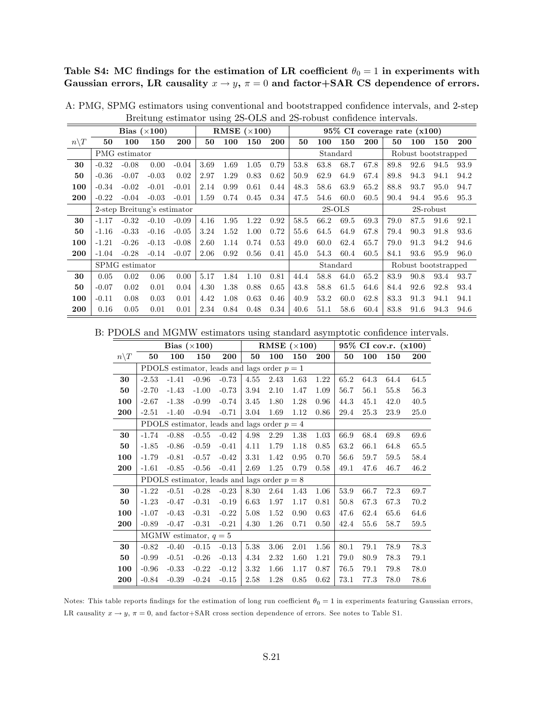Table S4: MC findings for the estimation of LR coefficient  $\theta_0 = 1$  in experiments with Gaussian errors, LR causality  $x \to y$ ,  $\pi = 0$  and factor+SAR CS dependence of errors.

|                  |         |                | Bias $(\times 100)$         |         |      | RMSE $(\times 100)$ |      |      |      |      |          |            |      | $95\%$ CI coverage rate $(x100)$ |              |      |
|------------------|---------|----------------|-----------------------------|---------|------|---------------------|------|------|------|------|----------|------------|------|----------------------------------|--------------|------|
| $n \backslash T$ | 50      | 100            | 150                         | 200     | 50   | 100                 | 150  | 200  | 50   | 100  | 150      | <b>200</b> | 50   | 100                              | 150          | 200  |
|                  |         | PMG estimator  |                             |         |      |                     |      |      |      |      | Standard |            |      | Robust bootstrapped              |              |      |
| 30               | $-0.32$ | $-0.08$        | 0.00                        | $-0.04$ | 3.69 | 1.69                | 1.05 | 0.79 | 53.8 | 63.8 | 68.7     | 67.8       | 89.8 | 92.6                             | 94.5         | 93.9 |
| 50               | $-0.36$ | $-0.07$        | $-0.03$                     | 0.02    | 2.97 | 1.29                | 0.83 | 0.62 | 50.9 | 62.9 | 64.9     | 67.4       | 89.8 | 94.3                             | 94.1         | 94.2 |
| 100              | $-0.34$ | $-0.02$        | $-0.01$                     | $-0.01$ | 2.14 | 0.99                | 0.61 | 0.44 | 48.3 | 58.6 | 63.9     | 65.2       | 88.8 | 93.7                             | 95.0         | 94.7 |
| 200              | $-0.22$ | $-0.04$        | $-0.03$                     | $-0.01$ | 1.59 | 0.74                | 0.45 | 0.34 | 47.5 | 54.6 | 60.0     | 60.5       | 90.4 | 94.4                             | 95.6         | 95.3 |
|                  |         |                | 2-step Breitung's estimator |         |      |                     |      |      |      |      | $2S-OLS$ |            |      |                                  | $2S$ -robust |      |
| 30               | $-1.17$ | $-0.32$        | $-0.10$                     | $-0.09$ | 4.16 | 1.95                | 1.22 | 0.92 | 58.5 | 66.2 | 69.5     | 69.3       | 79.0 | 87.5                             | 91.6         | 92.1 |
| 50               | $-1.16$ | $-0.33$        | $-0.16$                     | $-0.05$ | 3.24 | 1.52                | 1.00 | 0.72 | 55.6 | 64.5 | 64.9     | 67.8       | 79.4 | 90.3                             | 91.8         | 93.6 |
| 100              | $-1.21$ | $-0.26$        | $-0.13$                     | $-0.08$ | 2.60 | 1.14                | 0.74 | 0.53 | 49.0 | 60.0 | 62.4     | 65.7       | 79.0 | 91.3                             | 94.2         | 94.6 |
| 200              | $-1.04$ | $-0.28$        | $-0.14$                     | $-0.07$ | 2.06 | 0.92                | 0.56 | 0.41 | 45.0 | 54.3 | 60.4     | 60.5       | 84.1 | 93.6                             | 95.9         | 96.0 |
|                  |         | SPMG estimator |                             |         |      |                     |      |      |      |      | Standard |            |      | Robust bootstrapped              |              |      |
| 30               | 0.05    | 0.02           | 0.06                        | 0.00    | 5.17 | 1.84                | 1.10 | 0.81 | 44.4 | 58.8 | 64.0     | 65.2       | 83.9 | 90.8                             | 93.4         | 93.7 |
| 50               | $-0.07$ | 0.02           | 0.01                        | 0.04    | 4.30 | 1.38                | 0.88 | 0.65 | 43.8 | 58.8 | 61.5     | 64.6       | 84.4 | 92.6                             | 92.8         | 93.4 |
| 100              | $-0.11$ | 0.08           | 0.03                        | 0.01    | 4.42 | 1.08                | 0.63 | 0.46 | 40.9 | 53.2 | 60.0     | 62.8       | 83.3 | 91.3                             | 94.1         | 94.1 |
| 200              | 0.16    | 0.05           | 0.01                        | 0.01    | 2.34 | 0.84                | 0.48 | 0.34 | 40.6 | 51.1 | 58.6     | 60.4       | 83.8 | 91.6                             | 94.3         | 94.6 |

A: PMG, SPMG estimators using conventional and bootstrapped confidence intervals, and 2-step Breitung estimator using 2S-OLS and 2S-robust confidence intervals.

B: PDOLS and MGMW estimators using standard asymptotic confidence intervals.

|                 |         |         | Bias $(\times 100)$     |                                               |      | RMSE $(\times 100)$ |      |      |      |      | 95% CI cov.r. (x100) |      |
|-----------------|---------|---------|-------------------------|-----------------------------------------------|------|---------------------|------|------|------|------|----------------------|------|
| $n\backslash T$ | 50      | 100     | 150                     | 200                                           | 50   | 100                 | 150  | 200  | 50   | 100  | 150                  | 200  |
|                 |         |         |                         | PDOLS estimator, leads and lags order $p = 1$ |      |                     |      |      |      |      |                      |      |
| 30              | $-2.53$ | $-1.41$ | $-0.96$                 | $-0.73$                                       | 4.55 | 2.43                | 1.63 | 1.22 | 65.2 | 64.3 | 64.4                 | 64.5 |
| 50              | $-2.70$ | $-1.43$ | $-1.00$                 | $-0.73$                                       | 3.94 | 2.10                | 1.47 | 1.09 | 56.7 | 56.1 | 55.8                 | 56.3 |
| 100             | $-2.67$ | $-1.38$ | $-0.99$                 | $-0.74$                                       | 3.45 | 1.80                | 1.28 | 0.96 | 44.3 | 45.1 | 42.0                 | 40.5 |
| 200             | $-2.51$ | $-1.40$ | $-0.94$                 | $-0.71$                                       | 3.04 | 1.69                | 1.12 | 0.86 | 29.4 | 25.3 | 23.9                 | 25.0 |
|                 |         |         |                         | PDOLS estimator, leads and lags order $p = 4$ |      |                     |      |      |      |      |                      |      |
| 30              | $-1.74$ | $-0.88$ | $-0.55$                 | $-0.42$                                       | 4.98 | 2.29                | 1.38 | 1.03 | 66.9 | 68.4 | 69.8                 | 69.6 |
| 50              | $-1.85$ | $-0.86$ | $-0.59$                 | $-0.41$                                       | 4.11 | 1.79                | 1.18 | 0.85 | 63.2 | 66.1 | 64.8                 | 65.5 |
| 100             | $-1.79$ | $-0.81$ | $-0.57$                 | $-0.42$                                       | 3.31 | 1.42                | 0.95 | 0.70 | 56.6 | 59.7 | 59.5                 | 58.4 |
| 200             | $-1.61$ | $-0.85$ | $-0.56$                 | $-0.41$                                       | 2.69 | 1.25                | 0.79 | 0.58 | 49.1 | 47.6 | 46.7                 | 46.2 |
|                 |         |         |                         | PDOLS estimator, leads and lags order $p = 8$ |      |                     |      |      |      |      |                      |      |
| 30              | $-1.22$ | $-0.51$ | $-0.28$                 | $-0.23$                                       | 8.30 | 2.64                | 1.43 | 1.06 | 53.9 | 66.7 | 72.3                 | 69.7 |
| 50              | $-1.23$ | $-0.47$ | $-0.31$                 | $-0.19$                                       | 6.63 | 1.97                | 1.17 | 0.81 | 50.8 | 67.3 | 67.3                 | 70.2 |
| 100             | $-1.07$ | $-0.43$ | $-0.31$                 | $-0.22$                                       | 5.08 | 1.52                | 0.90 | 0.63 | 47.6 | 62.4 | 65.6                 | 64.6 |
| 200             | $-0.89$ | $-0.47$ | $-0.31$                 | $-0.21$                                       | 4.30 | 1.26                | 0.71 | 0.50 | 42.4 | 55.6 | 58.7                 | 59.5 |
|                 |         |         | MGMW estimator, $q = 5$ |                                               |      |                     |      |      |      |      |                      |      |
| 30              | $-0.82$ | $-0.40$ | $-0.15$                 | $-0.13$                                       | 5.38 | 3.06                | 2.01 | 1.56 | 80.1 | 79.1 | 78.9                 | 78.3 |
| 50              | $-0.99$ | $-0.51$ | $-0.26$                 | $-0.13$                                       | 4.34 | 2.32                | 1.60 | 1.21 | 79.0 | 80.9 | 78.3                 | 79.1 |
| 100             | $-0.96$ | $-0.33$ | $-0.22$                 | $-0.12$                                       | 3.32 | 1.66                | 1.17 | 0.87 | 76.5 | 79.1 | 79.8                 | 78.0 |
| 200             | $-0.84$ | $-0.39$ | $-0.24$                 | $-0.15$                                       | 2.58 | 1.28                | 0.85 | 0.62 | 73.1 | 77.3 | 78.0                 | 78.6 |

Notes: This table reports findings for the estimation of long run coefficient  $\theta_0 = 1$  in experiments featuring Gaussian errors, LR causality  $x \to y$ ,  $\pi = 0$ , and factor+SAR cross section dependence of errors. See notes to Table S1.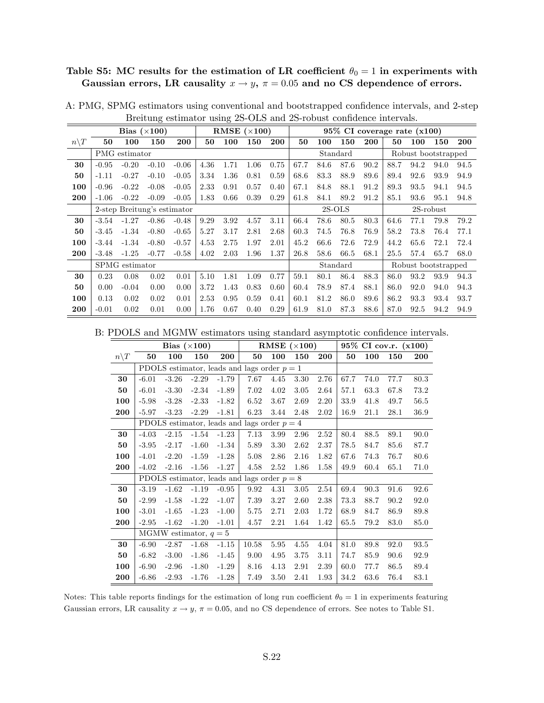## Table S5: MC results for the estimation of LR coefficient  $\theta_0 = 1$  in experiments with Gaussian errors, LR causality  $x \to y$ ,  $\pi = 0.05$  and no CS dependence of errors.

|                 |         |                | Bias $(\times 100)$         |         |      |      | RMSE $(\times 100)$ |      |      |      |          |      | 95% CI coverage rate (x100) |      |                     |      |
|-----------------|---------|----------------|-----------------------------|---------|------|------|---------------------|------|------|------|----------|------|-----------------------------|------|---------------------|------|
| $n\backslash T$ | 50      | 100            | 150                         | 200     | 50   | 100  | 150                 | 200  | 50   | 100  | 150      | 200  | 50                          | 100  | 150                 | 200  |
|                 |         | PMG estimator  |                             |         |      |      |                     |      |      |      | Standard |      |                             |      | Robust bootstrapped |      |
| 30              | $-0.95$ | $-0.20$        | $-0.10$                     | $-0.06$ | 4.36 | 1.71 | 1.06                | 0.75 | 67.7 | 84.6 | 87.6     | 90.2 | 88.7                        | 94.2 | 94.0                | 94.5 |
| 50              | $-1.11$ | $-0.27$        | $-0.10$                     | $-0.05$ | 3.34 | 1.36 | 0.81                | 0.59 | 68.6 | 83.3 | 88.9     | 89.6 | 89.4                        | 92.6 | 93.9                | 94.9 |
| 100             | $-0.96$ | $-0.22$        | $-0.08$                     | $-0.05$ | 2.33 | 0.91 | 0.57                | 0.40 | 67.1 | 84.8 | 88.1     | 91.2 | 89.3                        | 93.5 | 94.1                | 94.5 |
| 200             | $-1.06$ | $-0.22$        | $-0.09$                     | $-0.05$ | 1.83 | 0.66 | 0.39                | 0.29 | 61.8 | 84.1 | 89.2     | 91.2 | 85.1                        | 93.6 | 95.1                | 94.8 |
|                 |         |                | 2-step Breitung's estimator |         |      |      |                     |      |      |      | $2S-OLS$ |      |                             |      | $2S$ -robust        |      |
| 30              | $-3.54$ | $-1.27$        | $-0.86$                     | $-0.48$ | 9.29 | 3.92 | 4.57                | 3.11 | 66.4 | 78.6 | 80.5     | 80.3 | 64.6                        | 77.1 | 79.8                | 79.2 |
| 50              | $-3.45$ | $-1.34$        | $-0.80$                     | $-0.65$ | 5.27 | 3.17 | 2.81                | 2.68 | 60.3 | 74.5 | 76.8     | 76.9 | 58.2                        | 73.8 | 76.4                | 77.1 |
| 100             | $-3.44$ | $-1.34$        | $-0.80$                     | $-0.57$ | 4.53 | 2.75 | 1.97                | 2.01 | 45.2 | 66.6 | 72.6     | 72.9 | 44.2                        | 65.6 | 72.1                | 72.4 |
| 200             | $-3.48$ | $-1.25$        | $-0.77$                     | $-0.58$ | 4.02 | 2.03 | 1.96                | 1.37 | 26.8 | 58.6 | 66.5     | 68.1 | 25.5                        | 57.4 | 65.7                | 68.0 |
|                 |         | SPMG estimator |                             |         |      |      |                     |      |      |      | Standard |      |                             |      | Robust bootstrapped |      |
| 30              | 0.23    | 0.08           | 0.02                        | 0.01    | 5.10 | 1.81 | 1.09                | 0.77 | 59.1 | 80.1 | 86.4     | 88.3 | 86.0                        | 93.2 | 93.9                | 94.3 |
| 50              | 0.00    | $-0.04$        | 0.00                        | 0.00    | 3.72 | 1.43 | 0.83                | 0.60 | 60.4 | 78.9 | 87.4     | 88.1 | 86.0                        | 92.0 | 94.0                | 94.3 |
| 100             | 0.13    | 0.02           | 0.02                        | 0.01    | 2.53 | 0.95 | 0.59                | 0.41 | 60.1 | 81.2 | 86.0     | 89.6 | 86.2                        | 93.3 | 93.4                | 93.7 |
| 200             | $-0.01$ | 0.02           | 0.01                        | 0.00    | 1.76 | 0.67 | 0.40                | 0.29 | 61.9 | 81.0 | 87.3     | 88.6 | 87.0                        | 92.5 | 94.2                | 94.9 |

A: PMG, SPMG estimators using conventional and bootstrapped confidence intervals, and 2-step Breitung estimator using 2S-OLS and 2S-robust confidence intervals.

B: PDOLS and MGMW estimators using standard asymptotic confidence intervals.

|                 |         |                         | Bias $(\times 100)$ |         |                                               |      | RMSE $(\times 100)$ |      |      |      | 95% CI cov.r. (x100) |      |
|-----------------|---------|-------------------------|---------------------|---------|-----------------------------------------------|------|---------------------|------|------|------|----------------------|------|
| $n\backslash T$ | 50      | 100                     | 150                 | 200     | 50                                            | 100  | 150                 | 200  | 50   | 100  | 150                  | 200  |
|                 |         |                         |                     |         | PDOLS estimator, leads and lags order $p = 1$ |      |                     |      |      |      |                      |      |
| 30              | $-6.01$ | $-3.26$                 | $-2.29$             | $-1.79$ | 7.67                                          | 4.45 | 3.30                | 2.76 | 67.7 | 74.0 | 77.7                 | 80.3 |
| 50              | $-6.01$ | $-3.30$                 | $-2.34$             | $-1.89$ | 7.02                                          | 4.02 | 3.05                | 2.64 | 57.1 | 63.3 | 67.8                 | 73.2 |
| 100             | $-5.98$ | $-3.28$                 | $-2.33$             | $-1.82$ | 6.52                                          | 3.67 | 2.69                | 2.20 | 33.9 | 41.8 | 49.7                 | 56.5 |
| 200             | $-5.97$ | $-3.23$                 | $-2.29$             | $-1.81$ | 6.23                                          | 3.44 | 2.48                | 2.02 | 16.9 | 21.1 | 28.1                 | 36.9 |
|                 |         |                         |                     |         | PDOLS estimator, leads and lags order $p = 4$ |      |                     |      |      |      |                      |      |
| 30              | $-4.03$ | $-2.15$                 | $-1.54$             | $-1.23$ | 7.13                                          | 3.99 | 2.96                | 2.52 | 80.4 | 88.5 | 89.1                 | 90.0 |
| 50              | $-3.95$ | $-2.17$                 | $-1.60$             | $-1.34$ | 5.89                                          | 3.30 | 2.62                | 2.37 | 78.5 | 84.7 | 85.6                 | 87.7 |
| 100             | $-4.01$ | $-2.20$                 | $-1.59$             | $-1.28$ | 5.08                                          | 2.86 | 2.16                | 1.82 | 67.6 | 74.3 | 76.7                 | 80.6 |
| 200             | $-4.02$ | $-2.16$                 | $-1.56$             | $-1.27$ | 4.58                                          | 2.52 | 1.86                | 1.58 | 49.9 | 60.4 | 65.1                 | 71.0 |
|                 |         |                         |                     |         | PDOLS estimator, leads and lags order $p = 8$ |      |                     |      |      |      |                      |      |
| 30              | $-3.19$ | $-1.62$                 | $-1.19$             | $-0.95$ | 9.92                                          | 4.31 | 3.05                | 2.54 | 69.4 | 90.3 | 91.6                 | 92.6 |
| 50              | $-2.99$ | $-1.58$                 | $-1.22$             | $-1.07$ | 7.39                                          | 3.27 | 2.60                | 2.38 | 73.3 | 88.7 | 90.2                 | 92.0 |
| 100             | $-3.01$ | $-1.65$                 | $-1.23$             | $-1.00$ | 5.75                                          | 2.71 | 2.03                | 1.72 | 68.9 | 84.7 | 86.9                 | 89.8 |
| 200             | $-2.95$ | $-1.62$                 | $-1.20$             | $-1.01$ | 4.57                                          | 2.21 | 1.64                | 1.42 | 65.5 | 79.2 | 83.0                 | 85.0 |
|                 |         | MGMW estimator, $q = 5$ |                     |         |                                               |      |                     |      |      |      |                      |      |
| 30              | $-6.90$ | $-2.87$                 | $-1.68$             | $-1.15$ | 10.58                                         | 5.95 | 4.55                | 4.04 | 81.0 | 89.8 | 92.0                 | 93.5 |
| 50              | $-6.82$ | $-3.00$                 | $-1.86$             | $-1.45$ | 9.00                                          | 4.95 | 3.75                | 3.11 | 74.7 | 85.9 | 90.6                 | 92.9 |
| 100             | $-6.90$ | $-2.96$                 | $-1.80$             | $-1.29$ | 8.16                                          | 4.13 | 2.91                | 2.39 | 60.0 | 77.7 | 86.5                 | 89.4 |
| 200             | $-6.86$ | $-2.93$                 | $-1.76$             | $-1.28$ | 7.49                                          | 3.50 | 2.41                | 1.93 | 34.2 | 63.6 | 76.4                 | 83.1 |

Notes: This table reports findings for the estimation of long run coefficient  $\theta_0 = 1$  in experiments featuring Gaussian errors, LR causality  $x \to y$ ,  $\pi = 0.05$ , and no CS dependence of errors. See notes to Table S1.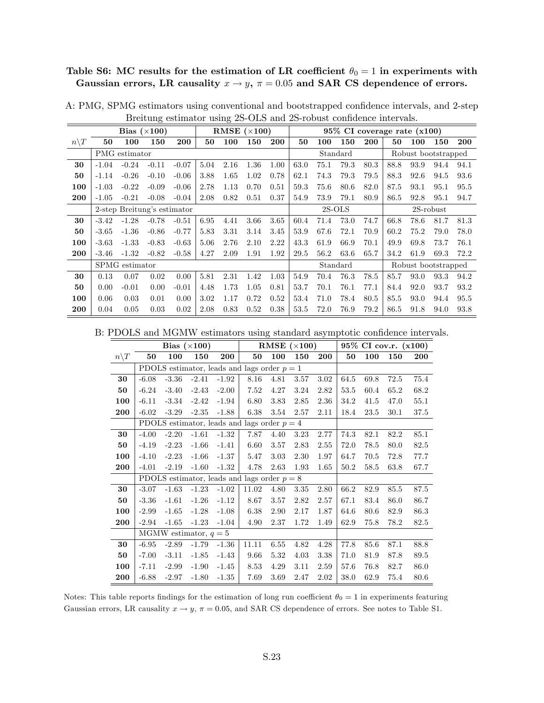#### Table S6: MC results for the estimation of LR coefficient  $\theta_0 = 1$  in experiments with Gaussian errors, LR causality  $x \to y$ ,  $\pi = 0.05$  and SAR CS dependence of errors.

|                 |         |                | Bias $(\times 100)$         |         |      |      | RMSE $(\times 100)$ |      |      |      |          |            |      | $95\%$ CI coverage rate $(x100)$ |              |      |
|-----------------|---------|----------------|-----------------------------|---------|------|------|---------------------|------|------|------|----------|------------|------|----------------------------------|--------------|------|
| $n\backslash T$ | 50      | 100            | 150                         | 200     | 50   | 100  | 150                 | 200  | 50   | 100  | 150      | <b>200</b> | 50   | 100                              | 150          | 200  |
|                 |         | PMG estimator  |                             |         |      |      |                     |      |      |      | Standard |            |      | Robust bootstrapped              |              |      |
| 30              | $-1.04$ | $-0.24$        | $-0.11$                     | $-0.07$ | 5.04 | 2.16 | 1.36                | 1.00 | 63.0 | 75.1 | 79.3     | 80.3       | 88.8 | 93.9                             | 94.4         | 94.1 |
| 50              | $-1.14$ | $-0.26$        | $-0.10$                     | $-0.06$ | 3.88 | 1.65 | 1.02                | 0.78 | 62.1 | 74.3 | 79.3     | 79.5       | 88.3 | 92.6                             | 94.5         | 93.6 |
| 100             | $-1.03$ | $-0.22$        | $-0.09$                     | $-0.06$ | 2.78 | 1.13 | 0.70                | 0.51 | 59.3 | 75.6 | 80.6     | 82.0       | 87.5 | 93.1                             | 95.1         | 95.5 |
| 200             | $-1.05$ | $-0.21$        | $-0.08$                     | $-0.04$ | 2.08 | 0.82 | 0.51                | 0.37 | 54.9 | 73.9 | 79.1     | 80.9       | 86.5 | 92.8                             | 95.1         | 94.7 |
|                 |         |                | 2-step Breitung's estimator |         |      |      |                     |      |      |      | $2S-OLS$ |            |      |                                  | $2S$ -robust |      |
| 30              | $-3.42$ | $-1.28$        | $-0.78$                     | $-0.51$ | 6.95 | 4.41 | 3.66                | 3.65 | 60.4 | 71.4 | 73.0     | 74.7       | 66.8 | 78.6                             | 81.7         | 81.3 |
| 50              | $-3.65$ | $-1.36$        | $-0.86$                     | $-0.77$ | 5.83 | 3.31 | 3.14                | 3.45 | 53.9 | 67.6 | 72.1     | 70.9       | 60.2 | 75.2                             | 79.0         | 78.0 |
| 100             | $-3.63$ | $-1.33$        | $-0.83$                     | $-0.63$ | 5.06 | 2.76 | 2.10                | 2.22 | 43.3 | 61.9 | 66.9     | 70.1       | 49.9 | 69.8                             | 73.7         | 76.1 |
| 200             | $-3.46$ | $-1.32$        | $-0.82$                     | $-0.58$ | 4.27 | 2.09 | 1.91                | 1.92 | 29.5 | 56.2 | 63.6     | 65.7       | 34.2 | 61.9                             | 69.3         | 72.2 |
|                 |         | SPMG estimator |                             |         |      |      |                     |      |      |      | Standard |            |      | Robust bootstrapped              |              |      |
| 30              | 0.13    | 0.07           | 0.02                        | 0.00    | 5.81 | 2.31 | 1.42                | 1.03 | 54.9 | 70.4 | 76.3     | 78.5       | 85.7 | 93.0                             | 93.3         | 94.2 |
| 50              | 0.00    | $-0.01$        | 0.00                        | $-0.01$ | 4.48 | 1.73 | 1.05                | 0.81 | 53.7 | 70.1 | 76.1     | 77.1       | 84.4 | 92.0                             | 93.7         | 93.2 |
| 100             | 0.06    | 0.03           | 0.01                        | 0.00    | 3.02 | 1.17 | 0.72                | 0.52 | 53.4 | 71.0 | 78.4     | 80.5       | 85.5 | 93.0                             | 94.4         | 95.5 |
| 200             | 0.04    | 0.05           | 0.03                        | 0.02    | 2.08 | 0.83 | 0.52                | 0.38 | 53.5 | 72.0 | 76.9     | 79.2       | 86.5 | 91.8                             | 94.0         | 93.8 |

A: PMG, SPMG estimators using conventional and bootstrapped confidence intervals, and 2-step Breitung estimator using 2S-OLS and 2S-robust confidence intervals.

B: PDOLS and MGMW estimators using standard asymptotic confidence intervals.

|                 |         |         | Bias $(\times 100)$     |         |                                               |      | RMSE $(\times 100)$ |            |      |      | 95% CI cov.r. (x100) |            |
|-----------------|---------|---------|-------------------------|---------|-----------------------------------------------|------|---------------------|------------|------|------|----------------------|------------|
| $n\backslash T$ | 50      | 100     | 150                     | 200     | 50                                            | 100  | 150                 | <b>200</b> | 50   | 100  | 150                  | <b>200</b> |
|                 |         |         |                         |         | PDOLS estimator, leads and lags order $p = 1$ |      |                     |            |      |      |                      |            |
| 30              | $-6.08$ | $-3.36$ | $-2.41$                 | $-1.92$ | 8.16                                          | 4.81 | 3.57                | 3.02       | 64.5 | 69.8 | 72.5                 | 75.4       |
| 50              | $-6.24$ | $-3.40$ | $-2.43$                 | $-2.00$ | 7.52                                          | 4.27 | 3.24                | 2.82       | 53.5 | 60.4 | 65.2                 | 68.2       |
| 100             | $-6.11$ | $-3.34$ | $-2.42$                 | $-1.94$ | 6.80                                          | 3.83 | 2.85                | 2.36       | 34.2 | 41.5 | 47.0                 | 55.1       |
| 200             | $-6.02$ | $-3.29$ | $-2.35$                 | $-1.88$ | 6.38                                          | 3.54 | 2.57                | 2.11       | 18.4 | 23.5 | 30.1                 | 37.5       |
|                 |         |         |                         |         | PDOLS estimator, leads and lags order $p = 4$ |      |                     |            |      |      |                      |            |
| 30              | $-4.00$ | $-2.20$ | $-1.61$                 | $-1.32$ | 7.87                                          | 4.40 | 3.23                | 2.77       | 74.3 | 82.1 | 82.2                 | 85.1       |
| 50              | $-4.19$ | $-2.23$ | $-1.66$                 | $-1.41$ | 6.60                                          | 3.57 | 2.83                | 2.55       | 72.0 | 78.5 | 80.0                 | 82.5       |
| 100             | $-4.10$ | $-2.23$ | $-1.66$                 | $-1.37$ | 5.47                                          | 3.03 | 2.30                | 1.97       | 64.7 | 70.5 | 72.8                 | 77.7       |
| 200             | $-4.01$ | $-2.19$ | $-1.60$                 | $-1.32$ | 4.78                                          | 2.63 | 1.93                | 1.65       | 50.2 | 58.5 | 63.8                 | 67.7       |
|                 |         |         |                         |         | PDOLS estimator, leads and lags order $p = 8$ |      |                     |            |      |      |                      |            |
| 30              | $-3.07$ | $-1.63$ | $-1.23$                 | $-1.02$ | 11.02                                         | 4.80 | 3.35                | 2.80       | 66.2 | 82.9 | 85.5                 | 87.5       |
| 50              | $-3.36$ | $-1.61$ | $-1.26$                 | $-1.12$ | 8.67                                          | 3.57 | 2.82                | 2.57       | 67.1 | 83.4 | 86.0                 | 86.7       |
| 100             | $-2.99$ | $-1.65$ | $-1.28$                 | $-1.08$ | 6.38                                          | 2.90 | 2.17                | 1.87       | 64.6 | 80.6 | 82.9                 | 86.3       |
| 200             | $-2.94$ | $-1.65$ | $-1.23$                 | $-1.04$ | 4.90                                          | 2.37 | 1.72                | 1.49       | 62.9 | 75.8 | 78.2                 | 82.5       |
|                 |         |         | MGMW estimator, $q = 5$ |         |                                               |      |                     |            |      |      |                      |            |
| 30              | $-6.95$ | $-2.89$ | $-1.79$                 | $-1.36$ | 11.11                                         | 6.55 | 4.82                | 4.28       | 77.8 | 85.6 | 87.1                 | 88.8       |
| 50              | $-7.00$ | $-3.11$ | $-1.85$                 | $-1.43$ | 9.66                                          | 5.32 | 4.03                | 3.38       | 71.0 | 81.9 | 87.8                 | 89.5       |
| 100             | $-7.11$ | $-2.99$ | $-1.90$                 | $-1.45$ | 8.53                                          | 4.29 | 3.11                | 2.59       | 57.6 | 76.8 | 82.7                 | 86.0       |
| 200             | $-6.88$ | $-2.97$ | $-1.80$                 | $-1.35$ | 7.69                                          | 3.69 | 2.47                | 2.02       | 38.0 | 62.9 | 75.4                 | 80.6       |

Notes: This table reports findings for the estimation of long run coefficient  $\theta_0 = 1$  in experiments featuring Gaussian errors, LR causality  $x \to y$ ,  $\pi = 0.05$ , and SAR CS dependence of errors. See notes to Table S1.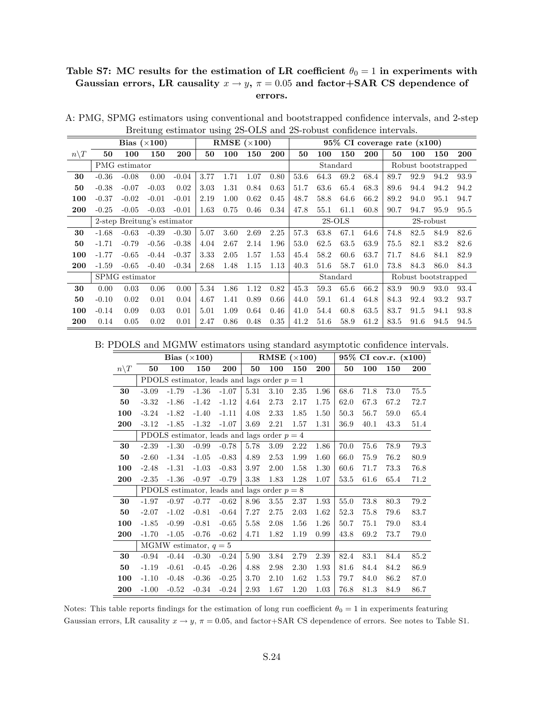#### Table S7: MC results for the estimation of LR coefficient  $\theta_0 = 1$  in experiments with Gaussian errors, LR causality  $x \to y$ ,  $\pi = 0.05$  and factor+SAR CS dependence of errors.

|                  |         |                | Bias $(\times 100)$         |         |      |      | RMSE $(\times 100)$ |            |      |      |          | $95\%$ CI coverage rate $(x100)$ |      |                     |              |      |
|------------------|---------|----------------|-----------------------------|---------|------|------|---------------------|------------|------|------|----------|----------------------------------|------|---------------------|--------------|------|
| $n \backslash T$ | 50      | 100            | 150                         | 200     | 50   | 100  | 150                 | <b>200</b> | 50   | 100  | 150      | <b>200</b>                       | 50   | 100                 | 150          | 200  |
|                  |         | PMG estimator  |                             |         |      |      |                     |            |      |      | Standard |                                  |      | Robust bootstrapped |              |      |
| 30               | $-0.36$ | $-0.08$        | 0.00                        | $-0.04$ | 3.77 | 1.71 | 1.07                | 0.80       | 53.6 | 64.3 | 69.2     | 68.4                             | 89.7 | 92.9                | 94.2         | 93.9 |
| 50               | $-0.38$ | $-0.07$        | $-0.03$                     | 0.02    | 3.03 | 1.31 | 0.84                | 0.63       | 51.7 | 63.6 | 65.4     | 68.3                             | 89.6 | 94.4                | 94.2         | 94.2 |
| 100              | $-0.37$ | $-0.02$        | $-0.01$                     | $-0.01$ | 2.19 | 1.00 | 0.62                | 0.45       | 48.7 | 58.8 | 64.6     | 66.2                             | 89.2 | 94.0                | 95.1         | 94.7 |
| 200              | $-0.25$ | $-0.05$        | $-0.03$                     | $-0.01$ | 1.63 | 0.75 | 0.46                | 0.34       | 47.8 | 55.1 | 61.1     | 60.8                             | 90.7 | 94.7                | 95.9         | 95.5 |
|                  |         |                | 2-step Breitung's estimator |         |      |      |                     |            |      |      | $2S-OLS$ |                                  |      |                     | $2S$ -robust |      |
| 30               | $-1.68$ | $-0.63$        | $-0.39$                     | $-0.30$ | 5.07 | 3.60 | 2.69                | 2.25       | 57.3 | 63.8 | 67.1     | 64.6                             | 74.8 | 82.5                | 84.9         | 82.6 |
| 50               | $-1.71$ | $-0.79$        | $-0.56$                     | $-0.38$ | 4.04 | 2.67 | 2.14                | 1.96       | 53.0 | 62.5 | 63.5     | 63.9                             | 75.5 | 82.1                | 83.2         | 82.6 |
| 100              | $-1.77$ | $-0.65$        | $-0.44$                     | $-0.37$ | 3.33 | 2.05 | 1.57                | 1.53       | 45.4 | 58.2 | 60.6     | 63.7                             | 71.7 | 84.6                | 84.1         | 82.9 |
| 200              | $-1.59$ | $-0.65$        | $-0.40$                     | $-0.34$ | 2.68 | 1.48 | 1.15                | 1.13       | 40.3 | 51.6 | 58.7     | 61.0                             | 73.8 | 84.3                | 86.0         | 84.3 |
|                  |         | SPMG estimator |                             |         |      |      |                     |            |      |      | Standard |                                  |      | Robust bootstrapped |              |      |
| 30               | 0.00    | 0.03           | 0.06                        | 0.00    | 5.34 | 1.86 | 1.12                | 0.82       | 45.3 | 59.3 | 65.6     | 66.2                             | 83.9 | 90.9                | 93.0         | 93.4 |
| 50               | $-0.10$ | 0.02           | 0.01                        | 0.04    | 4.67 | 1.41 | 0.89                | 0.66       | 44.0 | 59.1 | 61.4     | 64.8                             | 84.3 | 92.4                | 93.2         | 93.7 |
| 100              | $-0.14$ | 0.09           | 0.03                        | 0.01    | 5.01 | 1.09 | 0.64                | 0.46       | 41.0 | 54.4 | 60.8     | 63.5                             | 83.7 | 91.5                | 94.1         | 93.8 |
| 200              | 0.14    | 0.05           | 0.02                        | 0.01    | 2.47 | 0.86 | 0.48                | 0.35       | 41.2 | 51.6 | 58.9     | 61.2                             | 83.5 | 91.6                | 94.5         | 94.5 |

A: PMG, SPMG estimators using conventional and bootstrapped confidence intervals, and 2-step Breitung estimator using 2S-OLS and 2S-robust confidence intervals.

| B: PDOLS and MGMW estimators using standard asymptotic confidence intervals. |  |  |  |
|------------------------------------------------------------------------------|--|--|--|
|------------------------------------------------------------------------------|--|--|--|

|                 |         |                         | Bias $(\times 100)$ |                                               |      | RMSE $(\times 100)$ |      |      |      |      | 95% CI cov.r. (x100) |      |
|-----------------|---------|-------------------------|---------------------|-----------------------------------------------|------|---------------------|------|------|------|------|----------------------|------|
| $n\backslash T$ | 50      | 100                     | 150                 | 200                                           | 50   | 100                 | 150  | 200  | 50   | 100  | 150                  | 200  |
|                 |         |                         |                     | PDOLS estimator, leads and lags order $p = 1$ |      |                     |      |      |      |      |                      |      |
| 30              | $-3.09$ | $-1.79$                 | $-1.36$             | $-1.07$                                       | 5.31 | 3.10                | 2.35 | 1.96 | 68.6 | 71.8 | 73.0                 | 75.5 |
| 50              | $-3.32$ | $-1.86$                 | $-1.42$             | $-1.12$                                       | 4.64 | 2.73                | 2.17 | 1.75 | 62.0 | 67.3 | 67.2                 | 72.7 |
| 100             | $-3.24$ | $-1.82$                 | $-1.40$             | $-1.11$                                       | 4.08 | 2.33                | 1.85 | 1.50 | 50.3 | 56.7 | 59.0                 | 65.4 |
| 200             | $-3.12$ | $-1.85$                 | $-1.32$             | $-1.07$                                       | 3.69 | 2.21                | 1.57 | 1.31 | 36.9 | 40.1 | 43.3                 | 51.4 |
|                 |         |                         |                     | PDOLS estimator, leads and lags order $p = 4$ |      |                     |      |      |      |      |                      |      |
| 30              | $-2.39$ | $-1.30$                 | $-0.99$             | $-0.78$                                       | 5.78 | 3.09                | 2.22 | 1.86 | 70.0 | 75.6 | 78.9                 | 79.3 |
| 50              | $-2.60$ | $-1.34$                 | $-1.05$             | $-0.83$                                       | 4.89 | 2.53                | 1.99 | 1.60 | 66.0 | 75.9 | 76.2                 | 80.9 |
| 100             | $-2.48$ | $-1.31$                 | $-1.03$             | $-0.83$                                       | 3.97 | 2.00                | 1.58 | 1.30 | 60.6 | 71.7 | 73.3                 | 76.8 |
| 200             | $-2.35$ | $-1.36$                 | $-0.97$             | $-0.79$                                       | 3.38 | 1.83                | 1.28 | 1.07 | 53.5 | 61.6 | 65.4                 | 71.2 |
|                 |         |                         |                     | PDOLS estimator, leads and lags order $p = 8$ |      |                     |      |      |      |      |                      |      |
| 30              | $-1.97$ | $-0.97$                 | $-0.77$             | $-0.62$                                       | 8.96 | 3.55                | 2.37 | 1.93 | 55.0 | 73.8 | 80.3                 | 79.2 |
| 50              | $-2.07$ | $-1.02$                 | $-0.81$             | $-0.64$                                       | 7.27 | 2.75                | 2.03 | 1.62 | 52.3 | 75.8 | 79.6                 | 83.7 |
| 100             | $-1.85$ | $-0.99$                 | $-0.81$             | $-0.65$                                       | 5.58 | 2.08                | 1.56 | 1.26 | 50.7 | 75.1 | 79.0                 | 83.4 |
| <b>200</b>      | $-1.70$ | $-1.05$                 | $-0.76$             | $-0.62$                                       | 4.71 | 1.82                | 1.19 | 0.99 | 43.8 | 69.2 | 73.7                 | 79.0 |
|                 |         | MGMW estimator, $q = 5$ |                     |                                               |      |                     |      |      |      |      |                      |      |
| 30              | $-0.94$ | $-0.44$                 | $-0.30$             | $-0.24$                                       | 5.90 | 3.84                | 2.79 | 2.39 | 82.4 | 83.1 | 84.4                 | 85.2 |
| 50              | $-1.19$ | $-0.61$                 | $-0.45$             | $-0.26$                                       | 4.88 | 2.98                | 2.30 | 1.93 | 81.6 | 84.4 | 84.2                 | 86.9 |
| 100             | $-1.10$ | $-0.48$                 | $-0.36$             | $-0.25$                                       | 3.70 | 2.10                | 1.62 | 1.53 | 79.7 | 84.0 | 86.2                 | 87.0 |
| 200             | $-1.00$ | $-0.52$                 | $-0.34$             | $-0.24$                                       | 2.93 | 1.67                | 1.20 | 1.03 | 76.8 | 81.3 | 84.9                 | 86.7 |

Notes: This table reports findings for the estimation of long run coefficient  $\theta_0 = 1$  in experiments featuring Gaussian errors, LR causality  $x \to y$ ,  $\pi = 0.05$ , and factor+SAR CS dependence of errors. See notes to Table S1.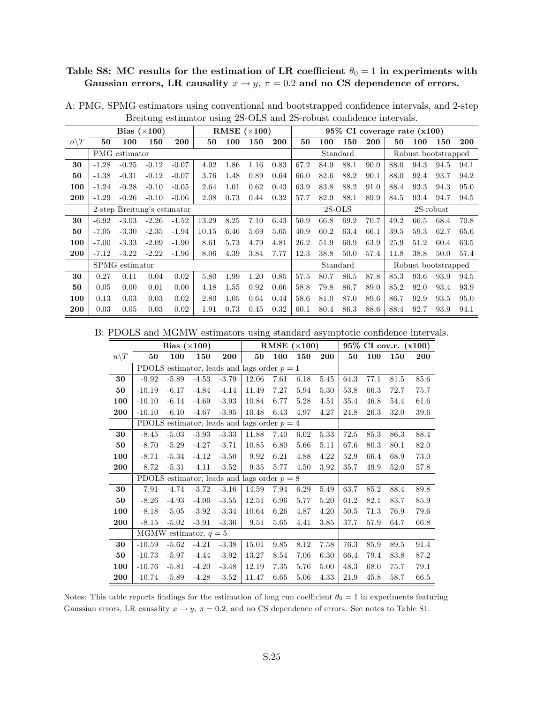## Table S8: MC results for the estimation of LR coefficient  $\theta_0 = 1$  in experiments with Gaussian errors, LR causality  $x \to y$ ,  $\pi = 0.2$  and no CS dependence of errors.

|                  |         |                | Bias $(\times 100)$         |         |       |      | RMSE $(\times 100)$ |      |          |      |          | $95\%$ CI coverage rate $(x100)$ |      |      |                     |            |
|------------------|---------|----------------|-----------------------------|---------|-------|------|---------------------|------|----------|------|----------|----------------------------------|------|------|---------------------|------------|
| $n \backslash T$ | 50      | 100            | 150                         | 200     | 50    | 100  | 150                 | 200  | 50       | 100  | 150      | 200                              | 50   | 100  | 150                 | <b>200</b> |
|                  |         | PMG estimator  |                             |         |       |      |                     |      |          |      | Standard |                                  |      |      | Robust bootstrapped |            |
| 30               | $-1.28$ | $-0.25$        | $-0.12$                     | $-0.07$ | 4.92  | 1.86 | 1.16                | 0.83 | 67.2     | 84.9 | 88.1     | 90.0                             | 88.0 | 94.3 | 94.5                | 94.1       |
| 50               | $-1.38$ | $-0.31$        | $-0.12$                     | $-0.07$ | 3.76  | 1.48 | 0.89                | 0.64 | 66.0     | 82.6 | 88.2     | 90.1                             | 88.0 | 92.4 | 93.7                | 94.2       |
| 100              | $-1.24$ | $-0.28$        | $-0.10$                     | $-0.05$ | 2.64  | 1.01 | 0.62                | 0.43 | 63.9     | 83.8 | 88.2     | 91.0                             | 88.4 | 93.3 | 94.3                | 95.0       |
| 200              | $-1.29$ | $-0.26$        | $-0.10$                     | $-0.06$ | 2.08  | 0.73 | 0.44                | 0.32 | 57.7     | 82.9 | 88.1     | 89.9                             | 84.5 | 93.4 | 94.7                | 94.5       |
|                  |         |                | 2-step Breitung's estimator |         |       |      |                     |      | $2S-OLS$ |      |          |                                  |      |      | $2S$ -robust        |            |
| 30               | $-6.92$ | $-3.03$        | $-2.26$                     | $-1.52$ | 13.29 | 8.25 | 7.10                | 6.43 | 50.9     | 66.8 | 69.2     | 70.7                             | 49.2 | 66.5 | 68.4                | 70.8       |
| 50               | $-7.05$ | $-3.30$        | $-2.35$                     | $-1.94$ | 10.15 | 6.46 | 5.69                | 5.65 | 40.9     | 60.2 | 63.4     | 66.1                             | 39.5 | 59.3 | 62.7                | 65.6       |
| 100              | $-7.00$ | $-3.33$        | $-2.09$                     | $-1.90$ | 8.61  | 5.73 | 4.79                | 4.81 | 26.2     | 51.9 | 60.9     | 63.9                             | 25.9 | 51.2 | 60.4                | 63.5       |
| 200              | $-7.12$ | $-3.22$        | $-2.22$                     | $-1.96$ | 8.06  | 4.39 | 3.84                | 7.77 | 12.3     | 38.8 | 50.0     | 57.4                             | 11.8 | 38.8 | 50.0                | 57.4       |
|                  |         | SPMG estimator |                             |         |       |      |                     |      |          |      | Standard |                                  |      |      | Robust bootstrapped |            |
| 30               | 0.27    | 0.11           | 0.04                        | 0.02    | 5.80  | 1.99 | 1.20                | 0.85 | 57.5     | 80.7 | 86.5     | 87.8                             | 85.3 | 93.6 | 93.9                | 94.5       |
| 50               | 0.05    | 0.00           | 0.01                        | 0.00    | 4.18  | 1.55 | 0.92                | 0.66 | 58.8     | 79.8 | 86.7     | 89.0                             | 85.2 | 92.0 | 93.4                | 93.9       |
| 100              | 0.13    | 0.03           | 0.03                        | 0.02    | 2.80  | 1.05 | 0.64                | 0.44 | 58.6     | 81.0 | 87.0     | 89.6                             | 86.7 | 92.9 | 93.5                | 95.0       |
| 200              | 0.03    | 0.05           | 0.03                        | 0.02    | 1.91  | 0.73 | 0.45                | 0.32 | 60.1     | 80.4 | 86.3     | 88.6                             | 88.4 | 92.7 | 93.9                | 94.1       |

A: PMG, SPMG estimators using conventional and bootstrapped confidence intervals, and 2-step Breitung estimator using 2S-OLS and 2S-robust confidence intervals.

B: PDOLS and MGMW estimators using standard asymptotic confidence intervals.

|                 |          | Bias $(\times 100)$     |         |         |                                               | RMSE $(\times 100)$ |      |      |      |      | 95% CI cov.r. (x100) |      |
|-----------------|----------|-------------------------|---------|---------|-----------------------------------------------|---------------------|------|------|------|------|----------------------|------|
| $n\backslash T$ | 50       | 100                     | 150     | 200     | 50                                            | 100                 | 150  | 200  | 50   | 100  | 150                  | 200  |
|                 |          |                         |         |         | PDOLS estimator, leads and lags order $p = 1$ |                     |      |      |      |      |                      |      |
| 30              | $-9.92$  | $-5.89$                 | $-4.53$ | $-3.79$ | 12.06                                         | 7.61                | 6.18 | 5.45 | 64.3 | 77.1 | 81.5                 | 85.6 |
| 50              | $-10.19$ | $-6.17$                 | $-4.84$ | $-4.14$ | 11.49                                         | 7.27                | 5.94 | 5.30 | 53.8 | 66.3 | 72.7                 | 75.7 |
| 100             | $-10.10$ | $-6.14$                 | $-4.69$ | $-3.93$ | 10.84                                         | 6.77                | 5.28 | 4.51 | 35.4 | 46.8 | 54.4                 | 61.6 |
| 200             | $-10.10$ | $-6.10$                 | $-4.67$ | $-3.95$ | 10.48                                         | 6.43                | 4.97 | 4.27 | 24.8 | 26.3 | 32.0                 | 39.6 |
|                 |          |                         |         |         | PDOLS estimator, leads and lags order $p = 4$ |                     |      |      |      |      |                      |      |
| 30              | $-8.45$  | $-5.03$                 | $-3.93$ | $-3.33$ | 11.88                                         | 7.40                | 6.02 | 5.33 | 72.5 | 85.3 | 86.3                 | 88.4 |
| 50              | $-8.70$  | $-5.29$                 | $-4.27$ | $-3.71$ | 10.85                                         | 6.80                | 5.66 | 5.11 | 67.6 | 80.3 | 80.1                 | 82.0 |
| 100             | $-8.71$  | $-5.34$                 | $-4.12$ | $-3.50$ | 9.92                                          | 6.21                | 4.88 | 4.22 | 52.9 | 66.4 | 68.9                 | 73.0 |
| 200             | $-8.72$  | $-5.31$                 | $-4.11$ | $-3.52$ | 9.35                                          | 5.77                | 4.50 | 3.92 | 35.7 | 49.9 | 52.0                 | 57.8 |
|                 |          |                         |         |         | PDOLS estimator, leads and lags order $p = 8$ |                     |      |      |      |      |                      |      |
| 30              | $-7.91$  | $-4.74$                 | $-3.72$ | $-3.16$ | 14.59                                         | 7.94                | 6.29 | 5.49 | 63.7 | 85.2 | 88.4                 | 89.8 |
| 50              | $-8.26$  | $-4.93$                 | $-4.06$ | $-3.55$ | 12.51                                         | 6.96                | 5.77 | 5.20 | 61.2 | 82.1 | 83.7                 | 85.9 |
| 100             | $-8.18$  | $-5.05$                 | $-3.92$ | $-3.34$ | 10.64                                         | 6.26                | 4.87 | 4.20 | 50.5 | 71.3 | 76.9                 | 79.6 |
| 200             | $-8.15$  | $-5.02$                 | $-3.91$ | $-3.36$ | 9.51                                          | 5.65                | 4.41 | 3.85 | 37.7 | 57.9 | 64.7                 | 66.8 |
|                 |          | MGMW estimator, $q = 5$ |         |         |                                               |                     |      |      |      |      |                      |      |
| 30              | $-10.59$ | $-5.62$                 | $-4.21$ | $-3.38$ | 15.01                                         | 9.85                | 8.12 | 7.58 | 76.3 | 85.9 | 89.5                 | 91.4 |
| 50              | $-10.73$ | $-5.97$                 | $-4.44$ | $-3.92$ | 13.27                                         | 8.54                | 7.06 | 6.30 | 66.4 | 79.4 | 83.8                 | 87.2 |
| 100             | $-10.76$ | $-5.81$                 | $-4.20$ | $-3.48$ | 12.19                                         | 7.35                | 5.76 | 5.00 | 48.3 | 68.0 | 75.7                 | 79.1 |
| 200             | $-10.74$ | $-5.89$                 | $-4.28$ | $-3.52$ | 11.47                                         | 6.65                | 5.06 | 4.33 | 21.9 | 45.8 | 58.7                 | 66.5 |

Notes: This table reports findings for the estimation of long run coefficient  $\theta_0 = 1$  in experiments featuring Gaussian errors, LR causality  $x \to y$ ,  $\pi = 0.2$ , and no CS dependence of errors. See notes to Table S1.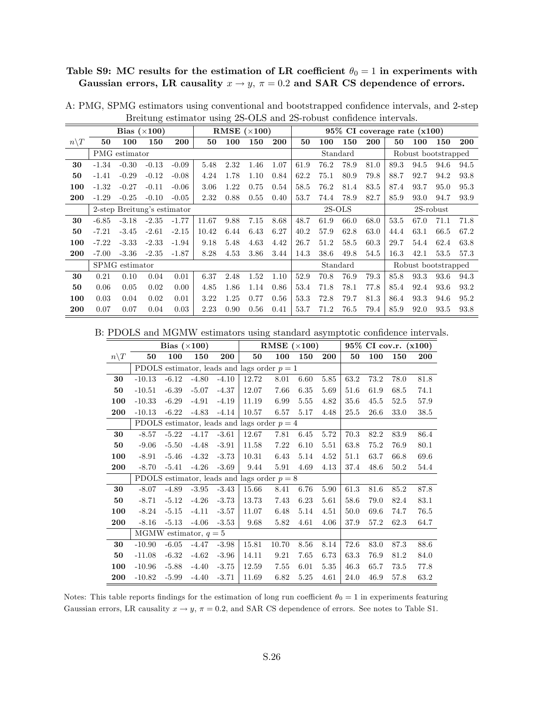## Table S9: MC results for the estimation of LR coefficient  $\theta_0 = 1$  in experiments with Gaussian errors, LR causality  $x \to y$ ,  $\pi = 0.2$  and SAR CS dependence of errors.

|                  |         |                | Bias $(\times 100)$         |         |       |      | RMSE $(\times 100)$ |      |      |      |          |      |      | $95\%$ CI coverage rate $(x100)$ |              |            |
|------------------|---------|----------------|-----------------------------|---------|-------|------|---------------------|------|------|------|----------|------|------|----------------------------------|--------------|------------|
| $n \backslash T$ | 50      | 100            | 150                         | 200     | 50    | 100  | 150                 | 200  | 50   | 100  | 150      | 200  | 50   | 100                              | 150          | <b>200</b> |
|                  |         | PMG estimator  |                             |         |       |      |                     |      |      |      | Standard |      |      | Robust bootstrapped              |              |            |
| 30               | $-1.34$ | $-0.30$        | $-0.13$                     | $-0.09$ | 5.48  | 2.32 | 1.46                | 1.07 | 61.9 | 76.2 | 78.9     | 81.0 | 89.3 | 94.5                             | 94.6         | 94.5       |
| 50               | $-1.41$ | $-0.29$        | $-0.12$                     | $-0.08$ | 4.24  | 1.78 | 1.10                | 0.84 | 62.2 | 75.1 | 80.9     | 79.8 | 88.7 | 92.7                             | 94.2         | 93.8       |
| 100              | $-1.32$ | $-0.27$        | $-0.11$                     | $-0.06$ | 3.06  | 1.22 | 0.75                | 0.54 | 58.5 | 76.2 | 81.4     | 83.5 | 87.4 | 93.7                             | 95.0         | 95.3       |
| 200              | $-1.29$ | $-0.25$        | $-0.10$                     | $-0.05$ | 2.32  | 0.88 | 0.55                | 0.40 | 53.7 | 74.4 | 78.9     | 82.7 | 85.9 | 93.0                             | 94.7         | 93.9       |
|                  |         |                | 2-step Breitung's estimator |         |       |      |                     |      |      |      | $2S-OLS$ |      |      |                                  | $2S$ -robust |            |
| 30               | $-6.85$ | $-3.18$        | $-2.35$                     | $-1.77$ | 11.67 | 9.88 | 7.15                | 8.68 | 48.7 | 61.9 | 66.0     | 68.0 | 53.5 | 67.0                             | 71.1         | 71.8       |
| 50               | $-7.21$ | $-3.45$        | $-2.61$                     | $-2.15$ | 10.42 | 6.44 | 6.43                | 6.27 | 40.2 | 57.9 | 62.8     | 63.0 | 44.4 | 63.1                             | 66.5         | 67.2       |
| 100              | $-7.22$ | $-3.33$        | $-2.33$                     | $-1.94$ | 9.18  | 5.48 | 4.63                | 4.42 | 26.7 | 51.2 | 58.5     | 60.3 | 29.7 | 54.4                             | 62.4         | 63.8       |
| 200              | $-7.00$ | $-3.36$        | $-2.35$                     | $-1.87$ | 8.28  | 4.53 | 3.86                | 3.44 | 14.3 | 38.6 | 49.8     | 54.5 | 16.3 | 42.1                             | 53.5         | 57.3       |
|                  |         | SPMG estimator |                             |         |       |      |                     |      |      |      | Standard |      |      | Robust bootstrapped              |              |            |
| 30               | 0.21    | 0.10           | 0.04                        | 0.01    | 6.37  | 2.48 | 1.52                | 1.10 | 52.9 | 70.8 | 76.9     | 79.3 | 85.8 | 93.3                             | 93.6         | 94.3       |
| 50               | 0.06    | 0.05           | 0.02                        | 0.00    | 4.85  | 1.86 | 1.14                | 0.86 | 53.4 | 71.8 | 78.1     | 77.8 | 85.4 | 92.4                             | 93.6         | 93.2       |
| 100              | 0.03    | 0.04           | 0.02                        | 0.01    | 3.22  | 1.25 | 0.77                | 0.56 | 53.3 | 72.8 | 79.7     | 81.3 | 86.4 | 93.3                             | 94.6         | 95.2       |
| 200              | 0.07    | 0.07           | 0.04                        | 0.03    | 2.23  | 0.90 | 0.56                | 0.41 | 53.7 | 71.2 | 76.5     | 79.4 | 85.9 | 92.0                             | 93.5         | 93.8       |

A: PMG, SPMG estimators using conventional and bootstrapped confidence intervals, and 2-step Breitung estimator using 2S-OLS and 2S-robust confidence intervals.

B: PDOLS and MGMW estimators using standard asymptotic confidence intervals.

|                 |          | Bias $(\times 100)$ |                         |         |                                               | RMSE $(\times 100)$ |      |      |      |      | 95% CI cov.r. (x100) |            |
|-----------------|----------|---------------------|-------------------------|---------|-----------------------------------------------|---------------------|------|------|------|------|----------------------|------------|
| $n\backslash T$ | 50       | 100                 | 150                     | 200     | 50                                            | 100                 | 150  | 200  | 50   | 100  | 150                  | <b>200</b> |
|                 |          |                     |                         |         | PDOLS estimator, leads and lags order $p = 1$ |                     |      |      |      |      |                      |            |
| 30              | $-10.13$ | $-6.12$             | $-4.80$                 | $-4.10$ | 12.72                                         | 8.01                | 6.60 | 5.85 | 63.2 | 73.2 | 78.0                 | 81.8       |
| 50              | $-10.51$ | $-6.39$             | $-5.07$                 | $-4.37$ | 12.07                                         | 7.66                | 6.35 | 5.69 | 51.6 | 61.9 | 68.5                 | 74.1       |
| 100             | $-10.33$ | $-6.29$             | $-4.91$                 | $-4.19$ | 11.19                                         | 6.99                | 5.55 | 4.82 | 35.6 | 45.5 | 52.5                 | 57.9       |
| 200             | $-10.13$ | $-6.22$             | $-4.83$                 | $-4.14$ | 10.57                                         | 6.57                | 5.17 | 4.48 | 25.5 | 26.6 | 33.0                 | 38.5       |
|                 |          |                     |                         |         | PDOLS estimator, leads and lags order $p = 4$ |                     |      |      |      |      |                      |            |
| 30              | $-8.57$  | $-5.22$             | $-4.17$                 | $-3.61$ | 12.67                                         | 7.81                | 6.45 | 5.72 | 70.3 | 82.2 | 83.9                 | 86.4       |
| 50              | $-9.06$  | $-5.50$             | $-4.48$                 | $-3.91$ | 11.58                                         | 7.22                | 6.10 | 5.51 | 63.8 | 75.2 | 76.9                 | 80.1       |
| 100             | $-8.91$  | $-5.46$             | $-4.32$                 | $-3.73$ | 10.31                                         | 6.43                | 5.14 | 4.52 | 51.1 | 63.7 | 66.8                 | 69.6       |
| 200             | $-8.70$  | $-5.41$             | $-4.26$                 | $-3.69$ | 9.44                                          | 5.91                | 4.69 | 4.13 | 37.4 | 48.6 | 50.2                 | 54.4       |
|                 |          |                     |                         |         | PDOLS estimator, leads and lags order $p = 8$ |                     |      |      |      |      |                      |            |
| 30              | $-8.07$  | $-4.89$             | $-3.95$                 | $-3.43$ | 15.66                                         | 8.41                | 6.76 | 5.90 | 61.3 | 81.6 | 85.2                 | 87.8       |
| 50              | $-8.71$  | $-5.12$             | $-4.26$                 | $-3.73$ | 13.73                                         | 7.43                | 6.23 | 5.61 | 58.6 | 79.0 | 82.4                 | 83.1       |
| 100             | $-8.24$  | $-5.15$             | $-4.11$                 | $-3.57$ | 11.07                                         | 6.48                | 5.14 | 4.51 | 50.0 | 69.6 | 74.7                 | 76.5       |
| 200             | $-8.16$  | $-5.13$             | $-4.06$                 | $-3.53$ | 9.68                                          | 5.82                | 4.61 | 4.06 | 37.9 | 57.2 | 62.3                 | 64.7       |
|                 |          |                     | MGMW estimator, $q = 5$ |         |                                               |                     |      |      |      |      |                      |            |
| 30              | $-10.90$ | $-6.05$             | $-4.47$                 | $-3.98$ | 15.81                                         | 10.70               | 8.56 | 8.14 | 72.6 | 83.0 | 87.3                 | 88.6       |
| 50              | $-11.08$ | $-6.32$             | $-4.62$                 | $-3.96$ | 14.11                                         | 9.21                | 7.65 | 6.73 | 63.3 | 76.9 | 81.2                 | 84.0       |
| 100             | $-10.96$ | $-5.88$             | $-4.40$                 | $-3.75$ | 12.59                                         | 7.55                | 6.01 | 5.35 | 46.3 | 65.7 | 73.5                 | 77.8       |
| 200             | $-10.82$ | $-5.99$             | $-4.40$                 | $-3.71$ | 11.69                                         | 6.82                | 5.25 | 4.61 | 24.0 | 46.9 | 57.8                 | 63.2       |

Notes: This table reports findings for the estimation of long run coefficient  $\theta_0 = 1$  in experiments featuring Gaussian errors, LR causality  $x \to y$ ,  $\pi = 0.2$ , and SAR CS dependence of errors. See notes to Table S1.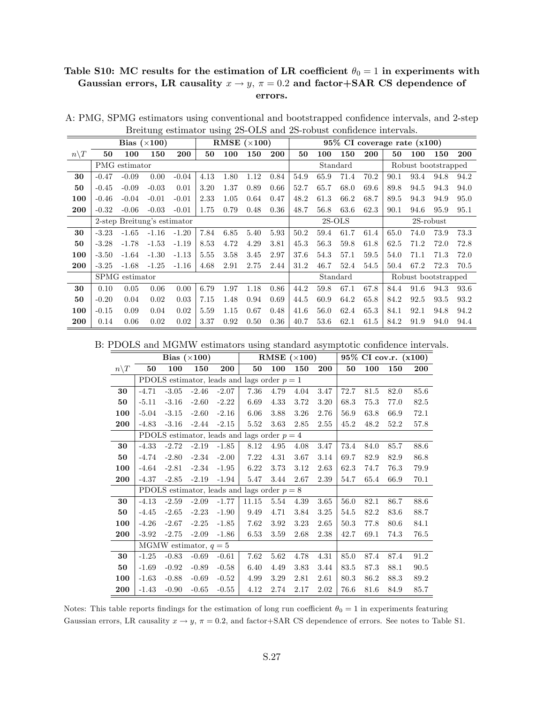#### Table S10: MC results for the estimation of LR coefficient  $\theta_0 = 1$  in experiments with Gaussian errors, LR causality  $x \to y$ ,  $\pi = 0.2$  and factor+SAR CS dependence of errors.

|                  |         |                | Bias $(\times 100)$         |         |      |      | RMSE $(\times 100)$ |      |      |      |          |      | 95% CI coverage rate (x100) |      |                     |            |
|------------------|---------|----------------|-----------------------------|---------|------|------|---------------------|------|------|------|----------|------|-----------------------------|------|---------------------|------------|
| $n \backslash T$ | 50      | 100            | 150                         | 200     | 50   | 100  | 150                 | 200  | 50   | 100  | 150      | 200  | 50                          | 100  | 150                 | <b>200</b> |
|                  |         | PMG estimator  |                             |         |      |      |                     |      |      |      | Standard |      |                             |      | Robust bootstrapped |            |
| 30               | $-0.47$ | $-0.09$        | 0.00                        | $-0.04$ | 4.13 | 1.80 | 1.12                | 0.84 | 54.9 | 65.9 | 71.4     | 70.2 | 90.1                        | 93.4 | 94.8                | 94.2       |
| 50               | $-0.45$ | $-0.09$        | $-0.03$                     | 0.01    | 3.20 | 1.37 | 0.89                | 0.66 | 52.7 | 65.7 | 68.0     | 69.6 | 89.8                        | 94.5 | 94.3                | 94.0       |
| 100              | $-0.46$ | $-0.04$        | $-0.01$                     | $-0.01$ | 2.33 | 1.05 | 0.64                | 0.47 | 48.2 | 61.3 | 66.2     | 68.7 | 89.5                        | 94.3 | 94.9                | 95.0       |
| 200              | $-0.32$ | $-0.06$        | $-0.03$                     | $-0.01$ | 1.75 | 0.79 | 0.48                | 0.36 | 48.7 | 56.8 | 63.6     | 62.3 | 90.1                        | 94.6 | 95.9                | 95.1       |
|                  |         |                | 2-step Breitung's estimator |         |      |      |                     |      |      |      | $2S-OLS$ |      |                             |      | $2S$ -robust        |            |
| 30               | $-3.23$ | $-1.65$        | $-1.16$                     | $-1.20$ | 7.84 | 6.85 | 5.40                | 5.93 | 50.2 | 59.4 | 61.7     | 61.4 | 65.0                        | 74.0 | 73.9                | 73.3       |
| 50               | $-3.28$ | $-1.78$        | $-1.53$                     | $-1.19$ | 8.53 | 4.72 | 4.29                | 3.81 | 45.3 | 56.3 | 59.8     | 61.8 | 62.5                        | 71.2 | 72.0                | 72.8       |
| 100              | $-3.50$ | $-1.64$        | $-1.30$                     | $-1.13$ | 5.55 | 3.58 | 3.45                | 2.97 | 37.6 | 54.3 | 57.1     | 59.5 | 54.0                        | 71.1 | 71.3                | 72.0       |
| 200              | $-3.25$ | $-1.68$        | $-1.25$                     | $-1.16$ | 4.68 | 2.91 | 2.75                | 2.44 | 31.2 | 46.7 | 52.4     | 54.5 | 50.4                        | 67.2 | 72.3                | 70.5       |
|                  |         | SPMG estimator |                             |         |      |      |                     |      |      |      | Standard |      |                             |      | Robust bootstrapped |            |
| 30               | 0.10    | 0.05           | 0.06                        | 0.00    | 6.79 | 1.97 | 1.18                | 0.86 | 44.2 | 59.8 | 67.1     | 67.8 | 84.4                        | 91.6 | 94.3                | 93.6       |
| 50               | $-0.20$ | 0.04           | 0.02                        | 0.03    | 7.15 | 1.48 | 0.94                | 0.69 | 44.5 | 60.9 | 64.2     | 65.8 | 84.2                        | 92.5 | 93.5                | 93.2       |
| 100              | $-0.15$ | 0.09           | 0.04                        | 0.02    | 5.59 | 1.15 | 0.67                | 0.48 | 41.6 | 56.0 | 62.4     | 65.3 | 84.1                        | 92.1 | 94.8                | 94.2       |
| 200              | 0.14    | 0.06           | 0.02                        | 0.02    | 3.37 | 0.92 | 0.50                | 0.36 | 40.7 | 53.6 | 62.1     | 61.5 | 84.2                        | 91.9 | 94.0                | 94.4       |

A: PMG, SPMG estimators using conventional and bootstrapped confidence intervals, and 2-step Breitung estimator using 2S-OLS and 2S-robust confidence intervals.

B: PDOLS and MGMW estimators using standard asymptotic confidence intervals.

|                 |         |         | Bias $(\times 100)$     |         |                                               |      | RMSE $(\times 100)$ |            |      |      | 95% CI cov.r. (x100) |            |
|-----------------|---------|---------|-------------------------|---------|-----------------------------------------------|------|---------------------|------------|------|------|----------------------|------------|
| $n\backslash T$ | 50      | 100     | 150                     | 200     | 50                                            | 100  | 150                 | <b>200</b> | 50   | 100  | 150                  | <b>200</b> |
|                 |         |         |                         |         | PDOLS estimator, leads and lags order $p = 1$ |      |                     |            |      |      |                      |            |
| 30              | $-4.71$ | $-3.05$ | $-2.46$                 | $-2.07$ | 7.36                                          | 4.79 | 4.04                | 3.47       | 72.7 | 81.5 | 82.0                 | 85.6       |
| 50              | $-5.11$ | $-3.16$ | $-2.60$                 | $-2.22$ | 6.69                                          | 4.33 | 3.72                | 3.20       | 68.3 | 75.3 | 77.0                 | 82.5       |
| 100             | $-5.04$ | $-3.15$ | $-2.60$                 | $-2.16$ | 6.06                                          | 3.88 | 3.26                | 2.76       | 56.9 | 63.8 | 66.9                 | 72.1       |
| 200             | $-4.83$ | $-3.16$ | $-2.44$                 | $-2.15$ | 5.52                                          | 3.63 | 2.85                | 2.55       | 45.2 | 48.2 | 52.2                 | 57.8       |
|                 |         |         |                         |         | PDOLS estimator, leads and lags order $p = 4$ |      |                     |            |      |      |                      |            |
| 30              | $-4.33$ | $-2.72$ | $-2.19$                 | $-1.85$ | 8.12                                          | 4.95 | 4.08                | $3.47\,$   | 73.4 | 84.0 | 85.7                 | 88.6       |
| 50              | $-4.74$ | $-2.80$ | $-2.34$                 | $-2.00$ | 7.22                                          | 4.31 | 3.67                | 3.14       | 69.7 | 82.9 | 82.9                 | 86.8       |
| 100             | $-4.64$ | $-2.81$ | $-2.34$                 | $-1.95$ | 6.22                                          | 3.73 | 3.12                | 2.63       | 62.3 | 74.7 | 76.3                 | 79.9       |
| 200             | $-4.37$ | $-2.85$ | $-2.19$                 | $-1.94$ | 5.47                                          | 3.44 | 2.67                | 2.39       | 54.7 | 65.4 | 66.9                 | 70.1       |
|                 |         |         |                         |         | PDOLS estimator, leads and lags order $p = 8$ |      |                     |            |      |      |                      |            |
| 30              | $-4.13$ | $-2.59$ | $-2.09$                 | $-1.77$ | 11.15                                         | 5.54 | 4.39                | 3.65       | 56.0 | 82.1 | 86.7                 | 88.6       |
| 50              | $-4.45$ | $-2.65$ | $-2.23$                 | $-1.90$ | 9.49                                          | 4.71 | 3.84                | 3.25       | 54.5 | 82.2 | 83.6                 | 88.7       |
| 100             | $-4.26$ | $-2.67$ | $-2.25$                 | $-1.85$ | 7.62                                          | 3.92 | 3.23                | 2.65       | 50.3 | 77.8 | 80.6                 | 84.1       |
| 200             | $-3.92$ | $-2.75$ | $-2.09$                 | $-1.86$ | 6.53                                          | 3.59 | 2.68                | 2.38       | 42.7 | 69.1 | 74.3                 | 76.5       |
|                 |         |         | MGMW estimator, $q = 5$ |         |                                               |      |                     |            |      |      |                      |            |
| 30              | $-1.25$ | $-0.83$ | $-0.69$                 | $-0.61$ | 7.62                                          | 5.62 | 4.78                | 4.31       | 85.0 | 87.4 | 87.4                 | 91.2       |
| 50              | $-1.69$ | $-0.92$ | $-0.89$                 | $-0.58$ | 6.40                                          | 4.49 | 3.83                | 3.44       | 83.5 | 87.3 | 88.1                 | 90.5       |
| 100             | $-1.63$ | $-0.88$ | $-0.69$                 | $-0.52$ | 4.99                                          | 3.29 | 2.81                | 2.61       | 80.3 | 86.2 | 88.3                 | 89.2       |
| 200             | $-1.43$ | $-0.90$ | $-0.65$                 | $-0.55$ | 4.12                                          | 2.74 | 2.17                | 2.02       | 76.6 | 81.6 | 84.9                 | 85.7       |

Notes: This table reports findings for the estimation of long run coefficient  $\theta_0 = 1$  in experiments featuring Gaussian errors, LR causality  $x \to y$ ,  $\pi = 0.2$ , and factor+SAR CS dependence of errors. See notes to Table S1.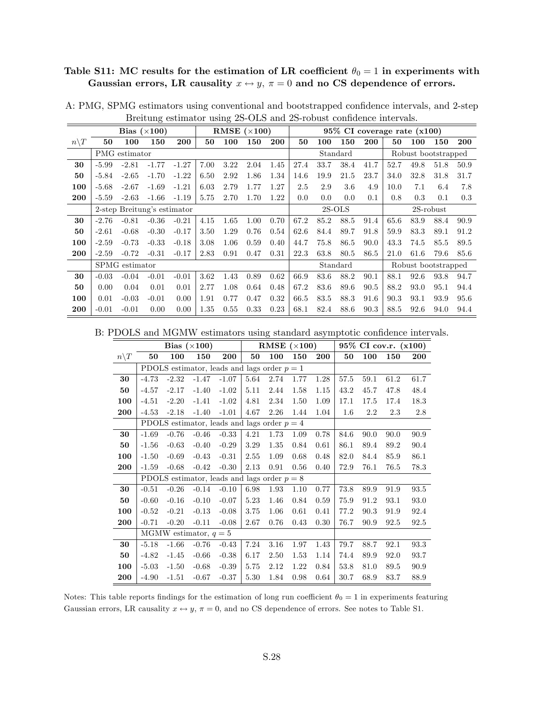# Table S11: MC results for the estimation of LR coefficient  $\theta_0 = 1$  in experiments with Gaussian errors, LR causality  $x \leftrightarrow y$ ,  $\pi = 0$  and no CS dependence of errors.

|                 |         |                | Bias $(\times 100)$ |                             |      | RMSE $(\times 100)$ |      |      |      |      | $95\%$ CI coverage rate $(x100)$ |            |      |      |                     |            |
|-----------------|---------|----------------|---------------------|-----------------------------|------|---------------------|------|------|------|------|----------------------------------|------------|------|------|---------------------|------------|
| $n\backslash T$ | 50      | 100            | 150                 | 200                         | 50   | 100                 | 150  | 200  | 50   | 100  | 150                              | <b>200</b> | 50   | 100  | 150                 | <b>200</b> |
|                 |         | PMG estimator  |                     |                             |      |                     |      |      |      |      | Standard                         |            |      |      | Robust bootstrapped |            |
| 30              | $-5.99$ | $-2.81$        | $-1.77$             | $-1.27$                     | 7.00 | 3.22                | 2.04 | 1.45 | 27.4 | 33.7 | 38.4                             | 41.7       | 52.7 | 49.8 | 51.8                | 50.9       |
| 50              | $-5.84$ | $-2.65$        | $-1.70$             | $-1.22$                     | 6.50 | 2.92                | 1.86 | 1.34 | 14.6 | 19.9 | 21.5                             | 23.7       | 34.0 | 32.8 | 31.8                | 31.7       |
| 100             | $-5.68$ | $-2.67$        | $-1.69$             | $-1.21$                     | 6.03 | 2.79                | 1.77 | 1.27 | 2.5  | 2.9  | 3.6                              | 4.9        | 10.0 | 7.1  | 6.4                 | 7.8        |
| 200             | $-5.59$ | $-2.63$        | $-1.66$             | $-1.19$                     | 5.75 | 2.70                | 1.70 | 1.22 | 0.0  | 0.0  | 0.0                              | 0.1        | 0.8  | 0.3  | 0.1                 | 0.3        |
|                 |         |                |                     | 2-step Breitung's estimator |      |                     |      |      |      |      | $2S-OLS$                         |            |      |      | 2S-robust           |            |
| 30              | $-2.76$ | $-0.81$        | $-0.36$             | $-0.21$                     | 4.15 | 1.65                | 1.00 | 0.70 | 67.2 | 85.2 | 88.5                             | 91.4       | 65.6 | 83.9 | 88.4                | 90.9       |
| 50              | $-2.61$ | $-0.68$        | $-0.30$             | $-0.17$                     | 3.50 | 1.29                | 0.76 | 0.54 | 62.6 | 84.4 | 89.7                             | 91.8       | 59.9 | 83.3 | 89.1                | 91.2       |
| 100             | $-2.59$ | $-0.73$        | $-0.33$             | $-0.18$                     | 3.08 | 1.06                | 0.59 | 0.40 | 44.7 | 75.8 | 86.5                             | 90.0       | 43.3 | 74.5 | 85.5                | 89.5       |
| 200             | $-2.59$ | $-0.72$        | $-0.31$             | $-0.17$                     | 2.83 | 0.91                | 0.47 | 0.31 | 22.3 | 63.8 | 80.5                             | 86.5       | 21.0 | 61.6 | 79.6                | 85.6       |
|                 |         | SPMG estimator |                     |                             |      |                     |      |      |      |      | Standard                         |            |      |      | Robust bootstrapped |            |
| 30              | $-0.03$ | $-0.04$        | $-0.01$             | $-0.01$                     | 3.62 | 1.43                | 0.89 | 0.62 | 66.9 | 83.6 | 88.2                             | 90.1       | 88.1 | 92.6 | 93.8                | 94.7       |
| 50              | 0.00    | 0.04           | 0.01                | 0.01                        | 2.77 | 1.08                | 0.64 | 0.48 | 67.2 | 83.6 | 89.6                             | 90.5       | 88.2 | 93.0 | 95.1                | 94.4       |
| 100             | 0.01    | $-0.03$        | $-0.01$             | 0.00                        | 1.91 | 0.77                | 0.47 | 0.32 | 66.5 | 83.5 | 88.3                             | 91.6       | 90.3 | 93.1 | 93.9                | 95.6       |
| 200             | $-0.01$ | $-0.01$        | 0.00                | 0.00                        | 1.35 | 0.55                | 0.33 | 0.23 | 68.1 | 82.4 | 88.6                             | 90.3       | 88.5 | 92.6 | 94.0                | 94.4       |

A: PMG, SPMG estimators using conventional and bootstrapped confidence intervals, and 2-step Breitung estimator using 2S-OLS and 2S-robust confidence intervals.

B: PDOLS and MGMW estimators using standard asymptotic confidence intervals.

|                 |         |         | Bias $(\times 100)$                           |            |      | RMSE $(\times 100)$ |      |      |      |      | $95\%$ CI cov.r. $(x100)$ |      |
|-----------------|---------|---------|-----------------------------------------------|------------|------|---------------------|------|------|------|------|---------------------------|------|
| $n\backslash T$ | 50      | 100     | 150                                           | <b>200</b> | 50   | 100                 | 150  | 200  | 50   | 100  | 150                       | 200  |
|                 |         |         | PDOLS estimator, leads and lags order $p = 1$ |            |      |                     |      |      |      |      |                           |      |
| 30              | $-4.73$ | $-2.32$ | $-1.47$                                       | $-1.07$    | 5.64 | 2.74                | 1.77 | 1.28 | 57.5 | 59.1 | 61.2                      | 61.7 |
| 50              | $-4.57$ | $-2.17$ | $-1.40$                                       | $-1.02$    | 5.11 | 2.44                | 1.58 | 1.15 | 43.2 | 45.7 | 47.8                      | 48.4 |
| 100             | $-4.51$ | $-2.20$ | $-1.41$                                       | $-1.02$    | 4.81 | 2.34                | 1.50 | 1.09 | 17.1 | 17.5 | 17.4                      | 18.3 |
| 200             | $-4.53$ | $-2.18$ | $-1.40$                                       | $-1.01$    | 4.67 | 2.26                | 1.44 | 1.04 | 1.6  | 2.2  | 2.3                       | 2.8  |
|                 |         |         | PDOLS estimator, leads and lags order $p = 4$ |            |      |                     |      |      |      |      |                           |      |
| 30              | $-1.69$ | $-0.76$ | $-0.46$                                       | $-0.33$    | 4.21 | 1.73                | 1.09 | 0.78 | 84.6 | 90.0 | 90.0                      | 90.9 |
| 50              | $-1.56$ | $-0.63$ | $-0.40$                                       | $-0.29$    | 3.29 | 1.35                | 0.84 | 0.61 | 86.1 | 89.4 | 89.2                      | 90.4 |
| 100             | $-1.50$ | $-0.69$ | $-0.43$                                       | $-0.31$    | 2.55 | 1.09                | 0.68 | 0.48 | 82.0 | 84.4 | 85.9                      | 86.1 |
| 200             | $-1.59$ | $-0.68$ | $-0.42$                                       | $-0.30$    | 2.13 | 0.91                | 0.56 | 0.40 | 72.9 | 76.1 | 76.5                      | 78.3 |
|                 |         |         | PDOLS estimator, leads and lags order $p = 8$ |            |      |                     |      |      |      |      |                           |      |
| 30              | $-0.51$ | $-0.26$ | $-0.14$                                       | $-0.10$    | 6.98 | 1.93                | 1.10 | 0.77 | 73.8 | 89.9 | 91.9                      | 93.5 |
| 50              | $-0.60$ | $-0.16$ | $-0.10$                                       | $-0.07$    | 5.23 | 1.46                | 0.84 | 0.59 | 75.9 | 91.2 | 93.1                      | 93.0 |
| 100             | $-0.52$ | $-0.21$ | $-0.13$                                       | $-0.08$    | 3.75 | 1.06                | 0.61 | 0.41 | 77.2 | 90.3 | 91.9                      | 92.4 |
| 200             | $-0.71$ | $-0.20$ | $-0.11$                                       | $-0.08$    | 2.67 | 0.76                | 0.43 | 0.30 | 76.7 | 90.9 | 92.5                      | 92.5 |
|                 |         |         | MGMW estimator, $q = 5$                       |            |      |                     |      |      |      |      |                           |      |
| 30              | $-5.18$ | $-1.66$ | $-0.76$                                       | $-0.43$    | 7.24 | 3.16                | 1.97 | 1.43 | 79.7 | 88.7 | 92.1                      | 93.3 |
| 50              | $-4.82$ | $-1.45$ | $-0.66$                                       | $-0.38$    | 6.17 | 2.50                | 1.53 | 1.14 | 74.4 | 89.9 | 92.0                      | 93.7 |
| 100             | $-5.03$ | $-1.50$ | $-0.68$                                       | $-0.39$    | 5.75 | 2.12                | 1.22 | 0.84 | 53.8 | 81.0 | 89.5                      | 90.9 |
| 200             | $-4.90$ | $-1.51$ | $-0.67$                                       | $-0.37$    | 5.30 | 1.84                | 0.98 | 0.64 | 30.7 | 68.9 | 83.7                      | 88.9 |

Notes: This table reports findings for the estimation of long run coefficient  $\theta_0 = 1$  in experiments featuring Gaussian errors, LR causality  $x \leftrightarrow y$ ,  $\pi = 0$ , and no CS dependence of errors. See notes to Table S1.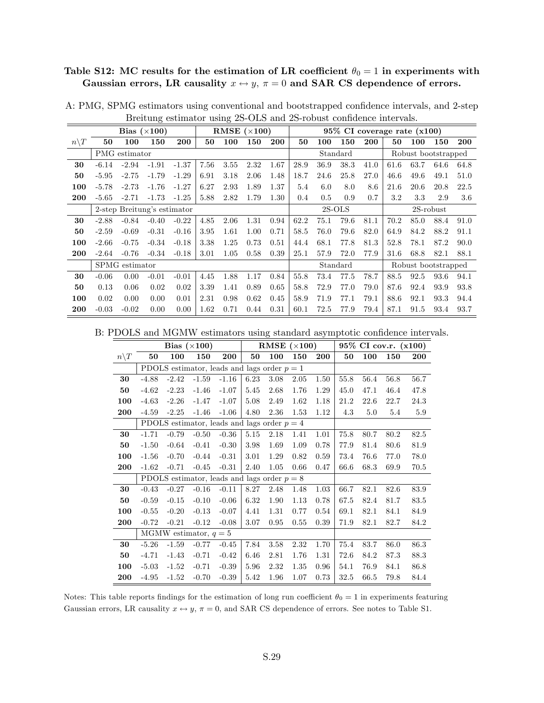## Table S12: MC results for the estimation of LR coefficient  $\theta_0 = 1$  in experiments with Gaussian errors, LR causality  $x \leftrightarrow y$ ,  $\pi = 0$  and SAR CS dependence of errors.

|                 |         |                | Bias $(\times 100)$         |         |      |      | RMSE $(\times 100)$ |            |          |      |          |      | $95\%$ CI coverage rate $(x100)$ |                     |              |            |
|-----------------|---------|----------------|-----------------------------|---------|------|------|---------------------|------------|----------|------|----------|------|----------------------------------|---------------------|--------------|------------|
| $n\backslash T$ | 50      | 100            | 150                         | 200     | 50   | 100  | 150                 | <b>200</b> | 50       | 100  | 150      | 200  | 50                               | 100                 | 150          | <b>200</b> |
|                 |         | PMG estimator  |                             |         |      |      |                     |            |          |      | Standard |      |                                  | Robust bootstrapped |              |            |
| 30              | $-6.14$ | $-2.94$        | $-1.91$                     | $-1.37$ | 7.56 | 3.55 | 2.32                | 1.67       | 28.9     | 36.9 | 38.3     | 41.0 | 61.6                             | 63.7                | 64.6         | 64.8       |
| 50              | $-5.95$ | $-2.75$        | $-1.79$                     | $-1.29$ | 6.91 | 3.18 | 2.06                | 1.48       | 18.7     | 24.6 | 25.8     | 27.0 | 46.6                             | 49.6                | 49.1         | 51.0       |
| 100             | $-5.78$ | $-2.73$        | $-1.76$                     | $-1.27$ | 6.27 | 2.93 | 1.89                | 1.37       | 5.4      | 6.0  | 8.0      | 8.6  | 21.6                             | 20.6                | 20.8         | 22.5       |
| 200             | $-5.65$ | $-2.71$        | $-1.73$                     | $-1.25$ | 5.88 | 2.82 | 1.79                | 1.30       | 0.4      | 0.5  | 0.9      | 0.7  | 3.2                              | 3.3                 | 2.9          | 3.6        |
|                 |         |                | 2-step Breitung's estimator |         |      |      |                     |            | $2S-OLS$ |      |          |      |                                  |                     | $2S$ -robust |            |
| 30              | $-2.88$ | $-0.84$        | $-0.40$                     | $-0.22$ | 4.85 | 2.06 | 1.31                | 0.94       | 62.2     | 75.1 | 79.6     | 81.1 | 70.2                             | 85.0                | 88.4         | 91.0       |
| 50              | $-2.59$ | $-0.69$        | $-0.31$                     | $-0.16$ | 3.95 | 1.61 | 1.00                | 0.71       | 58.5     | 76.0 | 79.6     | 82.0 | 64.9                             | 84.2                | 88.2         | 91.1       |
| 100             | $-2.66$ | $-0.75$        | $-0.34$                     | $-0.18$ | 3.38 | 1.25 | 0.73                | 0.51       | 44.4     | 68.1 | 77.8     | 81.3 | 52.8                             | 78.1                | 87.2         | 90.0       |
| 200             | $-2.64$ | $-0.76$        | $-0.34$                     | $-0.18$ | 3.01 | 1.05 | 0.58                | 0.39       | 25.1     | 57.9 | 72.0     | 77.9 | 31.6                             | 68.8                | 82.1         | 88.1       |
|                 |         | SPMG estimator |                             |         |      |      |                     |            |          |      | Standard |      |                                  | Robust bootstrapped |              |            |
| 30              | $-0.06$ | 0.00           | $-0.01$                     | $-0.01$ | 4.45 | 1.88 | 1.17                | 0.84       | 55.8     | 73.4 | 77.5     | 78.7 | 88.5                             | 92.5                | 93.6         | 94.1       |
| 50              | 0.13    | 0.06           | 0.02                        | 0.02    | 3.39 | 1.41 | 0.89                | 0.65       | 58.8     | 72.9 | 77.0     | 79.0 | 87.6                             | 92.4                | 93.9         | 93.8       |
| 100             | 0.02    | 0.00           | 0.00                        | 0.01    | 2.31 | 0.98 | 0.62                | 0.45       | 58.9     | 71.9 | 77.1     | 79.1 | 88.6                             | 92.1                | 93.3         | 94.4       |
| 200             | $-0.03$ | $-0.02$        | 0.00                        | 0.00    | 1.62 | 0.71 | 0.44                | 0.31       | 60.1     | 72.5 | 77.9     | 79.4 | 87.1                             | 91.5                | 93.4         | 93.7       |

A: PMG, SPMG estimators using conventional and bootstrapped confidence intervals, and 2-step Breitung estimator using 2S-OLS and 2S-robust confidence intervals.

B: PDOLS and MGMW estimators using standard asymptotic confidence intervals.

|                 |         |         | Bias $(\times 100)$     |                                               |      | RMSE $(\times 100)$ |      |      |      |      | 95% CI cov.r. (x100) |      |
|-----------------|---------|---------|-------------------------|-----------------------------------------------|------|---------------------|------|------|------|------|----------------------|------|
| $n\backslash T$ | 50      | 100     | 150                     | <b>200</b>                                    | 50   | 100                 | 150  | 200  | 50   | 100  | 150                  | 200  |
|                 |         |         |                         | PDOLS estimator, leads and lags order $p = 1$ |      |                     |      |      |      |      |                      |      |
| 30              | $-4.88$ | $-2.42$ | $-1.59$                 | $-1.16$                                       | 6.23 | 3.08                | 2.05 | 1.50 | 55.8 | 56.4 | 56.8                 | 56.7 |
| 50              | $-4.62$ | $-2.23$ | $-1.46$                 | $-1.07$                                       | 5.45 | 2.68                | 1.76 | 1.29 | 45.0 | 47.1 | 46.4                 | 47.8 |
| 100             | $-4.63$ | $-2.26$ | $-1.47$                 | $-1.07$                                       | 5.08 | 2.49                | 1.62 | 1.18 | 21.2 | 22.6 | 22.7                 | 24.3 |
| 200             | $-4.59$ | $-2.25$ | $-1.46$                 | $-1.06$                                       | 4.80 | 2.36                | 1.53 | 1.12 | 4.3  | 5.0  | 5.4                  | 5.9  |
|                 |         |         |                         | PDOLS estimator, leads and lags order $p = 4$ |      |                     |      |      |      |      |                      |      |
| 30              | $-1.71$ | $-0.79$ | $-0.50$                 | $-0.36$                                       | 5.15 | 2.18                | 1.41 | 1.01 | 75.8 | 80.7 | 80.2                 | 82.5 |
| 50              | $-1.50$ | $-0.64$ | $-0.41$                 | $-0.30$                                       | 3.98 | 1.69                | 1.09 | 0.78 | 77.9 | 81.4 | 80.6                 | 81.9 |
| 100             | $-1.56$ | $-0.70$ | $-0.44$                 | $-0.31$                                       | 3.01 | 1.29                | 0.82 | 0.59 | 73.4 | 76.6 | 77.0                 | 78.0 |
| 200             | $-1.62$ | $-0.71$ | $-0.45$                 | $-0.31$                                       | 2.40 | 1.05                | 0.66 | 0.47 | 66.6 | 68.3 | 69.9                 | 70.5 |
|                 |         |         |                         | PDOLS estimator, leads and lags order $p = 8$ |      |                     |      |      |      |      |                      |      |
| 30              | $-0.43$ | $-0.27$ | $-0.16$                 | $-0.11$                                       | 8.27 | 2.48                | 1.48 | 1.03 | 66.7 | 82.1 | 82.6                 | 83.9 |
| 50              | $-0.59$ | $-0.15$ | $-0.10$                 | $-0.06$                                       | 6.32 | 1.90                | 1.13 | 0.78 | 67.5 | 82.4 | 81.7                 | 83.5 |
| 100             | $-0.55$ | $-0.20$ | $-0.13$                 | $-0.07$                                       | 4.41 | 1.31                | 0.77 | 0.54 | 69.1 | 82.1 | 84.1                 | 84.9 |
| 200             | $-0.72$ | $-0.21$ | $-0.12$                 | $-0.08$                                       | 3.07 | 0.95                | 0.55 | 0.39 | 71.9 | 82.1 | 82.7                 | 84.2 |
|                 |         |         | MGMW estimator, $q = 5$ |                                               |      |                     |      |      |      |      |                      |      |
| 30              | $-5.26$ | $-1.59$ | $-0.77$                 | $-0.45$                                       | 7.84 | 3.58                | 2.32 | 1.70 | 75.4 | 83.7 | 86.0                 | 86.3 |
| 50              | $-4.71$ | $-1.43$ | $-0.71$                 | $-0.42$                                       | 6.46 | 2.81                | 1.76 | 1.31 | 72.6 | 84.2 | 87.3                 | 88.3 |
| 100             | $-5.03$ | $-1.52$ | $-0.71$                 | $-0.39$                                       | 5.96 | 2.32                | 1.35 | 0.96 | 54.1 | 76.9 | 84.1                 | 86.8 |
| 200             | $-4.95$ | $-1.52$ | $-0.70$                 | $-0.39$                                       | 5.42 | 1.96                | 1.07 | 0.73 | 32.5 | 66.5 | 79.8                 | 84.4 |

Notes: This table reports findings for the estimation of long run coefficient  $\theta_0 = 1$  in experiments featuring Gaussian errors, LR causality  $x \leftrightarrow y$ ,  $\pi = 0$ , and SAR CS dependence of errors. See notes to Table S1.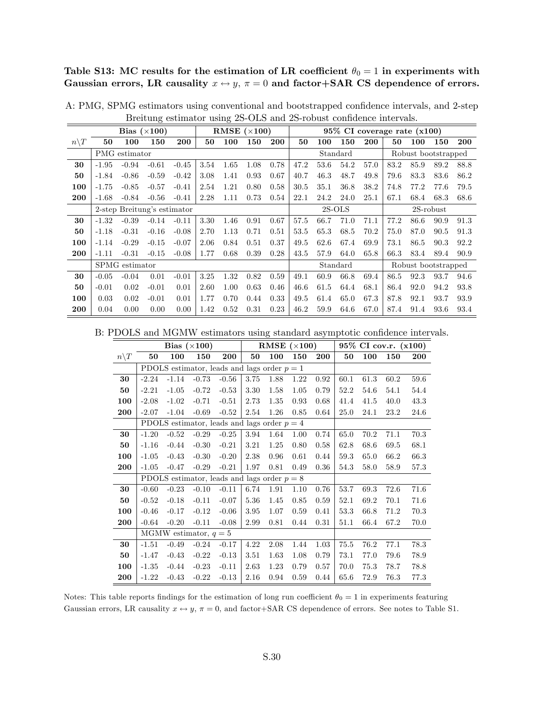Table S13: MC results for the estimation of LR coefficient  $\theta_0 = 1$  in experiments with Gaussian errors, LR causality  $x \leftrightarrow y$ ,  $\pi = 0$  and factor+SAR CS dependence of errors.

|                  |         |                | Bias $(\times 100)$         |         |      | RMSE $(\times 100)$ |      |      |      |      |          |            |      | $95\%$ CI coverage rate $(x100)$ |              |      |
|------------------|---------|----------------|-----------------------------|---------|------|---------------------|------|------|------|------|----------|------------|------|----------------------------------|--------------|------|
| $n \backslash T$ | 50      | 100            | 150                         | 200     | 50   | 100                 | 150  | 200  | 50   | 100  | 150      | <b>200</b> | 50   | 100                              | 150          | 200  |
|                  |         | PMG estimator  |                             |         |      |                     |      |      |      |      | Standard |            |      | Robust bootstrapped              |              |      |
| 30               | $-1.95$ | $-0.94$        | $-0.61$                     | $-0.45$ | 3.54 | 1.65                | 1.08 | 0.78 | 47.2 | 53.6 | 54.2     | 57.0       | 83.2 | 85.9                             | 89.2         | 88.8 |
| 50               | $-1.84$ | $-0.86$        | $-0.59$                     | $-0.42$ | 3.08 | 1.41                | 0.93 | 0.67 | 40.7 | 46.3 | 48.7     | 49.8       | 79.6 | 83.3                             | 83.6         | 86.2 |
| 100              | $-1.75$ | $-0.85$        | $-0.57$                     | $-0.41$ | 2.54 | 1.21                | 0.80 | 0.58 | 30.5 | 35.1 | 36.8     | 38.2       | 74.8 | 77.2                             | 77.6         | 79.5 |
| 200              | $-1.68$ | $-0.84$        | $-0.56$                     | $-0.41$ | 2.28 | 1.11                | 0.73 | 0.54 | 22.1 | 24.2 | 24.0     | 25.1       | 67.1 | 68.4                             | 68.3         | 68.6 |
|                  |         |                | 2-step Breitung's estimator |         |      |                     |      |      |      |      | $2S-OLS$ |            |      |                                  | $2S$ -robust |      |
| 30               | $-1.32$ | $-0.39$        | $-0.14$                     | $-0.11$ | 3.30 | 1.46                | 0.91 | 0.67 | 57.5 | 66.7 | 71.0     | 71.1       | 77.2 | 86.6                             | 90.9         | 91.3 |
| 50               | $-1.18$ | $-0.31$        | $-0.16$                     | $-0.08$ | 2.70 | 1.13                | 0.71 | 0.51 | 53.5 | 65.3 | 68.5     | 70.2       | 75.0 | 87.0                             | 90.5         | 91.3 |
| 100              | $-1.14$ | $-0.29$        | $-0.15$                     | $-0.07$ | 2.06 | 0.84                | 0.51 | 0.37 | 49.5 | 62.6 | 67.4     | 69.9       | 73.1 | 86.5                             | 90.3         | 92.2 |
| 200              | $-1.11$ | $-0.31$        | $-0.15$                     | $-0.08$ | 1.77 | 0.68                | 0.39 | 0.28 | 43.5 | 57.9 | 64.0     | 65.8       | 66.3 | 83.4                             | 89.4         | 90.9 |
|                  |         | SPMG estimator |                             |         |      |                     |      |      |      |      | Standard |            |      | Robust bootstrapped              |              |      |
| 30               | $-0.05$ | $-0.04$        | 0.01                        | $-0.01$ | 3.25 | 1.32                | 0.82 | 0.59 | 49.1 | 60.9 | 66.8     | 69.4       | 86.5 | 92.3                             | 93.7         | 94.6 |
| 50               | $-0.01$ | 0.02           | $-0.01$                     | 0.01    | 2.60 | 1.00                | 0.63 | 0.46 | 46.6 | 61.5 | 64.4     | 68.1       | 86.4 | 92.0                             | 94.2         | 93.8 |
| 100              | 0.03    | 0.02           | $-0.01$                     | 0.01    | 1.77 | 0.70                | 0.44 | 0.33 | 49.5 | 61.4 | 65.0     | 67.3       | 87.8 | 92.1                             | 93.7         | 93.9 |
| 200              | 0.04    | 0.00           | 0.00                        | 0.00    | 1.42 | 0.52                | 0.31 | 0.23 | 46.2 | 59.9 | 64.6     | 67.0       | 87.4 | 91.4                             | 93.6         | 93.4 |

A: PMG, SPMG estimators using conventional and bootstrapped confidence intervals, and 2-step Breitung estimator using 2S-OLS and 2S-robust confidence intervals.

B: PDOLS and MGMW estimators using standard asymptotic confidence intervals.

|                 |         |         | Bias $(\times 100)$                           |         |      | RMSE $(\times 100)$ |      |      |      |      | $95\%$ CI cov.r. $(x100)$ |      |
|-----------------|---------|---------|-----------------------------------------------|---------|------|---------------------|------|------|------|------|---------------------------|------|
| $n\backslash T$ | 50      | 100     | 150                                           | 200     | 50   | 100                 | 150  | 200  | 50   | 100  | 150                       | 200  |
|                 |         |         | PDOLS estimator, leads and lags order $p = 1$ |         |      |                     |      |      |      |      |                           |      |
| 30              | $-2.24$ | $-1.14$ | $-0.73$                                       | $-0.56$ | 3.75 | 1.88                | 1.22 | 0.92 | 60.1 | 61.3 | 60.2                      | 59.6 |
| 50              | $-2.21$ | $-1.05$ | $-0.72$                                       | $-0.53$ | 3.30 | 1.58                | 1.05 | 0.79 | 52.2 | 54.6 | 54.1                      | 54.4 |
| 100             | $-2.08$ | $-1.02$ | $-0.71$                                       | $-0.51$ | 2.73 | 1.35                | 0.93 | 0.68 | 41.4 | 41.5 | 40.0                      | 43.3 |
| 200             | $-2.07$ | $-1.04$ | $-0.69$                                       | $-0.52$ | 2.54 | 1.26                | 0.85 | 0.64 | 25.0 | 24.1 | 23.2                      | 24.6 |
|                 |         |         | PDOLS estimator, leads and lags order $p = 4$ |         |      |                     |      |      |      |      |                           |      |
| 30              | $-1.20$ | $-0.52$ | $-0.29$                                       | $-0.25$ | 3.94 | 1.64                | 1.00 | 0.74 | 65.0 | 70.2 | 71.1                      | 70.3 |
| 50              | $-1.16$ | $-0.44$ | $-0.30$                                       | $-0.21$ | 3.21 | 1.25                | 0.80 | 0.58 | 62.8 | 68.6 | 69.5                      | 68.1 |
| 100             | $-1.05$ | $-0.43$ | $-0.30$                                       | $-0.20$ | 2.38 | 0.96                | 0.61 | 0.44 | 59.3 | 65.0 | 66.2                      | 66.3 |
| 200             | $-1.05$ | $-0.47$ | $-0.29$                                       | $-0.21$ | 1.97 | 0.81                | 0.49 | 0.36 | 54.3 | 58.0 | 58.9                      | 57.3 |
|                 |         |         | PDOLS estimator, leads and lags order $p = 8$ |         |      |                     |      |      |      |      |                           |      |
| 30              | $-0.60$ | $-0.23$ | $-0.10$                                       | $-0.11$ | 6.74 | 1.91                | 1.10 | 0.76 | 53.7 | 69.3 | 72.6                      | 71.6 |
| 50              | $-0.52$ | $-0.18$ | $-0.11$                                       | $-0.07$ | 5.36 | 1.45                | 0.85 | 0.59 | 52.1 | 69.2 | 70.1                      | 71.6 |
| 100             | $-0.46$ | $-0.17$ | $-0.12$                                       | $-0.06$ | 3.95 | 1.07                | 0.59 | 0.41 | 53.3 | 66.8 | 71.2                      | 70.3 |
| 200             | $-0.64$ | $-0.20$ | $-0.11$                                       | $-0.08$ | 2.99 | 0.81                | 0.44 | 0.31 | 51.1 | 66.4 | 67.2                      | 70.0 |
|                 |         |         | MGMW estimator, $q = 5$                       |         |      |                     |      |      |      |      |                           |      |
| 30              | $-1.51$ | $-0.49$ | $-0.24$                                       | $-0.17$ | 4.22 | 2.08                | 1.44 | 1.03 | 75.5 | 76.2 | 77.1                      | 78.3 |
| 50              | $-1.47$ | $-0.43$ | $-0.22$                                       | $-0.13$ | 3.51 | 1.63                | 1.08 | 0.79 | 73.1 | 77.0 | 79.6                      | 78.9 |
| 100             | $-1.35$ | $-0.44$ | $-0.23$                                       | $-0.11$ | 2.63 | 1.23                | 0.79 | 0.57 | 70.0 | 75.3 | 78.7                      | 78.8 |
| 200             | $-1.22$ | $-0.43$ | $-0.22$                                       | $-0.13$ | 2.16 | 0.94                | 0.59 | 0.44 | 65.6 | 72.9 | 76.3                      | 77.3 |

Notes: This table reports findings for the estimation of long run coefficient  $\theta_0 = 1$  in experiments featuring Gaussian errors, LR causality  $x \leftrightarrow y$ ,  $\pi = 0$ , and factor+SAR CS dependence of errors. See notes to Table S1.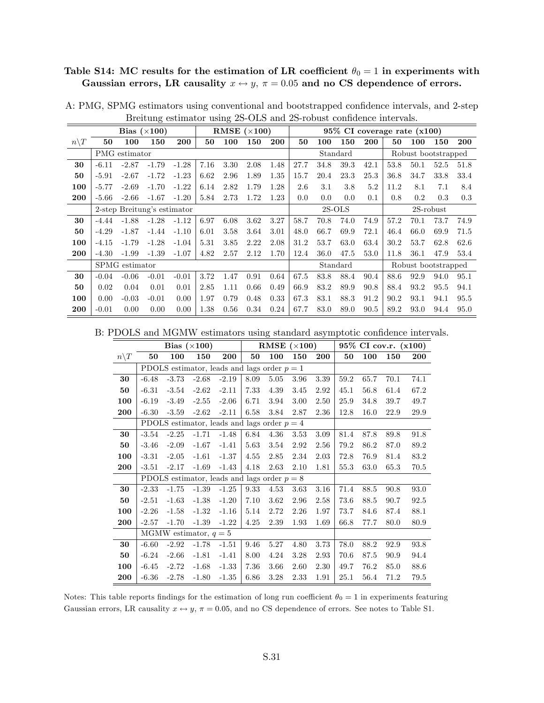## Table S14: MC results for the estimation of LR coefficient  $\theta_0 = 1$  in experiments with Gaussian errors, LR causality  $x \leftrightarrow y$ ,  $\pi = 0.05$  and no CS dependence of errors.

|                 |         |                | Bias $(\times 100)$         |         |      |      | RMSE $(\times 100)$ |      |      |      |          |            | 95% CI coverage rate (x100) |      |                     |      |
|-----------------|---------|----------------|-----------------------------|---------|------|------|---------------------|------|------|------|----------|------------|-----------------------------|------|---------------------|------|
| $n\backslash T$ | 50      | 100            | 150                         | 200     | 50   | 100  | 150                 | 200  | 50   | 100  | 150      | <b>200</b> | 50                          | 100  | 150                 | 200  |
|                 |         | PMG estimator  |                             |         |      |      |                     |      |      |      | Standard |            |                             |      | Robust bootstrapped |      |
| 30              | $-6.11$ | $-2.87$        | $-1.79$                     | $-1.28$ | 7.16 | 3.30 | 2.08                | 1.48 | 27.7 | 34.8 | 39.3     | 42.1       | 53.8                        | 50.1 | 52.5                | 51.8 |
| 50              | $-5.91$ | $-2.67$        | $-1.72$                     | $-1.23$ | 6.62 | 2.96 | 1.89                | 1.35 | 15.7 | 20.4 | 23.3     | 25.3       | 36.8                        | 34.7 | 33.8                | 33.4 |
| 100             | $-5.77$ | $-2.69$        | $-1.70$                     | $-1.22$ | 6.14 | 2.82 | 1.79                | 1.28 | 2.6  | 3.1  | 3.8      | 5.2        | 11.2                        | 8.1  | 7.1                 | 8.4  |
| 200             | $-5.66$ | $-2.66$        | $-1.67$                     | $-1.20$ | 5.84 | 2.73 | 1.72                | 1.23 | 0.0  | 0.0  | 0.0      | 0.1        | 0.8                         | 0.2  | 0.3                 | 0.3  |
|                 |         |                | 2-step Breitung's estimator |         |      |      |                     |      |      |      | $2S-OLS$ |            |                             |      | $2S$ -robust        |      |
| 30              | $-4.44$ | $-1.88$        | $-1.28$                     | $-1.12$ | 6.97 | 6.08 | 3.62                | 3.27 | 58.7 | 70.8 | 74.0     | 74.9       | 57.2                        | 70.1 | 73.7                | 74.9 |
| 50              | $-4.29$ | $-1.87$        | $-1.44$                     | $-1.10$ | 6.01 | 3.58 | 3.64                | 3.01 | 48.0 | 66.7 | 69.9     | 72.1       | 46.4                        | 66.0 | 69.9                | 71.5 |
| 100             | $-4.15$ | $-1.79$        | $-1.28$                     | $-1.04$ | 5.31 | 3.85 | 2.22                | 2.08 | 31.2 | 53.7 | 63.0     | 63.4       | 30.2                        | 53.7 | 62.8                | 62.6 |
| 200             | $-4.30$ | $-1.99$        | $-1.39$                     | $-1.07$ | 4.82 | 2.57 | 2.12                | 1.70 | 12.4 | 36.0 | 47.5     | 53.0       | 11.8                        | 36.1 | 47.9                | 53.4 |
|                 |         | SPMG estimator |                             |         |      |      |                     |      |      |      | Standard |            |                             |      | Robust bootstrapped |      |
| 30              | $-0.04$ | $-0.06$        | $-0.01$                     | $-0.01$ | 3.72 | 1.47 | 0.91                | 0.64 | 67.5 | 83.8 | 88.4     | 90.4       | 88.6                        | 92.9 | 94.0                | 95.1 |
| 50              | 0.02    | 0.04           | 0.01                        | 0.01    | 2.85 | 1.11 | 0.66                | 0.49 | 66.9 | 83.2 | 89.9     | 90.8       | 88.4                        | 93.2 | 95.5                | 94.1 |
| 100             | 0.00    | $-0.03$        | $-0.01$                     | 0.00    | 1.97 | 0.79 | 0.48                | 0.33 | 67.3 | 83.1 | 88.3     | 91.2       | 90.2                        | 93.1 | 94.1                | 95.5 |
| 200             | $-0.01$ | 0.00           | 0.00                        | 0.00    | 1.38 | 0.56 | 0.34                | 0.24 | 67.7 | 83.0 | 89.0     | 90.5       | 89.2                        | 93.0 | 94.4                | 95.0 |

A: PMG, SPMG estimators using conventional and bootstrapped confidence intervals, and 2-step Breitung estimator using 2S-OLS and 2S-robust confidence intervals.

B: PDOLS and MGMW estimators using standard asymptotic confidence intervals.

|                 |         |         | Bias $(\times 100)$     |                                               |      | RMSE $(\times 100)$ |      |      |      |      | $95\%$ CI cov.r. $(x100)$ |      |
|-----------------|---------|---------|-------------------------|-----------------------------------------------|------|---------------------|------|------|------|------|---------------------------|------|
| $n\backslash T$ | 50      | 100     | 150                     | 200                                           | 50   | 100                 | 150  | 200  | 50   | 100  | 150                       | 200  |
|                 |         |         |                         | PDOLS estimator, leads and lags order $p = 1$ |      |                     |      |      |      |      |                           |      |
| 30              | $-6.48$ | $-3.73$ | $-2.68$                 | $-2.19$                                       | 8.09 | 5.05                | 3.96 | 3.39 | 59.2 | 65.7 | 70.1                      | 74.1 |
| 50              | $-6.31$ | $-3.54$ | $-2.62$                 | $-2.11$                                       | 7.33 | 4.39                | 3.45 | 2.92 | 45.1 | 56.8 | 61.4                      | 67.2 |
| 100             | $-6.19$ | $-3.49$ | $-2.55$                 | $-2.06$                                       | 6.71 | 3.94                | 3.00 | 2.50 | 25.9 | 34.8 | 39.7                      | 49.7 |
| 200             | $-6.30$ | $-3.59$ | $-2.62$                 | $-2.11$                                       | 6.58 | 3.84                | 2.87 | 2.36 | 12.8 | 16.0 | 22.9                      | 29.9 |
|                 |         |         |                         | PDOLS estimator, leads and lags order $p = 4$ |      |                     |      |      |      |      |                           |      |
| 30              | $-3.54$ | $-2.25$ | $-1.71$                 | $-1.48$                                       | 6.84 | 4.36                | 3.53 | 3.09 | 81.4 | 87.8 | 89.8                      | 91.8 |
| 50              | $-3.46$ | $-2.09$ | $-1.67$                 | $-1.41$                                       | 5.63 | 3.54                | 2.92 | 2.56 | 79.2 | 86.2 | 87.0                      | 89.2 |
| 100             | $-3.31$ | $-2.05$ | $-1.61$                 | $-1.37$                                       | 4.55 | 2.85                | 2.34 | 2.03 | 72.8 | 76.9 | 81.4                      | 83.2 |
| 200             | $-3.51$ | $-2.17$ | $-1.69$                 | $-1.43$                                       | 4.18 | 2.63                | 2.10 | 1.81 | 55.3 | 63.0 | 65.3                      | 70.5 |
|                 |         |         |                         | PDOLS estimator, leads and lags order $p = 8$ |      |                     |      |      |      |      |                           |      |
| 30              | $-2.33$ | $-1.75$ | $-1.39$                 | $-1.25$                                       | 9.33 | 4.53                | 3.63 | 3.16 | 71.4 | 88.5 | 90.8                      | 93.0 |
| 50              | $-2.51$ | $-1.63$ | $-1.38$                 | $-1.20$                                       | 7.10 | 3.62                | 2.96 | 2.58 | 73.6 | 88.5 | 90.7                      | 92.5 |
| 100             | $-2.26$ | $-1.58$ | $-1.32$                 | $-1.16$                                       | 5.14 | 2.72                | 2.26 | 1.97 | 73.7 | 84.6 | 87.4                      | 88.1 |
| 200             | $-2.57$ | $-1.70$ | $-1.39$                 | $-1.22$                                       | 4.25 | 2.39                | 1.93 | 1.69 | 66.8 | 77.7 | 80.0                      | 80.9 |
|                 |         |         | MGMW estimator, $q = 5$ |                                               |      |                     |      |      |      |      |                           |      |
| 30              | $-6.60$ | $-2.92$ | $-1.78$                 | $-1.51$                                       | 9.46 | 5.27                | 4.80 | 3.73 | 78.0 | 88.2 | 92.9                      | 93.8 |
| 50              | $-6.24$ | $-2.66$ | $-1.81$                 | $-1.41$                                       | 8.00 | 4.24                | 3.28 | 2.93 | 70.6 | 87.5 | 90.9                      | 94.4 |
| 100             | $-6.45$ | $-2.72$ | $-1.68$                 | $-1.33$                                       | 7.36 | 3.66                | 2.60 | 2.30 | 49.7 | 76.2 | 85.0                      | 88.6 |
| 200             | $-6.36$ | $-2.78$ | $-1.80$                 | $-1.35$                                       | 6.86 | 3.28                | 2.33 | 1.91 | 25.1 | 56.4 | 71.2                      | 79.5 |

Notes: This table reports findings for the estimation of long run coefficient  $\theta_0 = 1$  in experiments featuring Gaussian errors, LR causality  $x \leftrightarrow y$ ,  $\pi = 0.05$ , and no CS dependence of errors. See notes to Table S1.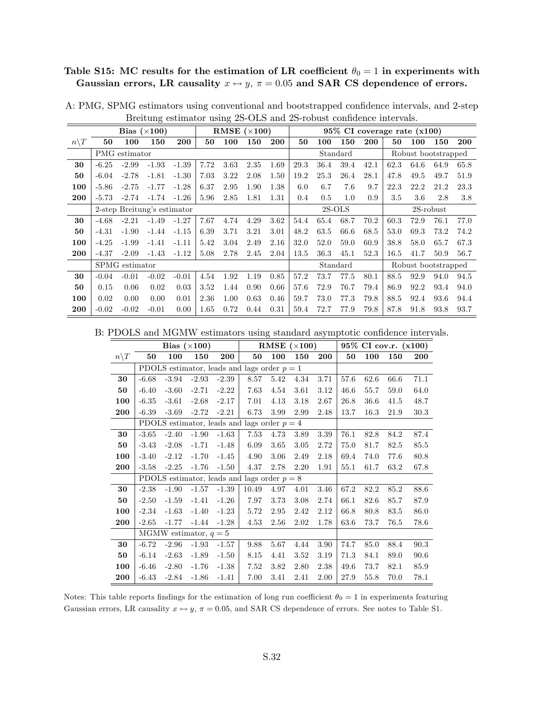#### Table S15: MC results for the estimation of LR coefficient  $\theta_0 = 1$  in experiments with Gaussian errors, LR causality  $x \leftrightarrow y$ ,  $\pi = 0.05$  and SAR CS dependence of errors.

|                 |         |                | Bias $(\times 100)$         |         |      | RMSE $(\times 100)$ |      |            |      |          | $95\%$ CI coverage rate $(x100)$ |      |      |                     |              |            |
|-----------------|---------|----------------|-----------------------------|---------|------|---------------------|------|------------|------|----------|----------------------------------|------|------|---------------------|--------------|------------|
| $n\backslash T$ | 50      | 100            | 150                         | 200     | 50   | 100                 | 150  | <b>200</b> | 50   | 100      | 150                              | 200  | 50   | 100                 | 150          | <b>200</b> |
|                 |         | PMG estimator  |                             |         |      |                     |      |            |      |          | Standard                         |      |      | Robust bootstrapped |              |            |
| 30              | $-6.25$ | $-2.99$        | $-1.93$                     | $-1.39$ | 7.72 | 3.63                | 2.35 | 1.69       | 29.3 | 36.4     | 39.4                             | 42.1 | 62.3 | 64.6                | 64.9         | 65.8       |
| 50              | $-6.04$ | $-2.78$        | $-1.81$                     | $-1.30$ | 7.03 | 3.22                | 2.08 | 1.50       | 19.2 | 25.3     | 26.4                             | 28.1 | 47.8 | 49.5                | 49.7         | 51.9       |
| 100             | $-5.86$ | $-2.75$        | $-1.77$                     | $-1.28$ | 6.37 | 2.95                | 1.90 | 1.38       | 6.0  | 6.7      | 7.6                              | 9.7  | 22.3 | 22.2                | 21.2         | 23.3       |
| 200             | $-5.73$ | $-2.74$        | $-1.74$                     | $-1.26$ | 5.96 | 2.85                | 1.81 | 1.31       | 0.4  | 0.5      | 1.0                              | 0.9  | 3.5  | 3.6                 | 2.8          | 3.8        |
|                 |         |                | 2-step Breitung's estimator |         |      |                     |      |            |      | $2S-OLS$ |                                  |      |      |                     | $2S$ -robust |            |
| 30              | $-4.68$ | $-2.21$        | $-1.49$                     | $-1.27$ | 7.67 | 4.74                | 4.29 | 3.62       | 54.4 | 65.4     | 68.7                             | 70.2 | 60.3 | 72.9                | 76.1         | 77.0       |
| 50              | $-4.31$ | $-1.90$        | $-1.44$                     | $-1.15$ | 6.39 | 3.71                | 3.21 | 3.01       | 48.2 | 63.5     | 66.6                             | 68.5 | 53.0 | 69.3                | 73.2         | 74.2       |
| 100             | $-4.25$ | $-1.99$        | $-1.41$                     | $-1.11$ | 5.42 | 3.04                | 2.49 | 2.16       | 32.0 | 52.0     | 59.0                             | 60.9 | 38.8 | 58.0                | 65.7         | 67.3       |
| 200             | $-4.37$ | $-2.09$        | $-1.43$                     | $-1.12$ | 5.08 | 2.78                | 2.45 | 2.04       | 13.5 | 36.3     | 45.1                             | 52.3 | 16.5 | 41.7                | 50.9         | 56.7       |
|                 |         | SPMG estimator |                             |         |      |                     |      |            |      |          | Standard                         |      |      | Robust bootstrapped |              |            |
| 30              | $-0.04$ | $-0.01$        | $-0.02$                     | $-0.01$ | 4.54 | 1.92                | 1.19 | 0.85       | 57.2 | 73.7     | 77.5                             | 80.1 | 88.5 | 92.9                | 94.0         | 94.5       |
| 50              | 0.15    | 0.06           | 0.02                        | 0.03    | 3.52 | 1.44                | 0.90 | 0.66       | 57.6 | 72.9     | 76.7                             | 79.4 | 86.9 | 92.2                | 93.4         | 94.0       |
| 100             | 0.02    | 0.00           | 0.00                        | 0.01    | 2.36 | 1.00                | 0.63 | 0.46       | 59.7 | 73.0     | 77.3                             | 79.8 | 88.5 | 92.4                | 93.6         | 94.4       |
| 200             | $-0.02$ | $-0.02$        | $-0.01$                     | 0.00    | 1.65 | 0.72                | 0.44 | 0.31       | 59.4 | 72.7     | 77.9                             | 79.8 | 87.8 | 91.8                | 93.8         | 93.7       |

A: PMG, SPMG estimators using conventional and bootstrapped confidence intervals, and 2-step Breitung estimator using 2S-OLS and 2S-robust confidence intervals.

B: PDOLS and MGMW estimators using standard asymptotic confidence intervals.

|                 |         |         | Bias $(\times 100)$     |         |                                               |      | RMSE $(\times 100)$ |            |      |      | 95% CI cov.r. (x100) |            |
|-----------------|---------|---------|-------------------------|---------|-----------------------------------------------|------|---------------------|------------|------|------|----------------------|------------|
| $n\backslash T$ | 50      | 100     | 150                     | 200     | 50                                            | 100  | 150                 | <b>200</b> | 50   | 100  | 150                  | <b>200</b> |
|                 |         |         |                         |         | PDOLS estimator, leads and lags order $p = 1$ |      |                     |            |      |      |                      |            |
| 30              | $-6.68$ | $-3.94$ | $-2.93$                 | $-2.39$ | 8.57                                          | 5.42 | 4.34                | 3.71       | 57.6 | 62.6 | 66.6                 | 71.1       |
| 50              | $-6.40$ | $-3.60$ | $-2.71$                 | $-2.22$ | 7.63                                          | 4.54 | 3.61                | 3.12       | 46.6 | 55.7 | 59.0                 | 64.0       |
| 100             | $-6.35$ | $-3.61$ | $-2.68$                 | $-2.17$ | 7.01                                          | 4.13 | 3.18                | 2.67       | 26.8 | 36.6 | 41.5                 | 48.7       |
| 200             | $-6.39$ | $-3.69$ | $-2.72$                 | $-2.21$ | 6.73                                          | 3.99 | 2.99                | 2.48       | 13.7 | 16.3 | 21.9                 | 30.3       |
|                 |         |         |                         |         | PDOLS estimator, leads and lags order $p = 4$ |      |                     |            |      |      |                      |            |
| 30              | $-3.65$ | $-2.40$ | $-1.90$                 | $-1.63$ | 7.53                                          | 4.73 | 3.89                | 3.39       | 76.1 | 82.8 | 84.2                 | 87.4       |
| 50              | $-3.43$ | $-2.08$ | $-1.71$                 | $-1.48$ | 6.09                                          | 3.65 | 3.05                | 2.72       | 75.0 | 81.7 | 82.5                 | 85.5       |
| 100             | $-3.40$ | $-2.12$ | $-1.70$                 | $-1.45$ | 4.90                                          | 3.06 | 2.49                | 2.18       | 69.4 | 74.0 | 77.6                 | 80.8       |
| 200             | $-3.58$ | $-2.25$ | $-1.76$                 | $-1.50$ | 4.37                                          | 2.78 | 2.20                | 1.91       | 55.1 | 61.7 | 63.2                 | 67.8       |
|                 |         |         |                         |         | PDOLS estimator, leads and lags order $p = 8$ |      |                     |            |      |      |                      |            |
| 30              | $-2.38$ | $-1.90$ | $-1.57$                 | $-1.39$ | 10.49                                         | 4.97 | 4.01                | 3.46       | 67.2 | 82.2 | 85.2                 | 88.6       |
| 50              | $-2.50$ | $-1.59$ | $-1.41$                 | $-1.26$ | 7.97                                          | 3.73 | 3.08                | 2.74       | 66.1 | 82.6 | 85.7                 | 87.9       |
| 100             | $-2.34$ | $-1.63$ | $-1.40$                 | $-1.23$ | 5.72                                          | 2.95 | 2.42                | 2.12       | 66.8 | 80.8 | 83.5                 | 86.0       |
| 200             | $-2.65$ | $-1.77$ | $-1.44$                 | $-1.28$ | 4.53                                          | 2.56 | 2.02                | 1.78       | 63.6 | 73.7 | 76.5                 | 78.6       |
|                 |         |         | MGMW estimator, $q = 5$ |         |                                               |      |                     |            |      |      |                      |            |
| 30              | $-6.72$ | $-2.96$ | $-1.93$                 | $-1.57$ | 9.88                                          | 5.67 | 4.44                | 3.90       | 74.7 | 85.0 | 88.4                 | 90.3       |
| 50              | $-6.14$ | $-2.63$ | $-1.89$                 | $-1.50$ | 8.15                                          | 4.41 | 3.52                | 3.19       | 71.3 | 84.1 | 89.0                 | 90.6       |
| 100             | $-6.46$ | $-2.80$ | $-1.76$                 | $-1.38$ | 7.52                                          | 3.82 | 2.80                | 2.38       | 49.6 | 73.7 | 82.1                 | 85.9       |
| 200             | $-6.43$ | $-2.84$ | $-1.86$                 | $-1.41$ | 7.00                                          | 3.41 | 2.41                | 2.00       | 27.9 | 55.8 | 70.0                 | 78.1       |

Notes: This table reports findings for the estimation of long run coefficient  $\theta_0 = 1$  in experiments featuring Gaussian errors, LR causality  $x \leftrightarrow y$ ,  $\pi = 0.05$ , and SAR CS dependence of errors. See notes to Table S1.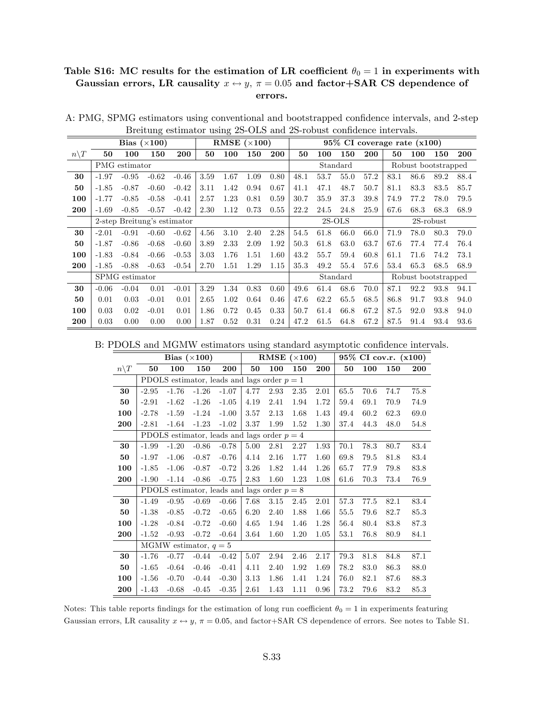## Table S16: MC results for the estimation of LR coefficient  $\theta_0 = 1$  in experiments with Gaussian errors, LR causality  $x \leftrightarrow y$ ,  $\pi = 0.05$  and factor+SAR CS dependence of errors.

|                 |         |                | Bias $(\times 100)$         |         |      |      | RMSE $(\times 100)$ |      |      |      |          |      | $95\%$ CI coverage rate $(x100)$ |                     |              |      |
|-----------------|---------|----------------|-----------------------------|---------|------|------|---------------------|------|------|------|----------|------|----------------------------------|---------------------|--------------|------|
| $n\backslash T$ | 50      | 100            | 150                         | 200     | 50   | 100  | 150                 | 200  | 50   | 100  | 150      | 200  | 50                               | 100                 | 150          | 200  |
|                 |         | PMG estimator  |                             |         |      |      |                     |      |      |      | Standard |      |                                  | Robust bootstrapped |              |      |
| 30              | $-1.97$ | $-0.95$        | $-0.62$                     | $-0.46$ | 3.59 | 1.67 | 1.09                | 0.80 | 48.1 | 53.7 | 55.0     | 57.2 | 83.1                             | 86.6                | 89.2         | 88.4 |
| 50              | $-1.85$ | $-0.87$        | $-0.60$                     | $-0.42$ | 3.11 | 1.42 | 0.94                | 0.67 | 41.1 | 47.1 | 48.7     | 50.7 | 81.1                             | 83.3                | 83.5         | 85.7 |
| 100             | $-1.77$ | $-0.85$        | $-0.58$                     | $-0.41$ | 2.57 | 1.23 | 0.81                | 0.59 | 30.7 | 35.9 | 37.3     | 39.8 | 74.9                             | 77.2                | 78.0         | 79.5 |
| 200             | $-1.69$ | $-0.85$        | $-0.57$                     | $-0.42$ | 2.30 | 1.12 | 0.73                | 0.55 | 22.2 | 24.5 | 24.8     | 25.9 | 67.6                             | 68.3                | 68.3         | 68.9 |
|                 |         |                | 2-step Breitung's estimator |         |      |      |                     |      |      |      | $2S-OLS$ |      |                                  |                     | $2S$ -robust |      |
| 30              | $-2.01$ | $-0.91$        | $-0.60$                     | $-0.62$ | 4.56 | 3.10 | 2.40                | 2.28 | 54.5 | 61.8 | 66.0     | 66.0 | 71.9                             | 78.0                | 80.3         | 79.0 |
| 50              | $-1.87$ | $-0.86$        | $-0.68$                     | $-0.60$ | 3.89 | 2.33 | 2.09                | 1.92 | 50.3 | 61.8 | 63.0     | 63.7 | 67.6                             | 77.4                | 77.4         | 76.4 |
| 100             | $-1.83$ | $-0.84$        | $-0.66$                     | $-0.53$ | 3.03 | 1.76 | 1.51                | 1.60 | 43.2 | 55.7 | 59.4     | 60.8 | 61.1                             | 71.6                | 74.2         | 73.1 |
| 200             | $-1.85$ | $-0.88$        | $-0.63$                     | $-0.54$ | 2.70 | 1.51 | 1.29                | 1.15 | 35.3 | 49.2 | 55.4     | 57.6 | 53.4                             | 65.3                | 68.5         | 68.9 |
|                 |         | SPMG estimator |                             |         |      |      |                     |      |      |      | Standard |      |                                  | Robust bootstrapped |              |      |
| 30              | $-0.06$ | $-0.04$        | 0.01                        | $-0.01$ | 3.29 | 1.34 | 0.83                | 0.60 | 49.6 | 61.4 | 68.6     | 70.0 | 87.1                             | 92.2                | 93.8         | 94.1 |
| 50              | 0.01    | 0.03           | $-0.01$                     | 0.01    | 2.65 | 1.02 | 0.64                | 0.46 | 47.6 | 62.2 | 65.5     | 68.5 | 86.8                             | 91.7                | 93.8         | 94.0 |
| 100             | 0.03    | 0.02           | $-0.01$                     | 0.01    | 1.86 | 0.72 | 0.45                | 0.33 | 50.7 | 61.4 | 66.8     | 67.2 | 87.5                             | 92.0                | 93.8         | 94.0 |
| 200             | 0.03    | 0.00           | 0.00                        | 0.00    | 1.87 | 0.52 | 0.31                | 0.24 | 47.2 | 61.5 | 64.8     | 67.2 | 87.5                             | 91.4                | 93.4         | 93.6 |

A: PMG, SPMG estimators using conventional and bootstrapped confidence intervals, and 2-step Breitung estimator using 2S-OLS and 2S-robust confidence intervals.

B: PDOLS and MGMW estimators using standard asymptotic confidence intervals.

|                 |         |         | Bias $(\times 100)$     |                                               |      | RMSE $(\times 100)$ |      |      |      |      | 95% CI cov.r. (x100) |      |
|-----------------|---------|---------|-------------------------|-----------------------------------------------|------|---------------------|------|------|------|------|----------------------|------|
| $n\backslash T$ | 50      | 100     | 150                     | 200                                           | 50   | 100                 | 150  | 200  | 50   | 100  | 150                  | 200  |
|                 |         |         |                         | PDOLS estimator, leads and lags order $p = 1$ |      |                     |      |      |      |      |                      |      |
| 30              | $-2.95$ | $-1.76$ | $-1.26$                 | $-1.07$                                       | 4.77 | 2.93                | 2.35 | 2.01 | 65.5 | 70.6 | 74.7                 | 75.8 |
| 50              | $-2.91$ | $-1.62$ | $-1.26$                 | $-1.05$                                       | 4.19 | 2.41                | 1.94 | 1.72 | 59.4 | 69.1 | 70.9                 | 74.9 |
| 100             | $-2.78$ | $-1.59$ | $-1.24$                 | $-1.00$                                       | 3.57 | 2.13                | 1.68 | 1.43 | 49.4 | 60.2 | 62.3                 | 69.0 |
| 200             | $-2.81$ | $-1.64$ | $-1.23$                 | $-1.02$                                       | 3.37 | 1.99                | 1.52 | 1.30 | 37.4 | 44.3 | 48.0                 | 54.8 |
|                 |         |         |                         | PDOLS estimator, leads and lags order $p = 4$ |      |                     |      |      |      |      |                      |      |
| 30              | $-1.99$ | $-1.20$ | $-0.86$                 | $-0.78$                                       | 5.00 | 2.81                | 2.27 | 1.93 | 70.1 | 78.3 | 80.7                 | 83.4 |
| 50              | $-1.97$ | $-1.06$ | $-0.87$                 | $-0.76$                                       | 4.14 | 2.16                | 1.77 | 1.60 | 69.8 | 79.5 | 81.8                 | 83.4 |
| 100             | $-1.85$ | $-1.06$ | $-0.87$                 | $-0.72$                                       | 3.26 | 1.82                | 1.44 | 1.26 | 65.7 | 77.9 | 79.8                 | 83.8 |
| 200             | $-1.90$ | $-1.14$ | $-0.86$                 | $-0.75$                                       | 2.83 | 1.60                | 1.23 | 1.08 | 61.6 | 70.3 | 73.4                 | 76.9 |
|                 |         |         |                         | PDOLS estimator, leads and lags order $p = 8$ |      |                     |      |      |      |      |                      |      |
| 30              | $-1.49$ | $-0.95$ | $-0.69$                 | $-0.66$                                       | 7.68 | 3.15                | 2.45 | 2.01 | 57.3 | 77.5 | 82.1                 | 83.4 |
| 50              | $-1.38$ | $-0.85$ | $-0.72$                 | $-0.65$                                       | 6.20 | 2.40                | 1.88 | 1.66 | 55.5 | 79.6 | 82.7                 | 85.3 |
| 100             | $-1.28$ | $-0.84$ | $-0.72$                 | $-0.60$                                       | 4.65 | 1.94                | 1.46 | 1.28 | 56.4 | 80.4 | 83.8                 | 87.3 |
| 200             | $-1.52$ | $-0.93$ | $-0.72$                 | $-0.64$                                       | 3.64 | 1.60                | 1.20 | 1.05 | 53.1 | 76.8 | 80.9                 | 84.1 |
|                 |         |         | MGMW estimator, $q = 5$ |                                               |      |                     |      |      |      |      |                      |      |
| 30              | $-1.76$ | $-0.77$ | $-0.44$                 | $-0.42$                                       | 5.07 | 2.94                | 2.46 | 2.17 | 79.3 | 81.8 | 84.8                 | 87.1 |
| 50              | $-1.65$ | $-0.64$ | $-0.46$                 | $-0.41$                                       | 4.11 | 2.40                | 1.92 | 1.69 | 78.2 | 83.0 | 86.3                 | 88.0 |
| 100             | $-1.56$ | $-0.70$ | $-0.44$                 | $-0.30$                                       | 3.13 | 1.86                | 1.41 | 1.24 | 76.0 | 82.1 | 87.6                 | 88.3 |
| 200             | $-1.43$ | $-0.68$ | $-0.45$                 | $-0.35$                                       | 2.61 | 1.43                | 1.11 | 0.96 | 73.2 | 79.6 | 83.2                 | 85.3 |

Notes: This table reports findings for the estimation of long run coefficient  $\theta_0 = 1$  in experiments featuring Gaussian errors, LR causality  $x \leftrightarrow y$ ,  $\pi = 0.05$ , and factor+SAR CS dependence of errors. See notes to Table S1.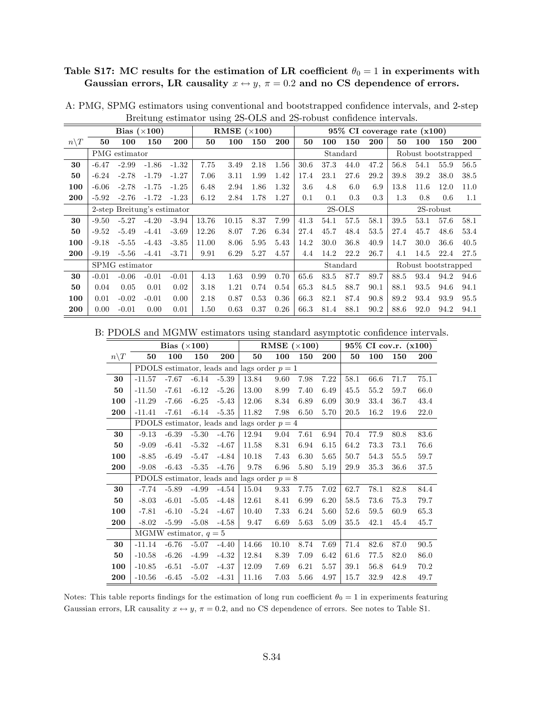## Table S17: MC results for the estimation of LR coefficient  $\theta_0 = 1$  in experiments with Gaussian errors, LR causality  $x \leftrightarrow y$ ,  $\pi = 0.2$  and no CS dependence of errors.

|                  |         |                | Bias $(\times 100)$         |            |       | RMSE $(\times 100)$ |      |      |      |      |          |      |         | $95\%$ CI coverage rate $(x100)$ |           |      |
|------------------|---------|----------------|-----------------------------|------------|-------|---------------------|------|------|------|------|----------|------|---------|----------------------------------|-----------|------|
| $n \backslash T$ | 50      | 100            | 150                         | <b>200</b> | 50    | 100                 | 150  | 200  | 50   | 100  | 150      | 200  | 50      | 100                              | 150       | 200  |
|                  |         | PMG estimator  |                             |            |       |                     |      |      |      |      | Standard |      |         | Robust bootstrapped              |           |      |
| 30               | $-6.47$ | $-2.99$        | $-1.86$                     | $-1.32$    | 7.75  | 3.49                | 2.18 | 1.56 | 30.6 | 37.3 | 44.0     | 47.2 | 56.8    | 54.1                             | 55.9      | 56.5 |
| 50               | $-6.24$ | $-2.78$        | $-1.79$                     | $-1.27$    | 7.06  | 3.11                | 1.99 | 1.42 | 17.4 | 23.1 | 27.6     | 29.2 | 39.8    | 39.2                             | 38.0      | 38.5 |
| 100              | $-6.06$ | $-2.78$        | $-1.75$                     | $-1.25$    | 6.48  | 2.94                | 1.86 | 1.32 | 3.6  | 4.8  | 6.0      | 6.9  | 13.8    | 11.6                             | 12.0      | 11.0 |
| <b>200</b>       | $-5.92$ | $-2.76$        | $-1.72$                     | $-1.23$    | 6.12  | 2.84                | 1.78 | 1.27 | 0.1  | 0.1  | 0.3      | 0.3  | $1.3\,$ | 0.8                              | 0.6       | 1.1  |
|                  |         |                | 2-step Breitung's estimator |            |       |                     |      |      |      |      | $2S-OLS$ |      |         |                                  | 2S-robust |      |
| 30               | $-9.50$ | $-5.27$        | $-4.20$                     | $-3.94$    | 13.76 | 10.15               | 8.37 | 7.99 | 41.3 | 54.1 | 57.5     | 58.1 | 39.5    | 53.1                             | 57.6      | 58.1 |
| 50               | $-9.52$ | $-5.49$        | $-4.41$                     | $-3.69$    | 12.26 | 8.07                | 7.26 | 6.34 | 27.4 | 45.7 | 48.4     | 53.5 | 27.4    | 45.7                             | 48.6      | 53.4 |
| 100              | $-9.18$ | $-5.55$        | $-4.43$                     | $-3.85$    | 11.00 | 8.06                | 5.95 | 5.43 | 14.2 | 30.0 | 36.8     | 40.9 | 14.7    | 30.0                             | 36.6      | 40.5 |
| 200              | $-9.19$ | $-5.56$        | $-4.41$                     | $-3.71$    | 9.91  | 6.29                | 5.27 | 4.57 | 4.4  | 14.2 | 22.2     | 26.7 | 4.1     | 14.5                             | 22.4      | 27.5 |
|                  |         | SPMG estimator |                             |            |       |                     |      |      |      |      | Standard |      |         | Robust bootstrapped              |           |      |
| 30               | $-0.01$ | $-0.06$        | $-0.01$                     | $-0.01$    | 4.13  | 1.63                | 0.99 | 0.70 | 65.6 | 83.5 | 87.7     | 89.7 | 88.5    | 93.4                             | 94.2      | 94.6 |
| 50               | 0.04    | 0.05           | 0.01                        | 0.02       | 3.18  | 1.21                | 0.74 | 0.54 | 65.3 | 84.5 | 88.7     | 90.1 | 88.1    | 93.5                             | 94.6      | 94.1 |
| 100              | 0.01    | $-0.02$        | $-0.01$                     | 0.00       | 2.18  | 0.87                | 0.53 | 0.36 | 66.3 | 82.1 | 87.4     | 90.8 | 89.2    | 93.4                             | 93.9      | 95.5 |
| 200              | 0.00    | $-0.01$        | 0.00                        | 0.01       | 1.50  | 0.63                | 0.37 | 0.26 | 66.3 | 81.4 | 88.1     | 90.2 | 88.6    | 92.0                             | 94.2      | 94.1 |

A: PMG, SPMG estimators using conventional and bootstrapped confidence intervals, and 2-step Breitung estimator using 2S-OLS and 2S-robust confidence intervals.

B: PDOLS and MGMW estimators using standard asymptotic confidence intervals.

|                 |          | Bias $(\times 100)$ |                         |         |                                               | RMSE $(\times 100)$ |      |      |      |      | $95\%$ CI cov.r. $(x100)$ |            |
|-----------------|----------|---------------------|-------------------------|---------|-----------------------------------------------|---------------------|------|------|------|------|---------------------------|------------|
| $n\backslash T$ | 50       | 100                 | 150                     | 200     | 50                                            | 100                 | 150  | 200  | 50   | 100  | 150                       | <b>200</b> |
|                 |          |                     |                         |         | PDOLS estimator, leads and lags order $p = 1$ |                     |      |      |      |      |                           |            |
| 30              | $-11.57$ | $-7.67$             | $-6.14$                 | $-5.39$ | 13.84                                         | 9.60                | 7.98 | 7.22 | 58.1 | 66.6 | 71.7                      | 75.1       |
| 50              | $-11.50$ | $-7.61$             | $-6.12$                 | $-5.26$ | 13.00                                         | 8.99                | 7.40 | 6.49 | 45.5 | 55.2 | 59.7                      | 66.0       |
| 100             | $-11.29$ | $-7.66$             | $-6.25$                 | $-5.43$ | 12.06                                         | 8.34                | 6.89 | 6.09 | 30.9 | 33.4 | 36.7                      | 43.4       |
| 200             | $-11.41$ | $-7.61$             | $-6.14$                 | $-5.35$ | 11.82                                         | 7.98                | 6.50 | 5.70 | 20.5 | 16.2 | 19.6                      | 22.0       |
|                 |          |                     |                         |         | PDOLS estimator, leads and lags order $p = 4$ |                     |      |      |      |      |                           |            |
| 30              | $-9.13$  | $-6.39$             | $-5.30$                 | $-4.76$ | 12.94                                         | 9.04                | 7.61 | 6.94 | 70.4 | 77.9 | 80.8                      | 83.6       |
| 50              | $-9.09$  | $-6.41$             | $-5.32$                 | $-4.67$ | 11.58                                         | 8.31                | 6.94 | 6.15 | 64.2 | 73.3 | 73.1                      | 76.6       |
| 100             | $-8.85$  | $-6.49$             | $-5.47$                 | $-4.84$ | 10.18                                         | 7.43                | 6.30 | 5.65 | 50.7 | 54.3 | 55.5                      | 59.7       |
| 200             | $-9.08$  | $-6.43$             | $-5.35$                 | $-4.76$ | 9.78                                          | 6.96                | 5.80 | 5.19 | 29.9 | 35.3 | 36.6                      | 37.5       |
|                 |          |                     |                         |         | PDOLS estimator, leads and lags order $p = 8$ |                     |      |      |      |      |                           |            |
| 30              | $-7.74$  | $-5.89$             | $-4.99$                 | $-4.54$ | 15.04                                         | 9.33                | 7.75 | 7.02 | 62.7 | 78.1 | 82.8                      | 84.4       |
| 50              | $-8.03$  | $-6.01$             | $-5.05$                 | $-4.48$ | 12.61                                         | 8.41                | 6.99 | 6.20 | 58.5 | 73.6 | 75.3                      | 79.7       |
| 100             | $-7.81$  | $-6.10$             | $-5.24$                 | $-4.67$ | 10.40                                         | 7.33                | 6.24 | 5.60 | 52.6 | 59.5 | 60.9                      | 65.3       |
| 200             | $-8.02$  | $-5.99$             | $-5.08$                 | $-4.58$ | 9.47                                          | 6.69                | 5.63 | 5.09 | 35.5 | 42.1 | 45.4                      | 45.7       |
|                 |          |                     | MGMW estimator, $q = 5$ |         |                                               |                     |      |      |      |      |                           |            |
| 30              | $-11.14$ | $-6.76$             | $-5.07$                 | $-4.40$ | 14.66                                         | 10.10               | 8.74 | 7.69 | 71.4 | 82.6 | 87.0                      | 90.5       |
| 50              | $-10.58$ | $-6.26$             | $-4.99$                 | $-4.32$ | 12.84                                         | 8.39                | 7.09 | 6.42 | 61.6 | 77.5 | 82.0                      | 86.0       |
| 100             | $-10.85$ | $-6.51$             | $-5.07$                 | $-4.37$ | 12.09                                         | 7.69                | 6.21 | 5.57 | 39.1 | 56.8 | 64.9                      | 70.2       |
| 200             | $-10.56$ | $-6.45$             | $-5.02$                 | $-4.31$ | 11.16                                         | 7.03                | 5.66 | 4.97 | 15.7 | 32.9 | 42.8                      | 49.7       |

Notes: This table reports findings for the estimation of long run coefficient  $\theta_0 = 1$  in experiments featuring Gaussian errors, LR causality  $x \leftrightarrow y$ ,  $\pi = 0.2$ , and no CS dependence of errors. See notes to Table S1.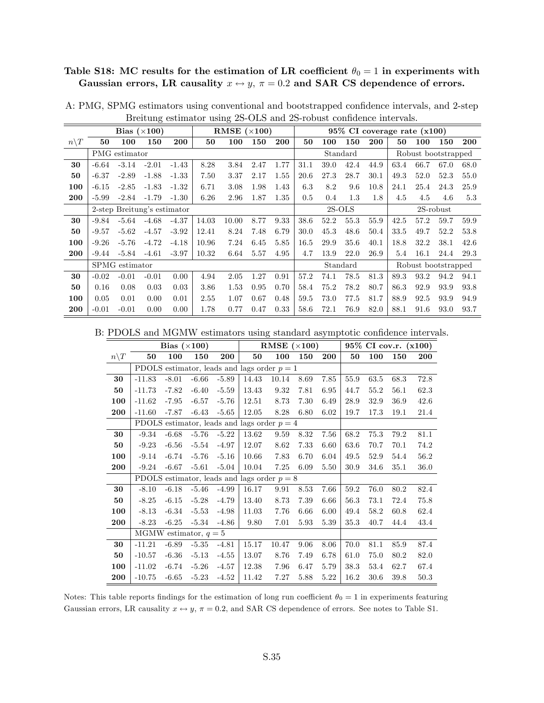## Table S18: MC results for the estimation of LR coefficient  $\theta_0 = 1$  in experiments with Gaussian errors, LR causality  $x \leftrightarrow y$ ,  $\pi = 0.2$  and SAR CS dependence of errors.

|                  |         |                | Bias $(\times 100)$         |         |       | RMSE $(\times 100)$ |      |            |      |      |          |      |      | $95\%$ CI coverage rate $(x100)$ |              |      |
|------------------|---------|----------------|-----------------------------|---------|-------|---------------------|------|------------|------|------|----------|------|------|----------------------------------|--------------|------|
| $n \backslash T$ | 50      | 100            | 150                         | 200     | 50    | 100                 | 150  | <b>200</b> | 50   | 100  | 150      | 200  | 50   | 100                              | 150          | 200  |
|                  |         | PMG estimator  |                             |         |       |                     |      |            |      |      | Standard |      |      | Robust bootstrapped              |              |      |
| 30               | $-6.64$ | $-3.14$        | $-2.01$                     | $-1.43$ | 8.28  | 3.84                | 2.47 | 1.77       | 31.1 | 39.0 | 42.4     | 44.9 | 63.4 | 66.7                             | 67.0         | 68.0 |
| 50               | $-6.37$ | $-2.89$        | $-1.88$                     | $-1.33$ | 7.50  | 3.37                | 2.17 | 1.55       | 20.6 | 27.3 | 28.7     | 30.1 | 49.3 | 52.0                             | 52.3         | 55.0 |
| 100              | $-6.15$ | $-2.85$        | $-1.83$                     | $-1.32$ | 6.71  | 3.08                | 1.98 | 1.43       | 6.3  | 8.2  | 9.6      | 10.8 | 24.1 | 25.4                             | 24.3         | 25.9 |
| 200              | $-5.99$ | $-2.84$        | $-1.79$                     | $-1.30$ | 6.26  | 2.96                | 1.87 | 1.35       | 0.5  | 0.4  | 1.3      | 1.8  | 4.5  | 4.5                              | 4.6          | 5.3  |
|                  |         |                | 2-step Breitung's estimator |         |       |                     |      |            |      |      | $2S-OLS$ |      |      |                                  | $2S$ -robust |      |
| 30               | $-9.84$ | $-5.64$        | $-4.68$                     | $-4.37$ | 14.03 | 10.00               | 8.77 | 9.33       | 38.6 | 52.2 | 55.3     | 55.9 | 42.5 | 57.2                             | 59.7         | 59.9 |
| 50               | $-9.57$ | $-5.62$        | $-4.57$                     | $-3.92$ | 12.41 | 8.24                | 7.48 | 6.79       | 30.0 | 45.3 | 48.6     | 50.4 | 33.5 | 49.7                             | 52.2         | 53.8 |
| 100              | $-9.26$ | $-5.76$        | $-4.72$                     | $-4.18$ | 10.96 | 7.24                | 6.45 | 5.85       | 16.5 | 29.9 | 35.6     | 40.1 | 18.8 | 32.2                             | 38.1         | 42.6 |
| 200              | $-9.44$ | $-5.84$        | $-4.61$                     | $-3.97$ | 10.32 | 6.64                | 5.57 | 4.95       | 4.7  | 13.9 | 22.0     | 26.9 | 5.4  | 16.1                             | 24.4         | 29.3 |
|                  |         | SPMG estimator |                             |         |       |                     |      |            |      |      | Standard |      |      | Robust bootstrapped              |              |      |
| 30               | $-0.02$ | $-0.01$        | $-0.01$                     | 0.00    | 4.94  | 2.05                | 1.27 | 0.91       | 57.2 | 74.1 | 78.5     | 81.3 | 89.3 | 93.2                             | 94.2         | 94.1 |
| 50               | 0.16    | 0.08           | 0.03                        | 0.03    | 3.86  | 1.53                | 0.95 | 0.70       | 58.4 | 75.2 | 78.2     | 80.7 | 86.3 | 92.9                             | 93.9         | 93.8 |
| 100              | 0.05    | 0.01           | 0.00                        | 0.01    | 2.55  | 1.07                | 0.67 | 0.48       | 59.5 | 73.0 | 77.5     | 81.7 | 88.9 | 92.5                             | 93.9         | 94.9 |
| 200              | $-0.01$ | $-0.01$        | 0.00                        | 0.00    | 1.78  | 0.77                | 0.47 | 0.33       | 58.6 | 72.1 | 76.9     | 82.0 | 88.1 | 91.6                             | 93.0         | 93.7 |

A: PMG, SPMG estimators using conventional and bootstrapped confidence intervals, and 2-step Breitung estimator using 2S-OLS and 2S-robust confidence intervals.

B: PDOLS and MGMW estimators using standard asymptotic confidence intervals.

|                 |                         | Bias $(\times 100)$ |         |         |                                               | RMSE $(\times 100)$ |      |      |      |      | 95% CI cov.r. (x100) |            |
|-----------------|-------------------------|---------------------|---------|---------|-----------------------------------------------|---------------------|------|------|------|------|----------------------|------------|
| $n\backslash T$ | 50                      | 100                 | 150     | 200     | 50                                            | 100                 | 150  | 200  | 50   | 100  | 150                  | <b>200</b> |
|                 |                         |                     |         |         | PDOLS estimator, leads and lags order $p = 1$ |                     |      |      |      |      |                      |            |
| 30              | $-11.83$                | $-8.01$             | $-6.66$ | $-5.89$ | 14.43                                         | 10.14               | 8.69 | 7.85 | 55.9 | 63.5 | 68.3                 | 72.8       |
| 50              | $-11.73$                | $-7.82$             | $-6.40$ | $-5.59$ | 13.43                                         | 9.32                | 7.81 | 6.95 | 44.7 | 55.2 | 56.1                 | 62.3       |
| 100             | $-11.62$                | $-7.95$             | $-6.57$ | $-5.76$ | 12.51                                         | 8.73                | 7.30 | 6.49 | 28.9 | 32.9 | 36.9                 | 42.6       |
| 200             | $-11.60$                | $-7.87$             | $-6.43$ | $-5.65$ | 12.05                                         | 8.28                | 6.80 | 6.02 | 19.7 | 17.3 | 19.1                 | 21.4       |
|                 |                         |                     |         |         | PDOLS estimator, leads and lags order $p = 4$ |                     |      |      |      |      |                      |            |
| 30              | $-9.34$                 | $-6.68$             | $-5.76$ | $-5.22$ | 13.62                                         | 9.59                | 8.32 | 7.56 | 68.2 | 75.3 | 79.2                 | 81.1       |
| 50              | $-9.23$                 | $-6.56$             | $-5.54$ | $-4.97$ | 12.07                                         | 8.62                | 7.33 | 6.60 | 63.6 | 70.7 | 70.1                 | 74.2       |
| 100             | $-9.14$                 | $-6.74$             | $-5.76$ | $-5.16$ | 10.66                                         | 7.83                | 6.70 | 6.04 | 49.5 | 52.9 | 54.4                 | 56.2       |
| 200             | $-9.24$                 | $-6.67$             | $-5.61$ | $-5.04$ | 10.04                                         | 7.25                | 6.09 | 5.50 | 30.9 | 34.6 | 35.1                 | 36.0       |
|                 |                         |                     |         |         | PDOLS estimator, leads and lags order $p = 8$ |                     |      |      |      |      |                      |            |
| 30              | $-8.10$                 | $-6.18$             | $-5.46$ | $-4.99$ | 16.17                                         | 9.91                | 8.53 | 7.66 | 59.2 | 76.0 | 80.2                 | 82.4       |
| 50              | $-8.25$                 | $-6.15$             | $-5.28$ | $-4.79$ | 13.40                                         | 8.73                | 7.39 | 6.66 | 56.3 | 73.1 | 72.4                 | 75.8       |
| 100             | $-8.13$                 | $-6.34$             | $-5.53$ | $-4.98$ | 11.03                                         | 7.76                | 6.66 | 6.00 | 49.4 | 58.2 | 60.8                 | 62.4       |
| 200             | $-8.23$                 | $-6.25$             | $-5.34$ | $-4.86$ | 9.80                                          | 7.01                | 5.93 | 5.39 | 35.3 | 40.7 | 44.4                 | 43.4       |
|                 | MGMW estimator, $q = 5$ |                     |         |         |                                               |                     |      |      |      |      |                      |            |
| 30              | $-11.21$                | $-6.89$             | $-5.35$ | $-4.81$ | 15.17                                         | 10.47               | 9.06 | 8.06 | 70.0 | 81.1 | 85.9                 | 87.4       |
| 50              | $-10.57$                | $-6.36$             | $-5.13$ | $-4.55$ | 13.07                                         | 8.76                | 7.49 | 6.78 | 61.0 | 75.0 | 80.2                 | 82.0       |
| 100             | $-11.02$                | $-6.74$             | $-5.26$ | $-4.57$ | 12.38                                         | 7.96                | 6.47 | 5.79 | 38.3 | 53.4 | 62.7                 | 67.4       |
| 200             | $-10.75$                | $-6.65$             | $-5.23$ | $-4.52$ | 11.42                                         | 7.27                | 5.88 | 5.22 | 16.2 | 30.6 | 39.8                 | 50.3       |

Notes: This table reports findings for the estimation of long run coefficient  $\theta_0 = 1$  in experiments featuring Gaussian errors, LR causality  $x \leftrightarrow y$ ,  $\pi = 0.2$ , and SAR CS dependence of errors. See notes to Table S1.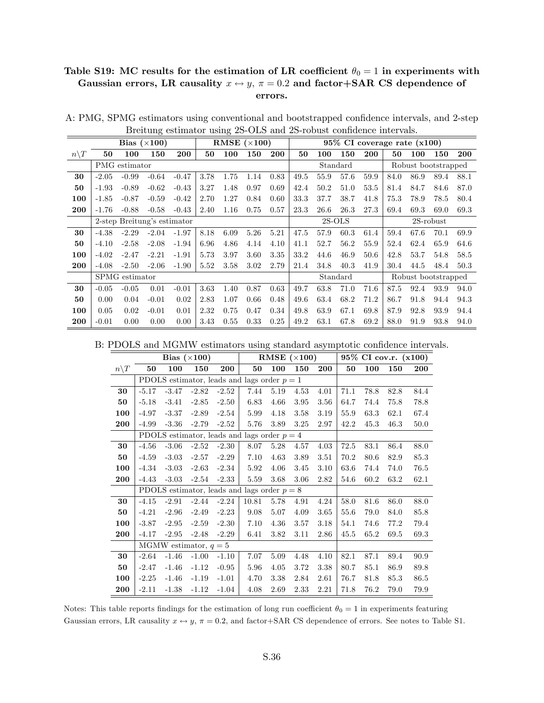#### Table S19: MC results for the estimation of LR coefficient  $\theta_0 = 1$  in experiments with Gaussian errors, LR causality  $x \leftrightarrow y$ ,  $\pi = 0.2$  and factor+SAR CS dependence of errors.

|                  |         |                | Bias $(\times 100)$         |         |      |      | RMSE $(\times 100)$ |            |      |      |          |      | $95\%$ CI coverage rate $(x100)$ |      |                     |      |
|------------------|---------|----------------|-----------------------------|---------|------|------|---------------------|------------|------|------|----------|------|----------------------------------|------|---------------------|------|
| $n \backslash T$ | 50      | 100            | 150                         | 200     | 50   | 100  | 150                 | <b>200</b> | 50   | 100  | 150      | 200  | 50                               | 100  | 150                 | 200  |
|                  |         | PMG estimator  |                             |         |      |      |                     |            |      |      | Standard |      |                                  |      | Robust bootstrapped |      |
| 30               | $-2.05$ | $-0.99$        | $-0.64$                     | $-0.47$ | 3.78 | 1.75 | 1.14                | 0.83       | 49.5 | 55.9 | 57.6     | 59.9 | 84.0                             | 86.9 | 89.4                | 88.1 |
| 50               | $-1.93$ | $-0.89$        | $-0.62$                     | $-0.43$ | 3.27 | 1.48 | 0.97                | 0.69       | 42.4 | 50.2 | 51.0     | 53.5 | 81.4                             | 84.7 | 84.6                | 87.0 |
| 100              | $-1.85$ | $-0.87$        | $-0.59$                     | $-0.42$ | 2.70 | 1.27 | 0.84                | 0.60       | 33.3 | 37.7 | 38.7     | 41.8 | 75.3                             | 78.9 | 78.5                | 80.4 |
| 200              | $-1.76$ | $-0.88$        | $-0.58$                     | $-0.43$ | 2.40 | 1.16 | 0.75                | 0.57       | 23.3 | 26.6 | 26.3     | 27.3 | 69.4                             | 69.3 | 69.0                | 69.3 |
|                  |         |                | 2-step Breitung's estimator |         |      |      |                     |            |      |      | $2S-OLS$ |      |                                  |      | $2S$ -robust        |      |
| 30               | $-4.38$ | $-2.29$        | $-2.04$                     | $-1.97$ | 8.18 | 6.09 | 5.26                | 5.21       | 47.5 | 57.9 | 60.3     | 61.4 | 59.4                             | 67.6 | 70.1                | 69.9 |
| 50               | $-4.10$ | $-2.58$        | $-2.08$                     | $-1.94$ | 6.96 | 4.86 | 4.14                | 4.10       | 41.1 | 52.7 | 56.2     | 55.9 | 52.4                             | 62.4 | 65.9                | 64.6 |
| 100              | $-4.02$ | $-2.47$        | $-2.21$                     | $-1.91$ | 5.73 | 3.97 | 3.60                | 3.35       | 33.2 | 44.6 | 46.9     | 50.6 | 42.8                             | 53.7 | 54.8                | 58.5 |
| 200              | $-4.08$ | $-2.50$        | $-2.06$                     | $-1.90$ | 5.52 | 3.58 | 3.02                | 2.79       | 21.4 | 34.8 | 40.3     | 41.9 | 30.4                             | 44.5 | 48.4                | 50.3 |
|                  |         | SPMG estimator |                             |         |      |      |                     |            |      |      | Standard |      |                                  |      | Robust bootstrapped |      |
| 30               | $-0.05$ | $-0.05$        | 0.01                        | $-0.01$ | 3.63 | 1.40 | 0.87                | 0.63       | 49.7 | 63.8 | 71.0     | 71.6 | 87.5                             | 92.4 | 93.9                | 94.0 |
| 50               | 0.00    | 0.04           | $-0.01$                     | 0.02    | 2.83 | 1.07 | 0.66                | 0.48       | 49.6 | 63.4 | 68.2     | 71.2 | 86.7                             | 91.8 | 94.4                | 94.3 |
| 100              | 0.05    | 0.02           | $-0.01$                     | 0.01    | 2.32 | 0.75 | 0.47                | 0.34       | 49.8 | 63.9 | 67.1     | 69.8 | 87.9                             | 92.8 | 93.9                | 94.4 |
| 200              | $-0.01$ | 0.00           | 0.00                        | 0.00    | 3.43 | 0.55 | 0.33                | 0.25       | 49.2 | 63.1 | 67.8     | 69.2 | 88.0                             | 91.9 | 93.8                | 94.0 |

A: PMG, SPMG estimators using conventional and bootstrapped confidence intervals, and 2-step Breitung estimator using 2S-OLS and 2S-robust confidence intervals.

B: PDOLS and MGMW estimators using standard asymptotic confidence intervals.

|                 |         |         | Bias $(\times 100)$     |         |                                               |      | RMSE $(\times 100)$ |      |      |      | 95% CI cov.r. (x100) |            |
|-----------------|---------|---------|-------------------------|---------|-----------------------------------------------|------|---------------------|------|------|------|----------------------|------------|
| $n\backslash T$ | 50      | 100     | 150                     | 200     | 50                                            | 100  | 150                 | 200  | 50   | 100  | 150                  | <b>200</b> |
|                 |         |         |                         |         | PDOLS estimator, leads and lags order $p = 1$ |      |                     |      |      |      |                      |            |
| 30              | $-5.17$ | $-3.47$ | $-2.82$                 | $-2.52$ | 7.44                                          | 5.19 | 4.53                | 4.01 | 71.1 | 78.8 | 82.8                 | 84.4       |
| 50              | $-5.18$ | $-3.41$ | $-2.85$                 | $-2.50$ | 6.83                                          | 4.66 | 3.95                | 3.56 | 64.7 | 74.4 | 75.8                 | 78.8       |
| 100             | $-4.97$ | $-3.37$ | $-2.89$                 | $-2.54$ | 5.99                                          | 4.18 | 3.58                | 3.19 | 55.9 | 63.3 | 62.1                 | 67.4       |
| 200             | $-4.99$ | $-3.36$ | $-2.79$                 | $-2.52$ | 5.76                                          | 3.89 | 3.25                | 2.97 | 42.2 | 45.3 | 46.3                 | 50.0       |
|                 |         |         |                         |         | PDOLS estimator, leads and lags order $p = 4$ |      |                     |      |      |      |                      |            |
| 30              | $-4.56$ | $-3.06$ | $-2.52$                 | $-2.30$ | 8.07                                          | 5.28 | 4.57                | 4.03 | 72.5 | 83.1 | 86.4                 | 88.0       |
| 50              | $-4.59$ | $-3.03$ | $-2.57$                 | $-2.29$ | 7.10                                          | 4.63 | 3.89                | 3.51 | 70.2 | 80.6 | 82.9                 | 85.3       |
| 100             | $-4.34$ | $-3.03$ | $-2.63$                 | $-2.34$ | 5.92                                          | 4.06 | 3.45                | 3.10 | 63.6 | 74.4 | 74.0                 | 76.5       |
| 200             | $-4.43$ | $-3.03$ | $-2.54$                 | $-2.33$ | 5.59                                          | 3.68 | 3.06                | 2.82 | 54.6 | 60.2 | 63.2                 | 62.1       |
|                 |         |         |                         |         | PDOLS estimator, leads and lags order $p = 8$ |      |                     |      |      |      |                      |            |
| 30              | $-4.15$ | $-2.91$ | $-2.44$                 | $-2.24$ | 10.81                                         | 5.78 | 4.91                | 4.24 | 58.0 | 81.6 | 86.0                 | 88.0       |
| 50              | $-4.21$ | $-2.96$ | $-2.49$                 | $-2.23$ | 9.08                                          | 5.07 | 4.09                | 3.65 | 55.6 | 79.0 | 84.0                 | 85.8       |
| 100             | $-3.87$ | $-2.95$ | $-2.59$                 | $-2.30$ | 7.10                                          | 4.36 | 3.57                | 3.18 | 54.1 | 74.6 | 77.2                 | 79.4       |
| 200             | $-4.17$ | $-2.95$ | $-2.48$                 | $-2.29$ | 6.41                                          | 3.82 | 3.11                | 2.86 | 45.5 | 65.2 | 69.5                 | 69.3       |
|                 |         |         | MGMW estimator, $q = 5$ |         |                                               |      |                     |      |      |      |                      |            |
| 30              | $-2.64$ | $-1.46$ | $-1.00$                 | $-1.10$ | 7.07                                          | 5.09 | 4.48                | 4.10 | 82.1 | 87.1 | 89.4                 | 90.9       |
| 50              | $-2.47$ | $-1.46$ | $-1.12$                 | $-0.95$ | 5.96                                          | 4.05 | 3.72                | 3.38 | 80.7 | 85.1 | 86.9                 | 89.8       |
| 100             | $-2.25$ | $-1.46$ | $-1.19$                 | $-1.01$ | 4.70                                          | 3.38 | 2.84                | 2.61 | 76.7 | 81.8 | 85.3                 | 86.5       |
| 200             | $-2.11$ | $-1.38$ | $-1.12$                 | $-1.04$ | 4.08                                          | 2.69 | 2.33                | 2.21 | 71.8 | 76.2 | 79.0                 | 79.9       |

Notes: This table reports findings for the estimation of long run coefficient  $\theta_0 = 1$  in experiments featuring Gaussian errors, LR causality  $x \leftrightarrow y$ ,  $\pi = 0.2$ , and factor+SAR CS dependence of errors. See notes to Table S1.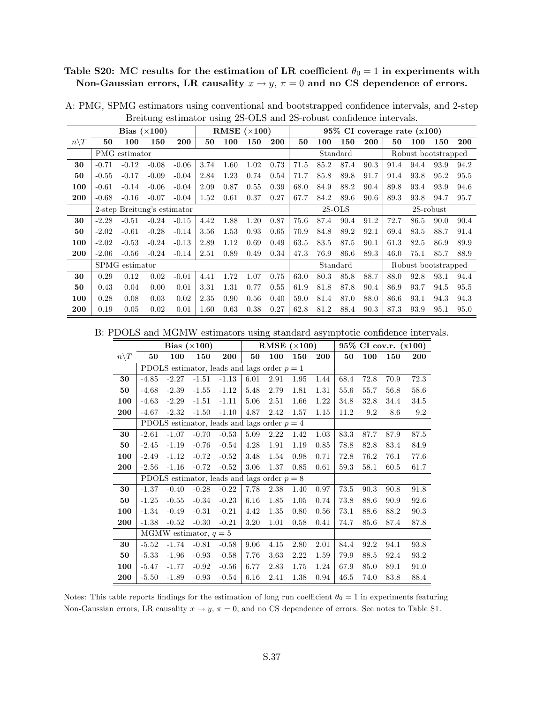## Table S20: MC results for the estimation of LR coefficient  $\theta_0 = 1$  in experiments with Non-Gaussian errors, LR causality  $x \to y$ ,  $\pi = 0$  and no CS dependence of errors.

|                 |         |                | Bias $(\times 100)$         |         |      |      | RMSE $(\times 100)$ |            |      |      |          |      | $95\%$ CI coverage rate $(x100)$ |                     |           |            |
|-----------------|---------|----------------|-----------------------------|---------|------|------|---------------------|------------|------|------|----------|------|----------------------------------|---------------------|-----------|------------|
| $n\backslash T$ | 50      | 100            | 150                         | 200     | 50   | 100  | 150                 | <b>200</b> | 50   | 100  | 150      | 200  | 50                               | 100                 | 150       | <b>200</b> |
|                 |         | PMG estimator  |                             |         |      |      |                     |            |      |      | Standard |      |                                  | Robust bootstrapped |           |            |
| 30              | $-0.71$ | $-0.12$        | $-0.08$                     | $-0.06$ | 3.74 | 1.60 | 1.02                | 0.73       | 71.5 | 85.2 | 87.4     | 90.3 | 91.4                             | 94.4                | 93.9      | 94.2       |
| 50              | $-0.55$ | $-0.17$        | $-0.09$                     | $-0.04$ | 2.84 | 1.23 | 0.74                | 0.54       | 71.7 | 85.8 | 89.8     | 91.7 | 91.4                             | 93.8                | 95.2      | 95.5       |
| 100             | $-0.61$ | $-0.14$        | $-0.06$                     | $-0.04$ | 2.09 | 0.87 | 0.55                | 0.39       | 68.0 | 84.9 | 88.2     | 90.4 | 89.8                             | 93.4                | 93.9      | 94.6       |
| 200             | $-0.68$ | $-0.16$        | $-0.07$                     | $-0.04$ | 1.52 | 0.61 | 0.37                | 0.27       | 67.7 | 84.2 | 89.6     | 90.6 | 89.3                             | 93.8                | 94.7      | 95.7       |
|                 |         |                | 2-step Breitung's estimator |         |      |      |                     |            |      |      | $2S-OLS$ |      |                                  |                     | 2S-robust |            |
| 30              | $-2.28$ | $-0.51$        | $-0.24$                     | $-0.15$ | 4.42 | 1.88 | 1.20                | 0.87       | 75.6 | 87.4 | 90.4     | 91.2 | 72.7                             | 86.5                | 90.0      | 90.4       |
| 50              | $-2.02$ | $-0.61$        | $-0.28$                     | $-0.14$ | 3.56 | 1.53 | 0.93                | 0.65       | 70.9 | 84.8 | 89.2     | 92.1 | 69.4                             | 83.5                | 88.7      | 91.4       |
| 100             | $-2.02$ | $-0.53$        | $-0.24$                     | $-0.13$ | 2.89 | 1.12 | 0.69                | 0.49       | 63.5 | 83.5 | 87.5     | 90.1 | 61.3                             | 82.5                | 86.9      | 89.9       |
| 200             | $-2.06$ | $-0.56$        | $-0.24$                     | $-0.14$ | 2.51 | 0.89 | 0.49                | 0.34       | 47.3 | 76.9 | 86.6     | 89.3 | 46.0                             | 75.1                | 85.7      | 88.9       |
|                 |         | SPMG estimator |                             |         |      |      |                     |            |      |      | Standard |      |                                  | Robust bootstrapped |           |            |
| 30              | 0.29    | 0.12           | 0.02                        | $-0.01$ | 4.41 | 1.72 | 1.07                | 0.75       | 63.0 | 80.3 | 85.8     | 88.7 | 88.0                             | 92.8                | 93.1      | 94.4       |
| 50              | 0.43    | 0.04           | 0.00                        | 0.01    | 3.31 | 1.31 | 0.77                | 0.55       | 61.9 | 81.8 | 87.8     | 90.4 | 86.9                             | 93.7                | 94.5      | 95.5       |
| 100             | 0.28    | 0.08           | 0.03                        | 0.02    | 2.35 | 0.90 | 0.56                | 0.40       | 59.0 | 81.4 | 87.0     | 88.0 | 86.6                             | 93.1                | 94.3      | 94.3       |
| 200             | 0.19    | 0.05           | 0.02                        | 0.01    | 1.60 | 0.63 | 0.38                | 0.27       | 62.8 | 81.2 | 88.4     | 90.3 | 87.3                             | 93.9                | 95.1      | 95.0       |

A: PMG, SPMG estimators using conventional and bootstrapped confidence intervals, and 2-step Breitung estimator using 2S-OLS and 2S-robust confidence intervals.

B: PDOLS and MGMW estimators using standard asymptotic confidence intervals.

|                 |         |         | Bias $(\times 100)$     |                                               |      | RMSE $(\times 100)$ |      |      |      |      | 95% CI cov.r. (x100) |      |
|-----------------|---------|---------|-------------------------|-----------------------------------------------|------|---------------------|------|------|------|------|----------------------|------|
| $n\backslash T$ | 50      | 100     | 150                     | 200                                           | 50   | 100                 | 150  | 200  | 50   | 100  | 150                  | 200  |
|                 |         |         |                         | PDOLS estimator, leads and lags order $p = 1$ |      |                     |      |      |      |      |                      |      |
| 30              | $-4.85$ | $-2.27$ | $-1.51$                 | $-1.13$                                       | 6.01 | 2.91                | 1.95 | 1.44 | 68.4 | 72.8 | 70.9                 | 72.3 |
| 50              | $-4.68$ | $-2.39$ | $-1.55$                 | $-1.12$                                       | 5.48 | 2.79                | 1.81 | 1.31 | 55.6 | 55.7 | 56.8                 | 58.6 |
| 100             | $-4.63$ | $-2.29$ | $-1.51$                 | $-1.11$                                       | 5.06 | 2.51                | 1.66 | 1.22 | 34.8 | 32.8 | 34.4                 | 34.5 |
| 200             | $-4.67$ | $-2.32$ | $-1.50$                 | $-1.10$                                       | 4.87 | 2.42                | 1.57 | 1.15 | 11.2 | 9.2  | 8.6                  | 9.2  |
|                 |         |         |                         | PDOLS estimator, leads and lags order $p = 4$ |      |                     |      |      |      |      |                      |      |
| 30              | $-2.61$ | $-1.07$ | $-0.70$                 | $-0.53$                                       | 5.09 | 2.22                | 1.42 | 1.03 | 83.3 | 87.7 | 87.9                 | 87.5 |
| 50              | $-2.45$ | $-1.19$ | $-0.76$                 | $-0.54$                                       | 4.28 | 1.91                | 1.19 | 0.85 | 78.8 | 82.8 | 83.4                 | 84.9 |
| 100             | $-2.49$ | $-1.12$ | $-0.72$                 | $-0.52$                                       | 3.48 | 1.54                | 0.98 | 0.71 | 72.8 | 76.2 | 76.1                 | 77.6 |
| 200             | $-2.56$ | $-1.16$ | $-0.72$                 | $-0.52$                                       | 3.06 | 1.37                | 0.85 | 0.61 | 59.3 | 58.1 | 60.5                 | 61.7 |
|                 |         |         |                         | PDOLS estimator, leads and lags order $p = 8$ |      |                     |      |      |      |      |                      |      |
| 30              | $-1.37$ | $-0.40$ | $-0.28$                 | $-0.22$                                       | 7.78 | 2.38                | 1.40 | 0.97 | 73.5 | 90.3 | 90.8                 | 91.8 |
| 50              | $-1.25$ | $-0.55$ | $-0.34$                 | $-0.23$                                       | 6.16 | 1.85                | 1.05 | 0.74 | 73.8 | 88.6 | 90.9                 | 92.6 |
| 100             | $-1.34$ | $-0.49$ | $-0.31$                 | $-0.21$                                       | 4.42 | 1.35                | 0.80 | 0.56 | 73.1 | 88.6 | 88.2                 | 90.3 |
| 200             | $-1.38$ | $-0.52$ | $-0.30$                 | $-0.21$                                       | 3.20 | 1.01                | 0.58 | 0.41 | 74.7 | 85.6 | 87.4                 | 87.8 |
|                 |         |         | MGMW estimator, $q = 5$ |                                               |      |                     |      |      |      |      |                      |      |
| 30              | $-5.52$ | $-1.74$ | $-0.81$                 | $-0.58$                                       | 9.06 | 4.15                | 2.80 | 2.01 | 84.4 | 92.2 | 94.1                 | 93.8 |
| 50              | $-5.33$ | $-1.96$ | $-0.93$                 | $-0.58$                                       | 7.76 | 3.63                | 2.22 | 1.59 | 79.9 | 88.5 | 92.4                 | 93.2 |
| 100             | $-5.47$ | $-1.77$ | $-0.92$                 | $-0.56$                                       | 6.77 | 2.83                | 1.75 | 1.24 | 67.9 | 85.0 | 89.1                 | 91.0 |
| 200             | $-5.50$ | $-1.89$ | $-0.93$                 | $-0.54$                                       | 6.16 | 2.41                | 1.38 | 0.94 | 46.5 | 74.0 | 83.8                 | 88.4 |

Notes: This table reports findings for the estimation of long run coefficient  $\theta_0 = 1$  in experiments featuring Non-Gaussian errors, LR causality  $x \to y$ ,  $\pi = 0$ , and no CS dependence of errors. See notes to Table S1.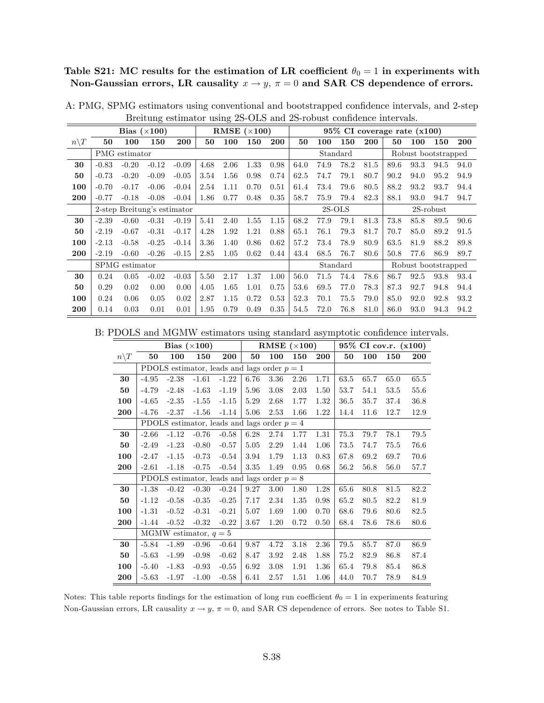Table S21: MC results for the estimation of LR coefficient  $\theta_0 = 1$  in experiments with Non-Gaussian errors, LR causality  $x \to y$ ,  $\pi = 0$  and SAR CS dependence of errors.

|                  |         |                | Bias $(\times 100)$         |         |      | RMSE $(\times 100)$ |      |      |      |      |          |      | 95% CI coverage rate (x100) |                     |              |      |
|------------------|---------|----------------|-----------------------------|---------|------|---------------------|------|------|------|------|----------|------|-----------------------------|---------------------|--------------|------|
| $n \backslash T$ | 50      | 100            | 150                         | 200     | 50   | 100                 | 150  | 200  | 50   | 100  | 150      | 200  | 50                          | 100                 | 150          | 200  |
|                  |         | PMG estimator  |                             |         |      |                     |      |      |      |      | Standard |      |                             | Robust bootstrapped |              |      |
| 30               | $-0.83$ | $-0.20$        | $-0.12$                     | $-0.09$ | 4.68 | 2.06                | 1.33 | 0.98 | 64.0 | 74.9 | 78.2     | 81.5 | 89.6                        | 93.3                | 94.5         | 94.0 |
| 50               | $-0.73$ | $-0.20$        | $-0.09$                     | $-0.05$ | 3.54 | 1.56                | 0.98 | 0.74 | 62.5 | 74.7 | 79.1     | 80.7 | 90.2                        | 94.0                | 95.2         | 94.9 |
| 100              | $-0.70$ | $-0.17$        | $-0.06$                     | $-0.04$ | 2.54 | 1.11                | 0.70 | 0.51 | 61.4 | 73.4 | 79.6     | 80.5 | 88.2                        | 93.2                | 93.7         | 94.4 |
| 200              | $-0.77$ | $-0.18$        | $-0.08$                     | $-0.04$ | 1.86 | 0.77                | 0.48 | 0.35 | 58.7 | 75.9 | 79.4     | 82.3 | 88.1                        | 93.0                | 94.7         | 94.7 |
|                  |         |                | 2-step Breitung's estimator |         |      |                     |      |      |      |      | $2S-OLS$ |      |                             |                     | $2S$ -robust |      |
| 30               | $-2.39$ | $-0.60$        | $-0.31$                     | $-0.19$ | 5.41 | 2.40                | 1.55 | 1.15 | 68.2 | 77.9 | 79.1     | 81.3 | 73.8                        | 85.8                | 89.5         | 90.6 |
| 50               | $-2.19$ | $-0.67$        | $-0.31$                     | $-0.17$ | 4.28 | 1.92                | 1.21 | 0.88 | 65.1 | 76.1 | 79.3     | 81.7 | 70.7                        | 85.0                | 89.2         | 91.5 |
| 100              | $-2.13$ | $-0.58$        | $-0.25$                     | $-0.14$ | 3.36 | 1.40                | 0.86 | 0.62 | 57.2 | 73.4 | 78.9     | 80.9 | 63.5                        | 81.9                | 88.2         | 89.8 |
| 200              | $-2.19$ | $-0.60$        | $-0.26$                     | $-0.15$ | 2.85 | 1.05                | 0.62 | 0.44 | 43.4 | 68.5 | 76.7     | 80.6 | 50.8                        | 77.6                | 86.9         | 89.7 |
|                  |         | SPMG estimator |                             |         |      |                     |      |      |      |      | Standard |      |                             | Robust bootstrapped |              |      |
| 30               | 0.24    | 0.05           | $-0.02$                     | $-0.03$ | 5.50 | 2.17                | 1.37 | 1.00 | 56.0 | 71.5 | 74.4     | 78.6 | 86.7                        | 92.5                | 93.8         | 93.4 |
| 50               | 0.29    | 0.02           | 0.00                        | 0.00    | 4.05 | 1.65                | 1.01 | 0.75 | 53.6 | 69.5 | 77.0     | 78.3 | 87.3                        | 92.7                | 94.8         | 94.4 |
| 100              | 0.24    | 0.06           | 0.05                        | 0.02    | 2.87 | 1.15                | 0.72 | 0.53 | 52.3 | 70.1 | 75.5     | 79.0 | 85.0                        | 92.0                | 92.8         | 93.2 |
| 200              | 0.14    | 0.03           | 0.01                        | 0.01    | 1.95 | 0.79                | 0.49 | 0.35 | 54.5 | 72.0 | 76.8     | 81.0 | 86.0                        | 93.0                | 94.3         | 94.2 |

A: PMG, SPMG estimators using conventional and bootstrapped confidence intervals, and 2-step Breitung estimator using 2S-OLS and 2S-robust confidence intervals.

B: PDOLS and MGMW estimators using standard asymptotic confidence intervals.

|                 |         |         | Bias $(\times 100)$     |                                               |      | RMSE $(\times 100)$ |      |      |      |      | 95% CI cov.r. (x100) |      |
|-----------------|---------|---------|-------------------------|-----------------------------------------------|------|---------------------|------|------|------|------|----------------------|------|
| $n\backslash T$ | 50      | 100     | 150                     | 200                                           | 50   | 100                 | 150  | 200  | 50   | 100  | 150                  | 200  |
|                 |         |         |                         | PDOLS estimator, leads and lags order $p = 1$ |      |                     |      |      |      |      |                      |      |
| 30              | $-4.95$ | $-2.38$ | $-1.61$                 | $-1.22$                                       | 6.76 | 3.36                | 2.26 | 1.71 | 63.5 | 65.7 | 65.0                 | 65.5 |
| 50              | $-4.79$ | $-2.48$ | $-1.63$                 | $-1.19$                                       | 5.96 | 3.08                | 2.03 | 1.50 | 53.7 | 54.1 | 53.5                 | 55.6 |
| 100             | $-4.65$ | $-2.35$ | $-1.55$                 | $-1.15$                                       | 5.29 | 2.68                | 1.77 | 1.32 | 36.5 | 35.7 | 37.4                 | 36.8 |
| 200             | $-4.76$ | $-2.37$ | $-1.56$                 | $-1.14$                                       | 5.06 | 2.53                | 1.66 | 1.22 | 14.4 | 11.6 | 12.7                 | 12.9 |
|                 |         |         |                         | PDOLS estimator, leads and lags order $p = 4$ |      |                     |      |      |      |      |                      |      |
| 30              | $-2.66$ | $-1.12$ | $-0.76$                 | $-0.58$                                       | 6.28 | 2.74                | 1.77 | 1.31 | 75.3 | 79.7 | 78.1                 | 79.5 |
| 50              | $-2.49$ | $-1.23$ | $-0.80$                 | $-0.57$                                       | 5.05 | 2.29                | 1.44 | 1.06 | 73.5 | 74.7 | 75.5                 | 76.6 |
| 100             | $-2.47$ | $-1.15$ | $-0.73$                 | $-0.54$                                       | 3.94 | 1.79                | 1.13 | 0.83 | 67.8 | 69.2 | 69.7                 | 70.6 |
| 200             | $-2.61$ | $-1.18$ | $-0.75$                 | $-0.54$                                       | 3.35 | 1.49                | 0.95 | 0.68 | 56.2 | 56.8 | 56.0                 | 57.7 |
|                 |         |         |                         | PDOLS estimator, leads and lags order $p = 8$ |      |                     |      |      |      |      |                      |      |
| 30              | $-1.38$ | $-0.42$ | $-0.30$                 | $-0.24$                                       | 9.27 | 3.00                | 1.80 | 1.28 | 65.6 | 80.8 | 81.5                 | 82.2 |
| 50              | $-1.12$ | $-0.58$ | $-0.35$                 | $-0.25$                                       | 7.17 | 2.34                | 1.35 | 0.98 | 65.2 | 80.5 | 82.2                 | 81.9 |
| 100             | $-1.31$ | $-0.52$ | $-0.31$                 | $-0.21$                                       | 5.07 | 1.69                | 1.00 | 0.70 | 68.6 | 79.6 | 80.6                 | 82.5 |
| 200             | $-1.44$ | $-0.52$ | $-0.32$                 | $-0.22$                                       | 3.67 | 1.20                | 0.72 | 0.50 | 68.4 | 78.6 | 78.6                 | 80.6 |
|                 |         |         | MGMW estimator, $q = 5$ |                                               |      |                     |      |      |      |      |                      |      |
| 30              | $-5.84$ | $-1.89$ | $-0.96$                 | $-0.64$                                       | 9.87 | 4.72                | 3.18 | 2.36 | 79.5 | 85.7 | 87.0                 | 86.9 |
| 50              | $-5.63$ | $-1.99$ | $-0.98$                 | $-0.62$                                       | 8.47 | 3.92                | 2.48 | 1.88 | 75.2 | 82.9 | 86.8                 | 87.4 |
| 100             | $-5.40$ | $-1.83$ | $-0.93$                 | $-0.55$                                       | 6.92 | 3.08                | 1.91 | 1.36 | 65.4 | 79.8 | 85.4                 | 86.8 |
| 200             | $-5.63$ | $-1.97$ | $-1.00$                 | $-0.58$                                       | 6.41 | 2.57                | 1.51 | 1.06 | 44.0 | 70.7 | 78.9                 | 84.9 |

Notes: This table reports findings for the estimation of long run coefficient  $\theta_0 = 1$  in experiments featuring Non-Gaussian errors, LR causality  $x \to y$ ,  $\pi = 0$ , and SAR CS dependence of errors. See notes to Table S1.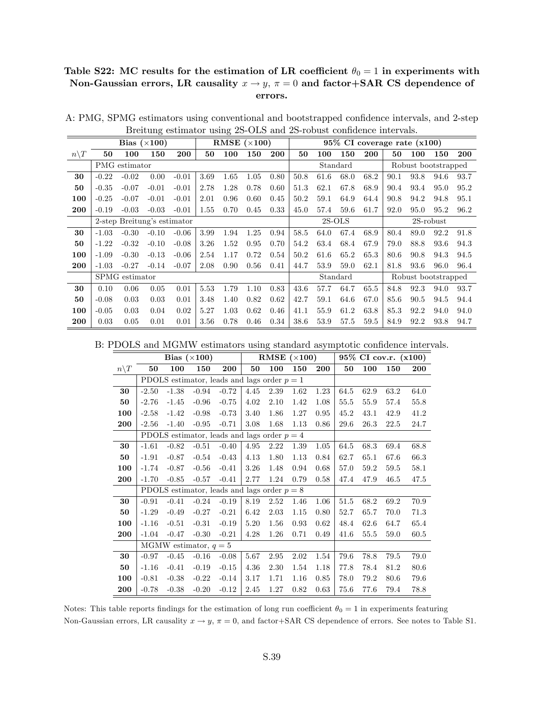## Table S22: MC results for the estimation of LR coefficient  $\theta_0 = 1$  in experiments with Non-Gaussian errors, LR causality  $x \to y$ ,  $\pi = 0$  and factor+SAR CS dependence of errors.

|                  |         |                             | Bias $(\times 100)$ |         |      |      | RMSE $(\times 100)$ |            |      |      |          |            | $95\%$ CI coverage rate $(x100)$ |                     |              |            |
|------------------|---------|-----------------------------|---------------------|---------|------|------|---------------------|------------|------|------|----------|------------|----------------------------------|---------------------|--------------|------------|
| $n \backslash T$ | 50      | 100                         | 150                 | 200     | 50   | 100  | 150                 | <b>200</b> | 50   | 100  | 150      | <b>200</b> | 50                               | 100                 | 150          | <b>200</b> |
|                  |         | PMG estimator               |                     |         |      |      |                     |            |      |      | Standard |            |                                  | Robust bootstrapped |              |            |
| 30               | $-0.22$ | $-0.02$                     | 0.00                | $-0.01$ | 3.69 | 1.65 | 1.05                | 0.80       | 50.8 | 61.6 | 68.0     | 68.2       | 90.1                             | 93.8                | 94.6         | 93.7       |
| 50               | $-0.35$ | $-0.07$                     | $-0.01$             | $-0.01$ | 2.78 | 1.28 | 0.78                | 0.60       | 51.3 | 62.1 | 67.8     | 68.9       | 90.4                             | 93.4                | 95.0         | 95.2       |
| 100              | $-0.25$ | $-0.07$                     | $-0.01$             | $-0.01$ | 2.01 | 0.96 | 0.60                | 0.45       | 50.2 | 59.1 | 64.9     | 64.4       | 90.8                             | 94.2                | 94.8         | 95.1       |
| 200              | $-0.19$ | $-0.03$                     | $-0.03$             | $-0.01$ | 1.55 | 0.70 | 0.45                | 0.33       | 45.0 | 57.4 | 59.6     | 61.7       | 92.0                             | 95.0                | 95.2         | 96.2       |
|                  |         | 2-step Breitung's estimator |                     |         |      |      |                     |            |      |      | $2S-OLS$ |            |                                  |                     | $2S$ -robust |            |
| 30               | $-1.03$ | $-0.30$                     | $-0.10$             | $-0.06$ | 3.99 | 1.94 | 1.25                | 0.94       | 58.5 | 64.0 | 67.4     | 68.9       | 80.4                             | 89.0                | 92.2         | 91.8       |
| 50               | $-1.22$ | $-0.32$                     | $-0.10$             | $-0.08$ | 3.26 | 1.52 | 0.95                | 0.70       | 54.2 | 63.4 | 68.4     | 67.9       | 79.0                             | 88.8                | 93.6         | 94.3       |
| 100              | $-1.09$ | $-0.30$                     | $-0.13$             | $-0.06$ | 2.54 | 1.17 | 0.72                | 0.54       | 50.2 | 61.6 | 65.2     | 65.3       | 80.6                             | 90.8                | 94.3         | 94.5       |
| 200              | $-1.03$ | $-0.27$                     | $-0.14$             | $-0.07$ | 2.08 | 0.90 | 0.56                | 0.41       | 44.7 | 53.9 | 59.0     | 62.1       | 81.8                             | 93.6                | 96.0         | 96.4       |
|                  |         | SPMG estimator              |                     |         |      |      |                     |            |      |      | Standard |            |                                  | Robust bootstrapped |              |            |
| 30               | 0.10    | 0.06                        | 0.05                | 0.01    | 5.53 | 1.79 | 1.10                | 0.83       | 43.6 | 57.7 | 64.7     | 65.5       | 84.8                             | 92.3                | 94.0         | 93.7       |
| 50               | $-0.08$ | 0.03                        | 0.03                | 0.01    | 3.48 | 1.40 | 0.82                | 0.62       | 42.7 | 59.1 | 64.6     | 67.0       | 85.6                             | 90.5                | 94.5         | 94.4       |
| 100              | $-0.05$ | 0.03                        | 0.04                | 0.02    | 5.27 | 1.03 | 0.62                | 0.46       | 41.1 | 55.9 | 61.2     | 63.8       | 85.3                             | 92.2                | 94.0         | 94.0       |
| 200              | 0.03    | 0.05                        | 0.01                | 0.01    | 3.56 | 0.78 | 0.46                | 0.34       | 38.6 | 53.9 | 57.5     | 59.5       | 84.9                             | 92.2                | 93.8         | 94.7       |

A: PMG, SPMG estimators using conventional and bootstrapped confidence intervals, and 2-step Breitung estimator using 2S-OLS and 2S-robust confidence intervals.

B: PDOLS and MGMW estimators using standard asymptotic confidence intervals.

|                 |         |         | Bias $(\times 100)$     |                                               |      | RMSE $(\times 100)$ |      |      |      |      | $95\%$ CI cov.r. $(x100)$ |            |
|-----------------|---------|---------|-------------------------|-----------------------------------------------|------|---------------------|------|------|------|------|---------------------------|------------|
| $n\backslash T$ | 50      | 100     | 150                     | 200                                           | 50   | 100                 | 150  | 200  | 50   | 100  | 150                       | <b>200</b> |
|                 |         |         |                         | PDOLS estimator, leads and lags order $p = 1$ |      |                     |      |      |      |      |                           |            |
| 30              | $-2.50$ | $-1.38$ | $-0.94$                 | $-0.72$                                       | 4.45 | 2.39                | 1.62 | 1.23 | 64.5 | 62.9 | 63.2                      | 64.0       |
| 50              | $-2.76$ | $-1.45$ | $-0.96$                 | $-0.75$                                       | 4.02 | 2.10                | 1.42 | 1.08 | 55.5 | 55.9 | 57.4                      | 55.8       |
| 100             | $-2.58$ | $-1.42$ | $-0.98$                 | $-0.73$                                       | 3.40 | 1.86                | 1.27 | 0.95 | 45.2 | 43.1 | 42.9                      | 41.2       |
| 200             | $-2.56$ | $-1.40$ | $-0.95$                 | $-0.71$                                       | 3.08 | 1.68                | 1.13 | 0.86 | 29.6 | 26.3 | 22.5                      | 24.7       |
|                 |         |         |                         | PDOLS estimator, leads and lags order $p = 4$ |      |                     |      |      |      |      |                           |            |
| 30              | $-1.61$ | $-0.82$ | $-0.51$                 | $-0.40$                                       | 4.95 | 2.22                | 1.39 | 1.05 | 64.5 | 68.3 | 69.4                      | 68.8       |
| 50              | $-1.91$ | $-0.87$ | $-0.54$                 | $-0.43$                                       | 4.13 | 1.80                | 1.13 | 0.84 | 62.7 | 65.1 | 67.6                      | 66.3       |
| 100             | $-1.74$ | $-0.87$ | $-0.56$                 | $-0.41$                                       | 3.26 | 1.48                | 0.94 | 0.68 | 57.0 | 59.2 | 59.5                      | 58.1       |
| 200             | $-1.70$ | $-0.85$ | $-0.57$                 | $-0.41$                                       | 2.77 | 1.24                | 0.79 | 0.58 | 47.4 | 47.9 | 46.5                      | 47.5       |
|                 |         |         |                         | PDOLS estimator, leads and lags order $p = 8$ |      |                     |      |      |      |      |                           |            |
| 30              | $-0.91$ | $-0.41$ | $-0.24$                 | $-0.19$                                       | 8.19 | 2.52                | 1.46 | 1.06 | 51.5 | 68.2 | 69.2                      | 70.9       |
| 50              | $-1.29$ | $-0.49$ | $-0.27$                 | $-0.21$                                       | 6.42 | 2.03                | 1.15 | 0.80 | 52.7 | 65.7 | 70.0                      | 71.3       |
| 100             | $-1.16$ | $-0.51$ | $-0.31$                 | $-0.19$                                       | 5.20 | 1.56                | 0.93 | 0.62 | 48.4 | 62.6 | 64.7                      | 65.4       |
| 200             | $-1.04$ | $-0.47$ | $-0.30$                 | $-0.21$                                       | 4.28 | 1.26                | 0.71 | 0.49 | 41.6 | 55.5 | 59.0                      | 60.5       |
|                 |         |         | MGMW estimator, $q = 5$ |                                               |      |                     |      |      |      |      |                           |            |
| 30              | $-0.97$ | $-0.45$ | $-0.16$                 | $-0.08$                                       | 5.67 | 2.95                | 2.02 | 1.54 | 79.6 | 78.8 | 79.5                      | 79.0       |
| 50              | $-1.16$ | $-0.41$ | $-0.19$                 | $-0.15$                                       | 4.36 | 2.30                | 1.54 | 1.18 | 77.8 | 78.4 | 81.2                      | 80.6       |
| 100             | $-0.81$ | $-0.38$ | $-0.22$                 | $-0.14$                                       | 3.17 | 1.71                | 1.16 | 0.85 | 78.0 | 79.2 | 80.6                      | 79.6       |
| 200             | $-0.78$ | $-0.38$ | $-0.20$                 | $-0.12$                                       | 2.45 | 1.27                | 0.82 | 0.63 | 75.6 | 77.6 | 79.4                      | 78.8       |

Notes: This table reports findings for the estimation of long run coefficient  $\theta_0 = 1$  in experiments featuring Non-Gaussian errors, LR causality  $x \to y$ ,  $\pi = 0$ , and factor+SAR CS dependence of errors. See notes to Table S1.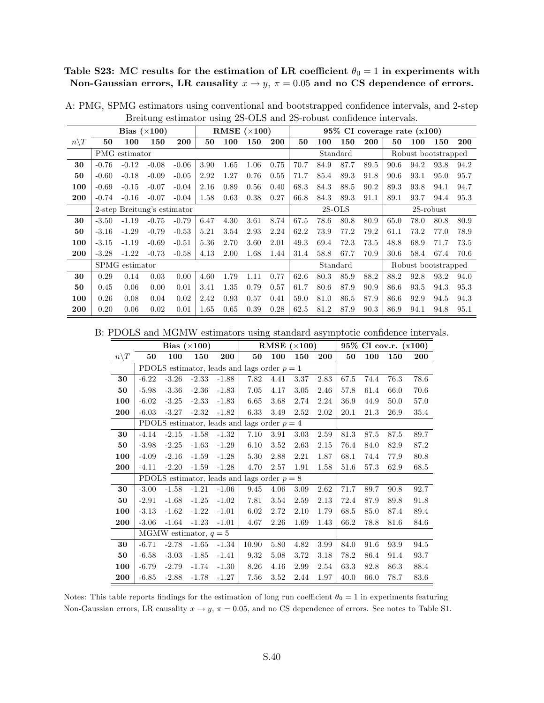Table S23: MC results for the estimation of LR coefficient  $\theta_0 = 1$  in experiments with Non-Gaussian errors, LR causality  $x \to y$ ,  $\pi = 0.05$  and no CS dependence of errors.

|                  |         |                | Bias $(\times 100)$         |         |      | RMSE $(\times 100)$ |      |            |      |      |          |      | 95% CI coverage rate (x100) |                     |              |      |
|------------------|---------|----------------|-----------------------------|---------|------|---------------------|------|------------|------|------|----------|------|-----------------------------|---------------------|--------------|------|
| $n \backslash T$ | 50      | 100            | 150                         | 200     | 50   | 100                 | 150  | <b>200</b> | 50   | 100  | 150      | 200  | 50                          | 100                 | 150          | 200  |
|                  |         | PMG estimator  |                             |         |      |                     |      |            |      |      | Standard |      |                             | Robust bootstrapped |              |      |
| 30               | $-0.76$ | $-0.12$        | $-0.08$                     | $-0.06$ | 3.90 | 1.65                | 1.06 | 0.75       | 70.7 | 84.9 | 87.7     | 89.5 | 90.6                        | 94.2                | 93.8         | 94.2 |
| 50               | $-0.60$ | $-0.18$        | $-0.09$                     | $-0.05$ | 2.92 | 1.27                | 0.76 | 0.55       | 71.7 | 85.4 | 89.3     | 91.8 | 90.6                        | 93.1                | 95.0         | 95.7 |
| 100              | $-0.69$ | $-0.15$        | $-0.07$                     | $-0.04$ | 2.16 | 0.89                | 0.56 | 0.40       | 68.3 | 84.3 | 88.5     | 90.2 | 89.3                        | 93.8                | 94.1         | 94.7 |
| 200              | $-0.74$ | $-0.16$        | $-0.07$                     | $-0.04$ | 1.58 | 0.63                | 0.38 | 0.27       | 66.8 | 84.3 | 89.3     | 91.1 | 89.1                        | 93.7                | 94.4         | 95.3 |
|                  |         |                | 2-step Breitung's estimator |         |      |                     |      |            |      |      | $2S-OLS$ |      |                             |                     | $2S$ -robust |      |
| 30               | $-3.50$ | $-1.19$        | $-0.75$                     | $-0.79$ | 6.47 | 4.30                | 3.61 | 8.74       | 67.5 | 78.6 | 80.8     | 80.9 | 65.0                        | 78.0                | 80.8         | 80.9 |
| 50               | $-3.16$ | $-1.29$        | $-0.79$                     | $-0.53$ | 5.21 | 3.54                | 2.93 | 2.24       | 62.2 | 73.9 | 77.2     | 79.2 | 61.1                        | 73.2                | 77.0         | 78.9 |
| 100              | $-3.15$ | $-1.19$        | $-0.69$                     | $-0.51$ | 5.36 | 2.70                | 3.60 | 2.01       | 49.3 | 69.4 | 72.3     | 73.5 | 48.8                        | 68.9                | 71.7         | 73.5 |
| 200              | $-3.28$ | $-1.22$        | $-0.73$                     | $-0.58$ | 4.13 | 2.00                | 1.68 | 1.44       | 31.4 | 58.8 | 67.7     | 70.9 | 30.6                        | 58.4                | 67.4         | 70.6 |
|                  |         | SPMG estimator |                             |         |      |                     |      |            |      |      | Standard |      |                             | Robust bootstrapped |              |      |
| 30               | 0.29    | 0.14           | 0.03                        | 0.00    | 4.60 | 1.79                | 1.11 | 0.77       | 62.6 | 80.3 | 85.9     | 88.2 | 88.2                        | 92.8                | 93.2         | 94.0 |
| 50               | 0.45    | 0.06           | 0.00                        | 0.01    | 3.41 | 1.35                | 0.79 | 0.57       | 61.7 | 80.6 | 87.9     | 90.9 | 86.6                        | 93.5                | 94.3         | 95.3 |
| 100              | 0.26    | 0.08           | 0.04                        | 0.02    | 2.42 | 0.93                | 0.57 | 0.41       | 59.0 | 81.0 | 86.5     | 87.9 | 86.6                        | 92.9                | 94.5         | 94.3 |
| 200              | 0.20    | 0.06           | 0.02                        | 0.01    | 1.65 | 0.65                | 0.39 | 0.28       | 62.5 | 81.2 | 87.9     | 90.3 | 86.9                        | 94.1                | 94.8         | 95.1 |

A: PMG, SPMG estimators using conventional and bootstrapped confidence intervals, and 2-step Breitung estimator using 2S-OLS and 2S-robust confidence intervals.

B: PDOLS and MGMW estimators using standard asymptotic confidence intervals.

|                 |         |                         | Bias $(\times 100)$ |         |                                               |      | RMSE $(\times 100)$ |            |      |      | 95% CI cov.r. (x100) |            |
|-----------------|---------|-------------------------|---------------------|---------|-----------------------------------------------|------|---------------------|------------|------|------|----------------------|------------|
| $n\backslash T$ | 50      | 100                     | 150                 | 200     | 50                                            | 100  | 150                 | <b>200</b> | 50   | 100  | 150                  | <b>200</b> |
|                 |         |                         |                     |         | PDOLS estimator, leads and lags order $p = 1$ |      |                     |            |      |      |                      |            |
| 30              | $-6.22$ | $-3.26$                 | $-2.33$             | $-1.88$ | 7.82                                          | 4.41 | 3.37                | 2.83       | 67.5 | 74.4 | 76.3                 | 78.6       |
| 50              | $-5.98$ | $-3.36$                 | $-2.36$             | $-1.83$ | 7.05                                          | 4.17 | 3.05                | 2.46       | 57.8 | 61.4 | 66.0                 | 70.6       |
| 100             | $-6.02$ | $-3.25$                 | $-2.33$             | $-1.83$ | 6.65                                          | 3.68 | 2.74                | 2.24       | 36.9 | 44.9 | 50.0                 | 57.0       |
| 200             | $-6.03$ | $-3.27$                 | $-2.32$             | $-1.82$ | 6.33                                          | 3.49 | 2.52                | 2.02       | 20.1 | 21.3 | 26.9                 | 35.4       |
|                 |         |                         |                     |         | PDOLS estimator, leads and lags order $p = 4$ |      |                     |            |      |      |                      |            |
| 30              | $-4.14$ | $-2.15$                 | $-1.58$             | $-1.32$ | 7.10                                          | 3.91 | 3.03                | 2.59       | 81.3 | 87.5 | 87.5                 | 89.7       |
| 50              | $-3.98$ | $-2.25$                 | $-1.63$             | $-1.29$ | 6.10                                          | 3.52 | 2.63                | 2.15       | 76.4 | 84.0 | 82.9                 | 87.2       |
| 100             | $-4.09$ | $-2.16$                 | $-1.59$             | $-1.28$ | 5.30                                          | 2.88 | 2.21                | 1.87       | 68.1 | 74.4 | 77.9                 | 80.8       |
| 200             | $-4.11$ | $-2.20$                 | $-1.59$             | $-1.28$ | 4.70                                          | 2.57 | 1.91                | 1.58       | 51.6 | 57.3 | 62.9                 | 68.5       |
|                 |         |                         |                     |         | PDOLS estimator, leads and lags order $p = 8$ |      |                     |            |      |      |                      |            |
| 30              | $-3.00$ | $-1.58$                 | $-1.21$             | $-1.06$ | 9.45                                          | 4.06 | 3.09                | 2.62       | 71.7 | 89.7 | 90.8                 | 92.7       |
| 50              | $-2.91$ | $-1.68$                 | $-1.25$             | $-1.02$ | 7.81                                          | 3.54 | 2.59                | 2.13       | 72.4 | 87.9 | 89.8                 | 91.8       |
| 100             | $-3.13$ | $-1.62$                 | $-1.22$             | $-1.01$ | 6.02                                          | 2.72 | 2.10                | 1.79       | 68.5 | 85.0 | 87.4                 | 89.4       |
| 200             | $-3.06$ | $-1.64$                 | $-1.23$             | $-1.01$ | 4.67                                          | 2.26 | 1.69                | 1.43       | 66.2 | 78.8 | 81.6                 | 84.6       |
|                 |         | MGMW estimator, $q = 5$ |                     |         |                                               |      |                     |            |      |      |                      |            |
| 30              | $-6.71$ | $-2.78$                 | $-1.65$             | $-1.34$ | 10.90                                         | 5.80 | 4.82                | 3.99       | 84.0 | 91.6 | 93.9                 | 94.5       |
| 50              | $-6.58$ | $-3.03$                 | $-1.85$             | $-1.41$ | 9.32                                          | 5.08 | 3.72                | 3.18       | 78.2 | 86.4 | 91.4                 | 93.7       |
| 100             | $-6.79$ | $-2.79$                 | $-1.74$             | $-1.30$ | 8.26                                          | 4.16 | 2.99                | 2.54       | 63.3 | 82.8 | 86.3                 | 88.4       |
| 200             | $-6.85$ | $-2.88$                 | $-1.78$             | $-1.27$ | 7.56                                          | 3.52 | 2.44                | 1.97       | 40.0 | 66.0 | 78.7                 | 83.6       |

Notes: This table reports findings for the estimation of long run coefficient  $\theta_0 = 1$  in experiments featuring Non-Gaussian errors, LR causality  $x \to y$ ,  $\pi = 0.05$ , and no CS dependence of errors. See notes to Table S1.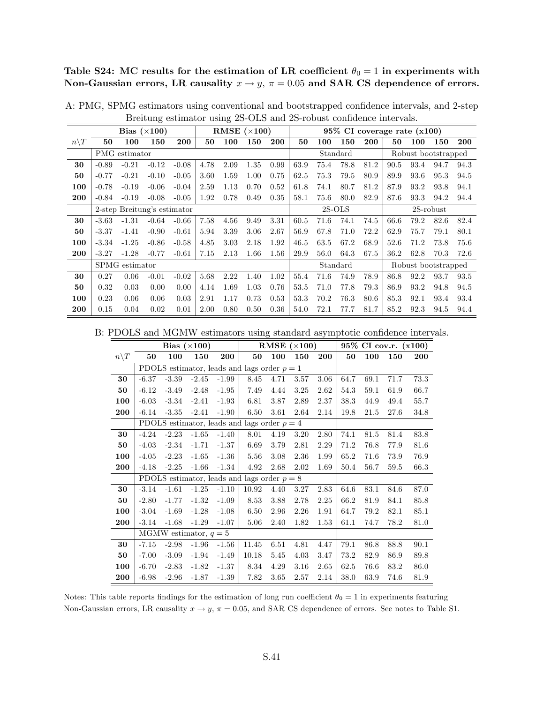Table S24: MC results for the estimation of LR coefficient  $\theta_0 = 1$  in experiments with Non-Gaussian errors, LR causality  $x \to y$ ,  $\pi = 0.05$  and SAR CS dependence of errors.

|                  |         |                | Bias $(\times 100)$         |         |      |      | RMSE $(\times 100)$ |      |      |      |          |      | 95% CI coverage rate (x100) |                     |              |      |
|------------------|---------|----------------|-----------------------------|---------|------|------|---------------------|------|------|------|----------|------|-----------------------------|---------------------|--------------|------|
| $n \backslash T$ | 50      | 100            | 150                         | 200     | 50   | 100  | 150                 | 200  | 50   | 100  | 150      | 200  | 50                          | 100                 | 150          | 200  |
|                  |         | PMG estimator  |                             |         |      |      |                     |      |      |      | Standard |      |                             | Robust bootstrapped |              |      |
| 30               | $-0.89$ | $-0.21$        | $-0.12$                     | $-0.08$ | 4.78 | 2.09 | 1.35                | 0.99 | 63.9 | 75.4 | 78.8     | 81.2 | 90.5                        | 93.4                | 94.7         | 94.3 |
| 50               | $-0.77$ | $-0.21$        | $-0.10$                     | $-0.05$ | 3.60 | 1.59 | 1.00                | 0.75 | 62.5 | 75.3 | 79.5     | 80.9 | 89.9                        | 93.6                | 95.3         | 94.5 |
| 100              | $-0.78$ | $-0.19$        | $-0.06$                     | $-0.04$ | 2.59 | 1.13 | 0.70                | 0.52 | 61.8 | 74.1 | 80.7     | 81.2 | 87.9                        | 93.2                | 93.8         | 94.1 |
| 200              | $-0.84$ | $-0.19$        | $-0.08$                     | $-0.05$ | 1.92 | 0.78 | 0.49                | 0.35 | 58.1 | 75.6 | 80.0     | 82.9 | 87.6                        | 93.3                | 94.2         | 94.4 |
|                  |         |                | 2-step Breitung's estimator |         |      |      |                     |      |      |      | $2S-OLS$ |      |                             |                     | $2S$ -robust |      |
| 30               | $-3.63$ | $-1.31$        | $-0.64$                     | $-0.66$ | 7.58 | 4.56 | 9.49                | 3.31 | 60.5 | 71.6 | 74.1     | 74.5 | 66.6                        | 79.2                | 82.6         | 82.4 |
| 50               | $-3.37$ | $-1.41$        | $-0.90$                     | $-0.61$ | 5.94 | 3.39 | 3.06                | 2.67 | 56.9 | 67.8 | 71.0     | 72.2 | 62.9                        | 75.7                | 79.1         | 80.1 |
| 100              | $-3.34$ | $-1.25$        | $-0.86$                     | $-0.58$ | 4.85 | 3.03 | 2.18                | 1.92 | 46.5 | 63.5 | 67.2     | 68.9 | 52.6                        | 71.2                | 73.8         | 75.6 |
| 200              | $-3.27$ | $-1.28$        | $-0.77$                     | $-0.61$ | 7.15 | 2.13 | 1.66                | 1.56 | 29.9 | 56.0 | 64.3     | 67.5 | 36.2                        | 62.8                | 70.3         | 72.6 |
|                  |         | SPMG estimator |                             |         |      |      |                     |      |      |      | Standard |      |                             | Robust bootstrapped |              |      |
| 30               | 0.27    | 0.06           | $-0.01$                     | $-0.02$ | 5.68 | 2.22 | 1.40                | 1.02 | 55.4 | 71.6 | 74.9     | 78.9 | 86.8                        | 92.2                | 93.7         | 93.5 |
| 50               | 0.32    | 0.03           | 0.00                        | 0.00    | 4.14 | 1.69 | 1.03                | 0.76 | 53.5 | 71.0 | 77.8     | 79.3 | 86.9                        | 93.2                | 94.8         | 94.5 |
| 100              | 0.23    | 0.06           | 0.06                        | 0.03    | 2.91 | 1.17 | 0.73                | 0.53 | 53.3 | 70.2 | 76.3     | 80.6 | 85.3                        | 92.1                | 93.4         | 93.4 |
| 200              | 0.15    | 0.04           | 0.02                        | 0.01    | 2.00 | 0.80 | 0.50                | 0.36 | 54.0 | 72.1 | 77.7     | 81.7 | 85.2                        | 92.3                | 94.5         | 94.4 |

A: PMG, SPMG estimators using conventional and bootstrapped confidence intervals, and 2-step Breitung estimator using 2S-OLS and 2S-robust confidence intervals.

B: PDOLS and MGMW estimators using standard asymptotic confidence intervals.

|                 |         |                         | Bias $(\times 100)$ |         |                                               |      | RMSE $(\times 100)$ |            |      |      | 95% CI cov.r. (x100) |      |
|-----------------|---------|-------------------------|---------------------|---------|-----------------------------------------------|------|---------------------|------------|------|------|----------------------|------|
| $n\backslash T$ | 50      | 100                     | 150                 | 200     | 50                                            | 100  | 150                 | <b>200</b> | 50   | 100  | 150                  | 200  |
|                 |         |                         |                     |         | PDOLS estimator, leads and lags order $p = 1$ |      |                     |            |      |      |                      |      |
| 30              | $-6.37$ | $-3.39$                 | $-2.45$             | $-1.99$ | 8.45                                          | 4.71 | 3.57                | 3.06       | 64.7 | 69.1 | 71.7                 | 73.3 |
| 50              | $-6.12$ | $-3.49$                 | $-2.48$             | $-1.95$ | 7.49                                          | 4.44 | 3.25                | 2.62       | 54.3 | 59.1 | 61.9                 | 66.7 |
| 100             | $-6.03$ | $-3.34$                 | $-2.41$             | $-1.93$ | 6.81                                          | 3.87 | 2.89                | 2.37       | 38.3 | 44.9 | 49.4                 | 55.7 |
| 200             | $-6.14$ | $-3.35$                 | $-2.41$             | $-1.90$ | 6.50                                          | 3.61 | 2.64                | 2.14       | 19.8 | 21.5 | 27.6                 | 34.8 |
|                 |         |                         |                     |         | PDOLS estimator, leads and lags order $p = 4$ |      |                     |            |      |      |                      |      |
| 30              | $-4.24$ | $-2.23$                 | $-1.65$             | $-1.40$ | 8.01                                          | 4.19 | 3.20                | 2.80       | 74.1 | 81.5 | 81.4                 | 83.8 |
| 50              | $-4.03$ | $-2.34$                 | $-1.71$             | $-1.37$ | 6.69                                          | 3.79 | 2.81                | 2.29       | 71.2 | 76.8 | 77.9                 | 81.6 |
| 100             | $-4.05$ | $-2.23$                 | $-1.65$             | $-1.36$ | 5.56                                          | 3.08 | 2.36                | 1.99       | 65.2 | 71.6 | 73.9                 | 76.9 |
| 200             | $-4.18$ | $-2.25$                 | $-1.66$             | $-1.34$ | 4.92                                          | 2.68 | 2.02                | 1.69       | 50.4 | 56.7 | 59.5                 | 66.3 |
|                 |         |                         |                     |         | PDOLS estimator, leads and lags order $p = 8$ |      |                     |            |      |      |                      |      |
| 30              | $-3.14$ | $-1.61$                 | $-1.25$             | $-1.10$ | 10.92                                         | 4.40 | 3.27                | 2.83       | 64.6 | 83.1 | 84.6                 | 87.0 |
| 50              | $-2.80$ | $-1.77$                 | $-1.32$             | $-1.09$ | 8.53                                          | 3.88 | 2.78                | 2.25       | 66.2 | 81.9 | 84.1                 | 85.8 |
| 100             | $-3.04$ | $-1.69$                 | $-1.28$             | $-1.08$ | 6.50                                          | 2.96 | 2.26                | 1.91       | 64.7 | 79.2 | 82.1                 | 85.1 |
| 200             | $-3.14$ | $-1.68$                 | $-1.29$             | $-1.07$ | 5.06                                          | 2.40 | 1.82                | 1.53       | 61.1 | 74.7 | 78.2                 | 81.0 |
|                 |         | MGMW estimator, $q = 5$ |                     |         |                                               |      |                     |            |      |      |                      |      |
| 30              | $-7.15$ | $-2.98$                 | $-1.96$             | $-1.56$ | 11.45                                         | 6.51 | 4.81                | 4.47       | 79.1 | 86.8 | 88.8                 | 90.1 |
| 50              | $-7.00$ | $-3.09$                 | $-1.94$             | $-1.49$ | 10.18                                         | 5.45 | 4.03                | 3.47       | 73.2 | 82.9 | 86.9                 | 89.8 |
| 100             | $-6.70$ | $-2.83$                 | $-1.82$             | $-1.37$ | 8.34                                          | 4.29 | 3.16                | 2.65       | 62.5 | 76.6 | 83.2                 | 86.0 |
| 200             | $-6.98$ | $-2.96$                 | $-1.87$             | $-1.39$ | 7.82                                          | 3.65 | 2.57                | 2.14       | 38.0 | 63.9 | 74.6                 | 81.9 |

Notes: This table reports findings for the estimation of long run coefficient  $\theta_0 = 1$  in experiments featuring Non-Gaussian errors, LR causality  $x \to y$ ,  $\pi = 0.05$ , and SAR CS dependence of errors. See notes to Table S1.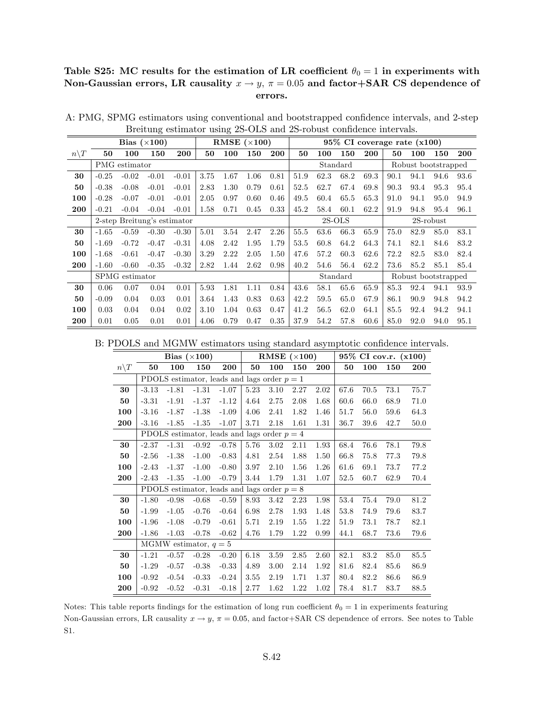## Table S25: MC results for the estimation of LR coefficient  $\theta_0 = 1$  in experiments with Non-Gaussian errors, LR causality  $x \to y$ ,  $\pi = 0.05$  and factor+SAR CS dependence of errors.

|                 |         |                             | Bias $(\times 100)$ |         |      |      | RMSE $(\times 100)$ |      |      |          |          |            | $95\%$ CI coverage rate $(x100)$ |                     |              |      |
|-----------------|---------|-----------------------------|---------------------|---------|------|------|---------------------|------|------|----------|----------|------------|----------------------------------|---------------------|--------------|------|
| $n\backslash T$ | 50      | 100                         | 150                 | 200     | 50   | 100  | 150                 | 200  | 50   | 100      | 150      | <b>200</b> | 50                               | 100                 | 150          | 200  |
|                 |         | PMG estimator               |                     |         |      |      |                     |      |      |          | Standard |            |                                  | Robust bootstrapped |              |      |
| 30              | $-0.25$ | $-0.02$                     | $-0.01$             | $-0.01$ | 3.75 | 1.67 | 1.06                | 0.81 | 51.9 | 62.3     | 68.2     | 69.3       | 90.1                             | 94.1                | 94.6         | 93.6 |
| 50              | $-0.38$ | $-0.08$                     | $-0.01$             | $-0.01$ | 2.83 | 1.30 | 0.79                | 0.61 | 52.5 | 62.7     | 67.4     | 69.8       | 90.3                             | 93.4                | 95.3         | 95.4 |
| 100             | $-0.28$ | $-0.07$                     | $-0.01$             | $-0.01$ | 2.05 | 0.97 | 0.60                | 0.46 | 49.5 | 60.4     | 65.5     | 65.3       | 91.0                             | 94.1                | 95.0         | 94.9 |
| 200             | $-0.21$ | $-0.04$                     | $-0.04$             | $-0.01$ | 1.58 | 0.71 | 0.45                | 0.33 | 45.2 | 58.4     | 60.1     | 62.2       | 91.9                             | 94.8                | 95.4         | 96.1 |
|                 |         | 2-step Breitung's estimator |                     |         |      |      |                     |      |      | $2S-OLS$ |          |            |                                  |                     | $2S$ -robust |      |
| 30              | $-1.65$ | $-0.59$                     | $-0.30$             | $-0.30$ | 5.01 | 3.54 | 2.47                | 2.26 | 55.5 | 63.6     | 66.3     | 65.9       | 75.0                             | 82.9                | 85.0         | 83.1 |
| 50              | $-1.69$ | $-0.72$                     | $-0.47$             | $-0.31$ | 4.08 | 2.42 | 1.95                | 1.79 | 53.5 | 60.8     | 64.2     | 64.3       | 74.1                             | 82.1                | 84.6         | 83.2 |
| 100             | $-1.68$ | $-0.61$                     | $-0.47$             | $-0.30$ | 3.29 | 2.22 | 2.05                | 1.50 | 47.6 | 57.2     | 60.3     | 62.6       | 72.2                             | 82.5                | 83.0         | 82.4 |
| 200             | $-1.60$ | $-0.60$                     | $-0.35$             | $-0.32$ | 2.82 | 1.44 | 2.62                | 0.98 | 40.2 | 54.6     | 56.4     | 62.2       | 73.6                             | 85.2                | 85.1         | 85.4 |
|                 |         | SPMG estimator              |                     |         |      |      |                     |      |      |          | Standard |            |                                  | Robust bootstrapped |              |      |
| 30              | 0.06    | 0.07                        | 0.04                | 0.01    | 5.93 | 1.81 | 1.11                | 0.84 | 43.6 | 58.1     | 65.6     | 65.9       | 85.3                             | 92.4                | 94.1         | 93.9 |
| 50              | $-0.09$ | 0.04                        | 0.03                | 0.01    | 3.64 | 1.43 | 0.83                | 0.63 | 42.2 | 59.5     | 65.0     | 67.9       | 86.1                             | 90.9                | 94.8         | 94.2 |
| 100             | 0.03    | 0.04                        | 0.04                | 0.02    | 3.10 | 1.04 | 0.63                | 0.47 | 41.2 | 56.5     | 62.0     | 64.1       | 85.5                             | 92.4                | 94.2         | 94.1 |
| 200             | 0.01    | 0.05                        | 0.01                | 0.01    | 4.06 | 0.79 | 0.47                | 0.35 | 37.9 | 54.2     | 57.8     | 60.6       | 85.0                             | 92.0                | 94.0         | 95.1 |

A: PMG, SPMG estimators using conventional and bootstrapped confidence intervals, and 2-step Breitung estimator using 2S-OLS and 2S-robust confidence intervals.

B: PDOLS and MGMW estimators using standard asymptotic confidence intervals.

|                 |         |                         | Bias $(\times 100)$ |                                               |      | RMSE $(\times 100)$ |      |            |      |          | 95% CI cov.r. (x100) |            |
|-----------------|---------|-------------------------|---------------------|-----------------------------------------------|------|---------------------|------|------------|------|----------|----------------------|------------|
| $n\backslash T$ | 50      | 100                     | 150                 | <b>200</b>                                    | 50   | 100                 | 150  | <b>200</b> | 50   | 100      | 150                  | <b>200</b> |
|                 |         |                         |                     | PDOLS estimator, leads and lags order $p = 1$ |      |                     |      |            |      |          |                      |            |
| 30              | $-3.13$ | $-1.81$                 | $-1.31$             | $-1.07$                                       | 5.23 | $3.10\,$            | 2.27 | 2.02       | 67.6 | $70.5\,$ | 73.1                 | 75.7       |
| 50              | $-3.31$ | $-1.91$                 | $-1.37$             | $-1.12$                                       | 4.64 | 2.75                | 2.08 | 1.68       | 60.6 | 66.0     | 68.9                 | 71.0       |
| 100             | $-3.16$ | $-1.87$                 | $-1.38$             | $-1.09$                                       | 4.06 | 2.41                | 1.82 | 1.46       | 51.7 | 56.0     | 59.6                 | 64.3       |
| 200             | $-3.16$ | $-1.85$                 | $-1.35$             | $-1.07$                                       | 3.71 | 2.18                | 1.61 | 1.31       | 36.7 | 39.6     | 42.7                 | 50.0       |
|                 |         |                         |                     | PDOLS estimator, leads and lags order $p = 4$ |      |                     |      |            |      |          |                      |            |
| 30              | $-2.37$ | $-1.31$                 | $-0.92$             | $-0.78$                                       | 5.76 | 3.02                | 2.11 | 1.93       | 68.4 | 76.6     | 78.1                 | 79.8       |
| 50              | $-2.56$ | $-1.38$                 | $-1.00$             | $-0.83$                                       | 4.81 | 2.54                | 1.88 | 1.50       | 66.8 | 75.8     | 77.3                 | 79.8       |
| 100             | $-2.43$ | $-1.37$                 | $-1.00$             | $-0.80$                                       | 3.97 | 2.10                | 1.56 | 1.26       | 61.6 | 69.1     | 73.7                 | 77.2       |
| 200             | $-2.43$ | $-1.35$                 | $-1.00$             | $-0.79$                                       | 3.44 | 1.79                | 1.31 | 1.07       | 52.5 | 60.7     | 62.9                 | 70.4       |
|                 |         |                         |                     | PDOLS estimator, leads and lags order $p = 8$ |      |                     |      |            |      |          |                      |            |
| 30              | $-1.80$ | $-0.98$                 | $-0.68$             | $-0.59$                                       | 8.93 | 3.42                | 2.23 | 1.98       | 53.4 | 75.4     | 79.0                 | 81.2       |
| 50              | $-1.99$ | $-1.05$                 | $-0.76$             | $-0.64$                                       | 6.98 | 2.78                | 1.93 | 1.48       | 53.8 | 74.9     | 79.6                 | 83.7       |
| 100             | $-1.96$ | $-1.08$                 | $-0.79$             | $-0.61$                                       | 5.71 | 2.19                | 1.55 | 1.22       | 51.9 | 73.1     | 78.7                 | 82.1       |
| 200             | $-1.86$ | $-1.03$                 | $-0.78$             | $-0.62$                                       | 4.76 | 1.79                | 1.22 | 0.99       | 44.1 | 68.7     | 73.6                 | 79.6       |
|                 |         | MGMW estimator, $q = 5$ |                     |                                               |      |                     |      |            |      |          |                      |            |
| 30              | $-1.21$ | $-0.57$                 | $-0.28$             | $-0.20$                                       | 6.18 | 3.59                | 2.85 | 2.60       | 82.1 | 83.2     | 85.0                 | 85.5       |
| 50              | $-1.29$ | $-0.57$                 | $-0.38$             | $-0.33$                                       | 4.89 | 3.00                | 2.14 | 1.92       | 81.6 | 82.4     | 85.6                 | 86.9       |
| 100             | $-0.92$ | $-0.54$                 | $-0.33$             | $-0.24$                                       | 3.55 | 2.19                | 1.71 | 1.37       | 80.4 | 82.2     | 86.6                 | 86.9       |
| 200             | $-0.92$ | $-0.52$                 | $-0.31$             | $-0.18$                                       | 2.77 | 1.62                | 1.22 | 1.02       | 78.4 | 81.7     | 83.7                 | 88.5       |

Notes: This table reports findings for the estimation of long run coefficient  $\theta_0 = 1$  in experiments featuring Non-Gaussian errors, LR causality  $x \to y$ ,  $\pi = 0.05$ , and factor+SAR CS dependence of errors. See notes to Table S1.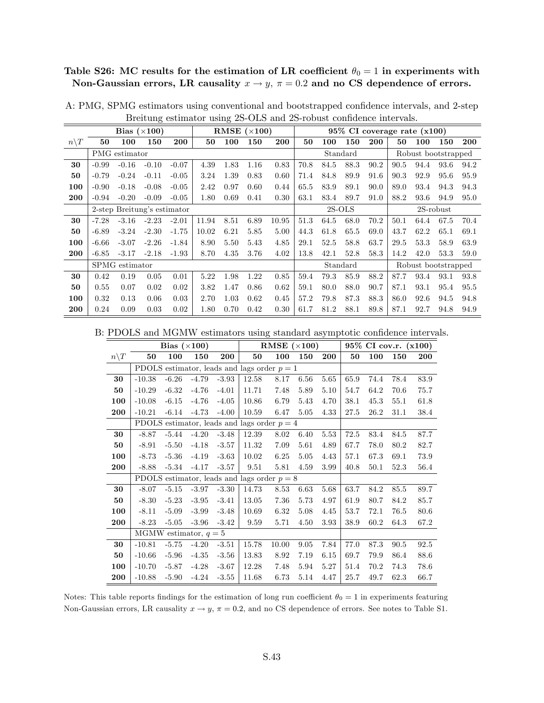# Table S26: MC results for the estimation of LR coefficient  $\theta_0 = 1$  in experiments with Non-Gaussian errors, LR causality  $x \to y$ ,  $\pi = 0.2$  and no CS dependence of errors.

|                  |                             |                | Bias $(\times 100)$ |            |       |      | RMSE $(\times 100)$ |       |      |      |          |      |      | $95\%$ CI coverage rate $(x100)$ |           |            |
|------------------|-----------------------------|----------------|---------------------|------------|-------|------|---------------------|-------|------|------|----------|------|------|----------------------------------|-----------|------------|
| $n \backslash T$ | 50                          | 100            | 150                 | <b>200</b> | 50    | 100  | 150                 | 200   | 50   | 100  | 150      | 200  | 50   | 100                              | 150       | <b>200</b> |
|                  |                             | PMG estimator  |                     |            |       |      |                     |       |      |      | Standard |      |      | Robust bootstrapped              |           |            |
| 30               | $-0.99$                     | $-0.16$        | $-0.10$             | $-0.07$    | 4.39  | 1.83 | 1.16                | 0.83  | 70.8 | 84.5 | 88.3     | 90.2 | 90.5 | 94.4                             | 93.6      | 94.2       |
| 50               | $-0.79$                     | $-0.24$        | $-0.11$             | $-0.05$    | 3.24  | 1.39 | 0.83                | 0.60  | 71.4 | 84.8 | 89.9     | 91.6 | 90.3 | 92.9                             | 95.6      | 95.9       |
| 100              | $-0.90$                     | $-0.18$        | $-0.08$             | $-0.05$    | 2.42  | 0.97 | 0.60                | 0.44  | 65.5 | 83.9 | 89.1     | 90.0 | 89.0 | 93.4                             | 94.3      | 94.3       |
| 200              | $-0.94$                     | $-0.20$        | $-0.09$             | $-0.05$    | 1.80  | 0.69 | 0.41                | 0.30  | 63.1 | 83.4 | 89.7     | 91.0 | 88.2 | 93.6                             | 94.9      | 95.0       |
|                  | 2-step Breitung's estimator |                |                     |            |       |      |                     |       |      |      | $2S-OLS$ |      |      |                                  | 2S-robust |            |
| 30               | $-7.28$                     | $-3.16$        | $-2.23$             | $-2.01$    | 11.94 | 8.51 | 6.89                | 10.95 | 51.3 | 64.5 | 68.0     | 70.2 | 50.1 | 64.4                             | 67.5      | 70.4       |
| 50               | $-6.89$                     | $-3.24$        | $-2.30$             | $-1.75$    | 10.02 | 6.21 | 5.85                | 5.00  | 44.3 | 61.8 | 65.5     | 69.0 | 43.7 | 62.2                             | 65.1      | 69.1       |
| 100              | $-6.66$                     | $-3.07$        | $-2.26$             | $-1.84$    | 8.90  | 5.50 | 5.43                | 4.85  | 29.1 | 52.5 | 58.8     | 63.7 | 29.5 | 53.3                             | 58.9      | 63.9       |
| 200              | $-6.85$                     | $-3.17$        | $-2.18$             | $-1.93$    | 8.70  | 4.35 | 3.76                | 4.02  | 13.8 | 42.1 | 52.8     | 58.3 | 14.2 | 42.0                             | 53.3      | 59.0       |
|                  |                             | SPMG estimator |                     |            |       |      |                     |       |      |      | Standard |      |      | Robust bootstrapped              |           |            |
| 30               | 0.42                        | 0.19           | 0.05                | 0.01       | 5.22  | 1.98 | 1.22                | 0.85  | 59.4 | 79.3 | 85.9     | 88.2 | 87.7 | 93.4                             | 93.1      | 93.8       |
| 50               | 0.55                        | 0.07           | 0.02                | 0.02       | 3.82  | 1.47 | 0.86                | 0.62  | 59.1 | 80.0 | 88.0     | 90.7 | 87.1 | 93.1                             | 95.4      | 95.5       |
| 100              | 0.32                        | 0.13           | 0.06                | 0.03       | 2.70  | 1.03 | 0.62                | 0.45  | 57.2 | 79.8 | 87.3     | 88.3 | 86.0 | 92.6                             | 94.5      | 94.8       |
| 200              | 0.24                        | 0.09           | 0.03                | 0.02       | 1.80  | 0.70 | 0.42                | 0.30  | 61.7 | 81.2 | 88.1     | 89.8 | 87.1 | 92.7                             | 94.8      | 94.9       |

A: PMG, SPMG estimators using conventional and bootstrapped confidence intervals, and 2-step Breitung estimator using 2S-OLS and 2S-robust confidence intervals.

B: PDOLS and MGMW estimators using standard asymptotic confidence intervals.

|                 |          | Bias $(\times 100)$     |         |         |                                               | RMSE $(\times 100)$ |      |      |      |      | 95% CI cov.r. (x100) |            |
|-----------------|----------|-------------------------|---------|---------|-----------------------------------------------|---------------------|------|------|------|------|----------------------|------------|
| $n\backslash T$ | 50       | 100                     | 150     | 200     | 50                                            | 100                 | 150  | 200  | 50   | 100  | 150                  | <b>200</b> |
|                 |          |                         |         |         | PDOLS estimator, leads and lags order $p = 1$ |                     |      |      |      |      |                      |            |
| 30              | $-10.38$ | $-6.26$                 | $-4.79$ | $-3.93$ | 12.58                                         | 8.17                | 6.56 | 5.65 | 65.9 | 74.4 | 78.4                 | 83.9       |
| 50              | $-10.29$ | $-6.32$                 | $-4.76$ | $-4.01$ | 11.71                                         | 7.48                | 5.89 | 5.10 | 54.7 | 64.2 | 70.6                 | 75.7       |
| 100             | $-10.08$ | $-6.15$                 | $-4.76$ | $-4.05$ | 10.86                                         | 6.79                | 5.43 | 4.70 | 38.1 | 45.3 | 55.1                 | 61.8       |
| 200             | $-10.21$ | $-6.14$                 | $-4.73$ | $-4.00$ | 10.59                                         | 6.47                | 5.05 | 4.33 | 27.5 | 26.2 | 31.1                 | 38.4       |
|                 |          |                         |         |         | PDOLS estimator, leads and lags order $p = 4$ |                     |      |      |      |      |                      |            |
| 30              | $-8.87$  | $-5.44$                 | $-4.20$ | $-3.48$ | 12.39                                         | 8.02                | 6.40 | 5.53 | 72.5 | 83.4 | 84.5                 | 87.7       |
| 50              | $-8.91$  | $-5.50$                 | $-4.18$ | $-3.57$ | 11.32                                         | 7.09                | 5.61 | 4.89 | 67.7 | 78.0 | 80.2                 | 82.7       |
| 100             | $-8.73$  | $-5.36$                 | $-4.19$ | $-3.63$ | 10.02                                         | 6.25                | 5.05 | 4.43 | 57.1 | 67.3 | 69.1                 | 73.9       |
| 200             | $-8.88$  | $-5.34$                 | $-4.17$ | $-3.57$ | 9.51                                          | 5.81                | 4.59 | 3.99 | 40.8 | 50.1 | 52.3                 | 56.4       |
|                 |          |                         |         |         | PDOLS estimator, leads and lags order $p = 8$ |                     |      |      |      |      |                      |            |
| 30              | $-8.07$  | $-5.15$                 | $-3.97$ | $-3.30$ | 14.73                                         | 8.53                | 6.63 | 5.68 | 63.7 | 84.2 | 85.5                 | 89.7       |
| 50              | $-8.30$  | $-5.23$                 | $-3.95$ | $-3.41$ | 13.05                                         | 7.36                | 5.73 | 4.97 | 61.9 | 80.7 | 84.2                 | 85.7       |
| 100             | $-8.11$  | $-5.09$                 | $-3.99$ | $-3.48$ | 10.69                                         | 6.32                | 5.08 | 4.45 | 53.7 | 72.1 | 76.5                 | 80.6       |
| 200             | $-8.23$  | $-5.05$                 | $-3.96$ | $-3.42$ | 9.59                                          | 5.71                | 4.50 | 3.93 | 38.9 | 60.2 | 64.3                 | 67.2       |
|                 |          | MGMW estimator, $q = 5$ |         |         |                                               |                     |      |      |      |      |                      |            |
| 30              | $-10.81$ | $-5.75$                 | $-4.20$ | $-3.51$ | 15.78                                         | 10.00               | 9.05 | 7.84 | 77.0 | 87.3 | 90.5                 | 92.5       |
| 50              | $-10.66$ | $-5.96$                 | $-4.35$ | $-3.56$ | 13.83                                         | 8.92                | 7.19 | 6.15 | 69.7 | 79.9 | 86.4                 | 88.6       |
| 100             | $-10.70$ | $-5.87$                 | $-4.28$ | $-3.67$ | 12.28                                         | 7.48                | 5.94 | 5.27 | 51.4 | 70.2 | 74.3                 | 78.6       |
| 200             | $-10.88$ | $-5.90$                 | $-4.24$ | $-3.55$ | 11.68                                         | 6.73                | 5.14 | 4.47 | 25.7 | 49.7 | 62.3                 | 66.7       |

Notes: This table reports findings for the estimation of long run coefficient  $\theta_0 = 1$  in experiments featuring Non-Gaussian errors, LR causality  $x \to y$ ,  $\pi = 0.2$ , and no CS dependence of errors. See notes to Table S1.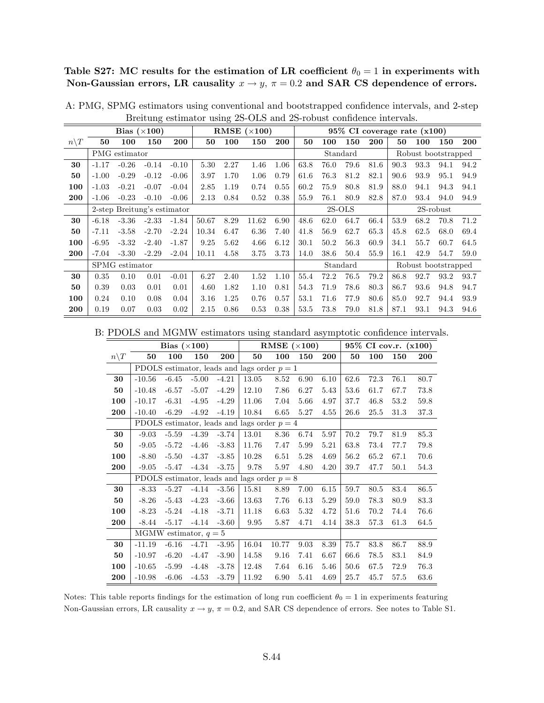Table S27: MC results for the estimation of LR coefficient  $\theta_0 = 1$  in experiments with Non-Gaussian errors, LR causality  $x \to y$ ,  $\pi = 0.2$  and SAR CS dependence of errors.

|                 |                             |                | Bias $(\times 100)$ |         |       |      | RMSE $(\times 100)$ |            |      |          |          |      |      | $95\%$ CI coverage rate $(x100)$ |      |      |
|-----------------|-----------------------------|----------------|---------------------|---------|-------|------|---------------------|------------|------|----------|----------|------|------|----------------------------------|------|------|
| $n\backslash T$ | 50                          | 100            | 150                 | 200     | 50    | 100  | 150                 | <b>200</b> | 50   | 100      | 150      | 200  | 50   | 100                              | 150  | 200  |
|                 |                             | PMG estimator  |                     |         |       |      |                     |            |      |          | Standard |      |      | Robust bootstrapped              |      |      |
| 30              | $-1.17$                     | $-0.26$        | $-0.14$             | $-0.10$ | 5.30  | 2.27 | 1.46                | 1.06       | 63.8 | 76.0     | 79.6     | 81.6 | 90.3 | 93.3                             | 94.1 | 94.2 |
| 50              | $-1.00$                     | $-0.29$        | $-0.12$             | $-0.06$ | 3.97  | 1.70 | 1.06                | 0.79       | 61.6 | 76.3     | 81.2     | 82.1 | 90.6 | 93.9                             | 95.1 | 94.9 |
| 100             | $-1.03$                     | $-0.21$        | $-0.07$             | $-0.04$ | 2.85  | 1.19 | 0.74                | 0.55       | 60.2 | 75.9     | 80.8     | 81.9 | 88.0 | 94.1                             | 94.3 | 94.1 |
| 200             | $-1.06$                     | $-0.23$        | $-0.10$             | $-0.06$ | 2.13  | 0.84 | 0.52                | 0.38       | 55.9 | 76.1     | 80.9     | 82.8 | 87.0 | 93.4                             | 94.0 | 94.9 |
|                 | 2-step Breitung's estimator |                |                     |         |       |      |                     |            |      | $2S-OLS$ |          |      |      | 2S-robust                        |      |      |
| 30              | $-6.18$                     | $-3.36$        | $-2.33$             | $-1.84$ | 50.67 | 8.29 | 11.62               | 6.90       | 48.6 | 62.0     | 64.7     | 66.4 | 53.9 | 68.2                             | 70.8 | 71.2 |
| 50              | $-7.11$                     | $-3.58$        | $-2.70$             | $-2.24$ | 10.34 | 6.47 | 6.36                | 7.40       | 41.8 | 56.9     | 62.7     | 65.3 | 45.8 | 62.5                             | 68.0 | 69.4 |
| 100             | $-6.95$                     | $-3.32$        | $-2.40$             | $-1.87$ | 9.25  | 5.62 | 4.66                | 6.12       | 30.1 | 50.2     | 56.3     | 60.9 | 34.1 | 55.7                             | 60.7 | 64.5 |
| 200             | $-7.04$                     | $-3.30$        | $-2.29$             | $-2.04$ | 10.11 | 4.58 | 3.75                | 3.73       | 14.0 | 38.6     | 50.4     | 55.9 | 16.1 | 42.9                             | 54.7 | 59.0 |
|                 |                             | SPMG estimator |                     |         |       |      |                     |            |      |          | Standard |      |      | Robust bootstrapped              |      |      |
| 30              | 0.35                        | 0.10           | 0.01                | $-0.01$ | 6.27  | 2.40 | 1.52                | 1.10       | 55.4 | 72.2     | 76.5     | 79.2 | 86.8 | 92.7                             | 93.2 | 93.7 |
| 50              | 0.39                        | 0.03           | 0.01                | 0.01    | 4.60  | 1.82 | 1.10                | 0.81       | 54.3 | 71.9     | 78.6     | 80.3 | 86.7 | 93.6                             | 94.8 | 94.7 |
| 100             | 0.24                        | 0.10           | 0.08                | 0.04    | 3.16  | 1.25 | 0.76                | 0.57       | 53.1 | 71.6     | 77.9     | 80.6 | 85.0 | 92.7                             | 94.4 | 93.9 |
| 200             | 0.19                        | 0.07           | 0.03                | 0.02    | 2.15  | 0.86 | 0.53                | 0.38       | 53.5 | 73.8     | 79.0     | 81.8 | 87.1 | 93.1                             | 94.3 | 94.6 |

A: PMG, SPMG estimators using conventional and bootstrapped confidence intervals, and 2-step Breitung estimator using 2S-OLS and 2S-robust confidence intervals.

B: PDOLS and MGMW estimators using standard asymptotic confidence intervals.

|                 |          | Bias $(\times 100)$ |                         |         |                                               | RMSE $(\times 100)$ |      |      |      |      | 95% CI cov.r. (x100) |            |
|-----------------|----------|---------------------|-------------------------|---------|-----------------------------------------------|---------------------|------|------|------|------|----------------------|------------|
| $n\backslash T$ | 50       | 100                 | 150                     | 200     | 50                                            | 100                 | 150  | 200  | 50   | 100  | 150                  | <b>200</b> |
|                 |          |                     |                         |         | PDOLS estimator, leads and lags order $p = 1$ |                     |      |      |      |      |                      |            |
| 30              | $-10.56$ | $-6.45$             | $-5.00$                 | $-4.21$ | 13.05                                         | 8.52                | 6.90 | 6.10 | 62.6 | 72.3 | 76.1                 | 80.7       |
| 50              | $-10.48$ | $-6.57$             | $-5.07$                 | $-4.29$ | 12.10                                         | 7.86                | 6.27 | 5.43 | 53.6 | 61.7 | 67.7                 | 73.8       |
| 100             | $-10.17$ | $-6.31$             | $-4.95$                 | $-4.29$ | 11.06                                         | 7.04                | 5.66 | 4.97 | 37.7 | 46.8 | 53.2                 | 59.8       |
| 200             | $-10.40$ | $-6.29$             | $-4.92$                 | $-4.19$ | 10.84                                         | 6.65                | 5.27 | 4.55 | 26.6 | 25.5 | 31.3                 | 37.3       |
|                 |          |                     |                         |         | PDOLS estimator, leads and lags order $p = 4$ |                     |      |      |      |      |                      |            |
| 30              | $-9.03$  | $-5.59$             | $-4.39$                 | $-3.74$ | 13.01                                         | 8.36                | 6.74 | 5.97 | 70.2 | 79.7 | 81.9                 | 85.3       |
| 50              | $-9.05$  | $-5.72$             | $-4.46$                 | $-3.83$ | 11.76                                         | 7.47                | 5.99 | 5.21 | 63.8 | 73.4 | 77.7                 | 79.8       |
| 100             | $-8.80$  | $-5.50$             | $-4.37$                 | $-3.85$ | 10.28                                         | 6.51                | 5.28 | 4.69 | 56.2 | 65.2 | 67.1                 | 70.6       |
| 200             | $-9.05$  | $-5.47$             | $-4.34$                 | $-3.75$ | 9.78                                          | 5.97                | 4.80 | 4.20 | 39.7 | 47.7 | 50.1                 | 54.3       |
|                 |          |                     |                         |         | PDOLS estimator, leads and lags order $p = 8$ |                     |      |      |      |      |                      |            |
| 30              | $-8.33$  | $-5.27$             | $-4.14$                 | $-3.56$ | 15.81                                         | 8.89                | 7.00 | 6.15 | 59.7 | 80.5 | 83.4                 | 86.5       |
| 50              | $-8.26$  | $-5.43$             | $-4.23$                 | $-3.66$ | 13.63                                         | 7.76                | 6.13 | 5.29 | 59.0 | 78.3 | 80.9                 | 83.3       |
| 100             | $-8.23$  | $-5.24$             | $-4.18$                 | $-3.71$ | 11.18                                         | 6.63                | 5.32 | 4.72 | 51.6 | 70.2 | 74.4                 | 76.6       |
| 200             | $-8.44$  | $-5.17$             | $-4.14$                 | $-3.60$ | 9.95                                          | 5.87                | 4.71 | 4.14 | 38.3 | 57.3 | 61.3                 | 64.5       |
|                 |          |                     | MGMW estimator, $q = 5$ |         |                                               |                     |      |      |      |      |                      |            |
| 30              | $-11.19$ | $-6.16$             | $-4.71$                 | $-3.95$ | 16.04                                         | 10.77               | 9.03 | 8.39 | 75.7 | 83.8 | 86.7                 | 88.9       |
| 50              | $-10.97$ | $-6.20$             | $-4.47$                 | $-3.90$ | 14.58                                         | 9.16                | 7.41 | 6.67 | 66.6 | 78.5 | 83.1                 | 84.9       |
| 100             | $-10.65$ | $-5.99$             | $-4.48$                 | $-3.78$ | 12.48                                         | 7.64                | 6.16 | 5.46 | 50.6 | 67.5 | 72.9                 | 76.3       |
| 200             | $-10.98$ | $-6.06$             | $-4.53$                 | $-3.79$ | 11.92                                         | 6.90                | 5.41 | 4.69 | 25.7 | 45.7 | 57.5                 | 63.6       |

Notes: This table reports findings for the estimation of long run coefficient  $\theta_0 = 1$  in experiments featuring Non-Gaussian errors, LR causality  $x \to y$ ,  $\pi = 0.2$ , and SAR CS dependence of errors. See notes to Table S1.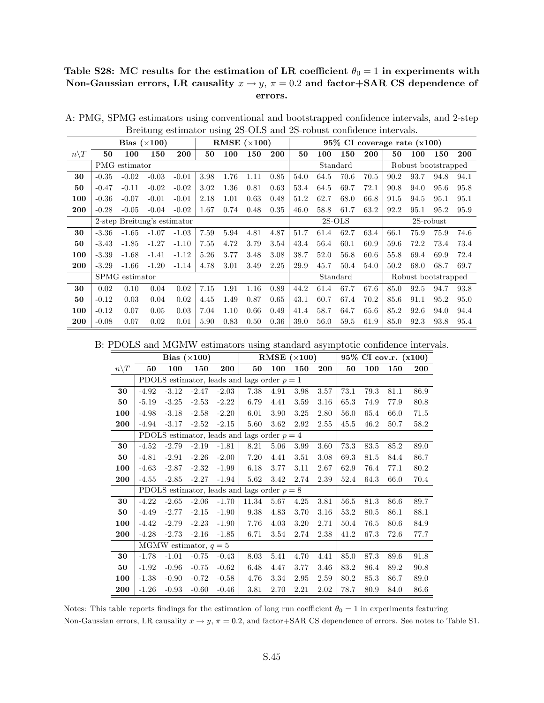## Table S28: MC results for the estimation of LR coefficient  $\theta_0 = 1$  in experiments with Non-Gaussian errors, LR causality  $x \to y$ ,  $\pi = 0.2$  and factor+SAR CS dependence of errors.

|                  |         |                             | Bias $(\times 100)$ |         |      |      | RMSE $(\times 100)$ |      |      |      |          |            | $95\%$ CI coverage rate $(x100)$ |      |                     |            |
|------------------|---------|-----------------------------|---------------------|---------|------|------|---------------------|------|------|------|----------|------------|----------------------------------|------|---------------------|------------|
| $n \backslash T$ | 50      | 100                         | 150                 | 200     | 50   | 100  | 150                 | 200  | 50   | 100  | 150      | <b>200</b> | 50                               | 100  | 150                 | <b>200</b> |
|                  |         | PMG estimator               |                     |         |      |      |                     |      |      |      | Standard |            |                                  |      | Robust bootstrapped |            |
| 30               | $-0.35$ | $-0.02$                     | $-0.03$             | $-0.01$ | 3.98 | 1.76 | 1.11                | 0.85 | 54.0 | 64.5 | 70.6     | 70.5       | 90.2                             | 93.7 | 94.8                | 94.1       |
| 50               | $-0.47$ | $-0.11$                     | $-0.02$             | $-0.02$ | 3.02 | 1.36 | 0.81                | 0.63 | 53.4 | 64.5 | 69.7     | 72.1       | 90.8                             | 94.0 | 95.6                | 95.8       |
| 100              | $-0.36$ | $-0.07$                     | $-0.01$             | $-0.01$ | 2.18 | 1.01 | 0.63                | 0.48 | 51.2 | 62.7 | 68.0     | 66.8       | 91.5                             | 94.5 | 95.1                | 95.1       |
| 200              | $-0.28$ | $-0.05$                     | $-0.04$             | $-0.02$ | 1.67 | 0.74 | 0.48                | 0.35 | 46.0 | 58.8 | 61.7     | 63.2       | 92.2                             | 95.1 | 95.2                | 95.9       |
|                  |         | 2-step Breitung's estimator |                     |         |      |      |                     |      |      |      | $2S-OLS$ |            |                                  |      | 2S-robust           |            |
| 30               | $-3.36$ | $-1.65$                     | $-1.07$             | $-1.03$ | 7.59 | 5.94 | 4.81                | 4.87 | 51.7 | 61.4 | 62.7     | 63.4       | 66.1                             | 75.9 | 75.9                | 74.6       |
| 50               | $-3.43$ | $-1.85$                     | $-1.27$             | $-1.10$ | 7.55 | 4.72 | 3.79                | 3.54 | 43.4 | 56.4 | 60.1     | 60.9       | 59.6                             | 72.2 | 73.4                | 73.4       |
| 100              | $-3.39$ | $-1.68$                     | $-1.41$             | $-1.12$ | 5.26 | 3.77 | 3.48                | 3.08 | 38.7 | 52.0 | 56.8     | 60.6       | 55.8                             | 69.4 | 69.9                | 72.4       |
| 200              | $-3.29$ | $-1.66$                     | $-1.20$             | $-1.14$ | 4.78 | 3.01 | 3.49                | 2.25 | 29.9 | 45.7 | 50.4     | 54.0       | 50.2                             | 68.0 | 68.7                | 69.7       |
|                  |         | SPMG estimator              |                     |         |      |      |                     |      |      |      | Standard |            |                                  |      | Robust bootstrapped |            |
| 30               | 0.02    | 0.10                        | 0.04                | 0.02    | 7.15 | 1.91 | 1.16                | 0.89 | 44.2 | 61.4 | 67.7     | 67.6       | 85.0                             | 92.5 | 94.7                | 93.8       |
| 50               | $-0.12$ | 0.03                        | 0.04                | 0.02    | 4.45 | 1.49 | 0.87                | 0.65 | 43.1 | 60.7 | 67.4     | 70.2       | 85.6                             | 91.1 | 95.2                | 95.0       |
| 100              | $-0.12$ | 0.07                        | 0.05                | 0.03    | 7.04 | 1.10 | 0.66                | 0.49 | 41.4 | 58.7 | 64.7     | 65.6       | 85.2                             | 92.6 | 94.0                | 94.4       |
| 200              | $-0.08$ | 0.07                        | 0.02                | 0.01    | 5.90 | 0.83 | 0.50                | 0.36 | 39.0 | 56.0 | 59.5     | 61.9       | 85.0                             | 92.3 | 93.8                | 95.4       |

A: PMG, SPMG estimators using conventional and bootstrapped confidence intervals, and 2-step Breitung estimator using 2S-OLS and 2S-robust confidence intervals.

| B: PDOLS and MGMW estimators using standard asymptotic confidence intervals. |  |  |  |
|------------------------------------------------------------------------------|--|--|--|
|------------------------------------------------------------------------------|--|--|--|

|                 |         |         | Bias $(\times 100)$     |         |                                               |      | RMSE $(\times 100)$ |      |      |      | 95% CI cov.r. (x100) |      |
|-----------------|---------|---------|-------------------------|---------|-----------------------------------------------|------|---------------------|------|------|------|----------------------|------|
| $n\backslash T$ | 50      | 100     | 150                     | 200     | 50                                            | 100  | 150                 | 200  | 50   | 100  | 150                  | 200  |
|                 |         |         |                         |         | PDOLS estimator, leads and lags order $p = 1$ |      |                     |      |      |      |                      |      |
| 30              | $-4.92$ | $-3.12$ | $-2.47$                 | $-2.03$ | 7.38                                          | 4.91 | 3.98                | 3.57 | 73.1 | 79.3 | 81.1                 | 86.9 |
| 50              | $-5.19$ | $-3.25$ | $-2.53$                 | $-2.22$ | 6.79                                          | 4.41 | 3.59                | 3.16 | 65.3 | 74.9 | 77.9                 | 80.8 |
| 100             | $-4.98$ | $-3.18$ | $-2.58$                 | $-2.20$ | 6.01                                          | 3.90 | 3.25                | 2.80 | 56.0 | 65.4 | 66.0                 | 71.5 |
| 200             | $-4.94$ | $-3.17$ | $-2.52$                 | $-2.15$ | 5.60                                          | 3.62 | 2.92                | 2.55 | 45.5 | 46.2 | 50.7                 | 58.2 |
|                 |         |         |                         |         | PDOLS estimator, leads and lags order $p = 4$ |      |                     |      |      |      |                      |      |
| 30              | $-4.52$ | $-2.79$ | $-2.19$                 | $-1.81$ | 8.21                                          | 5.06 | 3.99                | 3.60 | 73.3 | 83.5 | 85.2                 | 89.0 |
| 50              | $-4.81$ | $-2.91$ | $-2.26$                 | $-2.00$ | 7.20                                          | 4.41 | 3.51                | 3.08 | 69.3 | 81.5 | 84.4                 | 86.7 |
| 100             | $-4.63$ | $-2.87$ | $-2.32$                 | $-1.99$ | 6.18                                          | 3.77 | 3.11                | 2.67 | 62.9 | 76.4 | 77.1                 | 80.2 |
| 200             | $-4.55$ | $-2.85$ | $-2.27$                 | $-1.94$ | 5.62                                          | 3.42 | 2.74                | 2.39 | 52.4 | 64.3 | 66.0                 | 70.4 |
|                 |         |         |                         |         | PDOLS estimator, leads and lags order $p = 8$ |      |                     |      |      |      |                      |      |
| 30              | $-4.22$ | $-2.65$ | $-2.06$                 | $-1.70$ | 11.34                                         | 5.67 | 4.25                | 3.81 | 56.5 | 81.3 | 86.6                 | 89.7 |
| 50              | $-4.49$ | $-2.77$ | $-2.15$                 | $-1.90$ | 9.38                                          | 4.83 | 3.70                | 3.16 | 53.2 | 80.5 | 86.1                 | 88.1 |
| 100             | $-4.42$ | $-2.79$ | $-2.23$                 | $-1.90$ | 7.76                                          | 4.03 | 3.20                | 2.71 | 50.4 | 76.5 | 80.6                 | 84.9 |
| 200             | $-4.28$ | $-2.73$ | $-2.16$                 | $-1.85$ | 6.71                                          | 3.54 | 2.74                | 2.38 | 41.2 | 67.3 | 72.6                 | 77.7 |
|                 |         |         | MGMW estimator, $q = 5$ |         |                                               |      |                     |      |      |      |                      |      |
| 30              | $-1.78$ | $-1.01$ | $-0.75$                 | $-0.43$ | 8.03                                          | 5.41 | 4.70                | 4.41 | 85.0 | 87.3 | 89.6                 | 91.8 |
| 50              | $-1.92$ | $-0.96$ | $-0.75$                 | $-0.62$ | 6.48                                          | 4.47 | 3.77                | 3.46 | 83.2 | 86.4 | 89.2                 | 90.8 |
| 100             | $-1.38$ | $-0.90$ | $-0.72$                 | $-0.58$ | 4.76                                          | 3.34 | 2.95                | 2.59 | 80.2 | 85.3 | 86.7                 | 89.0 |
| 200             | $-1.26$ | $-0.93$ | $-0.60$                 | $-0.46$ | 3.81                                          | 2.70 | 2.21                | 2.02 | 78.7 | 80.9 | 84.0                 | 86.6 |

Notes: This table reports findings for the estimation of long run coefficient  $\theta_0 = 1$  in experiments featuring Non-Gaussian errors, LR causality  $x \to y$ ,  $\pi = 0.2$ , and factor+SAR CS dependence of errors. See notes to Table S1.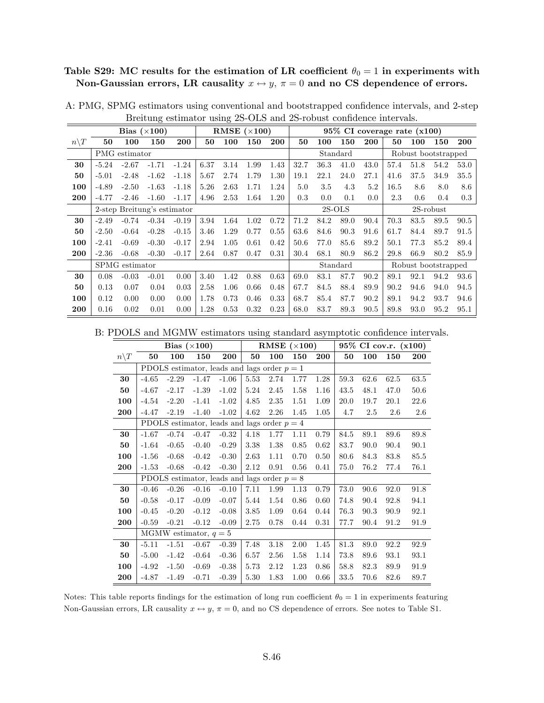## Table S29: MC results for the estimation of LR coefficient  $\theta_0 = 1$  in experiments with Non-Gaussian errors, LR causality  $x \leftrightarrow y$ ,  $\pi = 0$  and no CS dependence of errors.

|                  |         |                | Bias $(\times 100)$         |         |      |      | RMSE $(\times 100)$ |            |          |         |          |      | $95\%$ CI coverage rate $(x100)$ |      |                     |      |
|------------------|---------|----------------|-----------------------------|---------|------|------|---------------------|------------|----------|---------|----------|------|----------------------------------|------|---------------------|------|
| $n \backslash T$ | 50      | 100            | 150                         | 200     | 50   | 100  | 150                 | <b>200</b> | 50       | 100     | 150      | 200  | 50                               | 100  | 150                 | 200  |
|                  |         | PMG estimator  |                             |         |      |      |                     |            |          |         | Standard |      |                                  |      | Robust bootstrapped |      |
| 30               | $-5.24$ | $-2.67$        | $-1.71$                     | $-1.24$ | 6.37 | 3.14 | 1.99                | 1.43       | 32.7     | 36.3    | 41.0     | 43.0 | 57.4                             | 51.8 | 54.2                | 53.0 |
| 50               | $-5.01$ | $-2.48$        | $-1.62$                     | $-1.18$ | 5.67 | 2.74 | 1.79                | 1.30       | 19.1     | 22.1    | 24.0     | 27.1 | 41.6                             | 37.5 | 34.9                | 35.5 |
| 100              | $-4.89$ | $-2.50$        | $-1.63$                     | $-1.18$ | 5.26 | 2.63 | 1.71                | 1.24       | 5.0      | $3.5\,$ | 4.3      | 5.2  | 16.5                             | 8.6  | 8.0                 | 8.6  |
| 200              | $-4.77$ | $-2.46$        | $-1.60$                     | $-1.17$ | 4.96 | 2.53 | 1.64                | 1.20       | 0.3      | 0.0     | 0.1      | 0.0  | 2.3                              | 0.6  | 0.4                 | 0.3  |
|                  |         |                | 2-step Breitung's estimator |         |      |      |                     |            | $2S-OLS$ |         |          |      |                                  |      | $2S$ -robust        |      |
| 30               | $-2.49$ | $-0.74$        | $-0.34$                     | $-0.19$ | 3.94 | 1.64 | 1.02                | 0.72       | 71.2     | 84.2    | 89.0     | 90.4 | 70.3                             | 83.5 | 89.5                | 90.5 |
| 50               | $-2.50$ | $-0.64$        | $-0.28$                     | $-0.15$ | 3.46 | 1.29 | 0.77                | 0.55       | 63.6     | 84.6    | 90.3     | 91.6 | 61.7                             | 84.4 | 89.7                | 91.5 |
| 100              | $-2.41$ | $-0.69$        | $-0.30$                     | $-0.17$ | 2.94 | 1.05 | 0.61                | 0.42       | 50.6     | 77.0    | 85.6     | 89.2 | 50.1                             | 77.3 | 85.2                | 89.4 |
| 200              | $-2.36$ | $-0.68$        | $-0.30$                     | $-0.17$ | 2.64 | 0.87 | 0.47                | 0.31       | 30.4     | 68.1    | 80.9     | 86.2 | 29.8                             | 66.9 | 80.2                | 85.9 |
|                  |         | SPMG estimator |                             |         |      |      |                     |            |          |         | Standard |      |                                  |      | Robust bootstrapped |      |
| 30               | 0.08    | $-0.03$        | $-0.01$                     | 0.00    | 3.40 | 1.42 | 0.88                | 0.63       | 69.0     | 83.1    | 87.7     | 90.2 | 89.1                             | 92.1 | 94.2                | 93.6 |
| 50               | 0.13    | 0.07           | 0.04                        | 0.03    | 2.58 | 1.06 | 0.66                | 0.48       | 67.7     | 84.5    | 88.4     | 89.9 | 90.2                             | 94.6 | 94.0                | 94.5 |
| 100              | 0.12    | 0.00           | 0.00                        | 0.00    | 1.78 | 0.73 | 0.46                | 0.33       | 68.7     | 85.4    | 87.7     | 90.2 | 89.1                             | 94.2 | 93.7                | 94.6 |
| 200              | 0.16    | 0.02           | 0.01                        | 0.00    | 1.28 | 0.53 | 0.32                | 0.23       | 68.0     | 83.7    | 89.3     | 90.5 | 89.8                             | 93.0 | 95.2                | 95.1 |

A: PMG, SPMG estimators using conventional and bootstrapped confidence intervals, and 2-step Breitung estimator using 2S-OLS and 2S-robust confidence intervals.

B: PDOLS and MGMW estimators using standard asymptotic confidence intervals.

|                 |         |         | Bias $(\times 100)$     |                                               |      | RMSE $(\times 100)$ |      |      |      |      | 95% CI cov.r. (x100) |         |
|-----------------|---------|---------|-------------------------|-----------------------------------------------|------|---------------------|------|------|------|------|----------------------|---------|
| $n\backslash T$ | 50      | 100     | 150                     | 200                                           | 50   | 100                 | 150  | 200  | 50   | 100  | 150                  | 200     |
|                 |         |         |                         | PDOLS estimator, leads and lags order $p = 1$ |      |                     |      |      |      |      |                      |         |
| 30              | $-4.65$ | $-2.29$ | $-1.47$                 | $-1.06$                                       | 5.53 | 2.74                | 1.77 | 1.28 | 59.3 | 62.6 | 62.5                 | 63.5    |
| 50              | $-4.67$ | $-2.17$ | $-1.39$                 | $-1.02$                                       | 5.24 | 2.45                | 1.58 | 1.16 | 43.5 | 48.1 | 47.0                 | 50.6    |
| 100             | $-4.54$ | $-2.20$ | $-1.41$                 | $-1.02$                                       | 4.85 | 2.35                | 1.51 | 1.09 | 20.0 | 19.7 | 20.1                 | 22.6    |
| 200             | $-4.47$ | $-2.19$ | $-1.40$                 | $-1.02$                                       | 4.62 | 2.26                | 1.45 | 1.05 | 4.7  | 2.5  | 2.6                  | $2.6\,$ |
|                 |         |         |                         | PDOLS estimator, leads and lags order $p = 4$ |      |                     |      |      |      |      |                      |         |
| 30              | $-1.67$ | $-0.74$ | $-0.47$                 | $-0.32$                                       | 4.18 | 1.77                | 1.11 | 0.79 | 84.5 | 89.1 | 89.6                 | 89.8    |
| 50              | $-1.64$ | $-0.65$ | $-0.40$                 | $-0.29$                                       | 3.38 | 1.38                | 0.85 | 0.62 | 83.7 | 90.0 | 90.4                 | 90.1    |
| 100             | $-1.56$ | $-0.68$ | $-0.42$                 | $-0.30$                                       | 2.63 | 1.11                | 0.70 | 0.50 | 80.6 | 84.3 | 83.8                 | 85.5    |
| 200             | $-1.53$ | $-0.68$ | $-0.42$                 | $-0.30$                                       | 2.12 | 0.91                | 0.56 | 0.41 | 75.0 | 76.2 | 77.4                 | 76.1    |
|                 |         |         |                         | PDOLS estimator, leads and lags order $p = 8$ |      |                     |      |      |      |      |                      |         |
| 30              | $-0.46$ | $-0.26$ | $-0.16$                 | $-0.10$                                       | 7.11 | 1.99                | 1.13 | 0.79 | 73.0 | 90.6 | 92.0                 | 91.8    |
| 50              | $-0.58$ | $-0.17$ | $-0.09$                 | $-0.07$                                       | 5.44 | 1.54                | 0.86 | 0.60 | 74.8 | 90.4 | 92.8                 | 94.1    |
| 100             | $-0.45$ | $-0.20$ | $-0.12$                 | $-0.08$                                       | 3.85 | 1.09                | 0.64 | 0.44 | 76.3 | 90.3 | 90.9                 | 92.1    |
| 200             | $-0.59$ | $-0.21$ | $-0.12$                 | $-0.09$                                       | 2.75 | 0.78                | 0.44 | 0.31 | 77.7 | 90.4 | 91.2                 | 91.9    |
|                 |         |         | MGMW estimator, $q = 5$ |                                               |      |                     |      |      |      |      |                      |         |
| 30              | $-5.11$ | $-1.51$ | $-0.67$                 | $-0.39$                                       | 7.48 | 3.18                | 2.00 | 1.45 | 81.3 | 89.0 | 92.2                 | 92.9    |
| 50              | $-5.00$ | $-1.42$ | $-0.64$                 | $-0.36$                                       | 6.57 | 2.56                | 1.58 | 1.14 | 73.8 | 89.6 | 93.1                 | 93.1    |
| 100             | $-4.92$ | $-1.50$ | $-0.69$                 | $-0.38$                                       | 5.73 | 2.12                | 1.23 | 0.86 | 58.8 | 82.3 | 89.9                 | 91.9    |
| 200             | $-4.87$ | $-1.49$ | $-0.71$                 | $-0.39$                                       | 5.30 | 1.83                | 1.00 | 0.66 | 33.5 | 70.6 | 82.6                 | 89.7    |

Notes: This table reports findings for the estimation of long run coefficient  $\theta_0 = 1$  in experiments featuring Non-Gaussian errors, LR causality  $x \leftrightarrow y$ ,  $\pi = 0$ , and no CS dependence of errors. See notes to Table S1.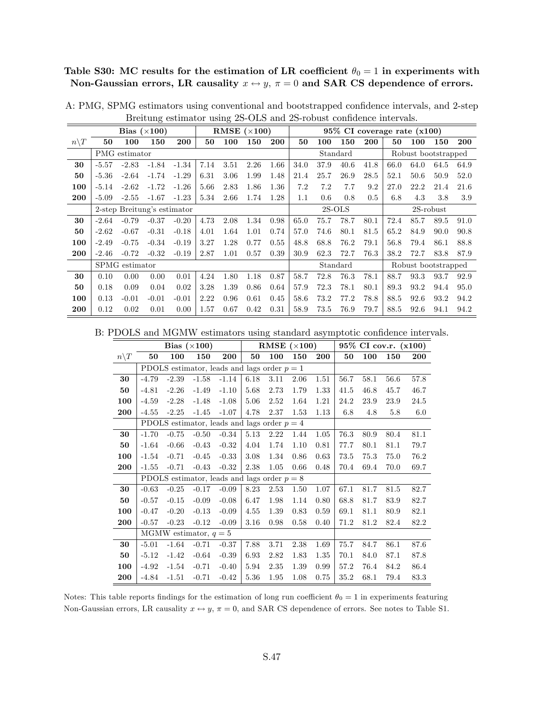Table S30: MC results for the estimation of LR coefficient  $\theta_0 = 1$  in experiments with Non-Gaussian errors, LR causality  $x \leftrightarrow y$ ,  $\pi = 0$  and SAR CS dependence of errors.

|                  |         |                | Bias $(\times 100)$         |         |      | RMSE $(\times 100)$ |      |      |          |      | $95\%$ CI coverage rate $(x100)$ |      |      |                     |              |      |
|------------------|---------|----------------|-----------------------------|---------|------|---------------------|------|------|----------|------|----------------------------------|------|------|---------------------|--------------|------|
| $n \backslash T$ | 50      | 100            | 150                         | 200     | 50   | 100                 | 150  | 200  | 50       | 100  | 150                              | 200  | 50   | 100                 | 150          | 200  |
|                  |         | PMG estimator  |                             |         |      |                     |      |      |          |      | Standard                         |      |      | Robust bootstrapped |              |      |
| 30               | $-5.57$ | $-2.83$        | $-1.84$                     | $-1.34$ | 7.14 | 3.51                | 2.26 | 1.66 | 34.0     | 37.9 | 40.6                             | 41.8 | 66.0 | 64.0                | 64.5         | 64.9 |
| 50               | $-5.36$ | $-2.64$        | $-1.74$                     | $-1.29$ | 6.31 | 3.06                | 1.99 | 1.48 | 21.4     | 25.7 | 26.9                             | 28.5 | 52.1 | 50.6                | 50.9         | 52.0 |
| 100              | $-5.14$ | $-2.62$        | $-1.72$                     | $-1.26$ | 5.66 | 2.83                | 1.86 | 1.36 | 7.2      | 7.2  | 7.7                              | 9.2  | 27.0 | 22.2                | 21.4         | 21.6 |
| 200              | $-5.09$ | $-2.55$        | $-1.67$                     | $-1.23$ | 5.34 | 2.66                | 1.74 | 1.28 | 1.1      | 0.6  | 0.8                              | 0.5  | 6.8  | 4.3                 | 3.8          | 3.9  |
|                  |         |                | 2-step Breitung's estimator |         |      |                     |      |      | $2S-OLS$ |      |                                  |      |      |                     | $2S$ -robust |      |
| 30               | $-2.64$ | $-0.79$        | $-0.37$                     | $-0.20$ | 4.73 | 2.08                | 1.34 | 0.98 | 65.0     | 75.7 | 78.7                             | 80.1 | 72.4 | 85.7                | 89.5         | 91.0 |
| 50               | $-2.62$ | $-0.67$        | $-0.31$                     | $-0.18$ | 4.01 | 1.64                | 1.01 | 0.74 | 57.0     | 74.6 | 80.1                             | 81.5 | 65.2 | 84.9                | 90.0         | 90.8 |
| 100              | $-2.49$ | $-0.75$        | $-0.34$                     | $-0.19$ | 3.27 | 1.28                | 0.77 | 0.55 | 48.8     | 68.8 | 76.2                             | 79.1 | 56.8 | 79.4                | 86.1         | 88.8 |
| 200              | $-2.46$ | $-0.72$        | $-0.32$                     | $-0.19$ | 2.87 | 1.01                | 0.57 | 0.39 | 30.9     | 62.3 | 72.7                             | 76.3 | 38.2 | 72.7                | 83.8         | 87.9 |
|                  |         | SPMG estimator |                             |         |      |                     |      |      |          |      | Standard                         |      |      | Robust bootstrapped |              |      |
| 30               | 0.10    | 0.00           | 0.00                        | 0.01    | 4.24 | 1.80                | 1.18 | 0.87 | 58.7     | 72.8 | 76.3                             | 78.1 | 88.7 | 93.3                | 93.7         | 92.9 |
| 50               | 0.18    | 0.09           | 0.04                        | 0.02    | 3.28 | 1.39                | 0.86 | 0.64 | 57.9     | 72.3 | 78.1                             | 80.1 | 89.3 | 93.2                | 94.4         | 95.0 |
| 100              | 0.13    | $-0.01$        | $-0.01$                     | $-0.01$ | 2.22 | 0.96                | 0.61 | 0.45 | 58.6     | 73.2 | 77.2                             | 78.8 | 88.5 | 92.6                | 93.2         | 94.2 |
| 200              | 0.12    | 0.02           | 0.01                        | 0.00    | 1.57 | 0.67                | 0.42 | 0.31 | 58.9     | 73.5 | 76.9                             | 79.7 | 88.5 | 92.6                | 94.1         | 94.2 |

A: PMG, SPMG estimators using conventional and bootstrapped confidence intervals, and 2-step Breitung estimator using 2S-OLS and 2S-robust confidence intervals.

B: PDOLS and MGMW estimators using standard asymptotic confidence intervals.

|                 |         |         | Bias $(\times 100)$     |                                               |      | RMSE $(\times 100)$ |      |      |      |      | 95% CI cov.r. (x100) |      |
|-----------------|---------|---------|-------------------------|-----------------------------------------------|------|---------------------|------|------|------|------|----------------------|------|
| $n\backslash T$ | 50      | 100     | 150                     | 200                                           | 50   | 100                 | 150  | 200  | 50   | 100  | 150                  | 200  |
|                 |         |         |                         | PDOLS estimator, leads and lags order $p = 1$ |      |                     |      |      |      |      |                      |      |
| 30              | $-4.79$ | $-2.39$ | $-1.58$                 | $-1.14$                                       | 6.18 | 3.11                | 2.06 | 1.51 | 56.7 | 58.1 | 56.6                 | 57.8 |
| 50              | $-4.81$ | $-2.26$ | $-1.49$                 | $-1.10$                                       | 5.68 | 2.73                | 1.79 | 1.33 | 41.5 | 46.8 | 45.7                 | 46.7 |
| 100             | $-4.59$ | $-2.28$ | $-1.48$                 | $-1.08$                                       | 5.06 | 2.52                | 1.64 | 1.21 | 24.2 | 23.9 | 23.9                 | 24.5 |
| 200             | $-4.55$ | $-2.25$ | $-1.45$                 | $-1.07$                                       | 4.78 | 2.37                | 1.53 | 1.13 | 6.8  | 4.8  | 5.8                  | 6.0  |
|                 |         |         |                         | PDOLS estimator, leads and lags order $p = 4$ |      |                     |      |      |      |      |                      |      |
| 30              | $-1.70$ | $-0.75$ | $-0.50$                 | $-0.34$                                       | 5.13 | 2.22                | 1.44 | 1.05 | 76.3 | 80.9 | 80.4                 | 81.1 |
| 50              | $-1.64$ | $-0.66$ | $-0.43$                 | $-0.32$                                       | 4.04 | 1.74                | 1.10 | 0.81 | 77.7 | 80.1 | 81.1                 | 79.7 |
| 100             | $-1.54$ | $-0.71$ | $-0.45$                 | $-0.33$                                       | 3.08 | 1.34                | 0.86 | 0.63 | 73.5 | 75.3 | 75.0                 | 76.2 |
| 200             | $-1.55$ | $-0.71$ | $-0.43$                 | $-0.32$                                       | 2.38 | 1.05                | 0.66 | 0.48 | 70.4 | 69.4 | 70.0                 | 69.7 |
|                 |         |         |                         | PDOLS estimator, leads and lags order $p = 8$ |      |                     |      |      |      |      |                      |      |
| 30              | $-0.63$ | $-0.25$ | $-0.17$                 | $-0.09$                                       | 8.23 | 2.53                | 1.50 | 1.07 | 67.1 | 81.7 | 81.5                 | 82.7 |
| 50              | $-0.57$ | $-0.15$ | $-0.09$                 | $-0.08$                                       | 6.47 | 1.98                | 1.14 | 0.80 | 68.8 | 81.7 | 83.9                 | 82.7 |
| 100             | $-0.47$ | $-0.20$ | $-0.13$                 | $-0.09$                                       | 4.55 | 1.39                | 0.83 | 0.59 | 69.1 | 81.1 | 80.9                 | 82.1 |
| 200             | $-0.57$ | $-0.23$ | $-0.12$                 | $-0.09$                                       | 3.16 | 0.98                | 0.58 | 0.40 | 71.2 | 81.2 | 82.4                 | 82.2 |
|                 |         |         | MGMW estimator, $q = 5$ |                                               |      |                     |      |      |      |      |                      |      |
| 30              | $-5.01$ | $-1.64$ | $-0.71$                 | $-0.37$                                       | 7.88 | 3.71                | 2.38 | 1.69 | 75.7 | 84.7 | 86.1                 | 87.6 |
| 50              | $-5.12$ | $-1.42$ | $-0.64$                 | $-0.39$                                       | 6.93 | 2.82                | 1.83 | 1.35 | 70.1 | 84.0 | 87.1                 | 87.8 |
| 100             | $-4.92$ | $-1.54$ | $-0.71$                 | $-0.40$                                       | 5.94 | 2.35                | 1.39 | 0.99 | 57.2 | 76.4 | 84.2                 | 86.4 |
| 200             | $-4.84$ | $-1.51$ | $-0.71$                 | $-0.42$                                       | 5.36 | 1.95                | 1.08 | 0.75 | 35.2 | 68.1 | 79.4                 | 83.3 |

Notes: This table reports findings for the estimation of long run coefficient  $\theta_0 = 1$  in experiments featuring Non-Gaussian errors, LR causality  $x \leftrightarrow y$ ,  $\pi = 0$ , and SAR CS dependence of errors. See notes to Table S1.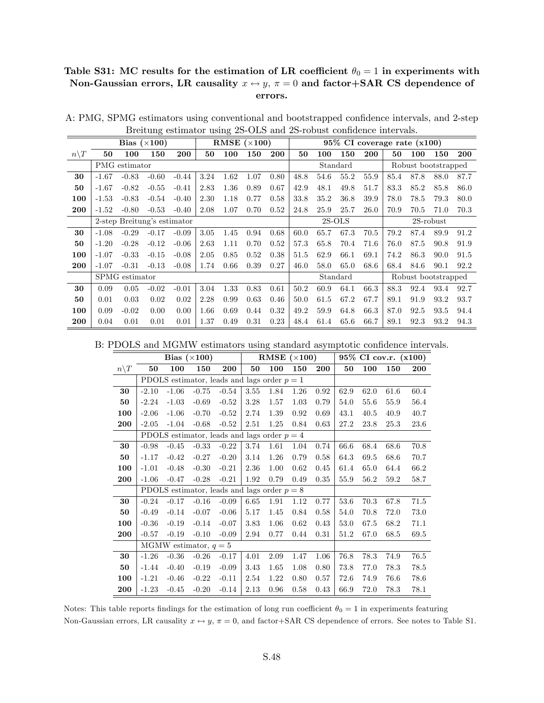## Table S31: MC results for the estimation of LR coefficient  $\theta_0 = 1$  in experiments with Non-Gaussian errors, LR causality  $x \leftrightarrow y$ ,  $\pi = 0$  and factor+SAR CS dependence of errors.

|                  |         |                | Bias $(\times 100)$         |         |      |      | RMSE $(\times 100)$ |            |      |      |          |            | $95\%$ CI coverage rate $(x100)$ |                     |           |      |
|------------------|---------|----------------|-----------------------------|---------|------|------|---------------------|------------|------|------|----------|------------|----------------------------------|---------------------|-----------|------|
| $n \backslash T$ | 50      | 100            | 150                         | 200     | 50   | 100  | 150                 | <b>200</b> | 50   | 100  | 150      | <b>200</b> | 50                               | 100                 | 150       | 200  |
|                  |         | PMG estimator  |                             |         |      |      |                     |            |      |      | Standard |            |                                  | Robust bootstrapped |           |      |
| 30               | $-1.67$ | $-0.83$        | $-0.60$                     | $-0.44$ | 3.24 | 1.62 | 1.07                | 0.80       | 48.8 | 54.6 | 55.2     | 55.9       | 85.4                             | 87.8                | 88.0      | 87.7 |
| 50               | $-1.67$ | $-0.82$        | $-0.55$                     | $-0.41$ | 2.83 | 1.36 | 0.89                | 0.67       | 42.9 | 48.1 | 49.8     | 51.7       | 83.3                             | 85.2                | 85.8      | 86.0 |
| 100              | $-1.53$ | $-0.83$        | $-0.54$                     | $-0.40$ | 2.30 | 1.18 | 0.77                | 0.58       | 33.8 | 35.2 | 36.8     | 39.9       | 78.0                             | 78.5                | 79.3      | 80.0 |
| 200              | $-1.52$ | $-0.80$        | $-0.53$                     | $-0.40$ | 2.08 | 1.07 | 0.70                | 0.52       | 24.8 | 25.9 | 25.7     | 26.0       | 70.9                             | 70.5                | 71.0      | 70.3 |
|                  |         |                | 2-step Breitung's estimator |         |      |      |                     |            |      |      | $2S-OLS$ |            |                                  |                     | 2S-robust |      |
| 30               | $-1.08$ | $-0.29$        | $-0.17$                     | $-0.09$ | 3.05 | 1.45 | 0.94                | 0.68       | 60.0 | 65.7 | 67.3     | 70.5       | 79.2                             | 87.4                | 89.9      | 91.2 |
| 50               | $-1.20$ | $-0.28$        | $-0.12$                     | $-0.06$ | 2.63 | 1.11 | 0.70                | 0.52       | 57.3 | 65.8 | 70.4     | 71.6       | 76.0                             | 87.5                | 90.8      | 91.9 |
| 100              | $-1.07$ | $-0.33$        | $-0.15$                     | $-0.08$ | 2.05 | 0.85 | 0.52                | 0.38       | 51.5 | 62.9 | 66.1     | 69.1       | 74.2                             | 86.3                | 90.0      | 91.5 |
| 200              | $-1.07$ | $-0.31$        | $-0.13$                     | $-0.08$ | 1.74 | 0.66 | 0.39                | 0.27       | 46.0 | 58.0 | 65.0     | 68.6       | 68.4                             | 84.6                | 90.1      | 92.2 |
|                  |         | SPMG estimator |                             |         |      |      |                     |            |      |      | Standard |            |                                  | Robust bootstrapped |           |      |
| 30               | 0.09    | 0.05           | $-0.02$                     | $-0.01$ | 3.04 | 1.33 | 0.83                | 0.61       | 50.2 | 60.9 | 64.1     | 66.3       | 88.3                             | 92.4                | 93.4      | 92.7 |
| 50               | 0.01    | 0.03           | 0.02                        | 0.02    | 2.28 | 0.99 | 0.63                | 0.46       | 50.0 | 61.5 | 67.2     | 67.7       | 89.1                             | 91.9                | 93.2      | 93.7 |
| 100              | 0.09    | $-0.02$        | 0.00                        | 0.00    | 1.66 | 0.69 | 0.44                | 0.32       | 49.2 | 59.9 | 64.8     | 66.3       | 87.0                             | 92.5                | 93.5      | 94.4 |
| 200              | 0.04    | 0.01           | 0.01                        | 0.01    | 1.37 | 0.49 | 0.31                | 0.23       | 48.4 | 61.4 | 65.6     | 66.7       | 89.1                             | 92.3                | 93.2      | 94.3 |

A: PMG, SPMG estimators using conventional and bootstrapped confidence intervals, and 2-step Breitung estimator using 2S-OLS and 2S-robust confidence intervals.

B: PDOLS and MGMW estimators using standard asymptotic confidence intervals.

|                 |         |         | Bias $(\times 100)$     |                                               |      | RMSE $(\times 100)$ |      |      |      |      | 95% CI cov.r. (x100) |      |
|-----------------|---------|---------|-------------------------|-----------------------------------------------|------|---------------------|------|------|------|------|----------------------|------|
| $n\backslash T$ | 50      | 100     | 150                     | 200                                           | 50   | 100                 | 150  | 200  | 50   | 100  | 150                  | 200  |
|                 |         |         |                         | PDOLS estimator, leads and lags order $p = 1$ |      |                     |      |      |      |      |                      |      |
| 30              | $-2.10$ | $-1.06$ | $-0.75$                 | $-0.54$                                       | 3.55 | 1.84                | 1.26 | 0.92 | 62.9 | 62.0 | 61.6                 | 60.4 |
| 50              | $-2.24$ | $-1.03$ | $-0.69$                 | $-0.52$                                       | 3.28 | 1.57                | 1.03 | 0.79 | 54.0 | 55.6 | 55.9                 | 56.4 |
| 100             | $-2.06$ | $-1.06$ | $-0.70$                 | $-0.52$                                       | 2.74 | 1.39                | 0.92 | 0.69 | 43.1 | 40.5 | 40.9                 | 40.7 |
| 200             | $-2.05$ | $-1.04$ | $-0.68$                 | $-0.52$                                       | 2.51 | 1.25                | 0.84 | 0.63 | 27.2 | 23.8 | 25.3                 | 23.6 |
|                 |         |         |                         | PDOLS estimator, leads and lags order $p = 4$ |      |                     |      |      |      |      |                      |      |
| 30              | $-0.98$ | $-0.45$ | $-0.33$                 | $-0.22$                                       | 3.74 | 1.61                | 1.04 | 0.74 | 66.6 | 68.4 | 68.6                 | 70.8 |
| 50              | $-1.17$ | $-0.42$ | $-0.27$                 | $-0.20$                                       | 3.14 | 1.26                | 0.79 | 0.58 | 64.3 | 69.5 | 68.6                 | 70.7 |
| 100             | $-1.01$ | $-0.48$ | $-0.30$                 | $-0.21$                                       | 2.36 | 1.00                | 0.62 | 0.45 | 61.4 | 65.0 | 64.4                 | 66.2 |
| 200             | $-1.06$ | $-0.47$ | $-0.28$                 | $-0.21$                                       | 1.92 | 0.79                | 0.49 | 0.35 | 55.9 | 56.2 | 59.2                 | 58.7 |
|                 |         |         |                         | PDOLS estimator, leads and lags order $p = 8$ |      |                     |      |      |      |      |                      |      |
| 30              | $-0.24$ | $-0.17$ | $-0.16$                 | $-0.09$                                       | 6.65 | 1.91                | 1.12 | 0.77 | 53.6 | 70.3 | 67.8                 | 71.5 |
| 50              | $-0.49$ | $-0.14$ | $-0.07$                 | $-0.06$                                       | 5.17 | 1.45                | 0.84 | 0.58 | 54.0 | 70.8 | 72.0                 | 73.0 |
| 100             | $-0.36$ | $-0.19$ | $-0.14$                 | $-0.07$                                       | 3.83 | 1.06                | 0.62 | 0.43 | 53.0 | 67.5 | 68.2                 | 71.1 |
| 200             | $-0.57$ | $-0.19$ | $-0.10$                 | $-0.09$                                       | 2.94 | 0.77                | 0.44 | 0.31 | 51.2 | 67.0 | 68.5                 | 69.5 |
|                 |         |         | MGMW estimator, $q = 5$ |                                               |      |                     |      |      |      |      |                      |      |
| 30              | $-1.26$ | $-0.36$ | $-0.26$                 | $-0.17$                                       | 4.01 | 2.09                | 1.47 | 1.06 | 76.8 | 78.3 | 74.9                 | 76.5 |
| 50              | $-1.44$ | $-0.40$ | $-0.19$                 | $-0.09$                                       | 3.43 | 1.65                | 1.08 | 0.80 | 73.8 | 77.0 | 78.3                 | 78.5 |
| 100             | $-1.21$ | $-0.46$ | $-0.22$                 | $-0.11$                                       | 2.54 | 1.22                | 0.80 | 0.57 | 72.6 | 74.9 | 76.6                 | 78.6 |
| 200             | $-1.23$ | $-0.45$ | $-0.20$                 | $-0.14$                                       | 2.13 | 0.96                | 0.58 | 0.43 | 66.9 | 72.0 | 78.3                 | 78.1 |

Notes: This table reports findings for the estimation of long run coefficient  $\theta_0 = 1$  in experiments featuring Non-Gaussian errors, LR causality  $x \leftrightarrow y$ ,  $\pi = 0$ , and factor+SAR CS dependence of errors. See notes to Table S1.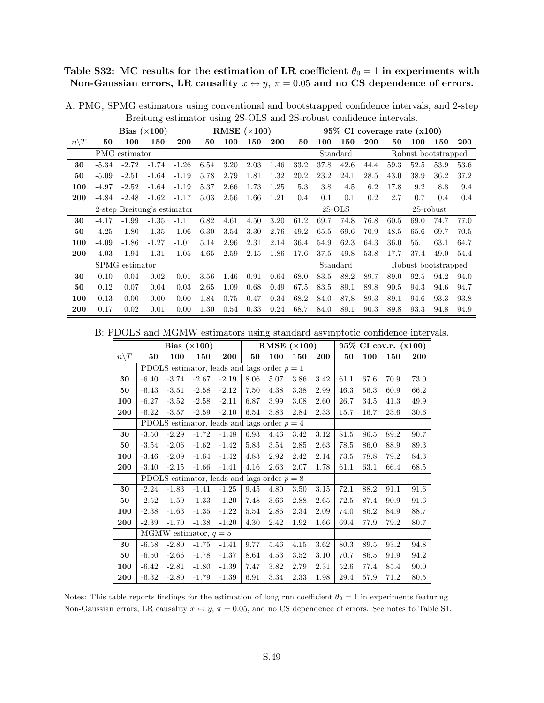Table S32: MC results for the estimation of LR coefficient  $\theta_0 = 1$  in experiments with Non-Gaussian errors, LR causality  $x \leftrightarrow y$ ,  $\pi = 0.05$  and no CS dependence of errors.

|                  |         |                | Bias $(\times 100)$         |         |      |      | RMSE $(\times 100)$ |            |      |      | $95\%$ CI coverage rate $(x100)$ |      |      |                     |           |      |
|------------------|---------|----------------|-----------------------------|---------|------|------|---------------------|------------|------|------|----------------------------------|------|------|---------------------|-----------|------|
| $n \backslash T$ | 50      | 100            | 150                         | 200     | 50   | 100  | 150                 | <b>200</b> | 50   | 100  | 150                              | 200  | 50   | 100                 | 150       | 200  |
|                  |         | PMG estimator  |                             |         |      |      |                     |            |      |      | Standard                         |      |      | Robust bootstrapped |           |      |
| 30               | $-5.34$ | $-2.72$        | $-1.74$                     | $-1.26$ | 6.54 | 3.20 | 2.03                | 1.46       | 33.2 | 37.8 | 42.6                             | 44.4 | 59.3 | 52.5                | 53.9      | 53.6 |
| 50               | $-5.09$ | $-2.51$        | $-1.64$                     | $-1.19$ | 5.78 | 2.79 | 1.81                | 1.32       | 20.2 | 23.2 | 24.1                             | 28.5 | 43.0 | 38.9                | 36.2      | 37.2 |
| 100              | $-4.97$ | $-2.52$        | $-1.64$                     | $-1.19$ | 5.37 | 2.66 | 1.73                | 1.25       | 5.3  | 3.8  | 4.5                              | 6.2  | 17.8 | 9.2                 | 8.8       | 9.4  |
| 200              | $-4.84$ | $-2.48$        | $-1.62$                     | $-1.17$ | 5.03 | 2.56 | 1.66                | 1.21       | 0.4  | 0.1  | 0.1                              | 0.2  | 2.7  | 0.7                 | 0.4       | 0.4  |
|                  |         |                | 2-step Breitung's estimator |         |      |      |                     |            |      |      | $2S-OLS$                         |      |      |                     | 2S-robust |      |
| 30               | $-4.17$ | $-1.99$        | $-1.35$                     | $-1.11$ | 6.82 | 4.61 | 4.50                | 3.20       | 61.2 | 69.7 | 74.8                             | 76.8 | 60.5 | 69.0                | 74.7      | 77.0 |
| 50               | $-4.25$ | $-1.80$        | $-1.35$                     | $-1.06$ | 6.30 | 3.54 | 3.30                | 2.76       | 49.2 | 65.5 | 69.6                             | 70.9 | 48.5 | 65.6                | 69.7      | 70.5 |
| 100              | $-4.09$ | $-1.86$        | $-1.27$                     | $-1.01$ | 5.14 | 2.96 | 2.31                | 2.14       | 36.4 | 54.9 | 62.3                             | 64.3 | 36.0 | 55.1                | 63.1      | 64.7 |
| 200              | $-4.03$ | $-1.94$        | $-1.31$                     | $-1.05$ | 4.65 | 2.59 | 2.15                | 1.86       | 17.6 | 37.5 | 49.8                             | 53.8 | 17.7 | 37.4                | 49.0      | 54.4 |
|                  |         | SPMG estimator |                             |         |      |      |                     |            |      |      | Standard                         |      |      | Robust bootstrapped |           |      |
| 30               | 0.10    | $-0.04$        | $-0.02$                     | $-0.01$ | 3.56 | 1.46 | 0.91                | 0.64       | 68.0 | 83.5 | 88.2                             | 89.7 | 89.0 | 92.5                | 94.2      | 94.0 |
| 50               | 0.12    | 0.07           | 0.04                        | 0.03    | 2.65 | 1.09 | 0.68                | 0.49       | 67.5 | 83.5 | 89.1                             | 89.8 | 90.5 | 94.3                | 94.6      | 94.7 |
| 100              | 0.13    | 0.00           | 0.00                        | 0.00    | 1.84 | 0.75 | 0.47                | 0.34       | 68.2 | 84.0 | 87.8                             | 89.3 | 89.1 | 94.6                | 93.3      | 93.8 |
| 200              | 0.17    | 0.02           | 0.01                        | 0.00    | 1.30 | 0.54 | 0.33                | 0.24       | 68.7 | 84.0 | 89.1                             | 90.3 | 89.8 | 93.3                | 94.8      | 94.9 |

A: PMG, SPMG estimators using conventional and bootstrapped confidence intervals, and 2-step Breitung estimator using 2S-OLS and 2S-robust confidence intervals.

B: PDOLS and MGMW estimators using standard asymptotic confidence intervals.

|                 |         |         | Bias $(\times 100)$     |                                               |      | RMSE $(\times 100)$ |      |      |      |      | $95\%$ CI cov.r. $(x100)$ |      |
|-----------------|---------|---------|-------------------------|-----------------------------------------------|------|---------------------|------|------|------|------|---------------------------|------|
| $n\backslash T$ | 50      | 100     | 150                     | 200                                           | 50   | 100                 | 150  | 200  | 50   | 100  | 150                       | 200  |
|                 |         |         |                         | PDOLS estimator, leads and lags order $p = 1$ |      |                     |      |      |      |      |                           |      |
| 30              | $-6.40$ | $-3.74$ | $-2.67$                 | $-2.19$                                       | 8.06 | 5.07                | 3.86 | 3.42 | 61.1 | 67.6 | 70.9                      | 73.0 |
| 50              | $-6.43$ | $-3.51$ | $-2.58$                 | $-2.12$                                       | 7.50 | 4.38                | 3.38 | 2.99 | 46.3 | 56.3 | 60.9                      | 66.2 |
| 100             | $-6.27$ | $-3.52$ | $-2.58$                 | $-2.11$                                       | 6.87 | 3.99                | 3.08 | 2.60 | 26.7 | 34.5 | 41.3                      | 49.9 |
| 200             | $-6.22$ | $-3.57$ | $-2.59$                 | $-2.10$                                       | 6.54 | 3.83                | 2.84 | 2.33 | 15.7 | 16.7 | 23.6                      | 30.6 |
|                 |         |         |                         | PDOLS estimator, leads and lags order $p = 4$ |      |                     |      |      |      |      |                           |      |
| 30              | $-3.50$ | $-2.29$ | $-1.72$                 | $-1.48$                                       | 6.93 | 4.46                | 3.42 | 3.12 | 81.5 | 86.5 | 89.2                      | 90.7 |
| 50              | $-3.54$ | $-2.06$ | $-1.62$                 | $-1.42$                                       | 5.83 | 3.54                | 2.85 | 2.63 | 78.5 | 86.0 | 88.9                      | 89.3 |
| 100             | $-3.46$ | $-2.09$ | $-1.64$                 | $-1.42$                                       | 4.83 | 2.92                | 2.42 | 2.14 | 73.5 | 78.8 | 79.2                      | 84.3 |
| 200             | $-3.40$ | $-2.15$ | $-1.66$                 | $-1.41$                                       | 4.16 | 2.63                | 2.07 | 1.78 | 61.1 | 63.1 | 66.4                      | 68.5 |
|                 |         |         |                         | PDOLS estimator, leads and lags order $p = 8$ |      |                     |      |      |      |      |                           |      |
| 30              | $-2.24$ | $-1.83$ | $-1.41$                 | $-1.25$                                       | 9.45 | 4.80                | 3.50 | 3.15 | 72.1 | 88.2 | 91.1                      | 91.6 |
| 50              | $-2.52$ | $-1.59$ | $-1.33$                 | $-1.20$                                       | 7.48 | 3.66                | 2.88 | 2.65 | 72.5 | 87.4 | 90.9                      | 91.6 |
| 100             | $-2.38$ | $-1.63$ | $-1.35$                 | $-1.22$                                       | 5.54 | 2.86                | 2.34 | 2.09 | 74.0 | 86.2 | 84.9                      | 88.7 |
| 200             | $-2.39$ | $-1.70$ | $-1.38$                 | $-1.20$                                       | 4.30 | 2.42                | 1.92 | 1.66 | 69.4 | 77.9 | 79.2                      | 80.7 |
|                 |         |         | MGMW estimator, $q = 5$ |                                               |      |                     |      |      |      |      |                           |      |
| 30              | $-6.58$ | $-2.80$ | $-1.75$                 | $-1.41$                                       | 9.77 | 5.46                | 4.15 | 3.62 | 80.3 | 89.5 | 93.2                      | 94.8 |
| 50              | $-6.50$ | $-2.66$ | $-1.78$                 | $-1.37$                                       | 8.64 | 4.53                | 3.52 | 3.10 | 70.7 | 86.5 | 91.9                      | 94.2 |
| 100             | $-6.42$ | $-2.81$ | $-1.80$                 | $-1.39$                                       | 7.47 | 3.82                | 2.79 | 2.31 | 52.6 | 77.4 | 85.4                      | 90.0 |
| 200             | $-6.32$ | $-2.80$ | $-1.79$                 | $-1.39$                                       | 6.91 | 3.34                | 2.33 | 1.98 | 29.4 | 57.9 | 71.2                      | 80.5 |

Notes: This table reports findings for the estimation of long run coefficient  $\theta_0 = 1$  in experiments featuring Non-Gaussian errors, LR causality  $x \leftrightarrow y$ ,  $\pi = 0.05$ , and no CS dependence of errors. See notes to Table S1.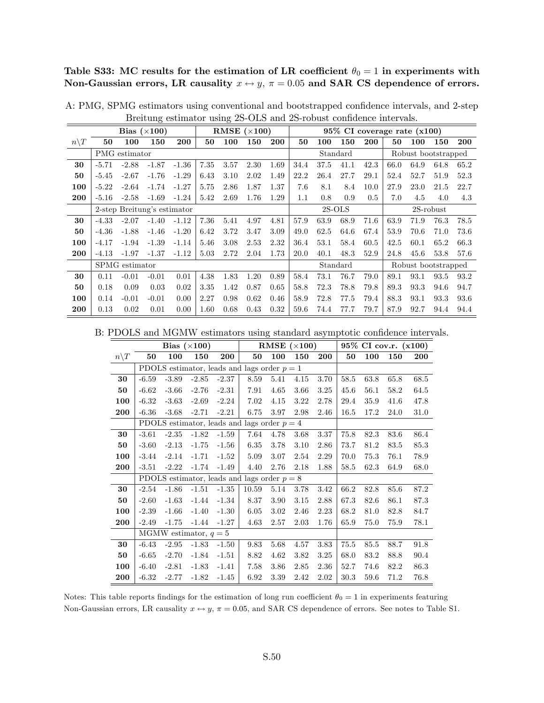Table S33: MC results for the estimation of LR coefficient  $\theta_0 = 1$  in experiments with Non-Gaussian errors, LR causality  $x \leftrightarrow y$ ,  $\pi = 0.05$  and SAR CS dependence of errors.

|                 |         |                | Bias $(\times 100)$         |         |      |      | RMSE $(\times 100)$ |      |      |      | $95\%$ CI coverage rate $(x100)$ |      |      |                     |              |      |
|-----------------|---------|----------------|-----------------------------|---------|------|------|---------------------|------|------|------|----------------------------------|------|------|---------------------|--------------|------|
| $n\backslash T$ | 50      | 100            | 150                         | 200     | 50   | 100  | 150                 | 200  | 50   | 100  | 150                              | 200  | 50   | 100                 | 150          | 200  |
|                 |         | PMG estimator  |                             |         |      |      |                     |      |      |      | Standard                         |      |      | Robust bootstrapped |              |      |
| 30              | $-5.71$ | $-2.88$        | $-1.87$                     | $-1.36$ | 7.35 | 3.57 | 2.30                | 1.69 | 34.4 | 37.5 | 41.1                             | 42.3 | 66.0 | 64.9                | 64.8         | 65.2 |
| 50              | $-5.45$ | $-2.67$        | $-1.76$                     | $-1.29$ | 6.43 | 3.10 | 2.02                | 1.49 | 22.2 | 26.4 | 27.7                             | 29.1 | 52.4 | 52.7                | 51.9         | 52.3 |
| 100             | $-5.22$ | $-2.64$        | $-1.74$                     | $-1.27$ | 5.75 | 2.86 | 1.87                | 1.37 | 7.6  | 8.1  | 8.4                              | 10.0 | 27.9 | 23.0                | 21.5         | 22.7 |
| 200             | $-5.16$ | $-2.58$        | $-1.69$                     | $-1.24$ | 5.42 | 2.69 | 1.76                | 1.29 | 1.1  | 0.8  | 0.9                              | 0.5  | 7.0  | 4.5                 | 4.0          | 4.3  |
|                 |         |                | 2-step Breitung's estimator |         |      |      |                     |      |      |      | $2S-OLS$                         |      |      |                     | $2S$ -robust |      |
| 30              | $-4.33$ | $-2.07$        | $-1.40$                     | $-1.12$ | 7.36 | 5.41 | 4.97                | 4.81 | 57.9 | 63.9 | 68.9                             | 71.6 | 63.9 | 71.9                | 76.3         | 78.5 |
| 50              | $-4.36$ | $-1.88$        | $-1.46$                     | $-1.20$ | 6.42 | 3.72 | 3.47                | 3.09 | 49.0 | 62.5 | 64.6                             | 67.4 | 53.9 | 70.6                | 71.0         | 73.6 |
| 100             | $-4.17$ | $-1.94$        | $-1.39$                     | $-1.14$ | 5.46 | 3.08 | 2.53                | 2.32 | 36.4 | 53.1 | 58.4                             | 60.5 | 42.5 | 60.1                | 65.2         | 66.3 |
| 200             | $-4.13$ | $-1.97$        | $-1.37$                     | $-1.12$ | 5.03 | 2.72 | 2.04                | 1.73 | 20.0 | 40.1 | 48.3                             | 52.9 | 24.8 | 45.6                | 53.8         | 57.6 |
|                 |         | SPMG estimator |                             |         |      |      |                     |      |      |      | Standard                         |      |      | Robust bootstrapped |              |      |
| 30              | 0.11    | $-0.01$        | $-0.01$                     | 0.01    | 4.38 | 1.83 | 1.20                | 0.89 | 58.4 | 73.1 | 76.7                             | 79.0 | 89.1 | 93.1                | 93.5         | 93.2 |
| 50              | 0.18    | 0.09           | 0.03                        | 0.02    | 3.35 | 1.42 | 0.87                | 0.65 | 58.8 | 72.3 | 78.8                             | 79.8 | 89.3 | 93.3                | 94.6         | 94.7 |
| 100             | 0.14    | $-0.01$        | $-0.01$                     | 0.00    | 2.27 | 0.98 | 0.62                | 0.46 | 58.9 | 72.8 | 77.5                             | 79.4 | 88.3 | 93.1                | 93.3         | 93.6 |
| 200             | 0.13    | 0.02           | 0.01                        | 0.00    | 1.60 | 0.68 | 0.43                | 0.32 | 59.6 | 74.4 | 77.7                             | 79.7 | 87.9 | 92.7                | 94.4         | 94.4 |

A: PMG, SPMG estimators using conventional and bootstrapped confidence intervals, and 2-step Breitung estimator using 2S-OLS and 2S-robust confidence intervals.

B: PDOLS and MGMW estimators using standard asymptotic confidence intervals.

|                 |         |         | Bias $(\times 100)$     |         |                                               |      | RMSE $(\times 100)$ |            |          |      | 95% CI cov.r. (x100) |      |
|-----------------|---------|---------|-------------------------|---------|-----------------------------------------------|------|---------------------|------------|----------|------|----------------------|------|
| $n\backslash T$ | 50      | 100     | 150                     | 200     | 50                                            | 100  | 150                 | <b>200</b> | 50       | 100  | 150                  | 200  |
|                 |         |         |                         |         | PDOLS estimator, leads and lags order $p = 1$ |      |                     |            |          |      |                      |      |
| 30              | $-6.59$ | $-3.89$ | $-2.85$                 | $-2.37$ | 8.59                                          | 5.41 | 4.15                | 3.70       | 58.5     | 63.8 | 65.8                 | 68.5 |
| 50              | $-6.62$ | $-3.66$ | $-2.76$                 | $-2.31$ | 7.91                                          | 4.65 | 3.66                | 3.25       | 45.6     | 56.1 | 58.2                 | 64.5 |
| 100             | $-6.32$ | $-3.63$ | $-2.69$                 | $-2.24$ | 7.02                                          | 4.15 | 3.22                | 2.78       | 29.4     | 35.9 | 41.6                 | 47.8 |
| 200             | $-6.36$ | $-3.68$ | $-2.71$                 | $-2.21$ | 6.75                                          | 3.97 | 2.98                | 2.46       | 16.5     | 17.2 | 24.0                 | 31.0 |
|                 |         |         |                         |         | PDOLS estimator, leads and lags order $p = 4$ |      |                     |            |          |      |                      |      |
| 30              | $-3.61$ | $-2.35$ | $-1.82$                 | $-1.59$ | 7.64                                          | 4.78 | 3.68                | 3.37       | $75.8\,$ | 82.3 | 83.6                 | 86.4 |
| 50              | $-3.60$ | $-2.13$ | $-1.75$                 | $-1.56$ | 6.35                                          | 3.78 | 3.10                | 2.86       | 73.7     | 81.2 | 83.5                 | 85.3 |
| 100             | $-3.44$ | $-2.14$ | $-1.71$                 | $-1.52$ | 5.09                                          | 3.07 | 2.54                | 2.29       | 70.0     | 75.3 | 76.1                 | 78.9 |
| 200             | $-3.51$ | $-2.22$ | $-1.74$                 | $-1.49$ | 4.40                                          | 2.76 | 2.18                | 1.88       | 58.5     | 62.3 | 64.9                 | 68.0 |
|                 |         |         |                         |         | PDOLS estimator, leads and lags order $p = 8$ |      |                     |            |          |      |                      |      |
| 30              | $-2.54$ | $-1.86$ | $-1.51$                 | $-1.35$ | 10.59                                         | 5.14 | 3.78                | 3.42       | 66.2     | 82.8 | 85.6                 | 87.2 |
| 50              | $-2.60$ | $-1.63$ | $-1.44$                 | $-1.34$ | 8.37                                          | 3.90 | $3.15\,$            | 2.88       | 67.3     | 82.6 | 86.1                 | 87.3 |
| 100             | $-2.39$ | $-1.66$ | $-1.40$                 | $-1.30$ | 6.05                                          | 3.02 | 2.46                | 2.23       | 68.2     | 81.0 | 82.8                 | 84.7 |
| 200             | $-2.49$ | $-1.75$ | $-1.44$                 | $-1.27$ | 4.63                                          | 2.57 | 2.03                | 1.76       | 65.9     | 75.0 | 75.9                 | 78.1 |
|                 |         |         | MGMW estimator, $q = 5$ |         |                                               |      |                     |            |          |      |                      |      |
| 30              | $-6.43$ | $-2.95$ | $-1.83$                 | $-1.50$ | 9.83                                          | 5.68 | 4.57                | 3.83       | 75.5     | 85.5 | 88.7                 | 91.8 |
| 50              | $-6.65$ | $-2.70$ | $-1.84$                 | $-1.51$ | 8.82                                          | 4.62 | 3.82                | 3.25       | 68.0     | 83.2 | 88.8                 | 90.4 |
| 100             | $-6.40$ | $-2.81$ | $-1.83$                 | $-1.41$ | 7.58                                          | 3.86 | 2.85                | 2.36       | 52.7     | 74.6 | 82.2                 | 86.3 |
| 200             | $-6.32$ | $-2.77$ | $-1.82$                 | $-1.45$ | 6.92                                          | 3.39 | 2.42                | 2.02       | 30.3     | 59.6 | 71.2                 | 76.8 |

Notes: This table reports findings for the estimation of long run coefficient  $\theta_0 = 1$  in experiments featuring Non-Gaussian errors, LR causality  $x \leftrightarrow y$ ,  $\pi = 0.05$ , and SAR CS dependence of errors. See notes to Table S1.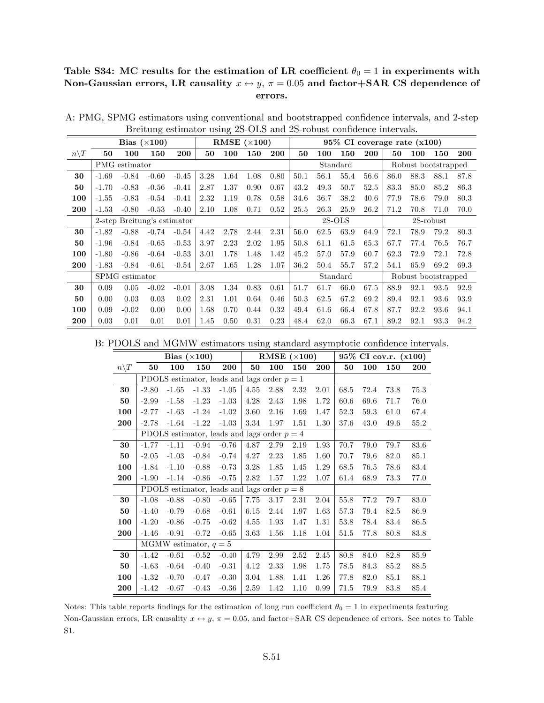#### Table S34: MC results for the estimation of LR coefficient  $\theta_0 = 1$  in experiments with Non-Gaussian errors, LR causality  $x \leftrightarrow y$ ,  $\pi = 0.05$  and factor+SAR CS dependence of errors.

|                  |         |                             | Bias $(\times 100)$ |         |      |      | RMSE $(\times 100)$ |      |      |          |          |            | $95\%$ CI coverage rate $(x100)$ |                     |              |      |
|------------------|---------|-----------------------------|---------------------|---------|------|------|---------------------|------|------|----------|----------|------------|----------------------------------|---------------------|--------------|------|
| $n \backslash T$ | 50      | 100                         | 150                 | 200     | 50   | 100  | 150                 | 200  | 50   | 100      | 150      | <b>200</b> | 50                               | 100                 | 150          | 200  |
|                  |         | PMG estimator               |                     |         |      |      |                     |      |      | Standard |          |            |                                  | Robust bootstrapped |              |      |
| 30               | $-1.69$ | $-0.84$                     | $-0.60$             | $-0.45$ | 3.28 | 1.64 | 1.08                | 0.80 | 50.1 | 56.1     | 55.4     | 56.6       | 86.0                             | 88.3                | 88.1         | 87.8 |
| 50               | $-1.70$ | $-0.83$                     | $-0.56$             | $-0.41$ | 2.87 | 1.37 | 0.90                | 0.67 | 43.2 | 49.3     | 50.7     | 52.5       | 83.3                             | 85.0                | 85.2         | 86.3 |
| 100              | $-1.55$ | $-0.83$                     | $-0.54$             | $-0.41$ | 2.32 | 1.19 | 0.78                | 0.58 | 34.6 | 36.7     | 38.2     | 40.6       | 77.9                             | 78.6                | 79.0         | 80.3 |
| 200              | $-1.53$ | $-0.80$                     | $-0.53$             | $-0.40$ | 2.10 | 1.08 | 0.71                | 0.52 | 25.5 | 26.3     | 25.9     | 26.2       | 71.2                             | 70.8                | 71.0         | 70.0 |
|                  |         | 2-step Breitung's estimator |                     |         |      |      |                     |      |      | $2S-OLS$ |          |            |                                  |                     | $2S$ -robust |      |
| 30               | $-1.82$ | $-0.88$                     | $-0.74$             | $-0.54$ | 4.42 | 2.78 | 2.44                | 2.31 | 56.0 | 62.5     | 63.9     | 64.9       | 72.1                             | 78.9                | 79.2         | 80.3 |
| 50               | $-1.96$ | $-0.84$                     | $-0.65$             | $-0.53$ | 3.97 | 2.23 | 2.02                | 1.95 | 50.8 | 61.1     | 61.5     | 65.3       | 67.7                             | 77.4                | 76.5         | 76.7 |
| 100              | $-1.80$ | $-0.86$                     | $-0.64$             | $-0.53$ | 3.01 | 1.78 | 1.48                | 1.42 | 45.2 | 57.0     | 57.9     | 60.7       | 62.3                             | 72.9                | 72.1         | 72.8 |
| 200              | $-1.83$ | $-0.84$                     | $-0.61$             | $-0.54$ | 2.67 | 1.65 | 1.28                | 1.07 | 36.2 | 50.4     | 55.7     | 57.2       | 54.1                             | 65.9                | 69.2         | 69.3 |
|                  |         | SPMG estimator              |                     |         |      |      |                     |      |      |          | Standard |            |                                  | Robust bootstrapped |              |      |
| 30               | 0.09    | 0.05                        | $-0.02$             | $-0.01$ | 3.08 | 1.34 | 0.83                | 0.61 | 51.7 | 61.7     | 66.0     | 67.5       | 88.9                             | 92.1                | 93.5         | 92.9 |
| 50               | 0.00    | 0.03                        | 0.03                | 0.02    | 2.31 | 1.01 | 0.64                | 0.46 | 50.3 | 62.5     | 67.2     | 69.2       | 89.4                             | 92.1                | 93.6         | 93.9 |
| 100              | 0.09    | $-0.02$                     | 0.00                | 0.00    | 1.68 | 0.70 | 0.44                | 0.32 | 49.4 | 61.6     | 66.4     | 67.8       | 87.7                             | 92.2                | 93.6         | 94.1 |
| 200              | 0.03    | 0.01                        | 0.01                | 0.01    | 1.45 | 0.50 | 0.31                | 0.23 | 48.4 | 62.0     | 66.3     | 67.1       | 89.2                             | 92.1                | 93.3         | 94.2 |

A: PMG, SPMG estimators using conventional and bootstrapped confidence intervals, and 2-step Breitung estimator using 2S-OLS and 2S-robust confidence intervals.

B: PDOLS and MGMW estimators using standard asymptotic confidence intervals.

|                 |         |         | Bias $(\times 100)$     |                                               |      |      | RMSE $(\times 100)$ |            |      |      | 95% CI cov.r. (x100) |      |
|-----------------|---------|---------|-------------------------|-----------------------------------------------|------|------|---------------------|------------|------|------|----------------------|------|
| $n\backslash T$ | 50      | 100     | 150                     | <b>200</b>                                    | 50   | 100  | 150                 | <b>200</b> | 50   | 100  | 150                  | 200  |
|                 |         |         |                         | PDOLS estimator, leads and lags order $p = 1$ |      |      |                     |            |      |      |                      |      |
| 30              | $-2.80$ | $-1.65$ | $-1.33$                 | $-1.05$                                       | 4.55 | 2.88 | 2.32                | 2.01       | 68.5 | 72.4 | 73.8                 | 75.3 |
| 50              | $-2.99$ | $-1.58$ | $-1.23$                 | $-1.03$                                       | 4.28 | 2.43 | 1.98                | 1.72       | 60.6 | 69.6 | 71.7                 | 76.0 |
| 100             | $-2.77$ | $-1.63$ | $-1.24$                 | $-1.02$                                       | 3.60 | 2.16 | 1.69                | 1.47       | 52.3 | 59.3 | 61.0                 | 67.4 |
| 200             | $-2.78$ | $-1.64$ | $-1.22$                 | $-1.03$                                       | 3.34 | 1.97 | 1.51                | 1.30       | 37.6 | 43.0 | 49.6                 | 55.2 |
|                 |         |         |                         | PDOLS estimator, leads and lags order $p = 4$ |      |      |                     |            |      |      |                      |      |
| 30              | $-1.77$ | $-1.11$ | $-0.94$                 | $-0.76$                                       | 4.87 | 2.79 | 2.19                | 1.93       | 70.7 | 79.0 | 79.7                 | 83.6 |
| 50              | $-2.05$ | $-1.03$ | $-0.84$                 | $-0.74$                                       | 4.27 | 2.23 | 1.85                | 1.60       | 70.7 | 79.6 | 82.0                 | 85.1 |
| 100             | $-1.84$ | $-1.10$ | $-0.88$                 | $-0.73$                                       | 3.28 | 1.85 | 1.45                | 1.29       | 68.5 | 76.5 | 78.6                 | 83.4 |
| 200             | $-1.90$ | $-1.14$ | $-0.86$                 | $-0.75$                                       | 2.82 | 1.57 | 1.22                | 1.07       | 61.4 | 68.9 | 73.3                 | 77.0 |
|                 |         |         |                         | PDOLS estimator, leads and lags order $p = 8$ |      |      |                     |            |      |      |                      |      |
| 30              | $-1.08$ | $-0.88$ | $-0.80$                 | $-0.65$                                       | 7.75 | 3.17 | 2.31                | 2.04       | 55.8 | 77.2 | 79.7                 | 83.0 |
| 50              | $-1.40$ | $-0.79$ | $-0.68$                 | $-0.61$                                       | 6.15 | 2.44 | 1.97                | 1.63       | 57.3 | 79.4 | 82.5                 | 86.9 |
| 100             | $-1.20$ | $-0.86$ | $-0.75$                 | $-0.62$                                       | 4.55 | 1.93 | 1.47                | 1.31       | 53.8 | 78.4 | 83.4                 | 86.5 |
| 200             | $-1.46$ | $-0.91$ | $-0.72$                 | $-0.65$                                       | 3.63 | 1.56 | 1.18                | 1.04       | 51.5 | 77.8 | 80.8                 | 83.8 |
|                 |         |         | MGMW estimator, $q = 5$ |                                               |      |      |                     |            |      |      |                      |      |
| 30              | $-1.42$ | $-0.61$ | $-0.52$                 | $-0.40$                                       | 4.79 | 2.99 | 2.52                | 2.45       | 80.8 | 84.0 | 82.8                 | 85.9 |
| 50              | $-1.63$ | $-0.64$ | $-0.40$                 | $-0.31$                                       | 4.12 | 2.33 | 1.98                | 1.75       | 78.5 | 84.3 | 85.2                 | 88.5 |
| 100             | $-1.32$ | $-0.70$ | $-0.47$                 | $-0.30$                                       | 3.04 | 1.88 | 1.41                | 1.26       | 77.8 | 82.0 | 85.1                 | 88.1 |
| 200             | $-1.42$ | $-0.67$ | $-0.43$                 | $-0.36$                                       | 2.59 | 1.42 | 1.10                | 0.99       | 71.5 | 79.9 | 83.8                 | 85.4 |

Notes: This table reports findings for the estimation of long run coefficient  $\theta_0 = 1$  in experiments featuring Non-Gaussian errors, LR causality  $x \leftrightarrow y$ ,  $\pi = 0.05$ , and factor+SAR CS dependence of errors. See notes to Table S1.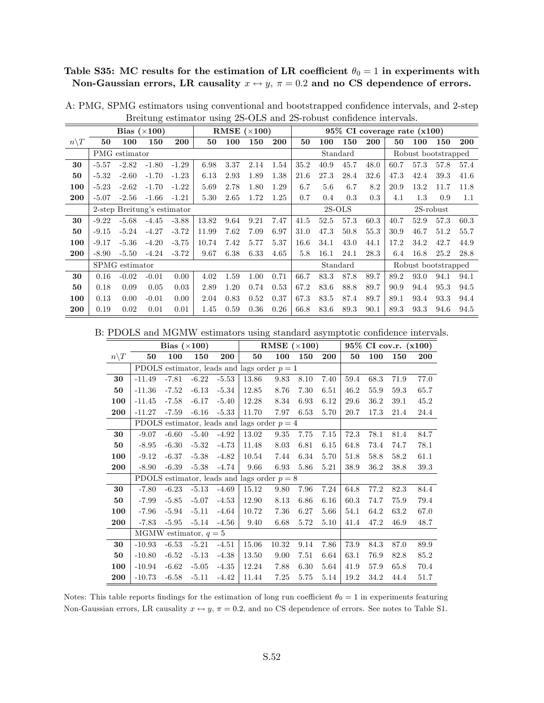## Table S35: MC results for the estimation of LR coefficient  $\theta_0 = 1$  in experiments with Non-Gaussian errors, LR causality  $x \leftrightarrow y$ ,  $\pi = 0.2$  and no CS dependence of errors.

|                  |         |                | Bias $(\times 100)$         |         |       |      | RMSE $(\times 100)$ |      |      |      |          |      |      | $95\%$ CI coverage rate $(x100)$ |           |      |
|------------------|---------|----------------|-----------------------------|---------|-------|------|---------------------|------|------|------|----------|------|------|----------------------------------|-----------|------|
| $n \backslash T$ | 50      | 100            | 150                         | 200     | 50    | 100  | 150                 | 200  | 50   | 100  | 150      | 200  | 50   | 100                              | 150       | 200  |
|                  |         | PMG estimator  |                             |         |       |      |                     |      |      |      | Standard |      |      | Robust bootstrapped              |           |      |
| 30               | $-5.57$ | $-2.82$        | $-1.80$                     | $-1.29$ | 6.98  | 3.37 | 2.14                | 1.54 | 35.2 | 40.9 | 45.7     | 48.0 | 60.7 | 57.3                             | 57.8      | 57.4 |
| 50               | $-5.32$ | $-2.60$        | $-1.70$                     | $-1.23$ | 6.13  | 2.93 | 1.89                | 1.38 | 21.6 | 27.3 | 28.4     | 32.6 | 47.3 | 42.4                             | 39.3      | 41.6 |
| 100              | $-5.23$ | $-2.62$        | $-1.70$                     | $-1.22$ | 5.69  | 2.78 | 1.80                | 1.29 | 6.7  | 5.6  | 6.7      | 8.2  | 20.9 | 13.2                             | 11.7      | 11.8 |
| 200              | $-5.07$ | $-2.56$        | $-1.66$                     | $-1.21$ | 5.30  | 2.65 | 1.72                | 1.25 | 0.7  | 0.4  | 0.3      | 0.3  | 4.1  | 1.3                              | 0.9       | 1.1  |
|                  |         |                | 2-step Breitung's estimator |         |       |      |                     |      |      |      | $2S-OLS$ |      |      |                                  | 2S-robust |      |
| 30               | $-9.22$ | $-5.68$        | $-4.45$                     | $-3.88$ | 13.82 | 9.64 | 9.21                | 7.47 | 41.5 | 52.5 | 57.3     | 60.3 | 40.7 | 52.9                             | 57.3      | 60.3 |
| 50               | $-9.15$ | $-5.24$        | $-4.27$                     | $-3.72$ | 11.99 | 7.62 | 7.09                | 6.97 | 31.0 | 47.3 | 50.8     | 55.3 | 30.9 | 46.7                             | 51.2      | 55.7 |
| 100              | $-9.17$ | $-5.36$        | $-4.20$                     | $-3.75$ | 10.74 | 7.42 | 5.77                | 5.37 | 16.6 | 34.1 | 43.0     | 44.1 | 17.2 | 34.2                             | 42.7      | 44.9 |
| 200              | $-8.90$ | $-5.50$        | $-4.24$                     | $-3.72$ | 9.67  | 6.38 | 6.33                | 4.65 | 5.8  | 16.1 | 24.1     | 28.3 | 6.4  | 16.8                             | 25.2      | 28.8 |
|                  |         | SPMG estimator |                             |         |       |      |                     |      |      |      | Standard |      |      | Robust bootstrapped              |           |      |
| 30               | 0.16    | $-0.02$        | $-0.01$                     | 0.00    | 4.02  | 1.59 | 1.00                | 0.71 | 66.7 | 83.3 | 87.8     | 89.7 | 89.2 | 93.0                             | 94.1      | 94.1 |
| 50               | 0.18    | 0.09           | 0.05                        | 0.03    | 2.89  | 1.20 | 0.74                | 0.53 | 67.2 | 83.6 | 88.8     | 89.7 | 90.9 | 94.4                             | 95.3      | 94.5 |
| 100              | 0.13    | 0.00           | $-0.01$                     | 0.00    | 2.04  | 0.83 | 0.52                | 0.37 | 67.3 | 83.5 | 87.4     | 89.7 | 89.1 | 93.4                             | 93.3      | 94.4 |
| 200              | 0.19    | 0.02           | 0.01                        | 0.01    | 1.45  | 0.59 | 0.36                | 0.26 | 66.8 | 83.6 | 89.3     | 90.1 | 89.3 | 93.3                             | 94.6      | 94.5 |

A: PMG, SPMG estimators using conventional and bootstrapped confidence intervals, and 2-step Breitung estimator using 2S-OLS and 2S-robust confidence intervals.

B: PDOLS and MGMW estimators using standard asymptotic confidence intervals.

|                 |                         | Bias $(\times 100)$ |         |         |                                               | RMSE $(\times 100)$ |      |      |      |      | 95% CI cov.r. (x100) |            |
|-----------------|-------------------------|---------------------|---------|---------|-----------------------------------------------|---------------------|------|------|------|------|----------------------|------------|
| $n\backslash T$ | 50                      | 100                 | 150     | 200     | 50                                            | 100                 | 150  | 200  | 50   | 100  | 150                  | <b>200</b> |
|                 |                         |                     |         |         | PDOLS estimator, leads and lags order $p = 1$ |                     |      |      |      |      |                      |            |
| 30              | $-11.49$                | $-7.81$             | $-6.22$ | $-5.53$ | 13.86                                         | 9.83                | 8.10 | 7.40 | 59.4 | 68.3 | 71.9                 | 77.0       |
| 50              | $-11.36$                | $-7.52$             | $-6.13$ | $-5.34$ | 12.85                                         | 8.76                | 7.30 | 6.51 | 46.2 | 55.9 | 59.3                 | 65.7       |
| 100             | $-11.45$                | $-7.58$             | $-6.17$ | $-5.40$ | 12.28                                         | 8.34                | 6.93 | 6.12 | 29.6 | 36.2 | 39.1                 | 45.2       |
| 200             | $-11.27$                | $-7.59$             | $-6.16$ | $-5.33$ | 11.70                                         | 7.97                | 6.53 | 5.70 | 20.7 | 17.3 | 21.4                 | 24.4       |
|                 |                         |                     |         |         | PDOLS estimator, leads and lags order $p = 4$ |                     |      |      |      |      |                      |            |
| 30              | $-9.07$                 | $-6.60$             | $-5.40$ | $-4.92$ | 13.02                                         | 9.35                | 7.75 | 7.15 | 72.3 | 78.1 | 81.4                 | 84.7       |
| 50              | $-8.95$                 | $-6.30$             | $-5.32$ | $-4.73$ | 11.48                                         | 8.03                | 6.81 | 6.15 | 64.8 | 73.4 | 74.7                 | 78.1       |
| 100             | $-9.12$                 | $-6.37$             | $-5.38$ | $-4.82$ | 10.54                                         | 7.44                | 6.34 | 5.70 | 51.8 | 58.8 | 58.2                 | 61.1       |
| 200             | $-8.90$                 | $-6.39$             | $-5.38$ | $-4.74$ | 9.66                                          | 6.93                | 5.86 | 5.21 | 38.9 | 36.2 | 38.8                 | 39.3       |
|                 |                         |                     |         |         | PDOLS estimator, leads and lags order $p = 8$ |                     |      |      |      |      |                      |            |
| 30              | $-7.80$                 | $-6.23$             | $-5.13$ | $-4.69$ | 15.12                                         | 9.80                | 7.96 | 7.24 | 64.8 | 77.2 | 82.3                 | 84.4       |
| 50              | $-7.99$                 | $-5.85$             | $-5.07$ | $-4.53$ | 12.90                                         | 8.13                | 6.86 | 6.16 | 60.3 | 74.7 | 75.9                 | 79.4       |
| 100             | $-7.96$                 | $-5.94$             | $-5.11$ | $-4.64$ | 10.72                                         | 7.36                | 6.27 | 5.66 | 54.1 | 64.2 | 63.2                 | 67.0       |
| 200             | $-7.83$                 | $-5.95$             | $-5.14$ | $-4.56$ | 9.40                                          | 6.68                | 5.72 | 5.10 | 41.4 | 47.2 | 46.9                 | 48.7       |
|                 | MGMW estimator, $q = 5$ |                     |         |         |                                               |                     |      |      |      |      |                      |            |
| 30              | $-10.93$                | $-6.53$             | $-5.21$ | $-4.51$ | 15.06                                         | 10.32               | 9.14 | 7.86 | 73.9 | 84.3 | 87.0                 | 89.9       |
| 50              | $-10.80$                | $-6.52$             | $-5.13$ | $-4.38$ | 13.50                                         | 9.00                | 7.51 | 6.64 | 63.1 | 76.9 | 82.8                 | 85.2       |
| 100             | $-10.94$                | $-6.62$             | $-5.05$ | $-4.35$ | 12.24                                         | 7.88                | 6.30 | 5.64 | 41.9 | 57.9 | 65.8                 | 70.4       |
| 200             | $-10.73$                | $-6.58$             | $-5.11$ | $-4.42$ | 11.44                                         | $7.25\,$            | 5.75 | 5.14 | 19.2 | 34.2 | 44.4                 | 51.7       |

Notes: This table reports findings for the estimation of long run coefficient  $\theta_0 = 1$  in experiments featuring Non-Gaussian errors, LR causality  $x \leftrightarrow y$ ,  $\pi = 0.2$ , and no CS dependence of errors. See notes to Table S1.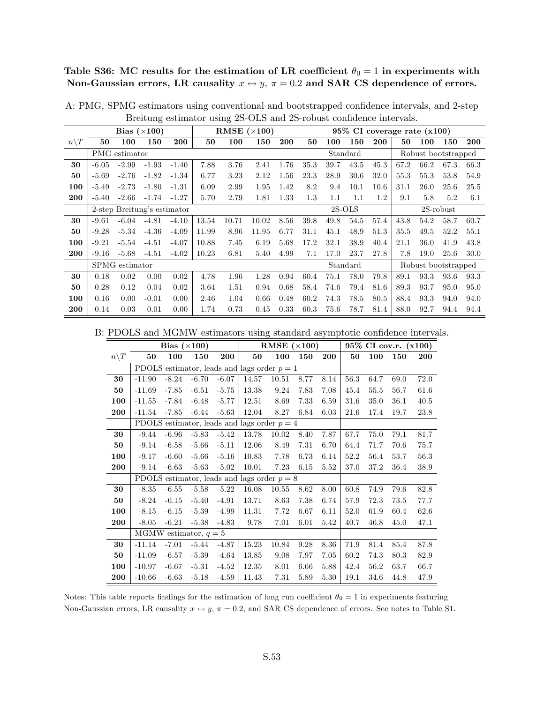Table S36: MC results for the estimation of LR coefficient  $\theta_0 = 1$  in experiments with Non-Gaussian errors, LR causality  $x \leftrightarrow y$ ,  $\pi = 0.2$  and SAR CS dependence of errors.

|                  |         |                | Bias $(\times 100)$         |            |       |       | RMSE $(\times 100)$ |            |      |         |          |            | 95% CI coverage rate (x100) |      |                     |            |
|------------------|---------|----------------|-----------------------------|------------|-------|-------|---------------------|------------|------|---------|----------|------------|-----------------------------|------|---------------------|------------|
| $n \backslash T$ | 50      | 100            | 150                         | <b>200</b> | 50    | 100   | 150                 | <b>200</b> | 50   | 100     | 150      | <b>200</b> | 50                          | 100  | 150                 | <b>200</b> |
|                  |         | PMG estimator  |                             |            |       |       |                     |            |      |         | Standard |            |                             |      | Robust bootstrapped |            |
| 30               | $-6.05$ | $-2.99$        | $-1.93$                     | $-1.40$    | 7.88  | 3.76  | 2.41                | 1.76       | 35.3 | 39.7    | 43.5     | 45.3       | 67.2                        | 66.2 | 67.3                | 66.3       |
| 50               | $-5.69$ | $-2.76$        | $-1.82$                     | $-1.34$    | 6.77  | 3.23  | 2.12                | 1.56       | 23.3 | 28.9    | 30.6     | 32.0       | 55.3                        | 55.3 | 53.8                | 54.9       |
| 100              | $-5.49$ | $-2.73$        | $-1.80$                     | $-1.31$    | 6.09  | 2.99  | 1.95                | 1.42       | 8.2  | 9.4     | 10.1     | 10.6       | 31.1                        | 26.0 | 25.6                | 25.5       |
| 200              | $-5.40$ | $-2.66$        | $-1.74$                     | $-1.27$    | 5.70  | 2.79  | 1.81                | 1.33       | 1.3  | $1.1\,$ | 1.1      | 1.2        | 9.1                         | 5.8  | 5.2                 | 6.1        |
|                  |         |                | 2-step Breitung's estimator |            |       |       |                     |            |      |         | $2S-OLS$ |            |                             |      | $2S$ -robust        |            |
| 30               | $-9.61$ | $-6.04$        | $-4.81$                     | $-4.10$    | 13.54 | 10.71 | 10.02               | 8.56       | 39.8 | 49.8    | 54.5     | 57.4       | 43.8                        | 54.2 | 58.7                | 60.7       |
| 50               | $-9.28$ | $-5.34$        | $-4.36$                     | $-4.09$    | 11.99 | 8.96  | 11.95               | 6.77       | 31.1 | 45.1    | 48.9     | 51.3       | 35.5                        | 49.5 | 52.2                | 55.1       |
| 100              | $-9.21$ | $-5.54$        | $-4.51$                     | $-4.07$    | 10.88 | 7.45  | 6.19                | 5.68       | 17.2 | 32.1    | 38.9     | 40.4       | 21.1                        | 36.0 | 41.9                | 43.8       |
| 200              | $-9.16$ | $-5.68$        | $-4.51$                     | $-4.02$    | 10.23 | 6.81  | 5.40                | 4.99       | 7.1  | 17.0    | 23.7     | 27.8       | 7.8                         | 19.0 | 25.6                | 30.0       |
|                  |         | SPMG estimator |                             |            |       |       |                     |            |      |         | Standard |            |                             |      | Robust bootstrapped |            |
| 30               | 0.18    | 0.02           | 0.00                        | 0.02       | 4.78  | 1.96  | 1.28                | 0.94       | 60.4 | 75.1    | 78.0     | 79.8       | 89.1                        | 93.3 | 93.6                | 93.3       |
| 50               | 0.28    | 0.12           | 0.04                        | 0.02       | 3.64  | 1.51  | 0.94                | 0.68       | 58.4 | 74.6    | 79.4     | 81.6       | 89.3                        | 93.7 | 95.0                | 95.0       |
| 100              | 0.16    | 0.00           | $-0.01$                     | 0.00       | 2.46  | 1.04  | 0.66                | 0.48       | 60.2 | 74.3    | 78.5     | 80.5       | 88.4                        | 93.3 | 94.0                | 94.0       |
| 200              | 0.14    | 0.03           | 0.01                        | 0.00       | 1.74  | 0.73  | 0.45                | 0.33       | 60.3 | 75.6    | 78.7     | 81.4       | 88.0                        | 92.7 | 94.4                | 94.4       |

A: PMG, SPMG estimators using conventional and bootstrapped confidence intervals, and 2-step Breitung estimator using 2S-OLS and 2S-robust confidence intervals.

B: PDOLS and MGMW estimators using standard asymptotic confidence intervals.

|                 |                                               | Bias $(\times 100)$                           |                         |         |       | RMSE $(\times 100)$                           |      | 95% CI cov.r. (x100) |      |      |      |            |
|-----------------|-----------------------------------------------|-----------------------------------------------|-------------------------|---------|-------|-----------------------------------------------|------|----------------------|------|------|------|------------|
| $n\backslash T$ | 50                                            | 100                                           | 150                     | 200     | 50    | 100                                           | 150  | 200                  | 50   | 100  | 150  | <b>200</b> |
|                 |                                               | PDOLS estimator, leads and lags order $p = 1$ |                         |         |       |                                               |      |                      |      |      |      |            |
| 30              | $-11.90$                                      | $-8.24$                                       | $-6.70$                 | $-6.07$ | 14.57 | 10.51                                         | 8.77 | 8.14                 | 56.3 | 64.7 | 69.0 | 72.0       |
| 50              | $-11.69$                                      | $-7.85$                                       | $-6.51$                 | $-5.75$ | 13.38 | 9.24                                          | 7.83 | 7.08                 | 45.4 | 55.5 | 56.7 | 61.6       |
| 100             | $-11.55$                                      | $-7.84$                                       | $-6.48$                 | $-5.77$ | 12.51 | 8.69                                          | 7.33 | 6.59                 | 31.6 | 35.0 | 36.1 | 40.5       |
| 200             | $-11.54$                                      | $-7.85$                                       | $-6.44$                 | $-5.63$ | 12.04 | 8.27                                          | 6.84 | 6.03                 | 21.6 | 17.4 | 19.7 | 23.8       |
|                 | PDOLS estimator, leads and lags order $p = 4$ |                                               |                         |         |       |                                               |      |                      |      |      |      |            |
| 30              | $-9.44$                                       | $-6.96$                                       | $-5.83$                 | $-5.42$ | 13.78 | 10.02                                         | 8.40 | 7.87                 | 67.7 | 75.0 | 79.1 | 81.7       |
| 50              | $-9.14$                                       | $-6.58$                                       | $-5.66$                 | $-5.11$ | 12.06 | 8.49                                          | 7.31 | 6.70                 | 64.4 | 71.7 | 70.6 | 75.7       |
| 100             | $-9.17$                                       | $-6.60$                                       | $-5.66$                 | $-5.16$ | 10.83 | 7.78                                          | 6.73 | 6.14                 | 52.2 | 56.4 | 53.7 | 56.3       |
| 200             | $-9.14$                                       | $-6.63$                                       | $-5.63$                 | $-5.02$ | 10.01 | 7.23                                          | 6.15 | 5.52                 | 37.0 | 37.2 | 36.4 | 38.9       |
|                 |                                               |                                               |                         |         |       | PDOLS estimator, leads and lags order $p = 8$ |      |                      |      |      |      |            |
| 30              | $-8.35$                                       | $-6.55$                                       | $-5.58$                 | $-5.22$ | 16.08 | 10.55                                         | 8.62 | 8.00                 | 60.8 | 74.9 | 79.6 | 82.8       |
| 50              | $-8.24$                                       | $-6.15$                                       | $-5.40$                 | $-4.91$ | 13.71 | 8.63                                          | 7.38 | 6.74                 | 57.9 | 72.3 | 73.5 | 77.7       |
| 100             | $-8.15$                                       | $-6.15$                                       | $-5.39$                 | $-4.99$ | 11.31 | 7.72                                          | 6.67 | 6.11                 | 52.0 | 61.9 | 60.4 | 62.6       |
| 200             | $-8.05$                                       | $-6.21$                                       | $-5.38$                 | $-4.83$ | 9.78  | 7.01                                          | 6.01 | 5.42                 | 40.7 | 46.8 | 45.0 | 47.1       |
|                 |                                               |                                               | MGMW estimator, $q = 5$ |         |       |                                               |      |                      |      |      |      |            |
| 30              | $-11.14$                                      | $-7.01$                                       | $-5.44$                 | $-4.87$ | 15.23 | 10.84                                         | 9.28 | 8.36                 | 71.9 | 81.4 | 85.4 | 87.8       |
| 50              | $-11.09$                                      | $-6.57$                                       | $-5.39$                 | $-4.64$ | 13.85 | 9.08                                          | 7.97 | 7.05                 | 60.2 | 74.3 | 80.3 | 82.9       |
| 100             | $-10.97$                                      | $-6.67$                                       | $-5.31$                 | $-4.52$ | 12.35 | 8.01                                          | 6.66 | 5.88                 | 42.4 | 56.2 | 63.7 | 66.7       |
| 200             | $-10.66$                                      | $-6.63$                                       | $-5.18$                 | $-4.59$ | 11.43 | 7.31                                          | 5.89 | 5.30                 | 19.1 | 34.6 | 44.8 | 47.9       |

Notes: This table reports findings for the estimation of long run coefficient  $\theta_0 = 1$  in experiments featuring Non-Gaussian errors, LR causality  $x \leftrightarrow y$ ,  $\pi = 0.2$ , and SAR CS dependence of errors. See notes to Table S1.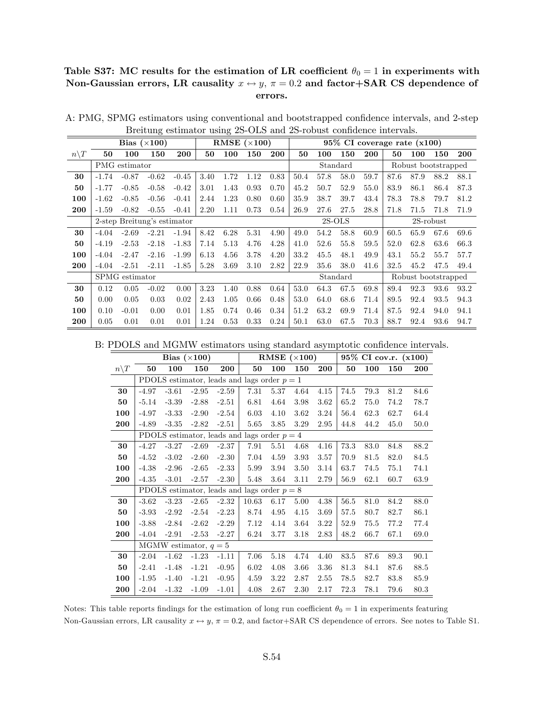## Table S37: MC results for the estimation of LR coefficient  $\theta_0 = 1$  in experiments with Non-Gaussian errors, LR causality  $x \leftrightarrow y$ ,  $\pi = 0.2$  and factor+SAR CS dependence of errors.

|                  |                             |                | $\smash{\smash{\cup}}$<br>Bias $(\times 100)$ |         |      | ິ    | RMSE $(\times 100)$ |            | $95\%$ CI coverage rate $(x100)$ |          |      |            |      |                     |      |      |  |
|------------------|-----------------------------|----------------|-----------------------------------------------|---------|------|------|---------------------|------------|----------------------------------|----------|------|------------|------|---------------------|------|------|--|
| $n \backslash T$ | 50                          | 100            | 150                                           | 200     | 50   | 100  | 150                 | <b>200</b> | 50                               | 100      | 150  | <b>200</b> | 50   | 100                 | 150  | 200  |  |
|                  | PMG estimator               |                |                                               |         |      |      |                     |            |                                  | Standard |      |            |      | Robust bootstrapped |      |      |  |
| 30               | $-1.74$                     | $-0.87$        | $-0.62$                                       | $-0.45$ | 3.40 | 1.72 | 1.12                | 0.83       | 50.4                             | 57.8     | 58.0 | 59.7       | 87.6 | 87.9                | 88.2 | 88.1 |  |
| 50               | $-1.77$                     | $-0.85$        | $-0.58$                                       | $-0.42$ | 3.01 | 1.43 | 0.93                | 0.70       | 45.2                             | 50.7     | 52.9 | 55.0       | 83.9 | 86.1                | 86.4 | 87.3 |  |
| 100              | $-1.62$                     | $-0.85$        | $-0.56$                                       | $-0.41$ | 2.44 | 1.23 | 0.80                | 0.60       | 35.9                             | 38.7     | 39.7 | 43.4       | 78.3 | 78.8                | 79.7 | 81.2 |  |
| 200              | $-1.59$                     | $-0.82$        | $-0.55$                                       | $-0.41$ | 2.20 | 1.11 | 0.73                | 0.54       | 26.9                             | 27.6     | 27.5 | 28.8       | 71.8 | 71.5                | 71.8 | 71.9 |  |
|                  | 2-step Breitung's estimator |                |                                               |         |      |      |                     |            |                                  | $2S-OLS$ |      |            |      | $2S$ -robust        |      |      |  |
| 30               | $-4.04$                     | $-2.69$        | $-2.21$                                       | $-1.94$ | 8.42 | 6.28 | 5.31                | 4.90       | 49.0                             | 54.2     | 58.8 | 60.9       | 60.5 | 65.9                | 67.6 | 69.6 |  |
| 50               | $-4.19$                     | $-2.53$        | $-2.18$                                       | $-1.83$ | 7.14 | 5.13 | 4.76                | 4.28       | 41.0                             | 52.6     | 55.8 | 59.5       | 52.0 | 62.8                | 63.6 | 66.3 |  |
| 100              | $-4.04$                     | $-2.47$        | $-2.16$                                       | $-1.99$ | 6.13 | 4.56 | 3.78                | 4.20       | 33.2                             | 45.5     | 48.1 | 49.9       | 43.1 | 55.2                | 55.7 | 57.7 |  |
| 200              | $-4.04$                     | $-2.51$        | $-2.11$                                       | $-1.85$ | 5.28 | 3.69 | 3.10                | 2.82       | 22.9                             | 35.6     | 38.0 | 41.6       | 32.5 | 45.2                | 47.5 | 49.4 |  |
|                  |                             | SPMG estimator |                                               |         |      |      |                     |            | Standard<br>Robust bootstrapped  |          |      |            |      |                     |      |      |  |
| 30               | 0.12                        | 0.05           | $-0.02$                                       | 0.00    | 3.23 | 1.40 | 0.88                | 0.64       | 53.0                             | 64.3     | 67.5 | 69.8       | 89.4 | 92.3                | 93.6 | 93.2 |  |
| 50               | 0.00                        | 0.05           | 0.03                                          | 0.02    | 2.43 | 1.05 | 0.66                | 0.48       | 53.0                             | 64.0     | 68.6 | 71.4       | 89.5 | 92.4                | 93.5 | 94.3 |  |
| 100              | 0.10                        | $-0.01$        | 0.00                                          | 0.01    | 1.85 | 0.74 | 0.46                | 0.34       | 51.2                             | 63.2     | 69.9 | 71.4       | 87.5 | 92.4                | 94.0 | 94.1 |  |
| 200              | 0.05                        | 0.01           | 0.01                                          | 0.01    | 1.24 | 0.53 | 0.33                | 0.24       | 50.1                             | 63.0     | 67.5 | 70.3       | 88.7 | 92.4                | 93.6 | 94.7 |  |

A: PMG, SPMG estimators using conventional and bootstrapped confidence intervals, and 2-step Breitung estimator using 2S-OLS and 2S-robust confidence intervals.

B: PDOLS and MGMW estimators using standard asymptotic confidence intervals.

|                 |                                               |         | Bias $(\times 100)$     |         |                                               |      | RMSE $(\times 100)$ |            | 95% CI cov.r. (x100) |      |      |            |  |
|-----------------|-----------------------------------------------|---------|-------------------------|---------|-----------------------------------------------|------|---------------------|------------|----------------------|------|------|------------|--|
| $n\backslash T$ | 50                                            | 100     | 150                     | 200     | 50                                            | 100  | 150                 | <b>200</b> | 50                   | 100  | 150  | <b>200</b> |  |
|                 | PDOLS estimator, leads and lags order $p = 1$ |         |                         |         |                                               |      |                     |            |                      |      |      |            |  |
| 30              | $-4.97$                                       | $-3.61$ | $-2.95$                 | $-2.59$ | 7.31                                          | 5.37 | 4.64                | 4.15       | 74.5                 | 79.3 | 81.2 | 84.6       |  |
| 50              | $-5.14$                                       | $-3.39$ | $-2.88$                 | $-2.51$ | 6.81                                          | 4.64 | 3.98                | 3.62       | 65.2                 | 75.0 | 74.2 | 78.7       |  |
| 100             | $-4.97$                                       | $-3.33$ | $-2.90$                 | $-2.54$ | 6.03                                          | 4.10 | 3.62                | 3.24       | 56.4                 | 62.3 | 62.7 | 64.4       |  |
| 200             | $-4.89$                                       | $-3.35$ | $-2.82$                 | $-2.51$ | 5.65                                          | 3.85 | 3.29                | 2.95       | 44.8                 | 44.2 | 45.0 | 50.0       |  |
|                 | PDOLS estimator, leads and lags order $p = 4$ |         |                         |         |                                               |      |                     |            |                      |      |      |            |  |
| 30              | $-4.27$                                       | $-3.27$ | $-2.69$                 | $-2.37$ | 7.91                                          | 5.51 | 4.68                | 4.16       | 73.3                 | 83.0 | 84.8 | 88.2       |  |
| 50              | $-4.52$                                       | $-3.02$ | $-2.60$                 | $-2.30$ | 7.04                                          | 4.59 | 3.93                | 3.57       | 70.9                 | 81.5 | 82.0 | 84.5       |  |
| 100             | $-4.38$                                       | $-2.96$ | $-2.65$                 | $-2.33$ | 5.99                                          | 3.94 | 3.50                | 3.14       | 63.7                 | 74.5 | 75.1 | 74.1       |  |
| 200             | $-4.35$                                       | $-3.01$ | $-2.57$                 | $-2.30$ | 5.48                                          | 3.64 | 3.11                | 2.79       | 56.9                 | 62.1 | 60.7 | 63.9       |  |
|                 |                                               |         |                         |         | PDOLS estimator, leads and lags order $p = 8$ |      |                     |            |                      |      |      |            |  |
| 30              | $-3.62$                                       | $-3.23$ | $-2.65$                 | $-2.32$ | 10.63                                         | 6.17 | 5.00                | 4.38       | 56.5                 | 81.0 | 84.2 | 88.0       |  |
| 50              | $-3.93$                                       | $-2.92$ | $-2.54$                 | $-2.23$ | 8.74                                          | 4.95 | 4.15                | 3.69       | 57.5                 | 80.7 | 82.7 | 86.1       |  |
| 100             | $-3.88$                                       | $-2.84$ | $-2.62$                 | $-2.29$ | 7.12                                          | 4.14 | 3.64                | 3.22       | 52.9                 | 75.5 | 77.2 | 77.4       |  |
| 200             | $-4.04$                                       | $-2.91$ | $-2.53$                 | $-2.27$ | 6.24                                          | 3.77 | 3.18                | 2.83       | 48.2                 | 66.7 | 67.1 | 69.0       |  |
|                 |                                               |         | MGMW estimator, $q = 5$ |         |                                               |      |                     |            |                      |      |      |            |  |
| 30              | $-2.04$                                       | $-1.62$ | $-1.23$                 | $-1.11$ | 7.06                                          | 5.18 | 4.74                | 4.40       | 83.5                 | 87.6 | 89.3 | 90.1       |  |
| 50              | $-2.41$                                       | $-1.48$ | $-1.21$                 | $-0.95$ | 6.02                                          | 4.08 | 3.66                | 3.36       | 81.3                 | 84.1 | 87.6 | 88.5       |  |
| 100             | $-1.95$                                       | $-1.40$ | $-1.21$                 | $-0.95$ | 4.59                                          | 3.22 | 2.87                | 2.55       | 78.5                 | 82.7 | 83.8 | 85.9       |  |
| 200             | $-2.04$                                       | $-1.32$ | $-1.09$                 | $-1.01$ | 4.08                                          | 2.67 | 2.30                | 2.17       | 72.3                 | 78.1 | 79.6 | 80.3       |  |

Notes: This table reports findings for the estimation of long run coefficient  $\theta_0 = 1$  in experiments featuring Non-Gaussian errors, LR causality  $x \leftrightarrow y$ ,  $\pi = 0.2$ , and factor+SAR CS dependence of errors. See notes to Table S1.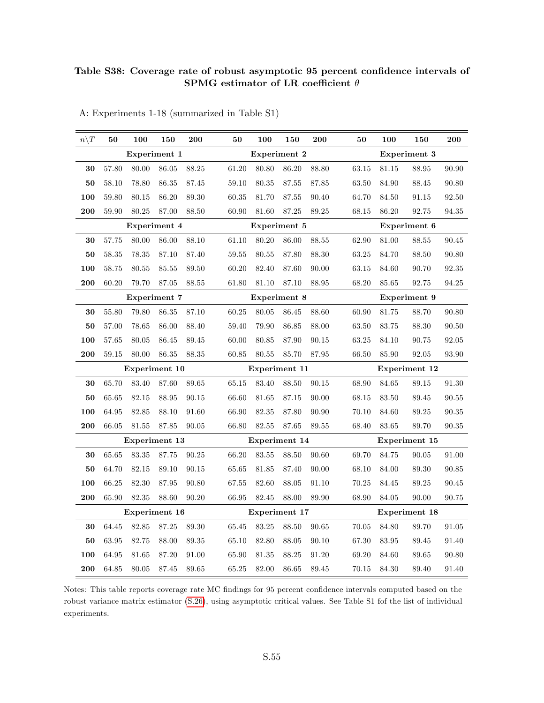#### Table S38: Coverage rate of robust asymptotic 95 percent confidence intervals of SPMG estimator of LR coefficient  $\theta$

| $n\backslash T$ | 50    | 100                  | 150       | 200       | 50    | 100                  | 150   | 200       | 50        | 100                  | 150                  | 200   |  |  |  |
|-----------------|-------|----------------------|-----------|-----------|-------|----------------------|-------|-----------|-----------|----------------------|----------------------|-------|--|--|--|
|                 |       | Experiment 1         |           |           |       | Experiment 2         |       |           |           | Experiment 3         |                      |       |  |  |  |
| 30              | 57.80 | 80.00                | 86.05     | 88.25     | 61.20 | 80.80                | 86.20 | 88.80     | 63.15     | 81.15                | 88.95                | 90.90 |  |  |  |
| ${\bf 50}$      | 58.10 | 78.80                | 86.35     | 87.45     | 59.10 | 80.35                | 87.55 | 87.85     | 63.50     | 84.90                | 88.45                | 90.80 |  |  |  |
| 100             | 59.80 | 80.15                | 86.20     | 89.30     | 60.35 | 81.70                | 87.55 | 90.40     | 64.70     | 84.50                | 91.15                | 92.50 |  |  |  |
| 200             | 59.90 | 80.25                | 87.00     | 88.50     | 60.90 | 81.60                | 87.25 | 89.25     | 68.15     | 86.20                | 92.75                | 94.35 |  |  |  |
|                 |       | Experiment 4         |           |           |       | Experiment 5         |       |           |           | Experiment 6         |                      |       |  |  |  |
| 30              | 57.75 | 80.00                | 86.00     | 88.10     | 61.10 | 80.20                | 86.00 | 88.55     | 62.90     | 81.00                | 88.55                | 90.45 |  |  |  |
| 50              | 58.35 | 78.35                | 87.10     | 87.40     | 59.55 | 80.55                | 87.80 | 88.30     | 63.25     | 84.70                | 88.50                | 90.80 |  |  |  |
| 100             | 58.75 | 80.55                | 85.55     | 89.50     | 60.20 | 82.40                | 87.60 | 90.00     | $63.15\,$ | 84.60                | 90.70                | 92.35 |  |  |  |
| 200             | 60.20 | 79.70                | 87.05     | 88.55     | 61.80 | 81.10                | 87.10 | 88.95     | 68.20     | 85.65                | 92.75                | 94.25 |  |  |  |
|                 |       | Experiment 7         |           |           |       | Experiment 8         |       |           |           | Experiment 9         |                      |       |  |  |  |
| 30              | 55.80 | 79.80                | $86.35\,$ | 87.10     | 60.25 | 80.05                | 86.45 | 88.60     | 60.90     | 81.75                | 88.70                | 90.80 |  |  |  |
| 50              | 57.00 | 78.65                | 86.00     | 88.40     | 59.40 | 79.90                | 86.85 | 88.00     | 63.50     | 83.75                | 88.30                | 90.50 |  |  |  |
| 100             | 57.65 | 80.05                | 86.45     | 89.45     | 60.00 | 80.85                | 87.90 | 90.15     | 63.25     | 84.10                | 90.75                | 92.05 |  |  |  |
| 200             | 59.15 | 80.00                | 86.35     | 88.35     | 60.85 | 80.55                | 85.70 | 87.95     | 66.50     | 85.90                | 92.05                | 93.90 |  |  |  |
|                 |       | Experiment 10        |           |           |       | Experiment 11        |       |           |           |                      | <b>Experiment 12</b> |       |  |  |  |
| 30              | 65.70 | 83.40                | 87.60     | $89.65\,$ | 65.15 | 83.40                | 88.50 | 90.15     | 68.90     | 84.65                | 89.15                | 91.30 |  |  |  |
| 50              | 65.65 | 82.15                | 88.95     | 90.15     | 66.60 | 81.65                | 87.15 | 90.00     | 68.15     | 83.50                | 89.45                | 90.55 |  |  |  |
| 100             | 64.95 | 82.85                | 88.10     | 91.60     | 66.90 | 82.35                | 87.80 | 90.90     | 70.10     | 84.60                | 89.25                | 90.35 |  |  |  |
| 200             | 66.05 | 81.55                | 87.85     | $90.05\,$ | 66.80 | 82.55                | 87.65 | $89.55\,$ | 68.40     | 83.65                | 89.70                | 90.35 |  |  |  |
|                 |       | <b>Experiment 13</b> |           |           |       | <b>Experiment 14</b> |       |           |           | <b>Experiment 15</b> |                      |       |  |  |  |
| 30              | 65.65 | 83.35                | 87.75     | 90.25     | 66.20 | 83.55                | 88.50 | 90.60     | 69.70     | 84.75                | 90.05                | 91.00 |  |  |  |
| ${\bf 50}$      | 64.70 | 82.15                | 89.10     | 90.15     | 65.65 | 81.85                | 87.40 | 90.00     | 68.10     | 84.00                | 89.30                | 90.85 |  |  |  |
| 100             | 66.25 | 82.30                | 87.95     | 90.80     | 67.55 | 82.60                | 88.05 | 91.10     | 70.25     | 84.45                | 89.25                | 90.45 |  |  |  |
| 200             | 65.90 | 82.35                | 88.60     | 90.20     | 66.95 | 82.45                | 88.00 | 89.90     | 68.90     | 84.05                | 90.00                | 90.75 |  |  |  |
|                 |       | <b>Experiment 16</b> |           |           |       | <b>Experiment 17</b> |       |           |           |                      | <b>Experiment 18</b> |       |  |  |  |
| 30              | 64.45 | 82.85                | 87.25     | 89.30     | 65.45 | 83.25                | 88.50 | 90.65     | 70.05     | 84.80                | 89.70                | 91.05 |  |  |  |
| ${\bf 50}$      | 63.95 | 82.75                | 88.00     | 89.35     | 65.10 | 82.80                | 88.05 | 90.10     | 67.30     | 83.95                | 89.45                | 91.40 |  |  |  |
| 100             | 64.95 | 81.65                | 87.20     | 91.00     | 65.90 | 81.35                | 88.25 | $91.20\,$ | 69.20     | 84.60                | 89.65                | 90.80 |  |  |  |
| 200             | 64.85 | 80.05                | 87.45     | 89.65     | 65.25 | 82.00                | 86.65 | 89.45     | 70.15     | 84.30                | 89.40                | 91.40 |  |  |  |

A: Experiments 1-18 (summarized in Table S1)

Notes: This table reports coverage rate MC findings for 95 percent confidence intervals computed based on the robust variance matrix estimator [\(S.26\)](#page-45-0), using asymptotic critical values. See Table S1 fof the list of individual experiments.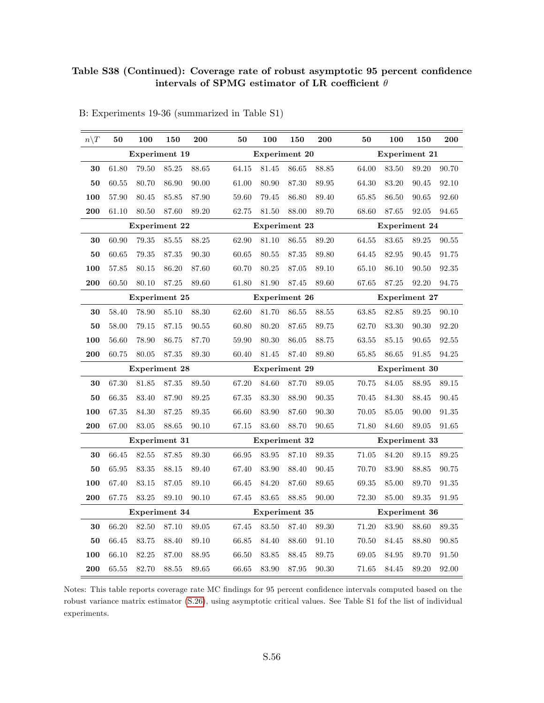#### Table S38 (Continued): Coverage rate of robust asymptotic 95 percent confidence intervals of SPMG estimator of LR coefficient  $\theta$

| $n\backslash T$ | 50            | 100                  | 150   | 200   | 50    | 100                  | 150       | 200   | 50    | 100                  | 150       | 200                  |  |  |  |
|-----------------|---------------|----------------------|-------|-------|-------|----------------------|-----------|-------|-------|----------------------|-----------|----------------------|--|--|--|
|                 |               | <b>Experiment 19</b> |       |       |       | <b>Experiment 20</b> |           |       |       | <b>Experiment 21</b> |           |                      |  |  |  |
| 30              | 61.80         | 79.50                | 85.25 | 88.65 | 64.15 | 81.45                | 86.65     | 88.85 | 64.00 | 83.50                | 89.20     | 90.70                |  |  |  |
| ${\bf 50}$      | 60.55         | 80.70                | 86.90 | 90.00 | 61.00 | 80.90                | 87.30     | 89.95 | 64.30 | 83.20                | 90.45     | 92.10                |  |  |  |
| 100             | 57.90         | 80.45                | 85.85 | 87.90 | 59.60 | 79.45                | 86.80     | 89.40 | 65.85 | 86.50                | 90.65     | 92.60                |  |  |  |
| 200             | 61.10         | 80.50                | 87.60 | 89.20 | 62.75 | 81.50                | 88.00     | 89.70 | 68.60 | 87.65                | 92.05     | 94.65                |  |  |  |
|                 |               | <b>Experiment 22</b> |       |       |       | Experiment 23        |           |       |       | Experiment 24        |           |                      |  |  |  |
| 30              | 60.90         | 79.35                | 85.55 | 88.25 | 62.90 | 81.10                | 86.55     | 89.20 | 64.55 | 83.65                | $89.25\,$ | 90.55                |  |  |  |
| 50              | 60.65         | 79.35                | 87.35 | 90.30 | 60.65 | 80.55                | 87.35     | 89.80 | 64.45 | 82.95                | 90.45     | 91.75                |  |  |  |
| 100             | $57.85\,$     | 80.15                | 86.20 | 87.60 | 60.70 | 80.25                | 87.05     | 89.10 | 65.10 | 86.10                | 90.50     | 92.35                |  |  |  |
| 200             | 60.50         | 80.10                | 87.25 | 89.60 | 61.80 | 81.90                | 87.45     | 89.60 | 67.65 | 87.25                | 92.20     | 94.75                |  |  |  |
|                 |               | Experiment 25        |       |       |       | <b>Experiment 26</b> |           |       |       | <b>Experiment 27</b> |           |                      |  |  |  |
| 30              | 58.40         | 78.90                | 85.10 | 88.30 | 62.60 | 81.70                | $86.55\,$ | 88.55 | 63.85 | 82.85                | 89.25     | 90.10                |  |  |  |
| ${\bf 50}$      | 58.00         | 79.15                | 87.15 | 90.55 | 60.80 | 80.20                | 87.65     | 89.75 | 62.70 | 83.30                | 90.30     | 92.20                |  |  |  |
| 100             | 56.60         | 78.90                | 86.75 | 87.70 | 59.90 | 80.30                | 86.05     | 88.75 | 63.55 | 85.15                | 90.65     | 92.55                |  |  |  |
| 200             | 60.75         | 80.05                | 87.35 | 89.30 | 60.40 | 81.45                | 87.40     | 89.80 | 65.85 | 86.65                | 91.85     | 94.25                |  |  |  |
|                 |               | <b>Experiment 28</b> |       |       |       | <b>Experiment 29</b> |           |       |       | <b>Experiment 30</b> |           |                      |  |  |  |
| $30\,$          | 67.30         | 81.85                | 87.35 | 89.50 | 67.20 | 84.60                | 87.70     | 89.05 | 70.75 | 84.05                | 88.95     | 89.15                |  |  |  |
| ${\bf 50}$      | 66.35         | 83.40                | 87.90 | 89.25 | 67.35 | 83.30                | 88.90     | 90.35 | 70.45 | 84.30                | 88.45     | 90.45                |  |  |  |
| 100             | 67.35         | 84.30                | 87.25 | 89.35 | 66.60 | 83.90                | 87.60     | 90.30 | 70.05 | 85.05                | 90.00     | $\boldsymbol{91.35}$ |  |  |  |
| 200             | 67.00         | 83.05                | 88.65 | 90.10 | 67.15 | 83.60                | 88.70     | 90.65 | 71.80 | 84.60                | 89.05     | 91.65                |  |  |  |
|                 |               | Experiment 31        |       |       |       | Experiment 32        |           |       |       | Experiment 33        |           |                      |  |  |  |
| $30\,$          | 66.45         | 82.55                | 87.85 | 89.30 | 66.95 | 83.95                | 87.10     | 89.35 | 71.05 | 84.20                | 89.15     | 89.25                |  |  |  |
| 50              | 65.95         | 83.35                | 88.15 | 89.40 | 67.40 | 83.90                | 88.40     | 90.45 | 70.70 | 83.90                | 88.85     | $90.75\,$            |  |  |  |
| 100             | 67.40         | 83.15                | 87.05 | 89.10 | 66.45 | 84.20                | 87.60     | 89.65 | 69.35 | 85.00                | 89.70     | 91.35                |  |  |  |
| 200             | 67.75         | 83.25                | 89.10 | 90.10 | 67.45 | 83.65                | 88.85     | 90.00 | 72.30 | 85.00                | $89.35\,$ | 91.95                |  |  |  |
|                 | Experiment 34 |                      |       |       |       | <b>Experiment 35</b> |           |       |       | <b>Experiment 36</b> |           |                      |  |  |  |
| 30              | 66.20         | 82.50                | 87.10 | 89.05 | 67.45 | 83.50                | 87.40     | 89.30 | 71.20 | 83.90                | 88.60     | 89.35                |  |  |  |
| 50              | 66.45         | 83.75                | 88.40 | 89.10 | 66.85 | 84.40                | 88.60     | 91.10 | 70.50 | 84.45                | 88.80     | $\boldsymbol{90.85}$ |  |  |  |
| 100             | 66.10         | 82.25                | 87.00 | 88.95 | 66.50 | 83.85                | 88.45     | 89.75 | 69.05 | 84.95                | 89.70     | 91.50                |  |  |  |
| 200             | 65.55         | 82.70                | 88.55 | 89.65 | 66.65 | 83.90                | 87.95     | 90.30 | 71.65 | 84.45                | 89.20     | 92.00                |  |  |  |

B: Experiments 19-36 (summarized in Table S1)

Notes: This table reports coverage rate MC findings for 95 percent confidence intervals computed based on the robust variance matrix estimator [\(S.26\)](#page-45-0), using asymptotic critical values. See Table S1 fof the list of individual experiments.